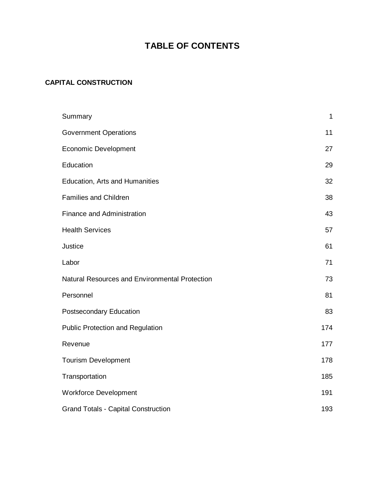# **TABLE OF CONTENTS**

## **CAPITAL CONSTRUCTION**

| Summary                                        | $\mathbf{1}$ |
|------------------------------------------------|--------------|
| <b>Government Operations</b>                   | 11           |
| <b>Economic Development</b>                    | 27           |
| Education                                      | 29           |
| Education, Arts and Humanities                 | 32           |
| <b>Families and Children</b>                   | 38           |
| <b>Finance and Administration</b>              | 43           |
| <b>Health Services</b>                         | 57           |
| Justice                                        | 61           |
| Labor                                          | 71           |
| Natural Resources and Environmental Protection | 73           |
| Personnel                                      | 81           |
| Postsecondary Education                        | 83           |
| <b>Public Protection and Regulation</b>        | 174          |
| Revenue                                        | 177          |
| <b>Tourism Development</b>                     | 178          |
| Transportation                                 | 185          |
| <b>Workforce Development</b>                   | 191          |
| <b>Grand Totals - Capital Construction</b>     | 193          |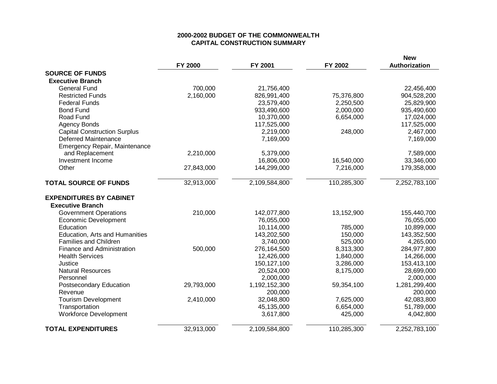### **2000-2002 BUDGET OF THE COMMONWEALTH CAPITAL CONSTRUCTION SUMMARY**

|                                     | FY 2000    | FY 2001       | FY 2002     | <b>New</b><br>Authorization |
|-------------------------------------|------------|---------------|-------------|-----------------------------|
| <b>SOURCE OF FUNDS</b>              |            |               |             |                             |
| <b>Executive Branch</b>             |            |               |             |                             |
| <b>General Fund</b>                 | 700,000    | 21,756,400    |             | 22,456,400                  |
| <b>Restricted Funds</b>             | 2,160,000  | 826,991,400   | 75,376,800  | 904,528,200                 |
| <b>Federal Funds</b>                |            | 23,579,400    | 2,250,500   | 25,829,900                  |
| <b>Bond Fund</b>                    |            | 933,490,600   | 2,000,000   | 935,490,600                 |
| Road Fund                           |            | 10,370,000    | 6,654,000   | 17,024,000                  |
| <b>Agency Bonds</b>                 |            | 117,525,000   |             | 117,525,000                 |
| <b>Capital Construction Surplus</b> |            | 2,219,000     | 248,000     | 2,467,000                   |
| <b>Deferred Maintenance</b>         |            | 7,169,000     |             | 7,169,000                   |
| Emergency Repair, Maintenance       |            |               |             |                             |
| and Replacement                     | 2,210,000  | 5,379,000     |             | 7,589,000                   |
| Investment Income                   |            | 16,806,000    | 16,540,000  | 33,346,000                  |
| Other                               | 27,843,000 | 144,299,000   | 7,216,000   | 179,358,000                 |
| <b>TOTAL SOURCE OF FUNDS</b>        | 32,913,000 | 2,109,584,800 | 110,285,300 | 2,252,783,100               |
| <b>EXPENDITURES BY CABINET</b>      |            |               |             |                             |
| <b>Executive Branch</b>             |            |               |             |                             |
| <b>Government Operations</b>        | 210,000    | 142,077,800   | 13,152,900  | 155,440,700                 |
| <b>Economic Development</b>         |            | 76,055,000    |             | 76,055,000                  |
| Education                           |            | 10,114,000    | 785,000     | 10,899,000                  |
| Education, Arts and Humanities      |            | 143,202,500   | 150,000     | 143,352,500                 |
| <b>Families and Children</b>        |            | 3,740,000     | 525,000     | 4,265,000                   |
| Finance and Administration          | 500,000    | 276,164,500   | 8,313,300   | 284,977,800                 |
| <b>Health Services</b>              |            | 12,426,000    | 1,840,000   | 14,266,000                  |
| Justice                             |            | 150, 127, 100 | 3,286,000   | 153,413,100                 |
| <b>Natural Resources</b>            |            | 20,524,000    | 8,175,000   | 28,699,000                  |
| Personnel                           |            | 2,000,000     |             | 2,000,000                   |
| <b>Postsecondary Education</b>      | 29,793,000 | 1,192,152,300 | 59,354,100  | 1,281,299,400               |
| Revenue                             |            | 200,000       |             | 200,000                     |
| <b>Tourism Development</b>          | 2,410,000  | 32,048,800    | 7,625,000   | 42,083,800                  |
| Transportation                      |            | 45,135,000    | 6,654,000   | 51,789,000                  |
| <b>Workforce Development</b>        |            | 3,617,800     | 425,000     | 4,042,800                   |
| <b>TOTAL EXPENDITURES</b>           | 32,913,000 | 2,109,584,800 | 110,285,300 | 2,252,783,100               |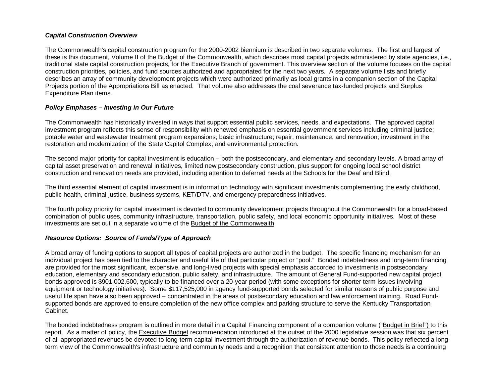### *Capital Construction Overview*

The Commonwealth's capital construction program for the 2000-2002 biennium is described in two separate volumes. The first and largest of these is this document, Volume II of the Budget of the Commonwealth, which describes most capital projects administered by state agencies, i.e., traditional state capital construction projects, for the Executive Branch of government. This overview section of the volume focuses on the capital construction priorities, policies, and fund sources authorized and appropriated for the next two years. A separate volume lists and briefly describes an array of community development projects which were authorized primarily as local grants in a companion section of the Capital Projects portion of the Appropriations Bill as enacted. That volume also addresses the coal severance tax-funded projects and Surplus Expenditure Plan items.

### *Policy Emphases – Investing in Our Future*

The Commonwealth has historically invested in ways that support essential public services, needs, and expectations. The approved capital investment program reflects this sense of responsibility with renewed emphasis on essential government services including criminal justice; potable water and wastewater treatment program expansions; basic infrastructure; repair, maintenance, and renovation; investment in the restoration and modernization of the State Capitol Complex; and environmental protection.

The second major priority for capital investment is education – both the postsecondary, and elementary and secondary levels. A broad array of capital asset preservation and renewal initiatives, limited new postsecondary construction, plus support for ongoing local school district construction and renovation needs are provided, including attention to deferred needs at the Schools for the Deaf and Blind.

The third essential element of capital investment is in information technology with significant investments complementing the early childhood, public health, criminal justice, business systems, KET/DTV, and emergency preparedness initiatives.

The fourth policy priority for capital investment is devoted to community development projects throughout the Commonwealth for a broad-based combination of public uses, community infrastructure, transportation, public safety, and local economic opportunity initiatives. Most of these investments are set out in a separate volume of the Budget of the Commonwealth.

### *Resource Options: Source of Funds/Type of Approach*

A broad array of funding options to support all types of capital projects are authorized in the budget. The specific financing mechanism for an individual project has been tied to the character and useful life of that particular project or "pool." Bonded indebtedness and long-term financing are provided for the most significant, expensive, and long-lived projects with special emphasis accorded to investments in postsecondary education, elementary and secondary education, public safety, and infrastructure. The amount of General Fund-supported new capital project bonds approved is \$901,002,600, typically to be financed over a 20-year period (with some exceptions for shorter term issues involving equipment or technology initiatives). Some \$117,525,000 in agency fund-supported bonds selected for similar reasons of public purpose and useful life span have also been approved – concentrated in the areas of postsecondary education and law enforcement training. Road Fundsupported bonds are approved to ensure completion of the new office complex and parking structure to serve the Kentucky Transportation Cabinet.

The bonded indebtedness program is outlined in more detail in a Capital Financing component of a companion volume ("Budget in Brief") to this report. As a matter of policy, the Executive Budget recommendation introduced at the outset of the 2000 legislative session was that six percent of all appropriated revenues be devoted to long-term capital investment through the authorization of revenue bonds. This policy reflected a longterm view of the Commonwealth's infrastructure and community needs and a recognition that consistent attention to those needs is a continuing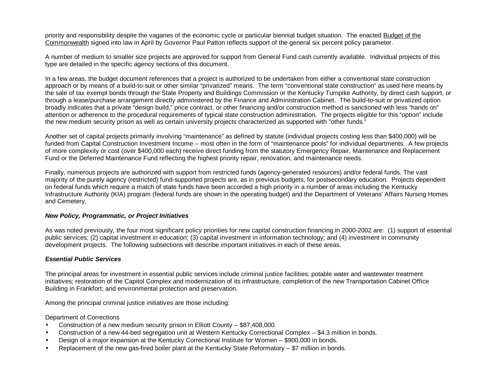priority and responsibility despite the vagaries of the economic cycle or particular biennial budget situation. The enacted Budget of the Commonwealth signed into law in April by Governor Paul Patton reflects support of the general six percent policy parameter.

A number of medium to smaller size projects are approved for support from General Fund cash currently available. Individual projects of this type are detailed in the specific agency sections of this document.

In a few areas, the budget document references that a project is authorized to be undertaken from either a conventional state construction approach or by means of a build-to-suit or other similar "privatized" means. The term "conventional state construction" as used here means by the sale of tax exempt bonds through the State Property and Buildings Commission or the Kentucky Turnpike Authority, by direct cash support, or through a lease/purchase arrangement directly administered by the Finance and Administration Cabinet. The build-to-suit or privatized option broadly indicates that a private "design build," price contract, or other financing and/or construction method is sanctioned with less "hands on" attention or adherence to the procedural requirements of typical state construction administration. The projects eligible for this "option" include the new medium security prison as well as certain university projects characterized as supported with "other funds."

Another set of capital projects primarily involving "maintenance" as defined by statute (individual projects costing less than \$400,000) will be funded from Capital Construction Investment Income – most often in the form of "maintenance pools" for individual departments. A few projects of more complexity or cost (over \$400,000 each) receive direct funding from the statutory Emergency Repair, Maintenance and Replacement Fund or the Deferred Maintenance Fund reflecting the highest priority repair, renovation, and maintenance needs.

Finally, numerous projects are authorized with support from restricted funds (agency-generated resources) and/or federal funds. The vast majority of the purely agency (restricted) fund-supported projects are, as in previous budgets, for postsecondary education. Projects dependent on federal funds which require a match of state funds have been accorded a high priority in a number of areas including the Kentucky Infrastructure Authority (KIA) program (federal funds are shown in the operating budget) and the Department of Veterans' Affairs Nursing Homes and Cemetery.

### *New Policy, Programmatic, or Project Initiatives*

As was noted previously, the four most significant policy priorities for new capital construction financing in 2000-2002 are: (1) support of essential public services; (2) capital investment in education; (3) capital investment in information technology; and (4) investment in community development projects. The following subsections will describe important initiatives in each of these areas.

### *Essential Public Services*

The principal areas for investment in essential public services include criminal justice facilities; potable water and wastewater treatment initiatives; restoration of the Capitol Complex and modernization of its infrastructure, completion of the new Transportation Cabinet Office Building in Frankfort; and environmental protection and preservation.

Among the principal criminal justice initiatives are those including:

### Department of Corrections

- Construction of a new medium security prison in Elliott County \$87,408,000.
- Construction of a new 44-bed segregation unit at Western Kentucky Correctional Complex \$4.3 million in bonds.
- Design of a major expansion at the Kentucky Correctional Institute for Women \$900,000 in bonds.
- Replacement of the new gas-fired boiler plant at the Kentucky State Reformatory \$7 million in bonds.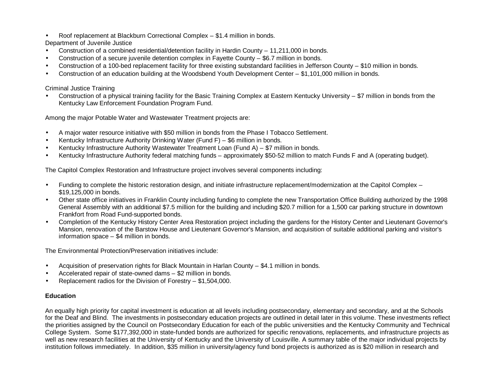- Roof replacement at Blackburn Correctional Complex \$1.4 million in bonds.
- Department of Juvenile Justice
- Construction of a combined residential/detention facility in Hardin County 11,211,000 in bonds.
- Construction of a secure juvenile detention complex in Fayette County \$6.7 million in bonds.
- Construction of a 100-bed replacement facility for three existing substandard facilities in Jefferson County \$10 million in bonds.
- Construction of an education building at the Woodsbend Youth Development Center \$1,101,000 million in bonds.

### Criminal Justice Training

• Construction of a physical training facility for the Basic Training Complex at Eastern Kentucky University – \$7 million in bonds from the Kentucky Law Enforcement Foundation Program Fund.

Among the major Potable Water and Wastewater Treatment projects are:

- A major water resource initiative with \$50 million in bonds from the Phase I Tobacco Settlement.
- Kentucky Infrastructure Authority Drinking Water (Fund F)  $$6$  million in bonds.
- Kentucky Infrastructure Authority Wastewater Treatment Loan (Fund A) \$7 million in bonds.
- Kentucky Infrastructure Authority federal matching funds approximately \$50-52 million to match Funds F and A (operating budget).

The Capitol Complex Restoration and Infrastructure project involves several components including:

- Funding to complete the historic restoration design, and initiate infrastructure replacement/modernization at the Capitol Complex \$19,125,000 in bonds.
- Other state office initiatives in Franklin County including funding to complete the new Transportation Office Building authorized by the 1998 General Assembly with an additional \$7.5 million for the building and including \$20.7 million for a 1,500 car parking structure in downtown Frankfort from Road Fund-supported bonds.
- Completion of the Kentucky History Center Area Restoration project including the gardens for the History Center and Lieutenant Governor's Mansion, renovation of the Barstow House and Lieutenant Governor's Mansion, and acquisition of suitable additional parking and visitor's information space – \$4 million in bonds.

The Environmental Protection/Preservation initiatives include:

- Acquisition of preservation rights for Black Mountain in Harlan County \$4.1 million in bonds.
- Accelerated repair of state-owned dams \$2 million in bonds.
- Replacement radios for the Division of Forestry \$1,504,000.

### **Education**

An equally high priority for capital investment is education at all levels including postsecondary, elementary and secondary, and at the Schools for the Deaf and Blind. The investments in postsecondary education projects are outlined in detail later in this volume. These investments reflect the priorities assigned by the Council on Postsecondary Education for each of the public universities and the Kentucky Community and Technical College System. Some \$177,392,000 in state-funded bonds are authorized for specific renovations, replacements, and infrastructure projects as well as new research facilities at the University of Kentucky and the University of Louisville. A summary table of the major individual projects by institution follows immediately. In addition, \$35 million in university/agency fund bond projects is authorized as is \$20 million in research and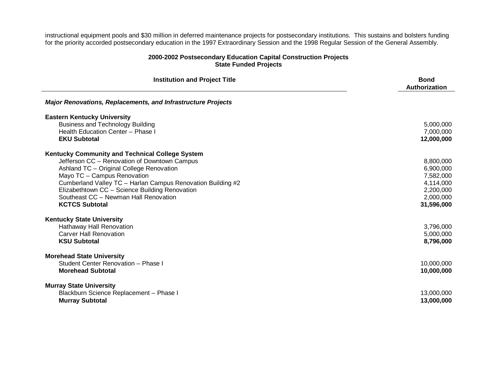instructional equipment pools and \$30 million in deferred maintenance projects for postsecondary institutions. This sustains and bolsters funding for the priority accorded postsecondary education in the 1997 Extraordinary Session and the 1998 Regular Session of the General Assembly.

### **2000-2002 Postsecondary Education Capital Construction Projects State Funded Projects**

Ĺ,

| <b>Institution and Project Title</b>                                | <b>Bond</b><br>Authorization |
|---------------------------------------------------------------------|------------------------------|
| <b>Major Renovations, Replacements, and Infrastructure Projects</b> |                              |
| <b>Eastern Kentucky University</b>                                  |                              |
| <b>Business and Technology Building</b>                             | 5,000,000                    |
| Health Education Center - Phase I                                   | 7,000,000                    |
| <b>EKU Subtotal</b>                                                 | 12,000,000                   |
| Kentucky Community and Technical College System                     |                              |
| Jefferson CC - Renovation of Downtown Campus                        | 8,800,000                    |
| Ashland TC - Original College Renovation                            | 6,900,000                    |
| Mayo TC - Campus Renovation                                         | 7,582,000                    |
| Cumberland Valley TC - Harlan Campus Renovation Building #2         | 4,114,000                    |
| Elizabethtown CC - Science Building Renovation                      | 2,200,000                    |
| Southeast CC - Newman Hall Renovation                               | 2,000,000                    |
| <b>KCTCS Subtotal</b>                                               | 31,596,000                   |
| <b>Kentucky State University</b>                                    |                              |
| Hathaway Hall Renovation                                            | 3,796,000                    |
| <b>Carver Hall Renovation</b>                                       | 5,000,000                    |
| <b>KSU Subtotal</b>                                                 | 8,796,000                    |
| <b>Morehead State University</b>                                    |                              |
| Student Center Renovation - Phase I                                 | 10,000,000                   |
| <b>Morehead Subtotal</b>                                            | 10,000,000                   |
| <b>Murray State University</b>                                      |                              |
| Blackburn Science Replacement - Phase I                             | 13,000,000                   |
| <b>Murray Subtotal</b>                                              | 13,000,000                   |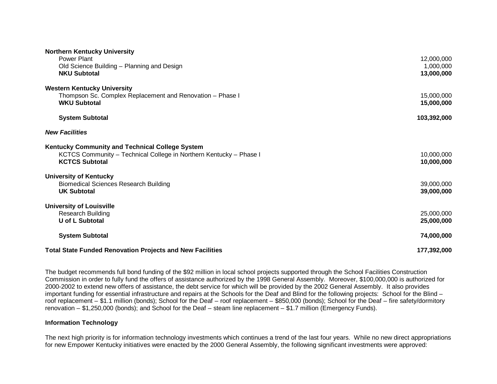| <b>Northern Kentucky University</b><br>Power Plant<br>Old Science Building - Planning and Design<br><b>NKU Subtotal</b>                        | 12,000,000<br>1,000,000<br>13,000,000 |
|------------------------------------------------------------------------------------------------------------------------------------------------|---------------------------------------|
| <b>Western Kentucky University</b><br>Thompson Sc. Complex Replacement and Renovation - Phase I<br><b>WKU Subtotal</b>                         | 15,000,000<br>15,000,000              |
| <b>System Subtotal</b>                                                                                                                         | 103,392,000                           |
| <b>New Facilities</b>                                                                                                                          |                                       |
| Kentucky Community and Technical College System<br>KCTCS Community - Technical College in Northern Kentucky - Phase I<br><b>KCTCS Subtotal</b> | 10,000,000<br>10,000,000              |
| <b>University of Kentucky</b><br><b>Biomedical Sciences Research Building</b><br><b>UK Subtotal</b>                                            | 39,000,000<br>39,000,000              |
| <b>University of Louisville</b><br><b>Research Building</b><br>U of L Subtotal                                                                 | 25,000,000<br>25,000,000              |
| <b>System Subtotal</b>                                                                                                                         | 74,000,000                            |
| <b>Total State Funded Renovation Projects and New Facilities</b>                                                                               | 177,392,000                           |

The budget recommends full bond funding of the \$92 million in local school projects supported through the School Facilities Construction Commission in order to fully fund the offers of assistance authorized by the 1998 General Assembly. Moreover, \$100,000,000 is authorized for 2000-2002 to extend new offers of assistance, the debt service for which will be provided by the 2002 General Assembly. It also provides important funding for essential infrastructure and repairs at the Schools for the Deaf and Blind for the following projects: School for the Blind – roof replacement – \$1.1 million (bonds); School for the Deaf – roof replacement – \$850,000 (bonds); School for the Deaf – fire safety/dormitory renovation – \$1,250,000 (bonds); and School for the Deaf – steam line replacement – \$1.7 million (Emergency Funds).

#### **Information Technology**

The next high priority is for information technology investments which continues a trend of the last four years. While no new direct appropriations for new Empower Kentucky initiatives were enacted by the 2000 General Assembly, the following significant investments were approved: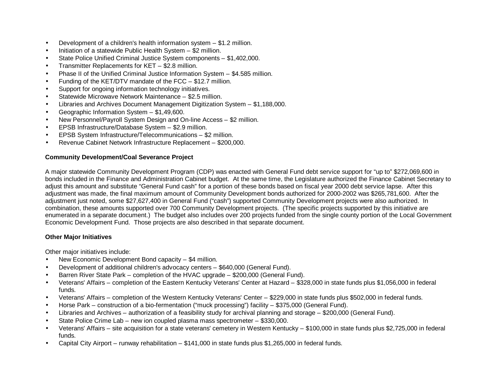- Development of a children's health information system \$1.2 million.
- Initiation of a statewide Public Health System \$2 million.
- State Police Unified Criminal Justice System components \$1,402,000.
- Transmitter Replacements for KET \$2.8 million.
- Phase II of the Unified Criminal Justice Information System \$4.585 million.
- Funding of the KET/DTV mandate of the FCC \$12.7 million.
- Support for ongoing information technology initiatives.
- Statewide Microwave Network Maintenance \$2.5 million.
- Libraries and Archives Document Management Digitization System \$1,188,000.
- Geographic Information System \$1,49,600.
- New Personnel/Payroll System Design and On-line Access \$2 million.
- EPSB Infrastructure/Database System \$2.9 million.
- EPSB System Infrastructure/Telecommunications \$2 million.
- Revenue Cabinet Network Infrastructure Replacement \$200,000.

### **Community Development/Coal Severance Project**

A major statewide Community Development Program (CDP) was enacted with General Fund debt service support for "up to" \$272,069,600 in bonds included in the Finance and Administration Cabinet budget. At the same time, the Legislature authorized the Finance Cabinet Secretary to adjust this amount and substitute "General Fund cash" for a portion of these bonds based on fiscal year 2000 debt service lapse. After this adjustment was made, the final maximum amount of Community Development bonds authorized for 2000-2002 was \$265,781,600. After the adjustment just noted, some \$27,627,400 in General Fund ("cash") supported Community Development projects were also authorized. In combination, these amounts supported over 700 Community Development projects. (The specific projects supported by this initiative are enumerated in a separate document.) The budget also includes over 200 projects funded from the single county portion of the Local Government Economic Development Fund. Those projects are also described in that separate document.

### **Other Major Initiatives**

Other major initiatives include:

- New Economic Development Bond capacity \$4 million.
- Development of additional children's advocacy centers \$640,000 (General Fund).
- Barren River State Park completion of the HVAC upgrade \$200,000 (General Fund).
- Veterans' Affairs completion of the Eastern Kentucky Veterans' Center at Hazard \$328,000 in state funds plus \$1,056,000 in federal funds.
- Veterans' Affairs completion of the Western Kentucky Veterans' Center \$229,000 in state funds plus \$502,000 in federal funds.
- Horse Park construction of a bio-fermentation ("muck processing") facility \$375,000 (General Fund).
- Libraries and Archives authorization of a feasibility study for archival planning and storage \$200,000 (General Fund).
- State Police Crime Lab new ion coupled plasma mass spectrometer \$330,000.
- Veterans' Affairs site acquisition for a state veterans' cemetery in Western Kentucky \$100,000 in state funds plus \$2,725,000 in federal funds.
- Capital City Airport runway rehabilitation \$141,000 in state funds plus \$1,265,000 in federal funds.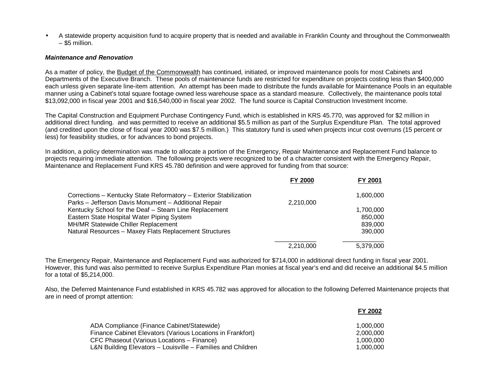• A statewide property acquisition fund to acquire property that is needed and available in Franklin County and throughout the Commonwealth – \$5 million.

#### *Maintenance and Renovation*

As a matter of policy, the Budget of the Commonwealth has continued, initiated, or improved maintenance pools for most Cabinets and Departments of the Executive Branch. These pools of maintenance funds are restricted for expenditure on projects costing less than \$400,000 each unless given separate line-item attention. An attempt has been made to distribute the funds available for Maintenance Pools in an equitable manner using a Cabinet's total square footage owned less warehouse space as a standard measure. Collectively, the maintenance pools total \$13,092,000 in fiscal year 2001 and \$16,540,000 in fiscal year 2002. The fund source is Capital Construction Investment Income.

The Capital Construction and Equipment Purchase Contingency Fund, which is established in KRS 45.770, was approved for \$2 million in additional direct funding. and was permitted to receive an additional \$5.5 million as part of the Surplus Expenditure Plan. The total approved (and credited upon the close of fiscal year 2000 was \$7.5 million.) This statutory fund is used when projects incur cost overruns (15 percent or less) for feasibility studies, or for advances to bond projects.

In addition, a policy determination was made to allocate a portion of the Emergency, Repair Maintenance and Replacement Fund balance to projects requiring immediate attention. The following projects were recognized to be of a character consistent with the Emergency Repair, Maintenance and Replacement Fund KRS 45.780 definition and were approved for funding from that source:

|                                                                                                               | <b>FY 2000</b> | FY 2001   |
|---------------------------------------------------------------------------------------------------------------|----------------|-----------|
| Corrections - Kentucky State Reformatory - Exterior Stabilization                                             |                | 1,600,000 |
| Parks - Jefferson Davis Monument - Additional Repair<br>Kentucky School for the Deaf - Steam Line Replacement | 2,210,000      | 1,700,000 |
| Eastern State Hospital Water Piping System                                                                    |                | 850,000   |
| MH/MR Statewide Chiller Replacement                                                                           |                | 839,000   |
| Natural Resources - Maxey Flats Replacement Structures                                                        |                | 390,000   |
|                                                                                                               | 2,210,000      | 5,379,000 |

The Emergency Repair, Maintenance and Replacement Fund was authorized for \$714,000 in additional direct funding in fiscal year 2001. However, this fund was also permitted to receive Surplus Expenditure Plan monies at fiscal year's end and did receive an additional \$4.5 million for a total of \$5,214,000.

Also, the Deferred Maintenance Fund established in KRS 45.782 was approved for allocation to the following Deferred Maintenance projects that are in need of prompt attention:

|                                                             | FY 2002   |
|-------------------------------------------------------------|-----------|
| ADA Compliance (Finance Cabinet/Statewide)                  | 1.000.000 |
| Finance Cabinet Elevators (Various Locations in Frankfort)  | 2.000.000 |
| CFC Phaseout (Various Locations – Finance)                  | 1.000.000 |
| L&N Building Elevators - Louisville - Families and Children | 1.000.000 |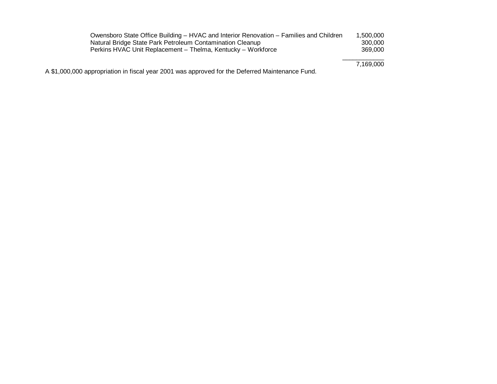| Owensboro State Office Building - HVAC and Interior Renovation - Families and Children          | 1.500.000 |
|-------------------------------------------------------------------------------------------------|-----------|
| Natural Bridge State Park Petroleum Contamination Cleanup                                       | 300,000   |
| Perkins HVAC Unit Replacement - Thelma, Kentucky - Workforce                                    | 369,000   |
|                                                                                                 | 7.169.000 |
| A \$1,000,000 appropriation in fiscal year 2001 was approved for the Deferred Maintenance Fund. |           |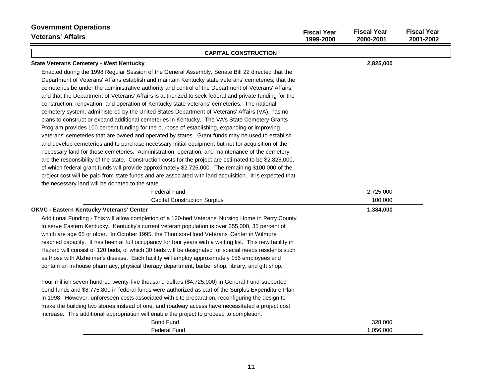| <b>Government Operations</b><br><b>Veterans' Affairs</b>                                                                                                                                                                                                                                                                                                                                                                                                                                                                                                                                                                                                                                                                                                                                                                                                                                                                                                                                                                                                                                                                                                                                                                                                                                                                                                                                                                                                                                                                        | <b>Fiscal Year</b><br>1999-2000 | <b>Fiscal Year</b><br>2000-2001 | <b>Fiscal Year</b><br>2001-2002 |
|---------------------------------------------------------------------------------------------------------------------------------------------------------------------------------------------------------------------------------------------------------------------------------------------------------------------------------------------------------------------------------------------------------------------------------------------------------------------------------------------------------------------------------------------------------------------------------------------------------------------------------------------------------------------------------------------------------------------------------------------------------------------------------------------------------------------------------------------------------------------------------------------------------------------------------------------------------------------------------------------------------------------------------------------------------------------------------------------------------------------------------------------------------------------------------------------------------------------------------------------------------------------------------------------------------------------------------------------------------------------------------------------------------------------------------------------------------------------------------------------------------------------------------|---------------------------------|---------------------------------|---------------------------------|
| <b>CAPITAL CONSTRUCTION</b>                                                                                                                                                                                                                                                                                                                                                                                                                                                                                                                                                                                                                                                                                                                                                                                                                                                                                                                                                                                                                                                                                                                                                                                                                                                                                                                                                                                                                                                                                                     |                                 |                                 |                                 |
| <b>State Veterans Cemetery - West Kentucky</b>                                                                                                                                                                                                                                                                                                                                                                                                                                                                                                                                                                                                                                                                                                                                                                                                                                                                                                                                                                                                                                                                                                                                                                                                                                                                                                                                                                                                                                                                                  |                                 | 2,825,000                       |                                 |
| Enacted during the 1998 Regular Session of the General Assembly, Senate Bill 22 directed that the<br>Department of Veterans' Affairs establish and maintain Kentucky state veterans' cemeteries; that the<br>cemeteries be under the administrative authority and control of the Department of Veterans' Affairs;<br>and that the Department of Veterans' Affairs is authorized to seek federal and private funding for the<br>construction, renovation, and operation of Kentucky state veterans' cemeteries. The national<br>cemetery system, administered by the United States Department of Veterans' Affairs (VA), has no<br>plans to construct or expand additional cemeteries in Kentucky. The VA's State Cemetery Grants<br>Program provides 100 percent funding for the purpose of establishing, expanding or improving<br>veterans' cemeteries that are owned and operated by states. Grant funds may be used to establish<br>and develop cemeteries and to purchase necessary initial equipment but not for acquisition of the<br>necessary land for those cemeteries. Administration, operation, and maintenance of the cemetery<br>are the responsibility of the state. Construction costs for the project are estimated to be \$2,825,000,<br>of which federal grant funds will provide approximately \$2,725,000. The remaining \$100,000 of the<br>project cost will be paid from state funds and are associated with land acquisition. It is expected that<br>the necessary land will be donated to the state. |                                 |                                 |                                 |
| <b>Federal Fund</b>                                                                                                                                                                                                                                                                                                                                                                                                                                                                                                                                                                                                                                                                                                                                                                                                                                                                                                                                                                                                                                                                                                                                                                                                                                                                                                                                                                                                                                                                                                             |                                 | 2,725,000                       |                                 |
| <b>Capital Construction Surplus</b>                                                                                                                                                                                                                                                                                                                                                                                                                                                                                                                                                                                                                                                                                                                                                                                                                                                                                                                                                                                                                                                                                                                                                                                                                                                                                                                                                                                                                                                                                             |                                 | 100,000                         |                                 |
| <b>OKVC - Eastern Kentucky Veterans' Center</b><br>Additional Funding - This will allow completion of a 120-bed Veterans' Nursing Home in Perry County<br>to serve Eastern Kentucky. Kentucky's current veteran population is over 355,000, 35 percent of<br>which are age 65 or older. In October 1995, the Thomson-Hood Veterans' Center in Wilmore<br>reached capacity. It has been at full occupancy for four years with a waiting list. This new facility in<br>Hazard will consist of 120 beds, of which 30 beds will be designated for special needs residents such<br>as those with Alzheimer's disease. Each facility will employ approximately 156 employees and<br>contain an in-house pharmacy, physical therapy department, barber shop, library, and gift shop.<br>Four million seven hundred twenty-five thousand dollars (\$4,725,000) in General Fund-supported<br>bond funds and \$8,775,800 in federal funds were authorized as part of the Surplus Expenditure Plan<br>in 1998. However, unforeseen costs associated with site preparation, reconfiguring the design to<br>make the building two stories instead of one, and roadway access have necessitated a project cost<br>increase. This additional appropriation will enable the project to proceed to completion.                                                                                                                                                                                                                                   |                                 | 1,384,000                       |                                 |
| <b>Bond Fund</b><br>Federal Fund                                                                                                                                                                                                                                                                                                                                                                                                                                                                                                                                                                                                                                                                                                                                                                                                                                                                                                                                                                                                                                                                                                                                                                                                                                                                                                                                                                                                                                                                                                |                                 | 328,000<br>1,056,000            |                                 |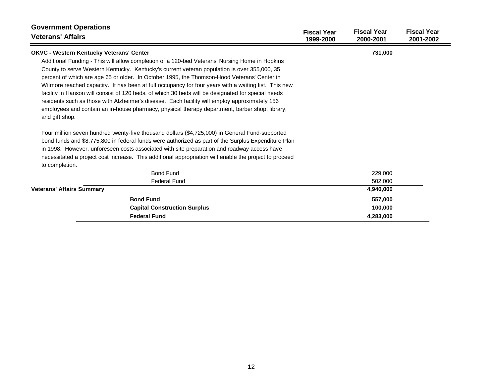| <b>Government Operations</b><br><b>Veterans' Affairs</b>                                                         | <b>Fiscal Year</b><br>1999-2000 | <b>Fiscal Year</b><br>2000-2001 | <b>Fiscal Year</b><br>2001-2002 |
|------------------------------------------------------------------------------------------------------------------|---------------------------------|---------------------------------|---------------------------------|
| <b>OKVC - Western Kentucky Veterans' Center</b>                                                                  |                                 | 731,000                         |                                 |
| Additional Funding - This will allow completion of a 120-bed Veterans' Nursing Home in Hopkins                   |                                 |                                 |                                 |
| County to serve Western Kentucky. Kentucky's current veteran population is over 355,000, 35                      |                                 |                                 |                                 |
| percent of which are age 65 or older. In October 1995, the Thomson-Hood Veterans' Center in                      |                                 |                                 |                                 |
| Wilmore reached capacity. It has been at full occupancy for four years with a waiting list. This new             |                                 |                                 |                                 |
| facility in Hanson will consist of 120 beds, of which 30 beds will be designated for special needs               |                                 |                                 |                                 |
| residents such as those with Alzheimer's disease. Each facility will employ approximately 156                    |                                 |                                 |                                 |
| employees and contain an in-house pharmacy, physical therapy department, barber shop, library,<br>and gift shop. |                                 |                                 |                                 |
| Four million seven hundred twenty-five thousand dollars (\$4,725,000) in General Fund-supported                  |                                 |                                 |                                 |
| bond funds and \$8,775,800 in federal funds were authorized as part of the Surplus Expenditure Plan              |                                 |                                 |                                 |
| in 1998. However, unforeseen costs associated with site preparation and roadway access have                      |                                 |                                 |                                 |
| necessitated a project cost increase. This additional appropriation will enable the project to proceed           |                                 |                                 |                                 |
| to completion.                                                                                                   |                                 |                                 |                                 |
| <b>Bond Fund</b>                                                                                                 |                                 | 229,000                         |                                 |
| <b>Federal Fund</b>                                                                                              |                                 | 502,000                         |                                 |
| <b>Veterans' Affairs Summary</b>                                                                                 |                                 | 4,940,000                       |                                 |
| <b>Bond Fund</b>                                                                                                 |                                 | 557,000                         |                                 |
| <b>Capital Construction Surplus</b>                                                                              |                                 | 100,000                         |                                 |
| <b>Federal Fund</b>                                                                                              |                                 | 4,283,000                       |                                 |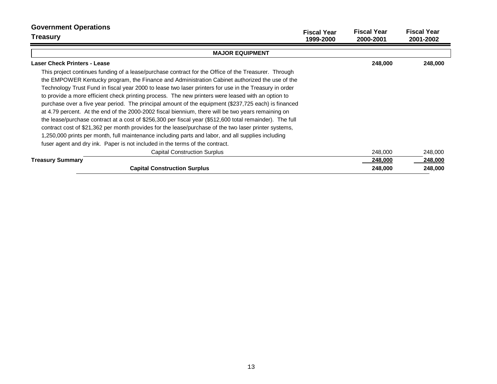| <b>Government Operations</b><br><b>Treasury</b>                                                          | <b>Fiscal Year</b><br>1999-2000 | <b>Fiscal Year</b><br>2000-2001 | <b>Fiscal Year</b><br>2001-2002 |
|----------------------------------------------------------------------------------------------------------|---------------------------------|---------------------------------|---------------------------------|
| <b>MAJOR EQUIPMENT</b>                                                                                   |                                 |                                 |                                 |
| <b>Laser Check Printers - Lease</b>                                                                      |                                 | 248,000                         | 248,000                         |
| This project continues funding of a lease/purchase contract for the Office of the Treasurer. Through     |                                 |                                 |                                 |
| the EMPOWER Kentucky program, the Finance and Administration Cabinet authorized the use of the           |                                 |                                 |                                 |
| Technology Trust Fund in fiscal year 2000 to lease two laser printers for use in the Treasury in order   |                                 |                                 |                                 |
| to provide a more efficient check printing process. The new printers were leased with an option to       |                                 |                                 |                                 |
| purchase over a five year period. The principal amount of the equipment (\$237,725 each) is financed     |                                 |                                 |                                 |
| at 4.79 percent. At the end of the 2000-2002 fiscal biennium, there will be two years remaining on       |                                 |                                 |                                 |
| the lease/purchase contract at a cost of \$256,300 per fiscal year (\$512,600 total remainder). The full |                                 |                                 |                                 |
| contract cost of \$21,362 per month provides for the lease/purchase of the two laser printer systems,    |                                 |                                 |                                 |
| 1,250,000 prints per month, full maintenance including parts and labor, and all supplies including       |                                 |                                 |                                 |
| fuser agent and dry ink. Paper is not included in the terms of the contract.                             |                                 |                                 |                                 |
| <b>Capital Construction Surplus</b>                                                                      |                                 | 248,000                         | 248,000                         |
| <b>Treasury Summary</b>                                                                                  |                                 | 248,000                         | 248,000                         |
| <b>Capital Construction Surplus</b>                                                                      |                                 | 248,000                         | 248,000                         |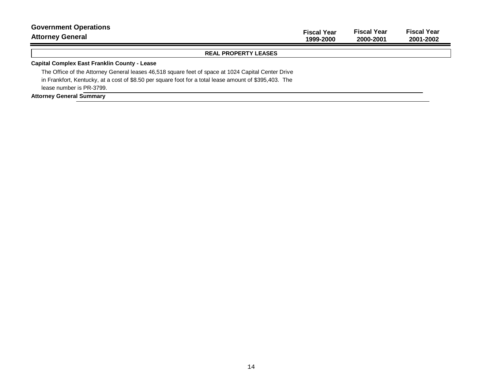| <b>Government Operations</b><br><b>Attorney General</b>                                                | <b>Fiscal Year</b><br>1999-2000 | <b>Fiscal Year</b><br>2000-2001 | <b>Fiscal Year</b><br>2001-2002 |
|--------------------------------------------------------------------------------------------------------|---------------------------------|---------------------------------|---------------------------------|
| <b>REAL PROPERTY LEASES</b>                                                                            |                                 |                                 |                                 |
| <b>Capital Complex East Franklin County - Lease</b>                                                    |                                 |                                 |                                 |
| The Office of the Attorney General leases 46,518 square feet of space at 1024 Capital Center Drive     |                                 |                                 |                                 |
| in Frankfort, Kentucky, at a cost of \$8.50 per square foot for a total lease amount of \$395,403. The |                                 |                                 |                                 |
| lease number is PR-3799.                                                                               |                                 |                                 |                                 |
| <b>Attorney General Summary</b>                                                                        |                                 |                                 |                                 |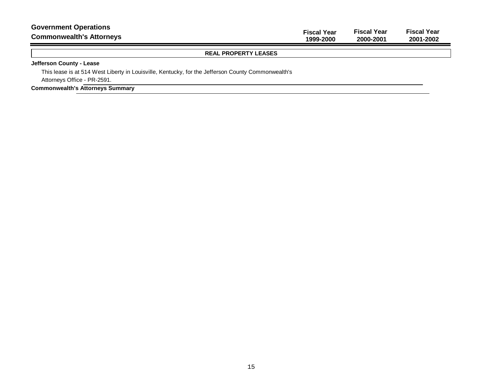| <b>Government Operations</b>    | <b>Fiscal Year</b> | <b>Fiscal Year</b> | <b>Fiscal Year</b> |
|---------------------------------|--------------------|--------------------|--------------------|
| <b>Commonwealth's Attorneys</b> | 1999-2000          | 2000-2001          | 2001-2002          |
| <b>REAL PROPERTY LEASES</b>     |                    |                    |                    |

### **Jefferson County - Lease**

This lease is at 514 West Liberty in Louisville, Kentucky, for the Jefferson County Commonwealth's Attorneys Office - PR-2591.

### **Commonwealth's Attorneys Summary**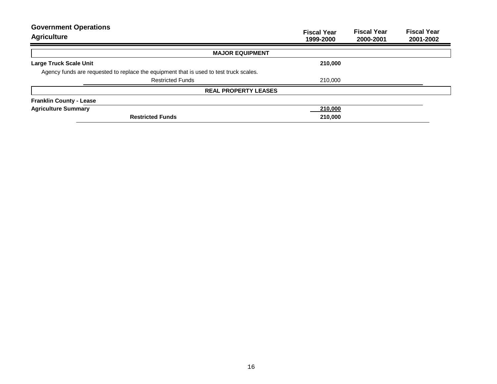| <b>Government Operations</b><br><b>Agriculture</b>                                     | <b>Fiscal Year</b><br>1999-2000 | <b>Fiscal Year</b><br>2000-2001 | <b>Fiscal Year</b><br>2001-2002 |
|----------------------------------------------------------------------------------------|---------------------------------|---------------------------------|---------------------------------|
| <b>MAJOR EQUIPMENT</b>                                                                 |                                 |                                 |                                 |
| <b>Large Truck Scale Unit</b>                                                          | 210,000                         |                                 |                                 |
| Agency funds are requested to replace the equipment that is used to test truck scales. |                                 |                                 |                                 |
| <b>Restricted Funds</b>                                                                | 210,000                         |                                 |                                 |
| <b>REAL PROPERTY LEASES</b>                                                            |                                 |                                 |                                 |
| <b>Franklin County - Lease</b>                                                         |                                 |                                 |                                 |
| <b>Agriculture Summary</b>                                                             | 210,000                         |                                 |                                 |
| <b>Restricted Funds</b>                                                                | 210,000                         |                                 |                                 |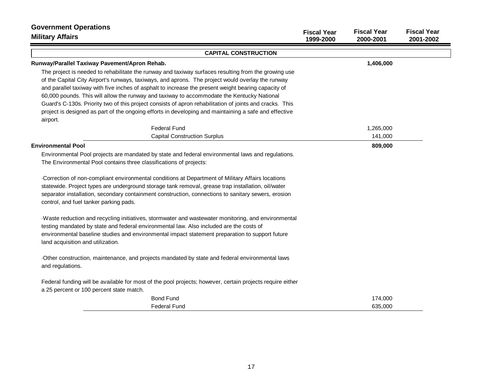| <b>Government Operations</b><br><b>Military Affairs</b>                                                   | <b>Fiscal Year</b><br>1999-2000 | <b>Fiscal Year</b><br>2000-2001 | <b>Fiscal Year</b><br>2001-2002 |
|-----------------------------------------------------------------------------------------------------------|---------------------------------|---------------------------------|---------------------------------|
| <b>CAPITAL CONSTRUCTION</b>                                                                               |                                 |                                 |                                 |
| Runway/Parallel Taxiway Pavement/Apron Rehab.                                                             |                                 | 1,406,000                       |                                 |
| The project is needed to rehabilitate the runway and taxiway surfaces resulting from the growing use      |                                 |                                 |                                 |
| of the Capital City Airport's runways, taxiways, and aprons. The project would overlay the runway         |                                 |                                 |                                 |
| and parallel taxiway with five inches of asphalt to increase the present weight bearing capacity of       |                                 |                                 |                                 |
| 60,000 pounds. This will allow the runway and taxiway to accommodate the Kentucky National                |                                 |                                 |                                 |
| Guard's C-130s. Priority two of this project consists of apron rehabilitation of joints and cracks. This  |                                 |                                 |                                 |
| project is designed as part of the ongoing efforts in developing and maintaining a safe and effective     |                                 |                                 |                                 |
| airport.                                                                                                  |                                 |                                 |                                 |
| <b>Federal Fund</b>                                                                                       |                                 | 1,265,000                       |                                 |
| <b>Capital Construction Surplus</b>                                                                       |                                 | 141,000                         |                                 |
| <b>Environmental Pool</b>                                                                                 |                                 | 809,000                         |                                 |
| Environmental Pool projects are mandated by state and federal environmental laws and regulations.         |                                 |                                 |                                 |
| The Environmental Pool contains three classifications of projects:                                        |                                 |                                 |                                 |
| Correction of non-compliant environmental conditions at Department of Military Affairs locations          |                                 |                                 |                                 |
| statewide. Project types are underground storage tank removal, grease trap installation, oil/water        |                                 |                                 |                                 |
| separator installation, secondary containment construction, connections to sanitary sewers, erosion       |                                 |                                 |                                 |
| control, and fuel tanker parking pads.                                                                    |                                 |                                 |                                 |
| Waste reduction and recycling initiatives, stormwater and wastewater monitoring, and environmental        |                                 |                                 |                                 |
| testing mandated by state and federal environmental law. Also included are the costs of                   |                                 |                                 |                                 |
| environmental baseline studies and environmental impact statement preparation to support future           |                                 |                                 |                                 |
| land acquisition and utilization.                                                                         |                                 |                                 |                                 |
| Other construction, maintenance, and projects mandated by state and federal environmental laws            |                                 |                                 |                                 |
| and regulations.                                                                                          |                                 |                                 |                                 |
| Federal funding will be available for most of the pool projects; however, certain projects require either |                                 |                                 |                                 |
| a 25 percent or 100 percent state match.                                                                  |                                 |                                 |                                 |
| <b>Bond Fund</b>                                                                                          |                                 | 174,000                         |                                 |
| <b>Federal Fund</b>                                                                                       |                                 | 635,000                         |                                 |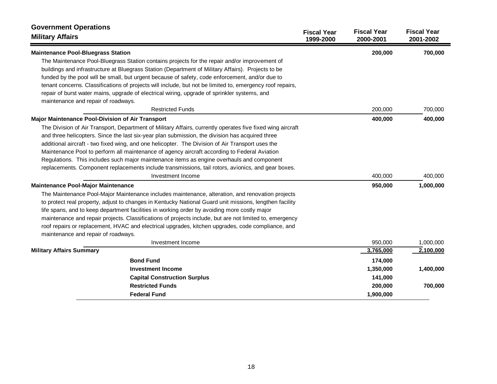| <b>Government Operations</b><br><b>Military Affairs</b>                                                    | <b>Fiscal Year</b><br>1999-2000 | <b>Fiscal Year</b><br>2000-2001 | <b>Fiscal Year</b><br>2001-2002 |
|------------------------------------------------------------------------------------------------------------|---------------------------------|---------------------------------|---------------------------------|
| <b>Maintenance Pool-Bluegrass Station</b>                                                                  |                                 | 200,000                         | 700,000                         |
| The Maintenance Pool-Bluegrass Station contains projects for the repair and/or improvement of              |                                 |                                 |                                 |
| buildings and infrastructure at Bluegrass Station (Department of Military Affairs). Projects to be         |                                 |                                 |                                 |
| funded by the pool will be small, but urgent because of safety, code enforcement, and/or due to            |                                 |                                 |                                 |
| tenant concerns. Classifications of projects will include, but not be limited to, emergency roof repairs,  |                                 |                                 |                                 |
| repair of burst water mains, upgrade of electrical wiring, upgrade of sprinkler systems, and               |                                 |                                 |                                 |
| maintenance and repair of roadways.                                                                        |                                 |                                 |                                 |
| <b>Restricted Funds</b>                                                                                    |                                 | 200,000                         | 700,000                         |
| <b>Major Maintenance Pool-Division of Air Transport</b>                                                    |                                 | 400,000                         | 400,000                         |
| The Division of Air Transport, Department of Military Affairs, currently operates five fixed wing aircraft |                                 |                                 |                                 |
| and three helicopters. Since the last six-year plan submission, the division has acquired three            |                                 |                                 |                                 |
| additional aircraft - two fixed wing, and one helicopter. The Division of Air Transport uses the           |                                 |                                 |                                 |
| Maintenance Pool to perform all maintenance of agency aircraft according to Federal Aviation               |                                 |                                 |                                 |
| Regulations. This includes such major maintenance items as engine overhauls and component                  |                                 |                                 |                                 |
| replacements. Component replacements include transmissions, tail rotors, avionics, and gear boxes.         |                                 |                                 |                                 |
| Investment Income                                                                                          |                                 | 400,000                         | 400,000                         |
| <b>Maintenance Pool-Major Maintenance</b>                                                                  |                                 | 950,000                         | 1,000,000                       |
| The Maintenance Pool-Major Maintenance includes maintenance, alteration, and renovation projects           |                                 |                                 |                                 |
| to protect real property, adjust to changes in Kentucky National Guard unit missions, lengthen facility    |                                 |                                 |                                 |
| life spans, and to keep department facilities in working order by avoiding more costly major               |                                 |                                 |                                 |
| maintenance and repair projects. Classifications of projects include, but are not limited to, emergency    |                                 |                                 |                                 |
| roof repairs or replacement, HVAC and electrical upgrades, kitchen upgrades, code compliance, and          |                                 |                                 |                                 |
| maintenance and repair of roadways.                                                                        |                                 |                                 |                                 |
| Investment Income                                                                                          |                                 | 950,000                         | 1,000,000                       |
| <b>Military Affairs Summary</b>                                                                            |                                 | 3,765,000                       | 2,100,000                       |
| <b>Bond Fund</b>                                                                                           |                                 | 174,000                         |                                 |
| <b>Investment Income</b>                                                                                   |                                 | 1,350,000                       | 1,400,000                       |
| <b>Capital Construction Surplus</b>                                                                        |                                 | 141,000                         |                                 |
| <b>Restricted Funds</b>                                                                                    |                                 | 200,000                         | 700,000                         |
| <b>Federal Fund</b>                                                                                        |                                 | 1,900,000                       |                                 |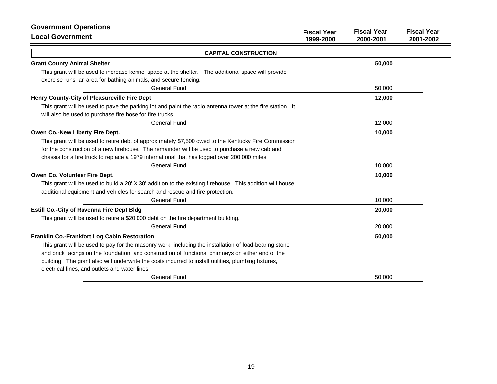| <b>Government Operations</b><br><b>Local Government</b>                                                                                                                                                                                                                                                            | <b>Fiscal Year</b><br>1999-2000 | <b>Fiscal Year</b><br>2000-2001 | <b>Fiscal Year</b><br>2001-2002 |
|--------------------------------------------------------------------------------------------------------------------------------------------------------------------------------------------------------------------------------------------------------------------------------------------------------------------|---------------------------------|---------------------------------|---------------------------------|
| <b>CAPITAL CONSTRUCTION</b>                                                                                                                                                                                                                                                                                        |                                 |                                 |                                 |
| <b>Grant County Animal Shelter</b>                                                                                                                                                                                                                                                                                 |                                 | 50,000                          |                                 |
| This grant will be used to increase kennel space at the shelter. The additional space will provide<br>exercise runs, an area for bathing animals, and secure fencing.                                                                                                                                              |                                 |                                 |                                 |
| General Fund                                                                                                                                                                                                                                                                                                       |                                 | 50,000                          |                                 |
| Henry County-City of Pleasureville Fire Dept                                                                                                                                                                                                                                                                       |                                 | 12,000                          |                                 |
| This grant will be used to pave the parking lot and paint the radio antenna tower at the fire station. It<br>will also be used to purchase fire hose for fire trucks.                                                                                                                                              |                                 |                                 |                                 |
| <b>General Fund</b>                                                                                                                                                                                                                                                                                                |                                 | 12,000                          |                                 |
| Owen Co.-New Liberty Fire Dept.                                                                                                                                                                                                                                                                                    |                                 | 10,000                          |                                 |
| This grant will be used to retire debt of approximately \$7,500 owed to the Kentucky Fire Commission                                                                                                                                                                                                               |                                 |                                 |                                 |
| for the construction of a new firehouse. The remainder will be used to purchase a new cab and                                                                                                                                                                                                                      |                                 |                                 |                                 |
| chassis for a fire truck to replace a 1979 international that has logged over 200,000 miles.                                                                                                                                                                                                                       |                                 |                                 |                                 |
| <b>General Fund</b>                                                                                                                                                                                                                                                                                                |                                 | 10,000                          |                                 |
| Owen Co. Volunteer Fire Dept.                                                                                                                                                                                                                                                                                      |                                 | 10,000                          |                                 |
| This grant will be used to build a 20' X 30' addition to the existing firehouse. This addition will house<br>additional equipment and vehicles for search and rescue and fire protection.                                                                                                                          |                                 |                                 |                                 |
| <b>General Fund</b>                                                                                                                                                                                                                                                                                                |                                 | 10,000                          |                                 |
| <b>Estill Co.-City of Ravenna Fire Dept Bldg</b>                                                                                                                                                                                                                                                                   |                                 | 20,000                          |                                 |
| This grant will be used to retire a \$20,000 debt on the fire department building.                                                                                                                                                                                                                                 |                                 |                                 |                                 |
| General Fund                                                                                                                                                                                                                                                                                                       |                                 | 20,000                          |                                 |
| Franklin Co.-Frankfort Log Cabin Restoration                                                                                                                                                                                                                                                                       |                                 | 50,000                          |                                 |
| This grant will be used to pay for the masonry work, including the installation of load-bearing stone<br>and brick facings on the foundation, and construction of functional chimneys on either end of the<br>building. The grant also will underwrite the costs incurred to install utilities, plumbing fixtures, |                                 |                                 |                                 |
| electrical lines, and outlets and water lines.                                                                                                                                                                                                                                                                     |                                 |                                 |                                 |
| <b>General Fund</b>                                                                                                                                                                                                                                                                                                |                                 | 50,000                          |                                 |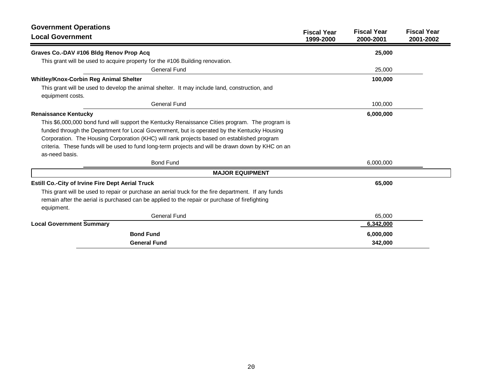| <b>Government Operations</b>                                                                                                                                                                                       |                                 |                                 |                                 |
|--------------------------------------------------------------------------------------------------------------------------------------------------------------------------------------------------------------------|---------------------------------|---------------------------------|---------------------------------|
| <b>Local Government</b>                                                                                                                                                                                            | <b>Fiscal Year</b><br>1999-2000 | <b>Fiscal Year</b><br>2000-2001 | <b>Fiscal Year</b><br>2001-2002 |
| Graves Co.-DAV #106 Bldg Renov Prop Acq                                                                                                                                                                            |                                 | 25,000                          |                                 |
| This grant will be used to acquire property for the #106 Building renovation.                                                                                                                                      |                                 |                                 |                                 |
| <b>General Fund</b>                                                                                                                                                                                                |                                 | 25,000                          |                                 |
| <b>Whitley/Knox-Corbin Reg Animal Shelter</b>                                                                                                                                                                      |                                 | 100,000                         |                                 |
| This grant will be used to develop the animal shelter. It may include land, construction, and<br>equipment costs.                                                                                                  |                                 |                                 |                                 |
| General Fund                                                                                                                                                                                                       |                                 | 100,000                         |                                 |
| <b>Renaissance Kentucky</b>                                                                                                                                                                                        |                                 | 6,000,000                       |                                 |
| This \$6,000,000 bond fund will support the Kentucky Renaissance Cities program. The program is<br>funded through the Department for Local Government, but is operated by the Kentucky Housing                     |                                 |                                 |                                 |
| Corporation. The Housing Corporation (KHC) will rank projects based on established program                                                                                                                         |                                 |                                 |                                 |
| criteria. These funds will be used to fund long-term projects and will be drawn down by KHC on an<br>as-need basis.                                                                                                |                                 |                                 |                                 |
| <b>Bond Fund</b>                                                                                                                                                                                                   |                                 | 6,000,000                       |                                 |
| <b>MAJOR EQUIPMENT</b>                                                                                                                                                                                             |                                 |                                 |                                 |
| <b>Estill Co.-City of Irvine Fire Dept Aerial Truck</b>                                                                                                                                                            |                                 | 65,000                          |                                 |
| This grant will be used to repair or purchase an aerial truck for the fire department. If any funds<br>remain after the aerial is purchased can be applied to the repair or purchase of firefighting<br>equipment. |                                 |                                 |                                 |
| <b>General Fund</b>                                                                                                                                                                                                |                                 | 65,000                          |                                 |
| <b>Local Government Summary</b>                                                                                                                                                                                    |                                 | 6,342,000                       |                                 |
| <b>Bond Fund</b>                                                                                                                                                                                                   |                                 | 6,000,000                       |                                 |
| <b>General Fund</b>                                                                                                                                                                                                |                                 | 342,000                         |                                 |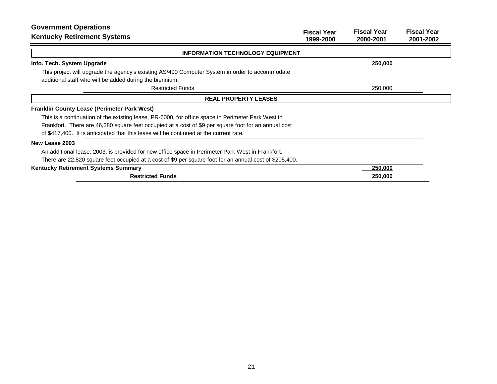| <b>Government Operations</b><br><b>Kentucky Retirement Systems</b>                                      | <b>Fiscal Year</b><br>1999-2000 | <b>Fiscal Year</b><br>2000-2001 | <b>Fiscal Year</b><br>2001-2002 |
|---------------------------------------------------------------------------------------------------------|---------------------------------|---------------------------------|---------------------------------|
| <b>INFORMATION TECHNOLOGY EQUIPMENT</b>                                                                 |                                 |                                 |                                 |
| Info. Tech. System Upgrade                                                                              |                                 | 250,000                         |                                 |
| This project will upgrade the agency's existing AS/400 Computer System in order to accommodate          |                                 |                                 |                                 |
| additional staff who will be added during the biennium.                                                 |                                 |                                 |                                 |
| <b>Restricted Funds</b>                                                                                 |                                 | 250,000                         |                                 |
| <b>REAL PROPERTY LEASES</b>                                                                             |                                 |                                 |                                 |
| <b>Franklin County Lease (Perimeter Park West)</b>                                                      |                                 |                                 |                                 |
| This is a continuation of the existing lease, PR-6000, for office space in Perimeter Park West in       |                                 |                                 |                                 |
| Frankfort. There are 46,380 square feet occupied at a cost of \$9 per square foot for an annual cost    |                                 |                                 |                                 |
| of \$417,400. It is anticipated that this lease will be continued at the current rate.                  |                                 |                                 |                                 |
| New Lease 2003                                                                                          |                                 |                                 |                                 |
| An additional lease, 2003, is provided for new office space in Perimeter Park West in Frankfort.        |                                 |                                 |                                 |
| There are 22,820 square feet occupied at a cost of \$9 per square foot for an annual cost of \$205,400. |                                 |                                 |                                 |
| Kentucky Retirement Systems Summary                                                                     |                                 | 250,000                         |                                 |
| <b>Restricted Funds</b>                                                                                 |                                 | 250,000                         |                                 |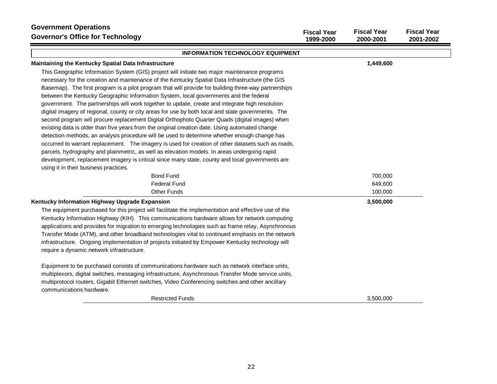| <b>Government Operations</b><br><b>Governor's Office for Technology</b>                                                                                                                                                                                                                                                                                                                                                                                                                                                                                                                                                                                                                                                                                                                                        | <b>Fiscal Year</b><br>1999-2000 | <b>Fiscal Year</b><br>2000-2001 | <b>Fiscal Year</b><br>2001-2002 |
|----------------------------------------------------------------------------------------------------------------------------------------------------------------------------------------------------------------------------------------------------------------------------------------------------------------------------------------------------------------------------------------------------------------------------------------------------------------------------------------------------------------------------------------------------------------------------------------------------------------------------------------------------------------------------------------------------------------------------------------------------------------------------------------------------------------|---------------------------------|---------------------------------|---------------------------------|
| <b>INFORMATION TECHNOLOGY EQUIPMENT</b>                                                                                                                                                                                                                                                                                                                                                                                                                                                                                                                                                                                                                                                                                                                                                                        |                                 |                                 |                                 |
| Maintaining the Kentucky Spatial Data Infrastructure                                                                                                                                                                                                                                                                                                                                                                                                                                                                                                                                                                                                                                                                                                                                                           |                                 | 1,449,600                       |                                 |
| This Geographic Information System (GIS) project will initiate two major maintenance programs<br>necessary for the creation and maintenance of the Kentucky Spatial Data Infrastructure (the GIS<br>Basemap). The first program is a pilot program that will provide for building three-way partnerships<br>between the Kentucky Geographic Information System, local governments and the federal<br>government. The partnerships will work together to update, create and integrate high resolution<br>digital imagery of regional, county or city areas for use by both local and state governments. The<br>second program will procure replacement Digital Orthophoto Quarter Quads (digital images) when<br>existing data is older than five years from the original creation date. Using automated change |                                 |                                 |                                 |
| detection methods, an analysis procedure will be used to determine whether enough change has<br>occurred to warrant replacement. The imagery is used for creation of other datasets such as roads,<br>parcels, hydrography and plainmetric, as well as elevation models. In areas undergoing rapid<br>development, replacement imagery is critical since many state, county and local governments are<br>using it in their business practices.                                                                                                                                                                                                                                                                                                                                                                 |                                 |                                 |                                 |
| <b>Bond Fund</b>                                                                                                                                                                                                                                                                                                                                                                                                                                                                                                                                                                                                                                                                                                                                                                                               |                                 | 700,000                         |                                 |
| <b>Federal Fund</b>                                                                                                                                                                                                                                                                                                                                                                                                                                                                                                                                                                                                                                                                                                                                                                                            |                                 | 649,600                         |                                 |
| <b>Other Funds</b>                                                                                                                                                                                                                                                                                                                                                                                                                                                                                                                                                                                                                                                                                                                                                                                             |                                 | 100,000                         |                                 |
| Kentucky Information Highway Upgrade Expansion<br>The equipment purchased for this project will facilitate the implementation and effective use of the<br>Kentucky Information Highway (KIH). This communications hardware allows for network computing<br>applications and provides for migration to emerging technologies such as frame relay, Asynchronous<br>Transfer Mode (ATM), and other broadband technologies vital to continued emphasis on the network<br>infrastructure. Ongoing implementation of projects initiated by Empower Kentucky technology will<br>require a dynamic network infrastructure.                                                                                                                                                                                             |                                 | 3,500,000                       |                                 |
| Equipment to be purchased consists of communications hardware such as network interface units,<br>multiplexors, digital switches, messaging infrastructure, Asynchronous Transfer Mode service units,<br>multiprotocol routers, Gigabit Ethernet switches, Video Conferencing switches and other ancillary<br>communications hardware.<br><b>Restricted Funds</b>                                                                                                                                                                                                                                                                                                                                                                                                                                              |                                 | 3,500,000                       |                                 |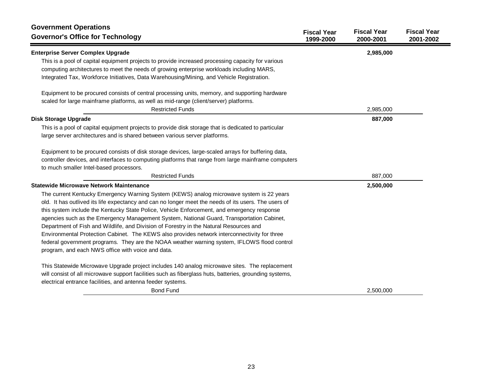| <b>Government Operations</b><br><b>Governor's Office for Technology</b>                                 | <b>Fiscal Year</b><br>1999-2000 | <b>Fiscal Year</b><br>2000-2001 | <b>Fiscal Year</b><br>2001-2002 |
|---------------------------------------------------------------------------------------------------------|---------------------------------|---------------------------------|---------------------------------|
| <b>Enterprise Server Complex Upgrade</b>                                                                |                                 | 2,985,000                       |                                 |
| This is a pool of capital equipment projects to provide increased processing capacity for various       |                                 |                                 |                                 |
| computing architectures to meet the needs of growing enterprise workloads including MARS,               |                                 |                                 |                                 |
| Integrated Tax, Workforce Initiatives, Data Warehousing/Mining, and Vehicle Registration.               |                                 |                                 |                                 |
| Equipment to be procured consists of central processing units, memory, and supporting hardware          |                                 |                                 |                                 |
| scaled for large mainframe platforms, as well as mid-range (client/server) platforms.                   |                                 |                                 |                                 |
| <b>Restricted Funds</b>                                                                                 |                                 | 2,985,000                       |                                 |
| <b>Disk Storage Upgrade</b>                                                                             |                                 | 887,000                         |                                 |
| This is a pool of capital equipment projects to provide disk storage that is dedicated to particular    |                                 |                                 |                                 |
| large server architectures and is shared between various server platforms.                              |                                 |                                 |                                 |
| Equipment to be procured consists of disk storage devices, large-scaled arrays for buffering data,      |                                 |                                 |                                 |
| controller devices, and interfaces to computing platforms that range from large mainframe computers     |                                 |                                 |                                 |
| to much smaller Intel-based processors.                                                                 |                                 |                                 |                                 |
| <b>Restricted Funds</b>                                                                                 |                                 | 887,000                         |                                 |
| <b>Statewide Microwave Network Maintenance</b>                                                          |                                 | 2,500,000                       |                                 |
| The current Kentucky Emergency Warning System (KEWS) analog microwave system is 22 years                |                                 |                                 |                                 |
| old. It has outlived its life expectancy and can no longer meet the needs of its users. The users of    |                                 |                                 |                                 |
| this system include the Kentucky State Police, Vehicle Enforcement, and emergency response              |                                 |                                 |                                 |
| agencies such as the Emergency Management System, National Guard, Transportation Cabinet,               |                                 |                                 |                                 |
| Department of Fish and Wildlife, and Division of Forestry in the Natural Resources and                  |                                 |                                 |                                 |
| Environmental Protection Cabinet. The KEWS also provides network interconnectivity for three            |                                 |                                 |                                 |
| federal government programs. They are the NOAA weather warning system, IFLOWS flood control             |                                 |                                 |                                 |
| program, and each NWS office with voice and data.                                                       |                                 |                                 |                                 |
| This Statewide Microwave Upgrade project includes 140 analog microwave sites. The replacement           |                                 |                                 |                                 |
| will consist of all microwave support facilities such as fiberglass huts, batteries, grounding systems, |                                 |                                 |                                 |
| electrical entrance facilities, and antenna feeder systems.                                             |                                 |                                 |                                 |
| <b>Bond Fund</b>                                                                                        |                                 | 2,500,000                       |                                 |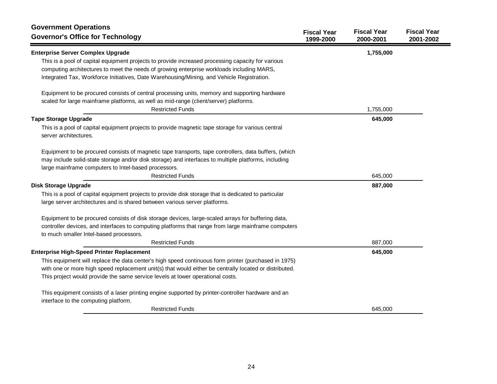| <b>Government Operations</b><br><b>Governor's Office for Technology</b>                                                                                                                        | <b>Fiscal Year</b><br>1999-2000 | <b>Fiscal Year</b><br>2000-2001 | <b>Fiscal Year</b><br>2001-2002 |
|------------------------------------------------------------------------------------------------------------------------------------------------------------------------------------------------|---------------------------------|---------------------------------|---------------------------------|
| <b>Enterprise Server Complex Upgrade</b>                                                                                                                                                       |                                 | 1,755,000                       |                                 |
| This is a pool of capital equipment projects to provide increased processing capacity for various<br>computing architectures to meet the needs of growing enterprise workloads including MARS, |                                 |                                 |                                 |
| Integrated Tax, Workforce Initiatives, Date Warehousing/Mining, and Vehicle Registration.                                                                                                      |                                 |                                 |                                 |
| Equipment to be procured consists of central processing units, memory and supporting hardware                                                                                                  |                                 |                                 |                                 |
| scaled for large mainframe platforms, as well as mid-range (client/server) platforms.                                                                                                          |                                 |                                 |                                 |
| <b>Restricted Funds</b>                                                                                                                                                                        |                                 | 1,755,000                       |                                 |
| <b>Tape Storage Upgrade</b>                                                                                                                                                                    |                                 | 645,000                         |                                 |
| This is a pool of capital equipment projects to provide magnetic tape storage for various central<br>server architectures.                                                                     |                                 |                                 |                                 |
| Equipment to be procured consists of magnetic tape transports, tape controllers, data buffers, (which                                                                                          |                                 |                                 |                                 |
| may include solid-state storage and/or disk storage) and interfaces to multiple platforms, including                                                                                           |                                 |                                 |                                 |
| large mainframe computers to Intel-based processors.                                                                                                                                           |                                 |                                 |                                 |
| <b>Restricted Funds</b>                                                                                                                                                                        |                                 | 645,000                         |                                 |
| <b>Disk Storage Upgrade</b>                                                                                                                                                                    |                                 | 887,000                         |                                 |
| This is a pool of capital equipment projects to provide disk storage that is dedicated to particular                                                                                           |                                 |                                 |                                 |
| large server architectures and is shared between various server platforms.                                                                                                                     |                                 |                                 |                                 |
| Equipment to be procured consists of disk storage devices, large-scaled arrays for buffering data,                                                                                             |                                 |                                 |                                 |
| controller devices, and interfaces to computing platforms that range from large mainframe computers                                                                                            |                                 |                                 |                                 |
| to much smaller Intel-based processors.                                                                                                                                                        |                                 |                                 |                                 |
| <b>Restricted Funds</b>                                                                                                                                                                        |                                 | 887,000                         |                                 |
| <b>Enterprise High-Speed Printer Replacement</b>                                                                                                                                               |                                 | 645,000                         |                                 |
| This equipment will replace the data center's high speed continuous form printer (purchased in 1975)                                                                                           |                                 |                                 |                                 |
| with one or more high speed replacement unit(s) that would either be centrally located or distributed.                                                                                         |                                 |                                 |                                 |
| This project would provide the same service levels at lower operational costs.                                                                                                                 |                                 |                                 |                                 |
| This equipment consists of a laser printing engine supported by printer-controller hardware and an                                                                                             |                                 |                                 |                                 |
| interface to the computing platform.                                                                                                                                                           |                                 |                                 |                                 |
| <b>Restricted Funds</b>                                                                                                                                                                        |                                 | 645,000                         |                                 |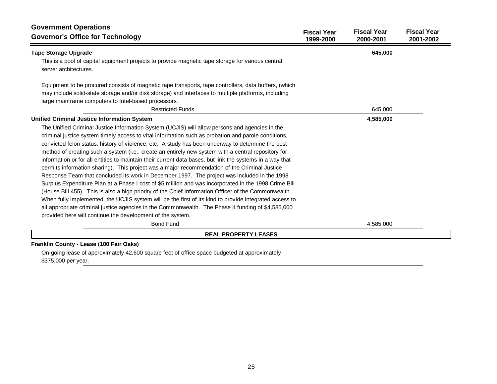| <b>Government Operations</b><br><b>Governor's Office for Technology</b>                                                                                                                               | <b>Fiscal Year</b><br>1999-2000 | <b>Fiscal Year</b><br>2000-2001 | <b>Fiscal Year</b><br>2001-2002 |
|-------------------------------------------------------------------------------------------------------------------------------------------------------------------------------------------------------|---------------------------------|---------------------------------|---------------------------------|
| <b>Tape Storage Upgrade</b>                                                                                                                                                                           |                                 | 645,000                         |                                 |
| This is a pool of capital equipment projects to provide magnetic tape storage for various central<br>server architectures.                                                                            |                                 |                                 |                                 |
| Equipment to be procured consists of magnetic tape transports, tape controllers, data buffers, (which                                                                                                 |                                 |                                 |                                 |
| may include solid-state storage and/or disk storage) and interfaces to multiple platforms, including                                                                                                  |                                 |                                 |                                 |
| large mainframe computers to Intel-based processors.                                                                                                                                                  |                                 |                                 |                                 |
| <b>Restricted Funds</b>                                                                                                                                                                               |                                 | 645,000                         |                                 |
| <b>Unified Criminal Justice Information System</b>                                                                                                                                                    |                                 | 4,585,000                       |                                 |
| The Unified Criminal Justice Information System (UCJIS) will allow persons and agencies in the<br>criminal justice system timely access to vital information such as probation and parole conditions, |                                 |                                 |                                 |
| convicted felon status, history of violence, etc. A study has been underway to determine the best                                                                                                     |                                 |                                 |                                 |
| method of creating such a system (i.e., create an entirely new system with a central repository for                                                                                                   |                                 |                                 |                                 |
| information or for all entities to maintain their current data bases, but link the systems in a way that                                                                                              |                                 |                                 |                                 |
| permits information sharing). This project was a major recommendation of the Criminal Justice                                                                                                         |                                 |                                 |                                 |
| Response Team that concluded its work in December 1997. The project was included in the 1998                                                                                                          |                                 |                                 |                                 |
| Surplus Expenditure Plan at a Phase I cost of \$5 million and was incorporated in the 1998 Crime Bill                                                                                                 |                                 |                                 |                                 |
| (House Bill 455). This is also a high priority of the Chief Information Officer of the Commonwealth.                                                                                                  |                                 |                                 |                                 |
| When fully implemented, the UCJIS system will be the first of its kind to provide integrated access to                                                                                                |                                 |                                 |                                 |
| all appropriate criminal justice agencies in the Commonwealth. The Phase II funding of \$4,585,000                                                                                                    |                                 |                                 |                                 |
| provided here will continue the development of the system.                                                                                                                                            |                                 |                                 |                                 |
| <b>Bond Fund</b>                                                                                                                                                                                      |                                 | 4,585,000                       |                                 |
| <b>REAL PROPERTY LEASES</b>                                                                                                                                                                           |                                 |                                 |                                 |

### **Franklin County - Lease (100 Fair Oaks)**

On-going lease of approximately 42,600 square feet of office space budgeted at approximately \$375,000 per year.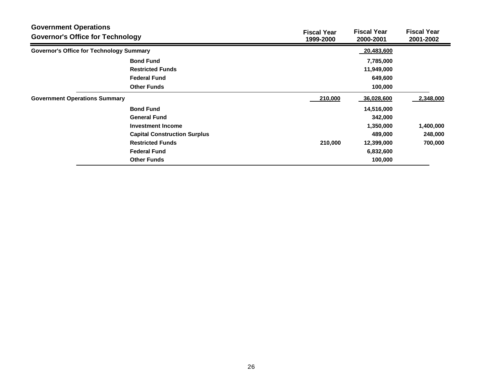| <b>Government Operations</b><br><b>Governor's Office for Technology</b> |                                                 | <b>Fiscal Year</b><br>1999-2000 | <b>Fiscal Year</b><br>2000-2001 | <b>Fiscal Year</b><br>2001-2002 |
|-------------------------------------------------------------------------|-------------------------------------------------|---------------------------------|---------------------------------|---------------------------------|
|                                                                         | <b>Governor's Office for Technology Summary</b> |                                 | 20,483,600                      |                                 |
|                                                                         | <b>Bond Fund</b>                                |                                 | 7,785,000                       |                                 |
|                                                                         | <b>Restricted Funds</b>                         |                                 | 11,949,000                      |                                 |
|                                                                         | <b>Federal Fund</b>                             |                                 | 649,600                         |                                 |
|                                                                         | <b>Other Funds</b>                              |                                 | 100,000                         |                                 |
| <b>Government Operations Summary</b>                                    |                                                 | 210,000                         | 36,028,600                      | 2,348,000                       |
|                                                                         | <b>Bond Fund</b>                                |                                 | 14,516,000                      |                                 |
|                                                                         | <b>General Fund</b>                             |                                 | 342,000                         |                                 |
|                                                                         | Investment Income                               |                                 | 1,350,000                       | 1,400,000                       |
|                                                                         | <b>Capital Construction Surplus</b>             |                                 | 489,000                         | 248,000                         |
|                                                                         | <b>Restricted Funds</b>                         | 210,000                         | 12,399,000                      | 700,000                         |
|                                                                         | <b>Federal Fund</b>                             |                                 | 6,832,600                       |                                 |
|                                                                         | <b>Other Funds</b>                              |                                 | 100,000                         |                                 |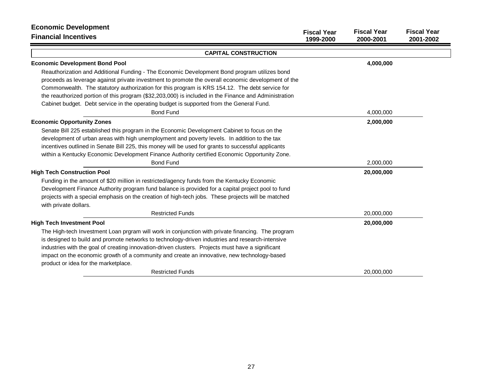| <b>Economic Development</b>                                                                           | <b>Fiscal Year</b> | <b>Fiscal Year</b> | <b>Fiscal Year</b> |
|-------------------------------------------------------------------------------------------------------|--------------------|--------------------|--------------------|
| <b>Financial Incentives</b>                                                                           | 1999-2000          | 2000-2001          | 2001-2002          |
| <b>CAPITAL CONSTRUCTION</b>                                                                           |                    |                    |                    |
| <b>Economic Development Bond Pool</b>                                                                 |                    | 4,000,000          |                    |
| Reauthorization and Additional Funding - The Economic Development Bond program utilizes bond          |                    |                    |                    |
| proceeds as leverage against private investment to promote the overall economic development of the    |                    |                    |                    |
| Commonwealth. The statutory authorization for this program is KRS 154.12. The debt service for        |                    |                    |                    |
| the reauthorized portion of this program (\$32,203,000) is included in the Finance and Administration |                    |                    |                    |
| Cabinet budget. Debt service in the operating budget is supported from the General Fund.              |                    |                    |                    |
| <b>Bond Fund</b>                                                                                      |                    | 4,000,000          |                    |
| <b>Economic Opportunity Zones</b>                                                                     |                    | 2,000,000          |                    |
| Senate Bill 225 established this program in the Economic Development Cabinet to focus on the          |                    |                    |                    |
| development of urban areas with high unemployment and poverty levels. In addition to the tax          |                    |                    |                    |
| incentives outlined in Senate Bill 225, this money will be used for grants to successful applicants   |                    |                    |                    |
| within a Kentucky Economic Development Finance Authority certified Economic Opportunity Zone.         |                    |                    |                    |
| <b>Bond Fund</b>                                                                                      |                    | 2,000,000          |                    |
| <b>High Tech Construction Pool</b>                                                                    |                    | 20,000,000         |                    |
| Funding in the amount of \$20 million in restricted/agency funds from the Kentucky Economic           |                    |                    |                    |
| Development Finance Authority program fund balance is provided for a capital project pool to fund     |                    |                    |                    |
| projects with a special emphasis on the creation of high-tech jobs. These projects will be matched    |                    |                    |                    |
| with private dollars.                                                                                 |                    |                    |                    |
| <b>Restricted Funds</b>                                                                               |                    | 20,000,000         |                    |
| <b>High Tech Investment Pool</b>                                                                      |                    | 20,000,000         |                    |
| The High-tech Investment Loan prgram will work in conjunction with private financing. The program     |                    |                    |                    |
| is designed to build and promote networks to technology-driven industries and research-intensive      |                    |                    |                    |
| industries with the goal of creating innovation-driven clusters. Projects must have a significant     |                    |                    |                    |
| impact on the economic growth of a community and create an innovative, new technology-based           |                    |                    |                    |
| product or idea for the marketplace.                                                                  |                    |                    |                    |
| <b>Restricted Funds</b>                                                                               |                    | 20,000,000         |                    |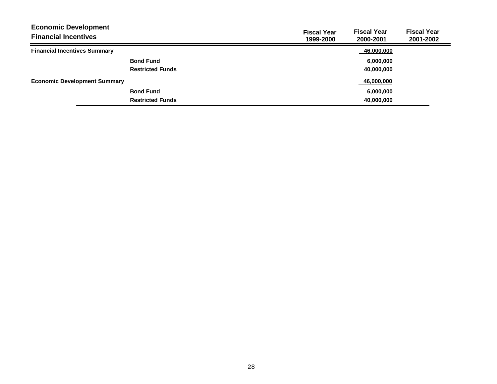| <b>Fiscal Year</b><br>1999-2000 | <b>Fiscal Year</b><br>2000-2001 | <b>Fiscal Year</b><br>2001-2002 |
|---------------------------------|---------------------------------|---------------------------------|
|                                 | 46,000,000                      |                                 |
|                                 | 6,000,000                       |                                 |
|                                 | 40.000.000                      |                                 |
|                                 | 46,000,000                      |                                 |
|                                 | 6,000,000                       |                                 |
|                                 | 40,000,000                      |                                 |
|                                 |                                 |                                 |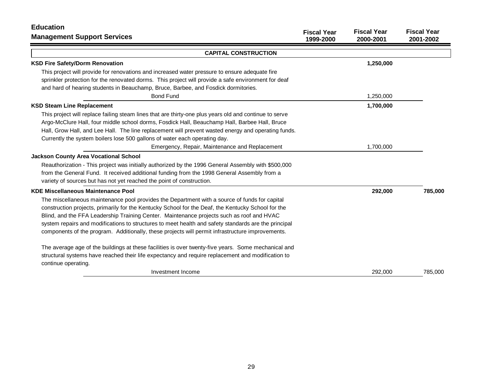| <b>Education</b>                                                                                       |                                 |                                 |                                 |
|--------------------------------------------------------------------------------------------------------|---------------------------------|---------------------------------|---------------------------------|
| <b>Management Support Services</b>                                                                     | <b>Fiscal Year</b><br>1999-2000 | <b>Fiscal Year</b><br>2000-2001 | <b>Fiscal Year</b><br>2001-2002 |
| <b>CAPITAL CONSTRUCTION</b>                                                                            |                                 |                                 |                                 |
| <b>KSD Fire Safety/Dorm Renovation</b>                                                                 |                                 | 1,250,000                       |                                 |
| This project will provide for renovations and increased water pressure to ensure adequate fire         |                                 |                                 |                                 |
| sprinkler protection for the renovated dorms. This project will provide a safe environment for deaf    |                                 |                                 |                                 |
| and hard of hearing students in Beauchamp, Bruce, Barbee, and Fosdick dormitories.                     |                                 |                                 |                                 |
| <b>Bond Fund</b>                                                                                       |                                 | 1,250,000                       |                                 |
| <b>KSD Steam Line Replacement</b>                                                                      |                                 | 1,700,000                       |                                 |
| This project will replace failing steam lines that are thirty-one plus years old and continue to serve |                                 |                                 |                                 |
| Argo-McClure Hall, four middle school dorms, Fosdick Hall, Beauchamp Hall, Barbee Hall, Bruce          |                                 |                                 |                                 |
| Hall, Grow Hall, and Lee Hall. The line replacement will prevent wasted energy and operating funds.    |                                 |                                 |                                 |
| Currently the system boilers lose 500 gallons of water each operating day.                             |                                 |                                 |                                 |
| Emergency, Repair, Maintenance and Replacement                                                         |                                 | 1,700,000                       |                                 |
| <b>Jackson County Area Vocational School</b>                                                           |                                 |                                 |                                 |
| Reauthorization - This project was initially authorized by the 1996 General Assembly with \$500,000    |                                 |                                 |                                 |
| from the General Fund. It received additional funding from the 1998 General Assembly from a            |                                 |                                 |                                 |
| variety of sources but has not yet reached the point of construction.                                  |                                 |                                 |                                 |
| <b>KDE Miscellaneous Maintenance Pool</b>                                                              |                                 | 292,000                         | 785,000                         |
| The miscellaneous maintenance pool provides the Department with a source of funds for capital          |                                 |                                 |                                 |
| construction projects, primarily for the Kentucky School for the Deaf, the Kentucky School for the     |                                 |                                 |                                 |
| Blind, and the FFA Leadership Training Center. Maintenance projects such as roof and HVAC              |                                 |                                 |                                 |
| system repairs and modifications to structures to meet health and safety standards are the principal   |                                 |                                 |                                 |
| components of the program. Additionally, these projects will permit infrastructure improvements.       |                                 |                                 |                                 |
| The average age of the buildings at these facilities is over twenty-five years. Some mechanical and    |                                 |                                 |                                 |
| structural systems have reached their life expectancy and require replacement and modification to      |                                 |                                 |                                 |
| continue operating.                                                                                    |                                 |                                 |                                 |
| Investment Income                                                                                      |                                 | 292,000                         | 785,000                         |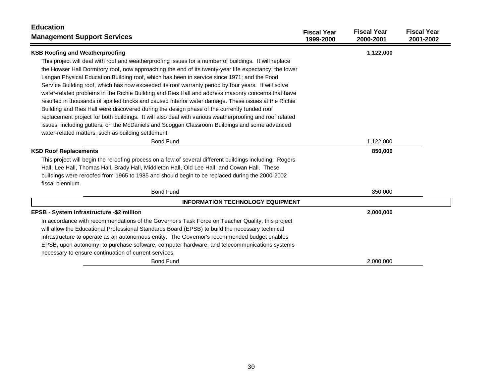| <b>Education</b>                                                                                        |                                 |                                 |                                 |
|---------------------------------------------------------------------------------------------------------|---------------------------------|---------------------------------|---------------------------------|
| <b>Management Support Services</b>                                                                      | <b>Fiscal Year</b><br>1999-2000 | <b>Fiscal Year</b><br>2000-2001 | <b>Fiscal Year</b><br>2001-2002 |
| <b>KSB Roofing and Weatherproofing</b>                                                                  |                                 | 1,122,000                       |                                 |
| This project will deal with roof and weatherproofing issues for a number of buildings. It will replace  |                                 |                                 |                                 |
| the Howser Hall Dormitory roof, now approaching the end of its twenty-year life expectancy; the lower   |                                 |                                 |                                 |
| Langan Physical Education Building roof, which has been in service since 1971; and the Food             |                                 |                                 |                                 |
| Service Building roof, which has now exceeded its roof warranty period by four years. It will solve     |                                 |                                 |                                 |
| water-related problems in the Richie Building and Ries Hall and address masonry concerns that have      |                                 |                                 |                                 |
| resulted in thousands of spalled bricks and caused interior water damage. These issues at the Richie    |                                 |                                 |                                 |
| Building and Ries Hall were discovered during the design phase of the currently funded roof             |                                 |                                 |                                 |
| replacement project for both buildings. It will also deal with various weatherproofing and roof related |                                 |                                 |                                 |
| issues, including gutters, on the McDaniels and Scoggan Classroom Buildings and some advanced           |                                 |                                 |                                 |
| water-related matters, such as building settlement.                                                     |                                 |                                 |                                 |
| <b>Bond Fund</b>                                                                                        |                                 | 1,122,000                       |                                 |
| <b>KSD Roof Replacements</b>                                                                            |                                 | 850,000                         |                                 |
| This project will begin the reroofing process on a few of several different buildings including: Rogers |                                 |                                 |                                 |
| Hall, Lee Hall, Thomas Hall, Brady Hall, Middleton Hall, Old Lee Hall, and Cowan Hall. These            |                                 |                                 |                                 |
| buildings were reroofed from 1965 to 1985 and should begin to be replaced during the 2000-2002          |                                 |                                 |                                 |
| fiscal biennium.                                                                                        |                                 |                                 |                                 |
| <b>Bond Fund</b>                                                                                        |                                 | 850,000                         |                                 |
| <b>INFORMATION TECHNOLOGY EQUIPMENT</b>                                                                 |                                 |                                 |                                 |
| EPSB - System Infrastructure -\$2 million                                                               |                                 | 2,000,000                       |                                 |
| In accordance with recommendations of the Governor's Task Force on Teacher Quality, this project        |                                 |                                 |                                 |
| will allow the Educational Professional Standards Board (EPSB) to build the necessary technical         |                                 |                                 |                                 |
| infrastructure to operate as an autonomous entity. The Governor's recommended budget enables            |                                 |                                 |                                 |
| EPSB, upon autonomy, to purchase software, computer hardware, and telecommunications systems            |                                 |                                 |                                 |
| necessary to ensure continuation of current services.                                                   |                                 |                                 |                                 |
| <b>Bond Fund</b>                                                                                        |                                 | 2,000,000                       |                                 |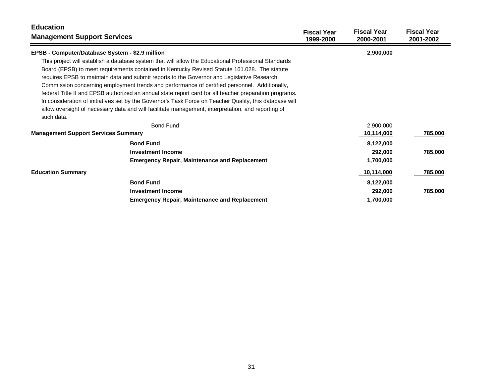| <b>Education</b><br><b>Management Support Services</b> |                                                                                                         | <b>Fiscal Year</b><br>1999-2000 | <b>Fiscal Year</b><br>2000-2001 | <b>Fiscal Year</b><br>2001-2002 |
|--------------------------------------------------------|---------------------------------------------------------------------------------------------------------|---------------------------------|---------------------------------|---------------------------------|
| EPSB - Computer/Database System - \$2.9 million        |                                                                                                         |                                 | 2,900,000                       |                                 |
|                                                        | This project will establish a database system that will allow the Educational Professional Standards    |                                 |                                 |                                 |
|                                                        | Board (EPSB) to meet requirements contained in Kentucky Revised Statute 161.028. The statute            |                                 |                                 |                                 |
|                                                        | requires EPSB to maintain data and submit reports to the Governor and Legislative Research              |                                 |                                 |                                 |
|                                                        | Commission concerning employment trends and performance of certified personnel. Additionally,           |                                 |                                 |                                 |
|                                                        | federal Title II and EPSB authorized an annual state report card for all teacher preparation programs.  |                                 |                                 |                                 |
|                                                        | In consideration of initiatives set by the Governor's Task Force on Teacher Quality, this database will |                                 |                                 |                                 |
|                                                        | allow oversight of necessary data and will facilitate management, interpretation, and reporting of      |                                 |                                 |                                 |
| such data.                                             |                                                                                                         |                                 |                                 |                                 |
|                                                        | <b>Bond Fund</b>                                                                                        |                                 | 2,900,000                       |                                 |
| <b>Management Support Services Summary</b>             |                                                                                                         |                                 | 10,114,000                      | 785,000                         |
|                                                        | <b>Bond Fund</b>                                                                                        |                                 | 8,122,000                       |                                 |
|                                                        | <b>Investment Income</b>                                                                                |                                 | 292,000                         | 785,000                         |
|                                                        | <b>Emergency Repair, Maintenance and Replacement</b>                                                    |                                 | 1,700,000                       |                                 |
| <b>Education Summary</b>                               |                                                                                                         |                                 | 10,114,000                      | 785,000                         |
|                                                        | <b>Bond Fund</b>                                                                                        |                                 | 8,122,000                       |                                 |
|                                                        | <b>Investment Income</b>                                                                                |                                 | 292,000                         | 785,000                         |
|                                                        | <b>Emergency Repair, Maintenance and Replacement</b>                                                    |                                 | 1,700,000                       |                                 |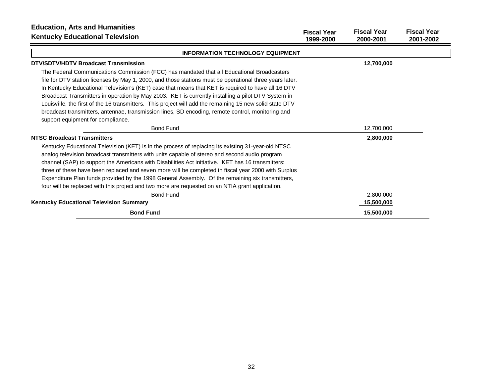| <b>Education, Arts and Humanities</b><br><b>Kentucky Educational Television</b>                          | <b>Fiscal Year</b><br>1999-2000 | <b>Fiscal Year</b><br>2000-2001 | <b>Fiscal Year</b><br>2001-2002 |
|----------------------------------------------------------------------------------------------------------|---------------------------------|---------------------------------|---------------------------------|
| <b>INFORMATION TECHNOLOGY EQUIPMENT</b>                                                                  |                                 |                                 |                                 |
| DTV/SDTV/HDTV Broadcast Transmission                                                                     |                                 | 12,700,000                      |                                 |
| The Federal Communications Commission (FCC) has mandated that all Educational Broadcasters               |                                 |                                 |                                 |
| file for DTV station licenses by May 1, 2000, and those stations must be operational three years later.  |                                 |                                 |                                 |
| In Kentucky Educational Television's (KET) case that means that KET is required to have all 16 DTV       |                                 |                                 |                                 |
| Broadcast Transmitters in operation by May 2003. KET is currently installing a pilot DTV System in       |                                 |                                 |                                 |
| Louisville, the first of the 16 transmitters. This project will add the remaining 15 new solid state DTV |                                 |                                 |                                 |
| broadcast transmitters, antennae, transmission lines, SD encoding, remote control, monitoring and        |                                 |                                 |                                 |
| support equipment for compliance.                                                                        |                                 |                                 |                                 |
| <b>Bond Fund</b>                                                                                         |                                 | 12,700,000                      |                                 |
| <b>NTSC Broadcast Transmitters</b>                                                                       |                                 | 2,800,000                       |                                 |
| Kentucky Educational Television (KET) is in the process of replacing its existing 31-year-old NTSC       |                                 |                                 |                                 |
| analog television broadcast transmitters with units capable of stereo and second audio program           |                                 |                                 |                                 |
| channel (SAP) to support the Americans with Disabilities Act initiative. KET has 16 transmitters:        |                                 |                                 |                                 |
| three of these have been replaced and seven more will be completed in fiscal year 2000 with Surplus      |                                 |                                 |                                 |
| Expenditure Plan funds provided by the 1998 General Assembly. Of the remaining six transmitters,         |                                 |                                 |                                 |
| four will be replaced with this project and two more are requested on an NTIA grant application.         |                                 |                                 |                                 |
| <b>Bond Fund</b>                                                                                         |                                 | 2,800,000                       |                                 |
| <b>Kentucky Educational Television Summary</b>                                                           |                                 | 15,500,000                      |                                 |
| <b>Bond Fund</b>                                                                                         |                                 | 15,500,000                      |                                 |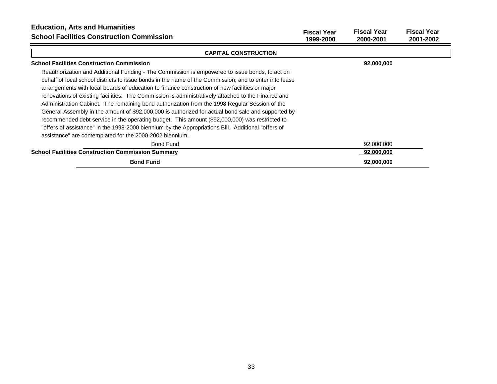| <b>Education, Arts and Humanities</b><br><b>School Facilities Construction Commission</b>              | <b>Fiscal Year</b><br>1999-2000 | <b>Fiscal Year</b><br>2000-2001 | <b>Fiscal Year</b><br>2001-2002 |
|--------------------------------------------------------------------------------------------------------|---------------------------------|---------------------------------|---------------------------------|
| <b>CAPITAL CONSTRUCTION</b>                                                                            |                                 |                                 |                                 |
| <b>School Facilities Construction Commission</b>                                                       |                                 | 92,000,000                      |                                 |
| Reauthorization and Additional Funding - The Commission is empowered to issue bonds, to act on         |                                 |                                 |                                 |
| behalf of local school districts to issue bonds in the name of the Commission, and to enter into lease |                                 |                                 |                                 |
| arrangements with local boards of education to finance construction of new facilities or major         |                                 |                                 |                                 |
| renovations of existing facilities. The Commission is administratively attached to the Finance and     |                                 |                                 |                                 |
| Administration Cabinet. The remaining bond authorization from the 1998 Regular Session of the          |                                 |                                 |                                 |
| General Assembly in the amount of \$92,000,000 is authorized for actual bond sale and supported by     |                                 |                                 |                                 |
| recommended debt service in the operating budget. This amount (\$92,000,000) was restricted to         |                                 |                                 |                                 |
| "offers of assistance" in the 1998-2000 biennium by the Appropriations Bill. Additional "offers of     |                                 |                                 |                                 |
| assistance" are contemplated for the 2000-2002 biennium.                                               |                                 |                                 |                                 |
| <b>Bond Fund</b>                                                                                       |                                 | 92,000,000                      |                                 |
| <b>School Facilities Construction Commission Summary</b>                                               |                                 | 92,000,000                      |                                 |
| <b>Bond Fund</b>                                                                                       |                                 | 92,000,000                      |                                 |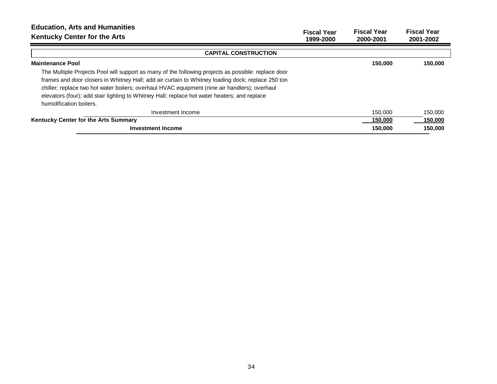| <b>Education, Arts and Humanities</b><br><b>Kentucky Center for the Arts</b>                        | <b>Fiscal Year</b><br>1999-2000 | <b>Fiscal Year</b><br>2000-2001 | <b>Fiscal Year</b><br>2001-2002 |
|-----------------------------------------------------------------------------------------------------|---------------------------------|---------------------------------|---------------------------------|
| <b>CAPITAL CONSTRUCTION</b>                                                                         |                                 |                                 |                                 |
| <b>Maintenance Pool</b>                                                                             |                                 | 150.000                         | 150,000                         |
| The Multiple Projects Pool will support as many of the following projects as possible: replace door |                                 |                                 |                                 |
| frames and door closers in Whitney Hall; add air curtain to Whitney loading dock; replace 250 ton   |                                 |                                 |                                 |
| chiller; replace two hot water boilers; overhaul HVAC equipment (nine air handlers); overhaul       |                                 |                                 |                                 |
| elevators (four); add stair lighting to Whitney Hall; replace hot water heaters; and replace        |                                 |                                 |                                 |
| humidification boilers.                                                                             |                                 |                                 |                                 |
| Investment Income                                                                                   |                                 | 150,000                         | 150,000                         |
| Kentucky Center for the Arts Summary                                                                |                                 | 150,000                         | 150,000                         |
| Investment Income                                                                                   |                                 | 150,000                         | 150.000                         |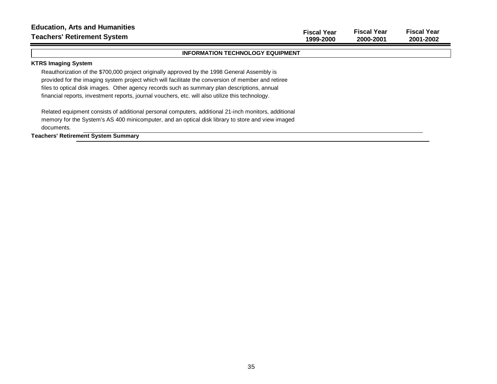| <b>Education, Arts and Humanities</b><br><b>Teachers' Retirement System</b>                                                                                                                                                                                                                                                                                                                            | <b>Fiscal Year</b><br>1999-2000 | <b>Fiscal Year</b><br>2000-2001 | <b>Fiscal Year</b><br>2001-2002 |
|--------------------------------------------------------------------------------------------------------------------------------------------------------------------------------------------------------------------------------------------------------------------------------------------------------------------------------------------------------------------------------------------------------|---------------------------------|---------------------------------|---------------------------------|
| <b>INFORMATION TECHNOLOGY EQUIPMENT</b>                                                                                                                                                                                                                                                                                                                                                                |                                 |                                 |                                 |
| <b>KTRS Imaging System</b>                                                                                                                                                                                                                                                                                                                                                                             |                                 |                                 |                                 |
| Reauthorization of the \$700,000 project originally approved by the 1998 General Assembly is<br>provided for the imaging system project which will facilitate the conversion of member and retiree<br>files to optical disk images. Other agency records such as summary plan descriptions, annual<br>financial reports, investment reports, journal vouchers, etc. will also utilize this technology. |                                 |                                 |                                 |
| Related equipment consists of additional personal computers, additional 21-inch monitors, additional<br>memory for the System's AS 400 minicomputer, and an optical disk library to store and view imaged<br>documents.                                                                                                                                                                                |                                 |                                 |                                 |
| <b>Teachers' Retirement System Summary</b>                                                                                                                                                                                                                                                                                                                                                             |                                 |                                 |                                 |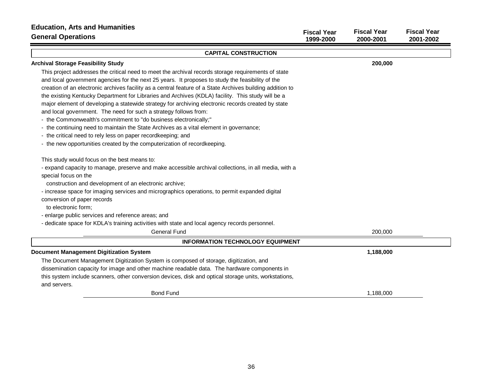| <b>Education, Arts and Humanities</b><br><b>General Operations</b>                                                                                                                                                                                                                                                                                                                                                                                                                                                                                                                                                                                                                                                                                                                                                                | <b>Fiscal Year</b><br>1999-2000 | <b>Fiscal Year</b><br>2000-2001 | <b>Fiscal Year</b><br>2001-2002 |
|-----------------------------------------------------------------------------------------------------------------------------------------------------------------------------------------------------------------------------------------------------------------------------------------------------------------------------------------------------------------------------------------------------------------------------------------------------------------------------------------------------------------------------------------------------------------------------------------------------------------------------------------------------------------------------------------------------------------------------------------------------------------------------------------------------------------------------------|---------------------------------|---------------------------------|---------------------------------|
| <b>CAPITAL CONSTRUCTION</b>                                                                                                                                                                                                                                                                                                                                                                                                                                                                                                                                                                                                                                                                                                                                                                                                       |                                 |                                 |                                 |
| <b>Archival Storage Feasibility Study</b>                                                                                                                                                                                                                                                                                                                                                                                                                                                                                                                                                                                                                                                                                                                                                                                         |                                 | 200,000                         |                                 |
| This project addresses the critical need to meet the archival records storage requirements of state<br>and local government agencies for the next 25 years. It proposes to study the feasibility of the<br>creation of an electronic archives facility as a central feature of a State Archives building addition to<br>the existing Kentucky Department for Libraries and Archives (KDLA) facility. This study will be a<br>major element of developing a statewide strategy for archiving electronic records created by state<br>and local government. The need for such a strategy follows from:<br>- the Commonwealth's commitment to "do business electronically;"<br>- the continuing need to maintain the State Archives as a vital element in governance;<br>- the critical need to rely less on paper recordkeeping; and |                                 |                                 |                                 |
| - the new opportunities created by the computerization of recordkeeping.                                                                                                                                                                                                                                                                                                                                                                                                                                                                                                                                                                                                                                                                                                                                                          |                                 |                                 |                                 |
| This study would focus on the best means to:<br>- expand capacity to manage, preserve and make accessible archival collections, in all media, with a<br>special focus on the<br>construction and development of an electronic archive;<br>- increase space for imaging services and micrographics operations, to permit expanded digital<br>conversion of paper records<br>to electronic form;<br>- enlarge public services and reference areas; and<br>- dedicate space for KDLA's training activities with state and local agency records personnel.<br><b>General Fund</b>                                                                                                                                                                                                                                                     |                                 | 200,000                         |                                 |
| <b>INFORMATION TECHNOLOGY EQUIPMENT</b>                                                                                                                                                                                                                                                                                                                                                                                                                                                                                                                                                                                                                                                                                                                                                                                           |                                 |                                 |                                 |
| <b>Document Management Digitization System</b><br>The Document Management Digitization System is composed of storage, digitization, and<br>dissemination capacity for image and other machine readable data. The hardware components in<br>this system include scanners, other conversion devices, disk and optical storage units, workstations,<br>and servers.                                                                                                                                                                                                                                                                                                                                                                                                                                                                  |                                 | 1,188,000                       |                                 |
| <b>Bond Fund</b>                                                                                                                                                                                                                                                                                                                                                                                                                                                                                                                                                                                                                                                                                                                                                                                                                  |                                 | 1.188.000                       |                                 |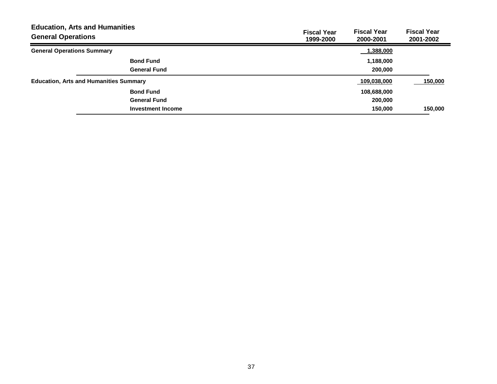| <b>General Operations</b>         | <b>Education, Arts and Humanities</b>         | <b>Fiscal Year</b><br>1999-2000 | <b>Fiscal Year</b><br>2000-2001 | <b>Fiscal Year</b><br>2001-2002 |
|-----------------------------------|-----------------------------------------------|---------------------------------|---------------------------------|---------------------------------|
| <b>General Operations Summary</b> |                                               |                                 | 1,388,000                       |                                 |
|                                   | <b>Bond Fund</b>                              |                                 | 1,188,000                       |                                 |
|                                   | <b>General Fund</b>                           |                                 | 200,000                         |                                 |
|                                   | <b>Education, Arts and Humanities Summary</b> |                                 | 109,038,000                     | 150,000                         |
|                                   | <b>Bond Fund</b>                              |                                 | 108,688,000                     |                                 |
|                                   | <b>General Fund</b>                           |                                 | 200,000                         |                                 |
|                                   | <b>Investment Income</b>                      |                                 | 150.000                         | 150,000                         |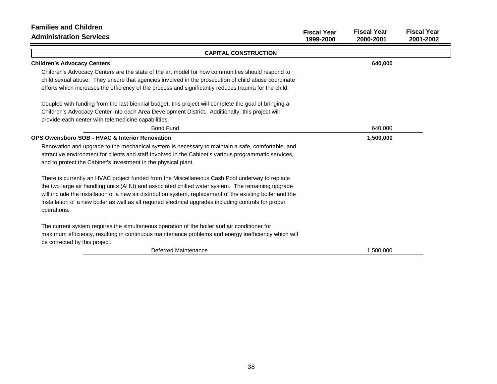| <b>Families and Children</b>                                                                                                                                                                                                         |                                 |                                 |                                 |
|--------------------------------------------------------------------------------------------------------------------------------------------------------------------------------------------------------------------------------------|---------------------------------|---------------------------------|---------------------------------|
| <b>Administration Services</b>                                                                                                                                                                                                       | <b>Fiscal Year</b><br>1999-2000 | <b>Fiscal Year</b><br>2000-2001 | <b>Fiscal Year</b><br>2001-2002 |
| <b>CAPITAL CONSTRUCTION</b>                                                                                                                                                                                                          |                                 |                                 |                                 |
| <b>Children's Advocacy Centers</b>                                                                                                                                                                                                   |                                 | 640,000                         |                                 |
| Children's Advocacy Centers are the state of the art model for how communities should respond to                                                                                                                                     |                                 |                                 |                                 |
| child sexual abuse. They ensure that agencies involved in the prosecution of child abuse coordinate                                                                                                                                  |                                 |                                 |                                 |
| efforts which increases the efficiency of the process and significantly reduces trauma for the child.                                                                                                                                |                                 |                                 |                                 |
| Coupled with funding from the last biennial budget, this project will complete the goal of bringing a                                                                                                                                |                                 |                                 |                                 |
| Children's Advocacy Center into each Area Development District. Additionally, this project will                                                                                                                                      |                                 |                                 |                                 |
| provide each center with telemedicine capabilities.                                                                                                                                                                                  |                                 |                                 |                                 |
| <b>Bond Fund</b>                                                                                                                                                                                                                     |                                 | 640,000                         |                                 |
| OPS Owensboro SOB - HVAC & Interior Renovation                                                                                                                                                                                       |                                 | 1,500,000                       |                                 |
| Renovation and upgrade to the mechanical system is necessary to maintain a safe, comfortable, and                                                                                                                                    |                                 |                                 |                                 |
| attractive environment for clients and staff involved in the Cabinet's various programmatic services,                                                                                                                                |                                 |                                 |                                 |
| and to protect the Cabinet's investment in the physical plant.                                                                                                                                                                       |                                 |                                 |                                 |
| There is currently an HVAC project funded from the Miscellaneous Cash Pool underway to replace                                                                                                                                       |                                 |                                 |                                 |
| the two large air handling units (AHU) and associated chilled water system. The remaining upgrade                                                                                                                                    |                                 |                                 |                                 |
| will include the installation of a new air distribution system, replacement of the existing boiler and the                                                                                                                           |                                 |                                 |                                 |
| installation of a new boiler as well as all required electrical upgrades including controls for proper<br>operations.                                                                                                                |                                 |                                 |                                 |
| The current system requires the simultaneous operation of the boiler and air conditioner for<br>maximum efficiency, resulting in continuous maintenance problems and energy inefficiency which will<br>be corrected by this project. |                                 |                                 |                                 |
| Deferred Maintenance                                                                                                                                                                                                                 |                                 | 1,500,000                       |                                 |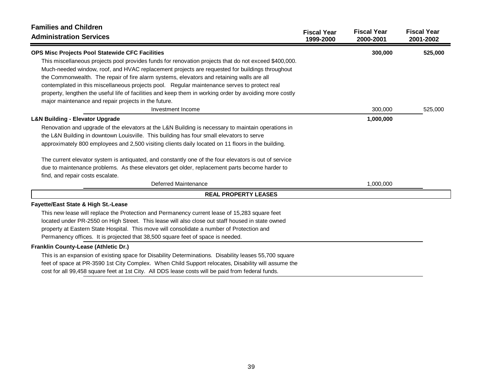| <b>Families and Children</b>                                                                            |                                 |                                 |                                 |
|---------------------------------------------------------------------------------------------------------|---------------------------------|---------------------------------|---------------------------------|
| <b>Administration Services</b>                                                                          | <b>Fiscal Year</b><br>1999-2000 | <b>Fiscal Year</b><br>2000-2001 | <b>Fiscal Year</b><br>2001-2002 |
| OPS Misc Projects Pool Statewide CFC Facilities                                                         |                                 | 300,000                         | 525,000                         |
| This miscellaneous projects pool provides funds for renovation projects that do not exceed \$400,000.   |                                 |                                 |                                 |
| Much-needed window, roof, and HVAC replacement projects are requested for buildings throughout          |                                 |                                 |                                 |
| the Commonwealth. The repair of fire alarm systems, elevators and retaining walls are all               |                                 |                                 |                                 |
| contemplated in this miscellaneous projects pool. Regular maintenance serves to protect real            |                                 |                                 |                                 |
| property, lengthen the useful life of facilities and keep them in working order by avoiding more costly |                                 |                                 |                                 |
| major maintenance and repair projects in the future.                                                    |                                 |                                 |                                 |
| Investment Income                                                                                       |                                 | 300,000                         | 525,000                         |
| <b>L&amp;N Building - Elevator Upgrade</b>                                                              |                                 | 1,000,000                       |                                 |
| Renovation and upgrade of the elevators at the L&N Building is necessary to maintain operations in      |                                 |                                 |                                 |
| the L&N Building in downtown Louisville. This building has four small elevators to serve                |                                 |                                 |                                 |
| approximately 800 employees and 2,500 visiting clients daily located on 11 floors in the building.      |                                 |                                 |                                 |
| The current elevator system is antiquated, and constantly one of the four elevators is out of service   |                                 |                                 |                                 |
| due to maintenance problems. As these elevators get older, replacement parts become harder to           |                                 |                                 |                                 |
| find, and repair costs escalate.                                                                        |                                 |                                 |                                 |
| Deferred Maintenance                                                                                    |                                 | 1,000,000                       |                                 |
| <b>REAL PROPERTY LEASES</b>                                                                             |                                 |                                 |                                 |
| Fayette/East State & High St.-Lease                                                                     |                                 |                                 |                                 |
| This new lease will replace the Protection and Permanency current lease of 15,283 square feet           |                                 |                                 |                                 |
| located under PR-2550 on High Street. This lease will also close out staff housed in state owned        |                                 |                                 |                                 |
| property at Eastern State Hospital. This move will consolidate a number of Protection and               |                                 |                                 |                                 |
| Permanency offices. It is projected that 38,500 square feet of space is needed.                         |                                 |                                 |                                 |
| Franklin County-Lease (Athletic Dr.)                                                                    |                                 |                                 |                                 |
| This is an expansion of existing space for Disability Determinations. Disability leases 55,700 square   |                                 |                                 |                                 |
| feet of space at PR-3590 1st City Complex. When Child Support relocates, Disability will assume the     |                                 |                                 |                                 |
| cost for all 99,458 square feet at 1st City. All DDS lease costs will be paid from federal funds.       |                                 |                                 |                                 |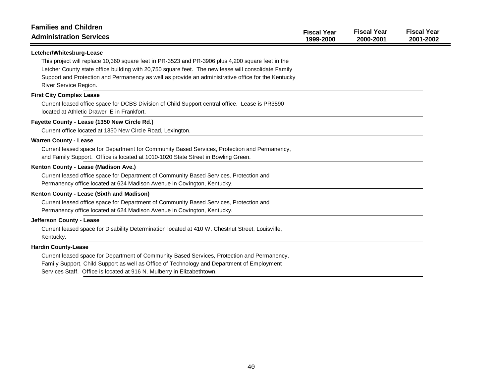| <b>Families and Children</b><br><b>Administration Services</b>                                                                               | <b>Fiscal Year</b><br>1999-2000 | <b>Fiscal Year</b><br>2000-2001 | <b>Fiscal Year</b><br>2001-2002 |
|----------------------------------------------------------------------------------------------------------------------------------------------|---------------------------------|---------------------------------|---------------------------------|
| Letcher/Whitesburg-Lease                                                                                                                     |                                 |                                 |                                 |
| This project will replace 10,360 square feet in PR-3523 and PR-3906 plus 4,200 square feet in the                                            |                                 |                                 |                                 |
| Letcher County state office building with 20,750 square feet. The new lease will consolidate Family                                          |                                 |                                 |                                 |
| Support and Protection and Permanency as well as provide an administrative office for the Kentucky                                           |                                 |                                 |                                 |
| River Service Region.                                                                                                                        |                                 |                                 |                                 |
| <b>First City Complex Lease</b>                                                                                                              |                                 |                                 |                                 |
| Current leased office space for DCBS Division of Child Support central office. Lease is PR3590<br>located at Athletic Drawer E in Frankfort. |                                 |                                 |                                 |
| Fayette County - Lease (1350 New Circle Rd.)                                                                                                 |                                 |                                 |                                 |
| Current office located at 1350 New Circle Road, Lexington.                                                                                   |                                 |                                 |                                 |
| <b>Warren County - Lease</b>                                                                                                                 |                                 |                                 |                                 |
| Current leased space for Department for Community Based Services, Protection and Permanency,                                                 |                                 |                                 |                                 |
| and Family Support. Office is located at 1010-1020 State Street in Bowling Green.                                                            |                                 |                                 |                                 |
| Kenton County - Lease (Madison Ave.)                                                                                                         |                                 |                                 |                                 |
| Current leased office space for Department of Community Based Services, Protection and                                                       |                                 |                                 |                                 |
| Permanency office located at 624 Madison Avenue in Covington, Kentucky.                                                                      |                                 |                                 |                                 |
| Kenton County - Lease (Sixth and Madison)                                                                                                    |                                 |                                 |                                 |
| Current leased office space for Department of Community Based Services, Protection and                                                       |                                 |                                 |                                 |
| Permanency office located at 624 Madison Avenue in Covington, Kentucky.                                                                      |                                 |                                 |                                 |
| Jefferson County - Lease                                                                                                                     |                                 |                                 |                                 |
| Current leased space for Disability Determination located at 410 W. Chestnut Street, Louisville,                                             |                                 |                                 |                                 |
| Kentucky.                                                                                                                                    |                                 |                                 |                                 |
| <b>Hardin County-Lease</b>                                                                                                                   |                                 |                                 |                                 |
| Current leased space for Department of Community Based Services, Protection and Permanency,                                                  |                                 |                                 |                                 |
| Family Support, Child Support as well as Office of Technology and Department of Employment                                                   |                                 |                                 |                                 |
| Services Staff. Office is located at 916 N. Mulberry in Elizabethtown.                                                                       |                                 |                                 |                                 |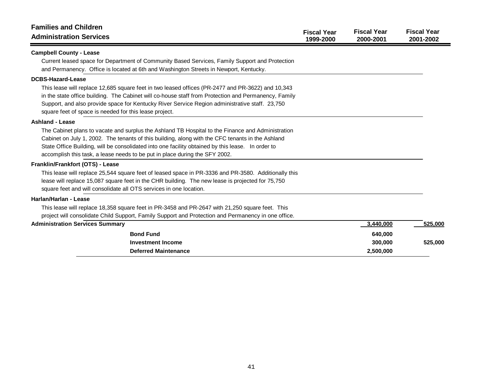| <b>Families and Children</b><br><b>Administration Services</b>                                                                                                                                                                                                                                                                                                                                                      | <b>Fiscal Year</b><br>1999-2000 | <b>Fiscal Year</b><br>2000-2001              | <b>Fiscal Year</b><br>2001-2002 |
|---------------------------------------------------------------------------------------------------------------------------------------------------------------------------------------------------------------------------------------------------------------------------------------------------------------------------------------------------------------------------------------------------------------------|---------------------------------|----------------------------------------------|---------------------------------|
| <b>Campbell County - Lease</b><br>Current leased space for Department of Community Based Services, Family Support and Protection<br>and Permanency. Office is located at 6th and Washington Streets in Newport, Kentucky.                                                                                                                                                                                           |                                 |                                              |                                 |
| <b>DCBS-Hazard-Lease</b><br>This lease will replace 12,685 square feet in two leased offices (PR-2477 and PR-3622) and 10,343<br>in the state office building. The Cabinet will co-house staff from Protection and Permanency, Family<br>Support, and also provide space for Kentucky River Service Region administrative staff. 23,750<br>square feet of space is needed for this lease project.                   |                                 |                                              |                                 |
| <b>Ashland - Lease</b><br>The Cabinet plans to vacate and surplus the Ashland TB Hospital to the Finance and Administration<br>Cabinet on July 1, 2002. The tenants of this building, along with the CFC tenants in the Ashland<br>State Office Building, will be consolidated into one facility obtained by this lease. In order to<br>accomplish this task, a lease needs to be put in place during the SFY 2002. |                                 |                                              |                                 |
| Franklin/Frankfort (OTS) - Lease<br>This lease will replace 25,544 square feet of leased space in PR-3336 and PR-3580. Additionally this<br>lease will replace 15,087 square feet in the CHR building. The new lease is projected for 75,750<br>square feet and will consolidate all OTS services in one location.                                                                                                  |                                 |                                              |                                 |
| Harlan/Harlan - Lease<br>This lease will replace 18,358 square feet in PR-3458 and PR-2647 with 21,250 square feet. This<br>project will consolidate Child Support, Family Support and Protection and Permanency in one office.                                                                                                                                                                                     |                                 |                                              |                                 |
| <b>Administration Services Summary</b><br><b>Bond Fund</b><br><b>Investment Income</b><br><b>Deferred Maintenance</b>                                                                                                                                                                                                                                                                                               |                                 | 3,440,000<br>640,000<br>300,000<br>2,500,000 | 525,000<br>525,000              |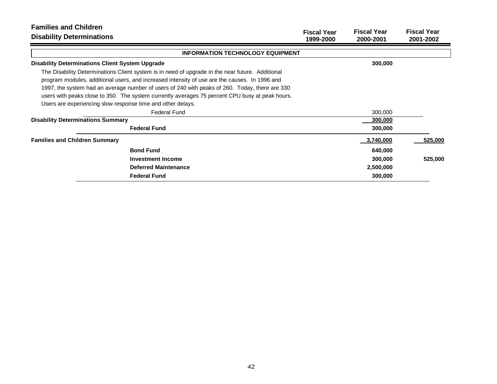| <b>Families and Children</b><br><b>Disability Determinations</b>                                                                                                                                                                                                                                                                                                                                                                                                      | <b>Fiscal Year</b><br>1999-2000 | <b>Fiscal Year</b><br>2000-2001 | <b>Fiscal Year</b><br>2001-2002 |
|-----------------------------------------------------------------------------------------------------------------------------------------------------------------------------------------------------------------------------------------------------------------------------------------------------------------------------------------------------------------------------------------------------------------------------------------------------------------------|---------------------------------|---------------------------------|---------------------------------|
| <b>INFORMATION TECHNOLOGY EQUIPMENT</b>                                                                                                                                                                                                                                                                                                                                                                                                                               |                                 |                                 |                                 |
| <b>Disability Determinations Client System Upgrade</b>                                                                                                                                                                                                                                                                                                                                                                                                                |                                 | 300,000                         |                                 |
| The Disability Determinations Client system is in need of upgrade in the near future. Additional<br>program modules, additional users, and increased intensity of use are the causes. In 1996 and<br>1997, the system had an average number of users of 240 with peaks of 260. Today, there are 330<br>users with peaks close to 350. The system currently averages 75 percent CPU busy at peak hours.<br>Users are experiencing slow response time and other delays. |                                 |                                 |                                 |
| <b>Federal Fund</b>                                                                                                                                                                                                                                                                                                                                                                                                                                                   |                                 | 300,000                         |                                 |
| <b>Disability Determinations Summary</b>                                                                                                                                                                                                                                                                                                                                                                                                                              |                                 | 300,000                         |                                 |
| <b>Federal Fund</b>                                                                                                                                                                                                                                                                                                                                                                                                                                                   |                                 | 300,000                         |                                 |
| <b>Families and Children Summary</b>                                                                                                                                                                                                                                                                                                                                                                                                                                  |                                 | 3,740,000                       | 525,000                         |
| <b>Bond Fund</b>                                                                                                                                                                                                                                                                                                                                                                                                                                                      |                                 | 640,000                         |                                 |
| Investment Income                                                                                                                                                                                                                                                                                                                                                                                                                                                     |                                 | 300,000                         | 525,000                         |
| <b>Deferred Maintenance</b>                                                                                                                                                                                                                                                                                                                                                                                                                                           |                                 | 2,500,000                       |                                 |
| <b>Federal Fund</b>                                                                                                                                                                                                                                                                                                                                                                                                                                                   |                                 | 300,000                         |                                 |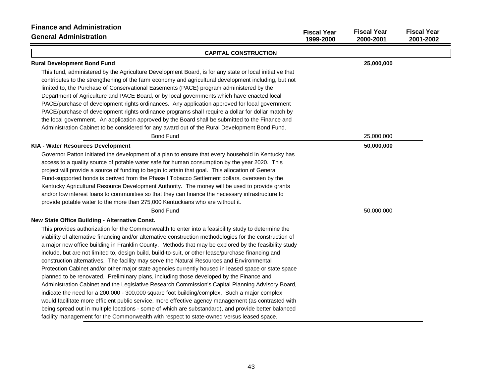| <b>Finance and Administration</b><br><b>General Administration</b>                                       | <b>Fiscal Year</b><br>1999-2000 | <b>Fiscal Year</b><br>2000-2001 | <b>Fiscal Year</b><br>2001-2002 |
|----------------------------------------------------------------------------------------------------------|---------------------------------|---------------------------------|---------------------------------|
| <b>CAPITAL CONSTRUCTION</b>                                                                              |                                 |                                 |                                 |
| <b>Rural Development Bond Fund</b>                                                                       |                                 | 25,000,000                      |                                 |
| This fund, administered by the Agriculture Development Board, is for any state or local initiative that  |                                 |                                 |                                 |
| contributes to the strengthening of the farm economy and agricultural development including, but not     |                                 |                                 |                                 |
| limited to, the Purchase of Conservational Easements (PACE) program administered by the                  |                                 |                                 |                                 |
| Department of Agriculture and PACE Board, or by local governments which have enacted local               |                                 |                                 |                                 |
| PACE/purchase of development rights ordinances. Any application approved for local government            |                                 |                                 |                                 |
| PACE/purchase of development rights ordinance programs shall require a dollar for dollar match by        |                                 |                                 |                                 |
| the local government. An application approved by the Board shall be submitted to the Finance and         |                                 |                                 |                                 |
| Administration Cabinet to be considered for any award out of the Rural Development Bond Fund.            |                                 |                                 |                                 |
| <b>Bond Fund</b>                                                                                         |                                 | 25,000,000                      |                                 |
| KIA - Water Resources Development                                                                        |                                 | 50,000,000                      |                                 |
| Governor Patton initiated the development of a plan to ensure that every household in Kentucky has       |                                 |                                 |                                 |
| access to a quality source of potable water safe for human consumption by the year 2020. This            |                                 |                                 |                                 |
| project will provide a source of funding to begin to attain that goal. This allocation of General        |                                 |                                 |                                 |
| Fund-supported bonds is derived from the Phase I Tobacco Settlement dollars, overseen by the             |                                 |                                 |                                 |
| Kentucky Agricultural Resource Development Authority. The money will be used to provide grants           |                                 |                                 |                                 |
| and/or low interest loans to communities so that they can finance the necessary infrastructure to        |                                 |                                 |                                 |
| provide potable water to the more than 275,000 Kentuckians who are without it.                           |                                 |                                 |                                 |
| <b>Bond Fund</b>                                                                                         |                                 | 50,000,000                      |                                 |
| New State Office Building - Alternative Const.                                                           |                                 |                                 |                                 |
| This provides authorization for the Commonwealth to enter into a feasibility study to determine the      |                                 |                                 |                                 |
| viability of alternative financing and/or alternative construction methodologies for the construction of |                                 |                                 |                                 |
| a major new office building in Franklin County. Methods that may be explored by the feasibility study    |                                 |                                 |                                 |
| include, but are not limited to, design build, build-to-suit, or other lease/purchase financing and      |                                 |                                 |                                 |
| construction alternatives. The facility may serve the Natural Resources and Environmental                |                                 |                                 |                                 |
| Protection Cabinet and/or other major state agencies currently housed in leased space or state space     |                                 |                                 |                                 |
| planned to be renovated. Preliminary plans, including those developed by the Finance and                 |                                 |                                 |                                 |
| Administration Cabinet and the Legislative Research Commission's Capital Planning Advisory Board,        |                                 |                                 |                                 |
| indicate the need for a 200,000 - 300,000 square foot building/complex. Such a major complex             |                                 |                                 |                                 |
| would facilitate more efficient public service, more effective agency management (as contrasted with     |                                 |                                 |                                 |
| being spread out in multiple locations - some of which are substandard), and provide better balanced     |                                 |                                 |                                 |
| facility management for the Commonwealth with respect to state-owned versus leased space.                |                                 |                                 |                                 |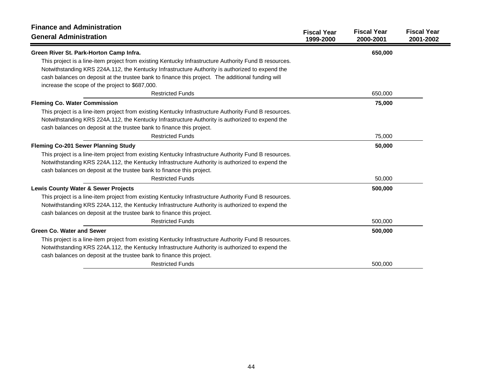| <b>Finance and Administration</b>                                                                     | <b>Fiscal Year</b> | <b>Fiscal Year</b> | <b>Fiscal Year</b> |
|-------------------------------------------------------------------------------------------------------|--------------------|--------------------|--------------------|
| <b>General Administration</b>                                                                         | 1999-2000          | 2000-2001          | 2001-2002          |
| Green River St. Park-Horton Camp Infra.                                                               |                    | 650,000            |                    |
| This project is a line-item project from existing Kentucky Infrastructure Authority Fund B resources. |                    |                    |                    |
| Notwithstanding KRS 224A.112, the Kentucky Infrastructure Authority is authorized to expend the       |                    |                    |                    |
| cash balances on deposit at the trustee bank to finance this project. The additional funding will     |                    |                    |                    |
| increase the scope of the project to \$687,000.                                                       |                    |                    |                    |
| <b>Restricted Funds</b>                                                                               |                    | 650,000            |                    |
| <b>Fleming Co. Water Commission</b>                                                                   |                    | 75,000             |                    |
| This project is a line-item project from existing Kentucky Infrastructure Authority Fund B resources. |                    |                    |                    |
| Notwithstanding KRS 224A.112, the Kentucky Infrastructure Authority is authorized to expend the       |                    |                    |                    |
| cash balances on deposit at the trustee bank to finance this project.                                 |                    |                    |                    |
| <b>Restricted Funds</b>                                                                               |                    | 75,000             |                    |
| Fleming Co-201 Sewer Planning Study                                                                   |                    | 50,000             |                    |
| This project is a line-item project from existing Kentucky Infrastructure Authority Fund B resources. |                    |                    |                    |
| Notwithstanding KRS 224A.112, the Kentucky Infrastructure Authority is authorized to expend the       |                    |                    |                    |
| cash balances on deposit at the trustee bank to finance this project.                                 |                    |                    |                    |
| <b>Restricted Funds</b>                                                                               |                    | 50,000             |                    |
| <b>Lewis County Water &amp; Sewer Projects</b>                                                        |                    | 500,000            |                    |
| This project is a line-item project from existing Kentucky Infrastructure Authority Fund B resources. |                    |                    |                    |
| Notwithstanding KRS 224A.112, the Kentucky Infrastructure Authority is authorized to expend the       |                    |                    |                    |
| cash balances on deposit at the trustee bank to finance this project.                                 |                    |                    |                    |
| <b>Restricted Funds</b>                                                                               |                    | 500,000            |                    |
| <b>Green Co. Water and Sewer</b>                                                                      |                    | 500,000            |                    |
| This project is a line-item project from existing Kentucky Infrastructure Authority Fund B resources. |                    |                    |                    |
| Notwithstanding KRS 224A.112, the Kentucky Infrastructure Authority is authorized to expend the       |                    |                    |                    |
| cash balances on deposit at the trustee bank to finance this project.                                 |                    |                    |                    |
| <b>Restricted Funds</b>                                                                               |                    | 500,000            |                    |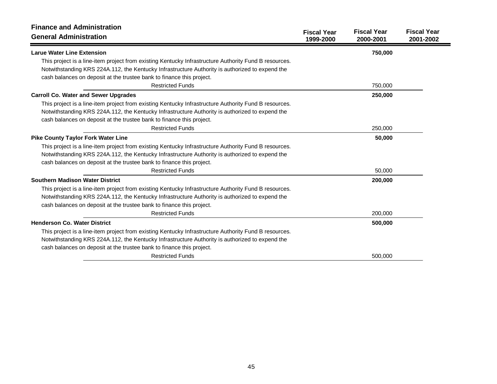| <b>Finance and Administration</b><br><b>General Administration</b>                                    | <b>Fiscal Year</b><br>1999-2000 | <b>Fiscal Year</b><br>2000-2001 | <b>Fiscal Year</b><br>2001-2002 |
|-------------------------------------------------------------------------------------------------------|---------------------------------|---------------------------------|---------------------------------|
| <b>Larue Water Line Extension</b>                                                                     |                                 | 750,000                         |                                 |
| This project is a line-item project from existing Kentucky Infrastructure Authority Fund B resources. |                                 |                                 |                                 |
| Notwithstanding KRS 224A.112, the Kentucky Infrastructure Authority is authorized to expend the       |                                 |                                 |                                 |
| cash balances on deposit at the trustee bank to finance this project.                                 |                                 |                                 |                                 |
| <b>Restricted Funds</b>                                                                               |                                 | 750,000                         |                                 |
| <b>Carroll Co. Water and Sewer Upgrades</b>                                                           |                                 | 250,000                         |                                 |
| This project is a line-item project from existing Kentucky Infrastructure Authority Fund B resources. |                                 |                                 |                                 |
| Notwithstanding KRS 224A.112, the Kentucky Infrastructure Authority is authorized to expend the       |                                 |                                 |                                 |
| cash balances on deposit at the trustee bank to finance this project.                                 |                                 |                                 |                                 |
| <b>Restricted Funds</b>                                                                               |                                 | 250,000                         |                                 |
| <b>Pike County Taylor Fork Water Line</b>                                                             |                                 | 50,000                          |                                 |
| This project is a line-item project from existing Kentucky Infrastructure Authority Fund B resources. |                                 |                                 |                                 |
| Notwithstanding KRS 224A.112, the Kentucky Infrastructure Authority is authorized to expend the       |                                 |                                 |                                 |
| cash balances on deposit at the trustee bank to finance this project.                                 |                                 |                                 |                                 |
| <b>Restricted Funds</b>                                                                               |                                 | 50,000                          |                                 |
| <b>Southern Madison Water District</b>                                                                |                                 | 200,000                         |                                 |
| This project is a line-item project from existing Kentucky Infrastructure Authority Fund B resources. |                                 |                                 |                                 |
| Notwithstanding KRS 224A.112, the Kentucky Infrastructure Authority is authorized to expend the       |                                 |                                 |                                 |
| cash balances on deposit at the trustee bank to finance this project.                                 |                                 |                                 |                                 |
| <b>Restricted Funds</b>                                                                               |                                 | 200,000                         |                                 |
| <b>Henderson Co. Water District</b>                                                                   |                                 | 500,000                         |                                 |
| This project is a line-item project from existing Kentucky Infrastructure Authority Fund B resources. |                                 |                                 |                                 |
| Notwithstanding KRS 224A.112, the Kentucky Infrastructure Authority is authorized to expend the       |                                 |                                 |                                 |
| cash balances on deposit at the trustee bank to finance this project.                                 |                                 |                                 |                                 |
| <b>Restricted Funds</b>                                                                               |                                 | 500,000                         |                                 |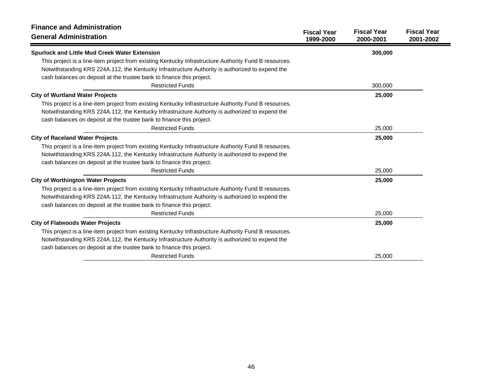| <b>Finance and Administration</b><br><b>General Administration</b>                                    | <b>Fiscal Year</b><br>1999-2000 | <b>Fiscal Year</b><br>2000-2001 | <b>Fiscal Year</b><br>2001-2002 |
|-------------------------------------------------------------------------------------------------------|---------------------------------|---------------------------------|---------------------------------|
| <b>Spurlock and Little Mud Creek Water Extension</b>                                                  |                                 | 300,000                         |                                 |
| This project is a line-item project from existing Kentucky Infrastructure Authority Fund B resources. |                                 |                                 |                                 |
| Notwithstanding KRS 224A.112, the Kentucky Infrastructure Authority is authorized to expend the       |                                 |                                 |                                 |
| cash balances on deposit at the trustee bank to finance this project.                                 |                                 |                                 |                                 |
| <b>Restricted Funds</b>                                                                               |                                 | 300,000                         |                                 |
| <b>City of Wurtland Water Projects</b>                                                                |                                 | 25,000                          |                                 |
| This project is a line-item project from existing Kentucky Infrastructure Authority Fund B resources. |                                 |                                 |                                 |
| Notwithstanding KRS 224A.112, the Kentucky Infrastructure Authority is authorized to expend the       |                                 |                                 |                                 |
| cash balances on deposit at the trustee bank to finance this project.                                 |                                 |                                 |                                 |
| <b>Restricted Funds</b>                                                                               |                                 | 25,000                          |                                 |
| <b>City of Raceland Water Projects</b>                                                                |                                 | 25,000                          |                                 |
| This project is a line-item project from existing Kentucky Infrastructure Authority Fund B resources. |                                 |                                 |                                 |
| Notwithstanding KRS 224A.112, the Kentucky Infrastructure Authority is authorized to expend the       |                                 |                                 |                                 |
| cash balances on deposit at the trustee bank to finance this project.                                 |                                 |                                 |                                 |
| <b>Restricted Funds</b>                                                                               |                                 | 25,000                          |                                 |
| <b>City of Worthington Water Projects</b>                                                             |                                 | 25,000                          |                                 |
| This project is a line-item project from existing Kentucky Infrastructure Authority Fund B resources. |                                 |                                 |                                 |
| Notwithstanding KRS 224A.112, the Kentucky Infrastructure Authority is authorized to expend the       |                                 |                                 |                                 |
| cash balances on deposit at the trustee bank to finance this project.                                 |                                 |                                 |                                 |
| <b>Restricted Funds</b>                                                                               |                                 | 25,000                          |                                 |
| <b>City of Flatwoods Water Projects</b>                                                               |                                 | 25,000                          |                                 |
| This project is a line-item project from existing Kentucky Infrastructure Authority Fund B resources. |                                 |                                 |                                 |
| Notwithstanding KRS 224A.112, the Kentucky Infrastructure Authority is authorized to expend the       |                                 |                                 |                                 |
| cash balances on deposit at the trustee bank to finance this project.                                 |                                 |                                 |                                 |
| <b>Restricted Funds</b>                                                                               |                                 | 25,000                          |                                 |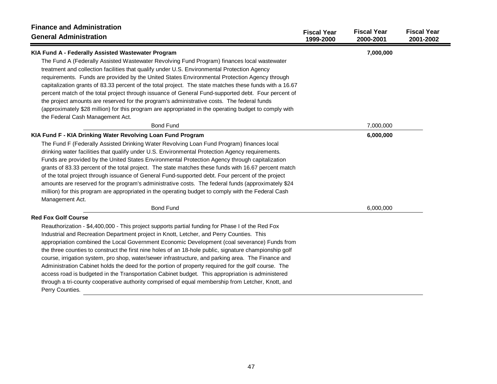| <b>Finance and Administration</b><br><b>General Administration</b>                                                                                                                                                                                                                                                                                                                                                                                                                                                                                                                                                                                                                                                                                                                                                                                                            | <b>Fiscal Year</b><br>1999-2000 | <b>Fiscal Year</b><br>2000-2001 | <b>Fiscal Year</b><br>2001-2002 |
|-------------------------------------------------------------------------------------------------------------------------------------------------------------------------------------------------------------------------------------------------------------------------------------------------------------------------------------------------------------------------------------------------------------------------------------------------------------------------------------------------------------------------------------------------------------------------------------------------------------------------------------------------------------------------------------------------------------------------------------------------------------------------------------------------------------------------------------------------------------------------------|---------------------------------|---------------------------------|---------------------------------|
| KIA Fund A - Federally Assisted Wastewater Program<br>The Fund A (Federally Assisted Wastewater Revolving Fund Program) finances local wastewater<br>treatment and collection facilities that qualify under U.S. Environmental Protection Agency<br>requirements. Funds are provided by the United States Environmental Protection Agency through<br>capitalization grants of 83.33 percent of the total project. The state matches these funds with a 16.67<br>percent match of the total project through issuance of General Fund-supported debt. Four percent of<br>the project amounts are reserved for the program's administrative costs. The federal funds<br>(approximately \$28 million) for this program are appropriated in the operating budget to comply with<br>the Federal Cash Management Act.                                                                |                                 | 7,000,000                       |                                 |
| <b>Bond Fund</b>                                                                                                                                                                                                                                                                                                                                                                                                                                                                                                                                                                                                                                                                                                                                                                                                                                                              |                                 | 7,000,000                       |                                 |
| KIA Fund F - KIA Drinking Water Revolving Loan Fund Program<br>The Fund F (Federally Assisted Drinking Water Revolving Loan Fund Program) finances local<br>drinking water facilities that qualify under U.S. Environmental Protection Agency requirements.<br>Funds are provided by the United States Environmental Protection Agency through capitalization<br>grants of 83.33 percent of the total project. The state matches these funds with 16.67 percent match<br>of the total project through issuance of General Fund-supported debt. Four percent of the project<br>amounts are reserved for the program's administrative costs. The federal funds (approximately \$24<br>million) for this program are appropriated in the operating budget to comply with the Federal Cash<br>Management Act.<br><b>Bond Fund</b>                                                 |                                 | 6,000,000<br>6,000,000          |                                 |
| <b>Red Fox Golf Course</b><br>Reauthorization - \$4,400,000 - This project supports partial funding for Phase I of the Red Fox<br>Industrial and Recreation Department project in Knott, Letcher, and Perry Counties. This<br>appropriation combined the Local Government Economic Development (coal severance) Funds from<br>the three counties to construct the first nine holes of an 18-hole public, signature championship golf<br>course, irrigation system, pro shop, water/sewer infrastructure, and parking area. The Finance and<br>Administration Cabinet holds the deed for the portion of property required for the golf course. The<br>access road is budgeted in the Transportation Cabinet budget. This appropriation is administered<br>through a tri-county cooperative authority comprised of equal membership from Letcher, Knott, and<br>Perry Counties. |                                 |                                 |                                 |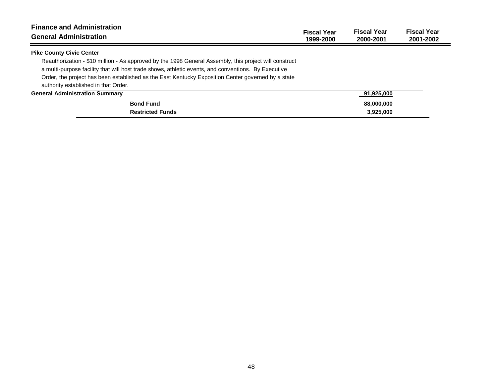| <b>Finance and Administration</b><br><b>General Administration</b>                                                                                                                                                                                                                                                                                          | <b>Fiscal Year</b><br>1999-2000 | <b>Fiscal Year</b><br>2000-2001 | <b>Fiscal Year</b><br>2001-2002 |
|-------------------------------------------------------------------------------------------------------------------------------------------------------------------------------------------------------------------------------------------------------------------------------------------------------------------------------------------------------------|---------------------------------|---------------------------------|---------------------------------|
| <b>Pike County Civic Center</b>                                                                                                                                                                                                                                                                                                                             |                                 |                                 |                                 |
| Reauthorization - \$10 million - As approved by the 1998 General Assembly, this project will construct<br>a multi-purpose facility that will host trade shows, athletic events, and conventions. By Executive<br>Order, the project has been established as the East Kentucky Exposition Center governed by a state<br>authority established in that Order. |                                 |                                 |                                 |
| <b>General Administration Summary</b>                                                                                                                                                                                                                                                                                                                       |                                 | 91,925,000                      |                                 |
| <b>Bond Fund</b>                                                                                                                                                                                                                                                                                                                                            |                                 | 88,000,000                      |                                 |
| <b>Restricted Funds</b>                                                                                                                                                                                                                                                                                                                                     |                                 | 3,925,000                       |                                 |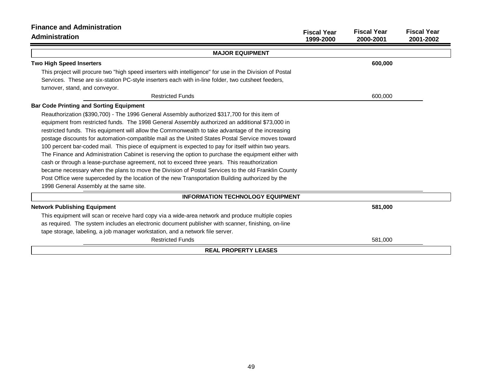| <b>Finance and Administration</b>                                                                        |                                 |                                 |                                 |
|----------------------------------------------------------------------------------------------------------|---------------------------------|---------------------------------|---------------------------------|
| Administration                                                                                           | <b>Fiscal Year</b><br>1999-2000 | <b>Fiscal Year</b><br>2000-2001 | <b>Fiscal Year</b><br>2001-2002 |
| <b>MAJOR EQUIPMENT</b>                                                                                   |                                 |                                 |                                 |
| <b>Two High Speed Inserters</b>                                                                          |                                 | 600,000                         |                                 |
| This project will procure two "high speed inserters with intelligence" for use in the Division of Postal |                                 |                                 |                                 |
| Services. These are six-station PC-style inserters each with in-line folder, two cutsheet feeders,       |                                 |                                 |                                 |
| turnover, stand, and conveyor.                                                                           |                                 |                                 |                                 |
| <b>Restricted Funds</b>                                                                                  |                                 | 600,000                         |                                 |
| <b>Bar Code Printing and Sorting Equipment</b>                                                           |                                 |                                 |                                 |
| Reauthorization (\$390,700) - The 1996 General Assembly authorized \$317,700 for this item of            |                                 |                                 |                                 |
| equipment from restricted funds. The 1998 General Assembly authorized an additional \$73,000 in          |                                 |                                 |                                 |
| restricted funds. This equipment will allow the Commonwealth to take advantage of the increasing         |                                 |                                 |                                 |
| postage discounts for automation-compatible mail as the United States Postal Service moves toward        |                                 |                                 |                                 |
| 100 percent bar-coded mail. This piece of equipment is expected to pay for itself within two years.      |                                 |                                 |                                 |
| The Finance and Administration Cabinet is reserving the option to purchase the equipment either with     |                                 |                                 |                                 |
| cash or through a lease-purchase agreement, not to exceed three years. This reauthorization              |                                 |                                 |                                 |
| became necessary when the plans to move the Division of Postal Services to the old Franklin County       |                                 |                                 |                                 |
| Post Office were superceded by the location of the new Transportation Building authorized by the         |                                 |                                 |                                 |
| 1998 General Assembly at the same site.                                                                  |                                 |                                 |                                 |
| <b>INFORMATION TECHNOLOGY EQUIPMENT</b>                                                                  |                                 |                                 |                                 |
| <b>Network Publishing Equipment</b>                                                                      |                                 | 581,000                         |                                 |
| This equipment will scan or receive hard copy via a wide-area network and produce multiple copies        |                                 |                                 |                                 |
| as required. The system includes an electronic document publisher with scanner, finishing, on-line       |                                 |                                 |                                 |
| tape storage, labeling, a job manager workstation, and a network file server.                            |                                 |                                 |                                 |
| <b>Restricted Funds</b>                                                                                  |                                 | 581,000                         |                                 |
| <b>REAL PROPERTY LEASES</b>                                                                              |                                 |                                 |                                 |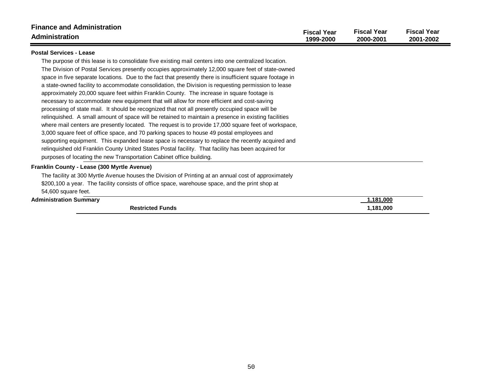| <b>Finance and Administration</b><br>Administration                                                                                                                                                                                                                                                                                                                                                                                                                                                                                                                                                                                                                                                                                                                                                                                                                                                                                                                                                                                                                                                                                                                                                                                                                                                                           | <b>Fiscal Year</b><br>1999-2000 | <b>Fiscal Year</b><br>2000-2001 | <b>Fiscal Year</b><br>2001-2002 |
|-------------------------------------------------------------------------------------------------------------------------------------------------------------------------------------------------------------------------------------------------------------------------------------------------------------------------------------------------------------------------------------------------------------------------------------------------------------------------------------------------------------------------------------------------------------------------------------------------------------------------------------------------------------------------------------------------------------------------------------------------------------------------------------------------------------------------------------------------------------------------------------------------------------------------------------------------------------------------------------------------------------------------------------------------------------------------------------------------------------------------------------------------------------------------------------------------------------------------------------------------------------------------------------------------------------------------------|---------------------------------|---------------------------------|---------------------------------|
| <b>Postal Services - Lease</b>                                                                                                                                                                                                                                                                                                                                                                                                                                                                                                                                                                                                                                                                                                                                                                                                                                                                                                                                                                                                                                                                                                                                                                                                                                                                                                |                                 |                                 |                                 |
| The purpose of this lease is to consolidate five existing mail centers into one centralized location.<br>The Division of Postal Services presently occupies approximately 12,000 square feet of state-owned<br>space in five separate locations. Due to the fact that presently there is insufficient square footage in<br>a state-owned facility to accommodate consolidation, the Division is requesting permission to lease<br>approximately 20,000 square feet within Franklin County. The increase in square footage is<br>necessary to accommodate new equipment that will allow for more efficient and cost-saving<br>processing of state mail. It should be recognized that not all presently occupied space will be<br>relinguished. A small amount of space will be retained to maintain a presence in existing facilities<br>where mail centers are presently located. The request is to provide 17,000 square feet of workspace,<br>3,000 square feet of office space, and 70 parking spaces to house 49 postal employees and<br>supporting equipment. This expanded lease space is necessary to replace the recently acquired and<br>relinquished old Franklin County United States Postal facility. That facility has been acquired for<br>purposes of locating the new Transportation Cabinet office building. |                                 |                                 |                                 |
| Franklin County - Lease (300 Myrtle Avenue)                                                                                                                                                                                                                                                                                                                                                                                                                                                                                                                                                                                                                                                                                                                                                                                                                                                                                                                                                                                                                                                                                                                                                                                                                                                                                   |                                 |                                 |                                 |
| The facility at 300 Myrtle Avenue houses the Division of Printing at an annual cost of approximately                                                                                                                                                                                                                                                                                                                                                                                                                                                                                                                                                                                                                                                                                                                                                                                                                                                                                                                                                                                                                                                                                                                                                                                                                          |                                 |                                 |                                 |
| \$200,100 a year. The facility consists of office space, warehouse space, and the print shop at                                                                                                                                                                                                                                                                                                                                                                                                                                                                                                                                                                                                                                                                                                                                                                                                                                                                                                                                                                                                                                                                                                                                                                                                                               |                                 |                                 |                                 |
| 54,600 square feet.<br><b>Administration Summary</b>                                                                                                                                                                                                                                                                                                                                                                                                                                                                                                                                                                                                                                                                                                                                                                                                                                                                                                                                                                                                                                                                                                                                                                                                                                                                          |                                 | 1,181,000                       |                                 |
| <b>Restricted Funds</b>                                                                                                                                                                                                                                                                                                                                                                                                                                                                                                                                                                                                                                                                                                                                                                                                                                                                                                                                                                                                                                                                                                                                                                                                                                                                                                       |                                 | 1,181,000                       |                                 |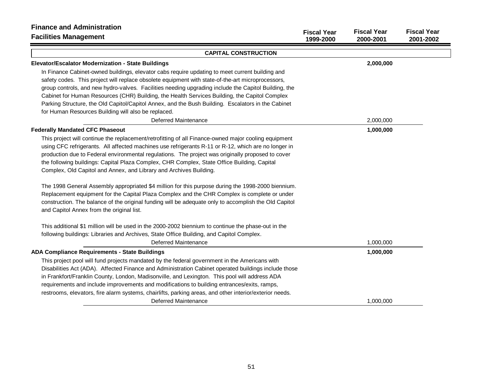| <b>Finance and Administration</b><br><b>Facilities Management</b>                                       | <b>Fiscal Year</b><br>1999-2000 | <b>Fiscal Year</b><br>2000-2001 | <b>Fiscal Year</b><br>2001-2002 |
|---------------------------------------------------------------------------------------------------------|---------------------------------|---------------------------------|---------------------------------|
| <b>CAPITAL CONSTRUCTION</b>                                                                             |                                 |                                 |                                 |
| Elevator/Escalator Modernization - State Buildings                                                      |                                 | 2,000,000                       |                                 |
| In Finance Cabinet-owned buildings, elevator cabs require updating to meet current building and         |                                 |                                 |                                 |
| safety codes. This project will replace obsolete equipment with state-of-the-art microprocessors,       |                                 |                                 |                                 |
| group controls, and new hydro-valves. Facilities needing upgrading include the Capitol Building, the    |                                 |                                 |                                 |
| Cabinet for Human Resources (CHR) Building, the Health Services Building, the Capitol Complex           |                                 |                                 |                                 |
| Parking Structure, the Old Capitol/Capitol Annex, and the Bush Building. Escalators in the Cabinet      |                                 |                                 |                                 |
| for Human Resources Building will also be replaced.                                                     |                                 |                                 |                                 |
| <b>Deferred Maintenance</b>                                                                             |                                 | 2,000,000                       |                                 |
| <b>Federally Mandated CFC Phaseout</b>                                                                  |                                 | 1,000,000                       |                                 |
| This project will continue the replacement/retrofitting of all Finance-owned major cooling equipment    |                                 |                                 |                                 |
| using CFC refrigerants. All affected machines use refrigerants R-11 or R-12, which are no longer in     |                                 |                                 |                                 |
| production due to Federal environmental regulations. The project was originally proposed to cover       |                                 |                                 |                                 |
| the following buildings: Capital Plaza Complex, CHR Complex, State Office Building, Capital             |                                 |                                 |                                 |
| Complex, Old Capitol and Annex, and Library and Archives Building.                                      |                                 |                                 |                                 |
| The 1998 General Assembly appropriated \$4 million for this purpose during the 1998-2000 biennium.      |                                 |                                 |                                 |
| Replacement equipment for the Capital Plaza Complex and the CHR Complex is complete or under            |                                 |                                 |                                 |
| construction. The balance of the original funding will be adequate only to accomplish the Old Capitol   |                                 |                                 |                                 |
| and Capitol Annex from the original list.                                                               |                                 |                                 |                                 |
| This additional \$1 million will be used in the 2000-2002 biennium to continue the phase-out in the     |                                 |                                 |                                 |
| following buildings: Libraries and Archives, State Office Building, and Capitol Complex.                |                                 |                                 |                                 |
| <b>Deferred Maintenance</b>                                                                             |                                 | 1,000,000                       |                                 |
| <b>ADA Compliance Requirements - State Buildings</b>                                                    |                                 | 1,000,000                       |                                 |
| This project pool will fund projects mandated by the federal government in the Americans with           |                                 |                                 |                                 |
| Disabilities Act (ADA). Affected Finance and Administration Cabinet operated buildings include those    |                                 |                                 |                                 |
| in Frankfort/Franklin County, London, Madisonville, and Lexington. This pool will address ADA           |                                 |                                 |                                 |
| requirements and include improvements and modifications to building entrances/exits, ramps,             |                                 |                                 |                                 |
| restrooms, elevators, fire alarm systems, chairlifts, parking areas, and other interior/exterior needs. |                                 |                                 |                                 |
| <b>Deferred Maintenance</b>                                                                             |                                 | 1,000,000                       |                                 |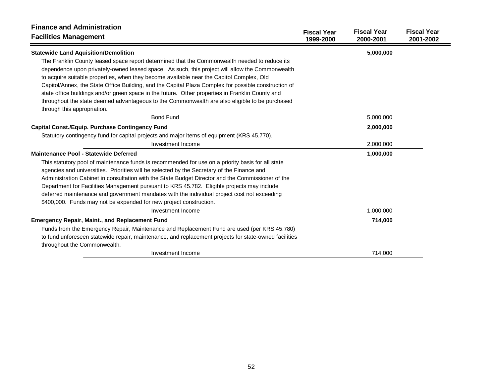| <b>Finance and Administration</b>                                                                                             | <b>Fiscal Year</b> | <b>Fiscal Year</b> | <b>Fiscal Year</b> |
|-------------------------------------------------------------------------------------------------------------------------------|--------------------|--------------------|--------------------|
| <b>Facilities Management</b>                                                                                                  | 1999-2000          | 2000-2001          | 2001-2002          |
| <b>Statewide Land Aquisition/Demolition</b>                                                                                   |                    | 5,000,000          |                    |
| The Franklin County leased space report determined that the Commonwealth needed to reduce its                                 |                    |                    |                    |
| dependence upon privately-owned leased space. As such, this project will allow the Commonwealth                               |                    |                    |                    |
| to acquire suitable properties, when they become available near the Capitol Complex, Old                                      |                    |                    |                    |
| Capitol/Annex, the State Office Building, and the Capital Plaza Complex for possible construction of                          |                    |                    |                    |
| state office buildings and/or green space in the future. Other properties in Franklin County and                              |                    |                    |                    |
| throughout the state deemed advantageous to the Commonwealth are also eligible to be purchased<br>through this appropriation. |                    |                    |                    |
| <b>Bond Fund</b>                                                                                                              |                    | 5,000,000          |                    |
| <b>Capital Const./Equip. Purchase Contingency Fund</b>                                                                        |                    | 2,000,000          |                    |
| Statutory contingency fund for capital projects and major items of equipment (KRS 45.770).                                    |                    |                    |                    |
| Investment Income                                                                                                             |                    | 2,000,000          |                    |
| Maintenance Pool - Statewide Deferred                                                                                         |                    | 1,000,000          |                    |
| This statutory pool of maintenance funds is recommended for use on a priority basis for all state                             |                    |                    |                    |
| agencies and universities. Priorities will be selected by the Secretary of the Finance and                                    |                    |                    |                    |
| Administration Cabinet in consultation with the State Budget Director and the Commissioner of the                             |                    |                    |                    |
| Department for Facilities Management pursuant to KRS 45.782. Eligible projects may include                                    |                    |                    |                    |
| deferred maintenance and government mandates with the individual project cost not exceeding                                   |                    |                    |                    |
| \$400,000. Funds may not be expended for new project construction.                                                            |                    |                    |                    |
| Investment Income                                                                                                             |                    | 1,000,000          |                    |
| <b>Emergency Repair, Maint., and Replacement Fund</b>                                                                         |                    | 714,000            |                    |
| Funds from the Emergency Repair, Maintenance and Replacement Fund are used (per KRS 45.780)                                   |                    |                    |                    |
| to fund unforeseen statewide repair, maintenance, and replacement projects for state-owned facilities                         |                    |                    |                    |
| throughout the Commonwealth.                                                                                                  |                    |                    |                    |
| Investment Income                                                                                                             |                    | 714,000            |                    |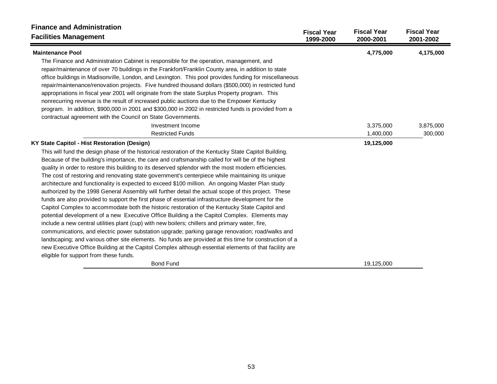| <b>Finance and Administration</b><br><b>Facilities Management</b>                                                                                                                                                                                                                                                                                                                                                                                                                                                                                                                                                                                                                                                          | <b>Fiscal Year</b><br>1999-2000 | <b>Fiscal Year</b><br>2000-2001 | <b>Fiscal Year</b><br>2001-2002 |
|----------------------------------------------------------------------------------------------------------------------------------------------------------------------------------------------------------------------------------------------------------------------------------------------------------------------------------------------------------------------------------------------------------------------------------------------------------------------------------------------------------------------------------------------------------------------------------------------------------------------------------------------------------------------------------------------------------------------------|---------------------------------|---------------------------------|---------------------------------|
| <b>Maintenance Pool</b>                                                                                                                                                                                                                                                                                                                                                                                                                                                                                                                                                                                                                                                                                                    |                                 | 4,775,000                       | 4,175,000                       |
| The Finance and Administration Cabinet is responsible for the operation, management, and<br>repair/maintenance of over 70 buildings in the Frankfort/Franklin County area, in addition to state<br>office buildings in Madisonville, London, and Lexington. This pool provides funding for miscellaneous<br>repair/maintenance/renovation projects. Five hundred thousand dollars (\$500,000) in restricted fund<br>appropriations in fiscal year 2001 will originate from the state Surplus Property program. This<br>nonrecurring revenue is the result of increased public auctions due to the Empower Kentucky<br>program. In addition, \$900,000 in 2001 and \$300,000 in 2002 in restricted funds is provided from a |                                 |                                 |                                 |
| contractual agreement with the Council on State Governments.                                                                                                                                                                                                                                                                                                                                                                                                                                                                                                                                                                                                                                                               |                                 |                                 |                                 |
| Investment Income                                                                                                                                                                                                                                                                                                                                                                                                                                                                                                                                                                                                                                                                                                          |                                 | 3,375,000                       | 3,875,000                       |
| <b>Restricted Funds</b>                                                                                                                                                                                                                                                                                                                                                                                                                                                                                                                                                                                                                                                                                                    |                                 | 1,400,000                       | 300,000                         |
| KY State Capitol - Hist Restoration (Design)                                                                                                                                                                                                                                                                                                                                                                                                                                                                                                                                                                                                                                                                               |                                 | 19,125,000                      |                                 |
| This will fund the design phase of the historical restoration of the Kentucky State Capitol Building.                                                                                                                                                                                                                                                                                                                                                                                                                                                                                                                                                                                                                      |                                 |                                 |                                 |
| Because of the building's importance, the care and craftsmanship called for will be of the highest                                                                                                                                                                                                                                                                                                                                                                                                                                                                                                                                                                                                                         |                                 |                                 |                                 |
| quality in order to restore this building to its deserved splendor with the most modern efficiencies.                                                                                                                                                                                                                                                                                                                                                                                                                                                                                                                                                                                                                      |                                 |                                 |                                 |
| The cost of restoring and renovating state government's centerpiece while maintaining its unique                                                                                                                                                                                                                                                                                                                                                                                                                                                                                                                                                                                                                           |                                 |                                 |                                 |
| architecture and functionality is expected to exceed \$100 million. An ongoing Master Plan study                                                                                                                                                                                                                                                                                                                                                                                                                                                                                                                                                                                                                           |                                 |                                 |                                 |
| authorized by the 1998 General Assembly will further detail the actual scope of this project. These                                                                                                                                                                                                                                                                                                                                                                                                                                                                                                                                                                                                                        |                                 |                                 |                                 |
| funds are also provided to support the first phase of essential infrastructure development for the                                                                                                                                                                                                                                                                                                                                                                                                                                                                                                                                                                                                                         |                                 |                                 |                                 |
| Capitol Complex to accommodate both the historic restoration of the Kentucky State Capitol and                                                                                                                                                                                                                                                                                                                                                                                                                                                                                                                                                                                                                             |                                 |                                 |                                 |
| potential development of a new Executive Office Building a the Capitol Complex. Elements may                                                                                                                                                                                                                                                                                                                                                                                                                                                                                                                                                                                                                               |                                 |                                 |                                 |
| include a new central utilities plant (cup) with new boilers; chillers and primary water, fire,                                                                                                                                                                                                                                                                                                                                                                                                                                                                                                                                                                                                                            |                                 |                                 |                                 |
| communications, and electric power substation upgrade; parking garage renovation; road/walks and                                                                                                                                                                                                                                                                                                                                                                                                                                                                                                                                                                                                                           |                                 |                                 |                                 |
| landscaping; and various other site elements. No funds are provided at this time for construction of a                                                                                                                                                                                                                                                                                                                                                                                                                                                                                                                                                                                                                     |                                 |                                 |                                 |
| new Executive Office Building at the Capitol Complex although essential elements of that facility are                                                                                                                                                                                                                                                                                                                                                                                                                                                                                                                                                                                                                      |                                 |                                 |                                 |
| eligible for support from these funds.                                                                                                                                                                                                                                                                                                                                                                                                                                                                                                                                                                                                                                                                                     |                                 |                                 |                                 |
| <b>Bond Fund</b>                                                                                                                                                                                                                                                                                                                                                                                                                                                                                                                                                                                                                                                                                                           |                                 | 19,125,000                      |                                 |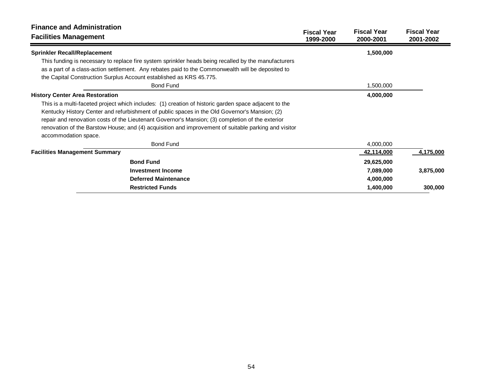| <b>Finance and Administration</b><br><b>Facilities Management</b>                                     | <b>Fiscal Year</b><br>1999-2000 | <b>Fiscal Year</b><br>2000-2001 | <b>Fiscal Year</b><br>2001-2002 |
|-------------------------------------------------------------------------------------------------------|---------------------------------|---------------------------------|---------------------------------|
| <b>Sprinkler Recall/Replacement</b>                                                                   |                                 | 1,500,000                       |                                 |
| This funding is necessary to replace fire system sprinkler heads being recalled by the manufacturers  |                                 |                                 |                                 |
| as a part of a class-action settlement. Any rebates paid to the Commonwealth will be deposited to     |                                 |                                 |                                 |
| the Capital Construction Surplus Account established as KRS 45.775.                                   |                                 |                                 |                                 |
| <b>Bond Fund</b>                                                                                      |                                 | 1,500,000                       |                                 |
| <b>History Center Area Restoration</b>                                                                |                                 | 4,000,000                       |                                 |
| This is a multi-faceted project which includes: (1) creation of historic garden space adjacent to the |                                 |                                 |                                 |
| Kentucky History Center and refurbishment of public spaces in the Old Governor's Mansion; (2)         |                                 |                                 |                                 |
| repair and renovation costs of the Lieutenant Governor's Mansion; (3) completion of the exterior      |                                 |                                 |                                 |
| renovation of the Barstow House; and (4) acquisition and improvement of suitable parking and visitor  |                                 |                                 |                                 |
| accommodation space.                                                                                  |                                 |                                 |                                 |
| <b>Bond Fund</b>                                                                                      |                                 | 4,000,000                       |                                 |
| <b>Facilities Management Summary</b>                                                                  |                                 | 42,114,000                      | 4,175,000                       |
| <b>Bond Fund</b>                                                                                      |                                 | 29,625,000                      |                                 |
| <b>Investment Income</b>                                                                              |                                 | 7,089,000                       | 3,875,000                       |
| <b>Deferred Maintenance</b>                                                                           |                                 | 4,000,000                       |                                 |
| <b>Restricted Funds</b>                                                                               |                                 | 1,400,000                       | 300,000                         |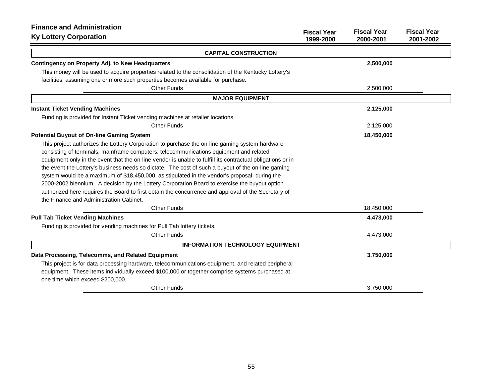| <b>Finance and Administration</b>                                                                          |                                 |                                 |                                 |
|------------------------------------------------------------------------------------------------------------|---------------------------------|---------------------------------|---------------------------------|
| <b>Ky Lottery Corporation</b>                                                                              | <b>Fiscal Year</b><br>1999-2000 | <b>Fiscal Year</b><br>2000-2001 | <b>Fiscal Year</b><br>2001-2002 |
| <b>CAPITAL CONSTRUCTION</b>                                                                                |                                 |                                 |                                 |
| <b>Contingency on Property Adj. to New Headquarters</b>                                                    |                                 | 2,500,000                       |                                 |
| This money will be used to acquire properties related to the consolidation of the Kentucky Lottery's       |                                 |                                 |                                 |
| facilities, assuming one or more such properties becomes available for purchase.                           |                                 |                                 |                                 |
| <b>Other Funds</b>                                                                                         |                                 | 2,500,000                       |                                 |
| <b>MAJOR EQUIPMENT</b>                                                                                     |                                 |                                 |                                 |
| <b>Instant Ticket Vending Machines</b>                                                                     |                                 | 2,125,000                       |                                 |
| Funding is provided for Instant Ticket vending machines at retailer locations.                             |                                 |                                 |                                 |
| <b>Other Funds</b>                                                                                         |                                 | 2,125,000                       |                                 |
| <b>Potential Buyout of On-line Gaming System</b>                                                           |                                 | 18,450,000                      |                                 |
| This project authorizes the Lottery Corporation to purchase the on-line gaming system hardware             |                                 |                                 |                                 |
| consisting of terminals, mainframe computers, telecommunications equipment and related                     |                                 |                                 |                                 |
| equipment only in the event that the on-line vendor is unable to fulfill its contractual obligations or in |                                 |                                 |                                 |
| the event the Lottery's business needs so dictate. The cost of such a buyout of the on-line gaming         |                                 |                                 |                                 |
| system would be a maximum of \$18,450,000, as stipulated in the vendor's proposal, during the              |                                 |                                 |                                 |
| 2000-2002 biennium. A decision by the Lottery Corporation Board to exercise the buyout option              |                                 |                                 |                                 |
| authorized here requires the Board to first obtain the concurrence and approval of the Secretary of        |                                 |                                 |                                 |
| the Finance and Administration Cabinet.                                                                    |                                 |                                 |                                 |
| <b>Other Funds</b>                                                                                         |                                 | 18,450,000                      |                                 |
| <b>Pull Tab Ticket Vending Machines</b>                                                                    |                                 | 4,473,000                       |                                 |
| Funding is provided for vending machines for Pull Tab lottery tickets.                                     |                                 |                                 |                                 |
| <b>Other Funds</b>                                                                                         |                                 | 4,473,000                       |                                 |
| <b>INFORMATION TECHNOLOGY EQUIPMENT</b>                                                                    |                                 |                                 |                                 |
| Data Processing, Telecomms, and Related Equipment                                                          |                                 | 3,750,000                       |                                 |
| This project is for data processing hardware, telecommunications equipment, and related peripheral         |                                 |                                 |                                 |
| equipment. These items individually exceed \$100,000 or together comprise systems purchased at             |                                 |                                 |                                 |
| one time which exceed \$200,000.                                                                           |                                 |                                 |                                 |
| <b>Other Funds</b>                                                                                         |                                 | 3,750,000                       |                                 |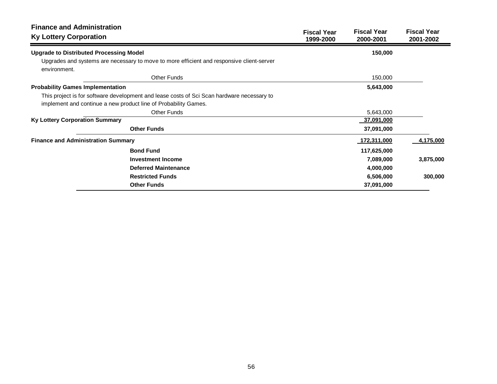| <b>Finance and Administration</b><br><b>Ky Lottery Corporation</b>                                        | <b>Fiscal Year</b><br>1999-2000 | <b>Fiscal Year</b><br>2000-2001 | <b>Fiscal Year</b><br>2001-2002 |
|-----------------------------------------------------------------------------------------------------------|---------------------------------|---------------------------------|---------------------------------|
| <b>Upgrade to Distributed Processing Model</b>                                                            |                                 | 150,000                         |                                 |
| Upgrades and systems are necessary to move to more efficient and responsive client-server<br>environment. |                                 |                                 |                                 |
| <b>Other Funds</b>                                                                                        |                                 | 150,000                         |                                 |
| <b>Probability Games Implementation</b>                                                                   |                                 | 5,643,000                       |                                 |
| This project is for software development and lease costs of Sci Scan hardware necessary to                |                                 |                                 |                                 |
| implement and continue a new product line of Probability Games.                                           |                                 |                                 |                                 |
| <b>Other Funds</b>                                                                                        |                                 | 5,643,000                       |                                 |
| <b>Ky Lottery Corporation Summary</b>                                                                     |                                 | 37,091,000                      |                                 |
| <b>Other Funds</b>                                                                                        |                                 | 37,091,000                      |                                 |
| <b>Finance and Administration Summary</b>                                                                 |                                 | 172,311,000                     | 4,175,000                       |
| <b>Bond Fund</b>                                                                                          |                                 | 117,625,000                     |                                 |
| Investment Income                                                                                         |                                 | 7,089,000                       | 3,875,000                       |
| <b>Deferred Maintenance</b>                                                                               |                                 | 4,000,000                       |                                 |
| <b>Restricted Funds</b>                                                                                   |                                 | 6,506,000                       | 300,000                         |
| <b>Other Funds</b>                                                                                        |                                 | 37,091,000                      |                                 |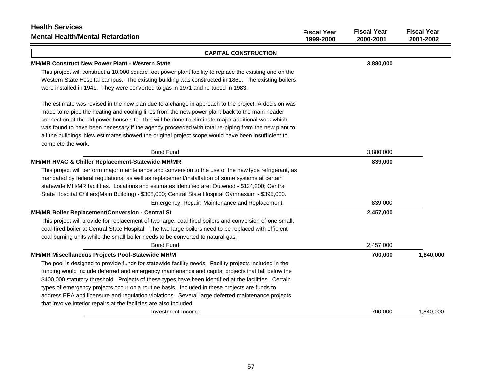| <b>Health Services</b><br><b>Mental Health/Mental Retardation</b>                                        | <b>Fiscal Year</b><br>1999-2000 | <b>Fiscal Year</b><br>2000-2001 | <b>Fiscal Year</b><br>2001-2002 |
|----------------------------------------------------------------------------------------------------------|---------------------------------|---------------------------------|---------------------------------|
|                                                                                                          |                                 |                                 |                                 |
| <b>CAPITAL CONSTRUCTION</b>                                                                              |                                 |                                 |                                 |
| <b>MH/MR Construct New Power Plant - Western State</b>                                                   |                                 | 3,880,000                       |                                 |
| This project will construct a 10,000 square foot power plant facility to replace the existing one on the |                                 |                                 |                                 |
| Western State Hospital campus. The existing building was constructed in 1860. The existing boilers       |                                 |                                 |                                 |
| were installed in 1941. They were converted to gas in 1971 and re-tubed in 1983.                         |                                 |                                 |                                 |
| The estimate was revised in the new plan due to a change in approach to the project. A decision was      |                                 |                                 |                                 |
| made to re-pipe the heating and cooling lines from the new power plant back to the main header           |                                 |                                 |                                 |
| connection at the old power house site. This will be done to eliminate major additional work which       |                                 |                                 |                                 |
| was found to have been necessary if the agency proceeded with total re-piping from the new plant to      |                                 |                                 |                                 |
| all the buildings. New estimates showed the original project scope would have been insufficient to       |                                 |                                 |                                 |
| complete the work.                                                                                       |                                 |                                 |                                 |
| <b>Bond Fund</b>                                                                                         |                                 | 3,880,000                       |                                 |
| MH/MR HVAC & Chiller Replacement-Statewide MH/MR                                                         |                                 | 839,000                         |                                 |
| This project will perform major maintenance and conversion to the use of the new type refrigerant, as    |                                 |                                 |                                 |
| mandated by federal regulations, as well as replacement/installation of some systems at certain          |                                 |                                 |                                 |
| statewide MH/MR facilities. Locations and estimates identified are: Outwood - \$124,200; Central         |                                 |                                 |                                 |
| State Hospital Chillers(Main Building) - \$308,000; Central State Hospital Gymnasium - \$395,000.        |                                 |                                 |                                 |
| Emergency, Repair, Maintenance and Replacement                                                           |                                 | 839,000                         |                                 |
| MH/MR Boiler Replacement/Conversion - Central St                                                         |                                 | 2,457,000                       |                                 |
| This project will provide for replacement of two large, coal-fired boilers and conversion of one small,  |                                 |                                 |                                 |
| coal-fired boiler at Central State Hospital. The two large boilers need to be replaced with efficient    |                                 |                                 |                                 |
| coal burning units while the small boiler needs to be converted to natural gas.                          |                                 |                                 |                                 |
| <b>Bond Fund</b>                                                                                         |                                 | 2,457,000                       |                                 |
| MH/MR Miscellaneous Projects Pool-Statewide MH/M                                                         |                                 | 700,000                         | 1,840,000                       |
| The pool is designed to provide funds for statewide facility needs. Facility projects included in the    |                                 |                                 |                                 |
| funding would include deferred and emergency maintenance and capital projects that fall below the        |                                 |                                 |                                 |
| \$400,000 statutory threshold. Projects of these types have been identified at the facilities. Certain   |                                 |                                 |                                 |
| types of emergency projects occur on a routine basis. Included in these projects are funds to            |                                 |                                 |                                 |
| address EPA and licensure and regulation violations. Several large deferred maintenance projects         |                                 |                                 |                                 |
| that involve interior repairs at the facilities are also included.                                       |                                 |                                 |                                 |
| Investment Income                                                                                        |                                 | 700.000                         | 1,840,000                       |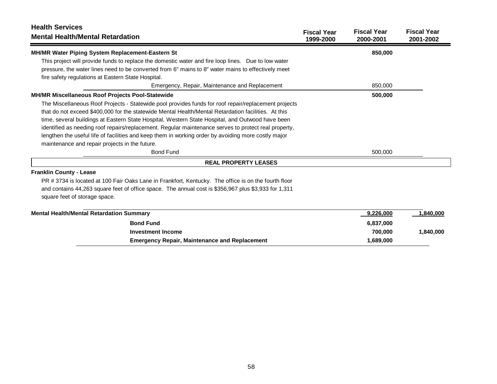| <b>Health Services</b><br><b>Mental Health/Mental Retardation</b>                                    | <b>Fiscal Year</b> | <b>Fiscal Year</b> | <b>Fiscal Year</b> |
|------------------------------------------------------------------------------------------------------|--------------------|--------------------|--------------------|
|                                                                                                      | 1999-2000          | 2000-2001          | 2001-2002          |
| MH/MR Water Piping System Replacement-Eastern St                                                     |                    | 850,000            |                    |
| This project will provide funds to replace the domestic water and fire loop lines.  Due to low water |                    |                    |                    |
| pressure, the water lines need to be converted from 6" mains to 8" water mains to effectively meet   |                    |                    |                    |
| fire safety regulations at Eastern State Hospital.                                                   |                    |                    |                    |
| Emergency, Repair, Maintenance and Replacement                                                       |                    | 850,000            |                    |
| <b>MH/MR Miscellaneous Roof Projects Pool-Statewide</b>                                              |                    | 500,000            |                    |
| The Miscellaneous Roof Projects - Statewide pool provides funds for roof repair/replacement projects |                    |                    |                    |
| that do not exceed \$400,000 for the statewide Mental Health/Mental Retardation facilities. At this  |                    |                    |                    |
| time, several buildings at Eastern State Hospital, Western State Hospital, and Outwood have been     |                    |                    |                    |
| identified as needing roof repairs/replacement. Regular maintenance serves to protect real property, |                    |                    |                    |
| lengthen the useful life of facilities and keep them in working order by avoiding more costly major  |                    |                    |                    |
| maintenance and repair projects in the future.                                                       |                    |                    |                    |
| <b>Bond Fund</b>                                                                                     |                    | 500,000            |                    |
| <b>REAL PROPERTY LEASES</b>                                                                          |                    |                    |                    |
| <b>Franklin County - Lease</b>                                                                       |                    |                    |                    |
| PR # 3734 is located at 100 Fair Oaks Lane in Frankfort, Kentucky. The office is on the fourth floor |                    |                    |                    |
| and contains 44,263 square feet of office space. The annual cost is \$356,967 plus \$3,933 for 1,311 |                    |                    |                    |
| square feet of storage space.                                                                        |                    |                    |                    |
| <b>Mental Health/Mental Retardation Summary</b>                                                      |                    | 9,226,000          | 1,840,000          |
| <b>Bond Fund</b>                                                                                     |                    | 6,837,000          |                    |
| <b>Investment Income</b>                                                                             |                    | 700.000            | 1,840,000          |

**Emergency Repair, Maintenance and Replacement 1,689,000 1,689,000**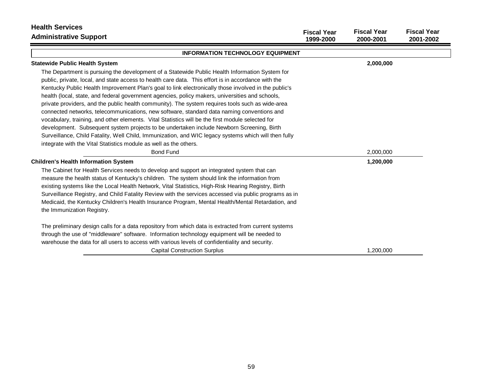| <b>Health Services</b><br><b>Administrative Support</b>                                                                                                                                                                                                                                                                                                                                                                                                                                                                                                                                                                                                                                                                                                                                                                                                                                                                                                                                          | <b>Fiscal Year</b><br>1999-2000 | <b>Fiscal Year</b><br>2000-2001 | <b>Fiscal Year</b><br>2001-2002 |
|--------------------------------------------------------------------------------------------------------------------------------------------------------------------------------------------------------------------------------------------------------------------------------------------------------------------------------------------------------------------------------------------------------------------------------------------------------------------------------------------------------------------------------------------------------------------------------------------------------------------------------------------------------------------------------------------------------------------------------------------------------------------------------------------------------------------------------------------------------------------------------------------------------------------------------------------------------------------------------------------------|---------------------------------|---------------------------------|---------------------------------|
| <b>INFORMATION TECHNOLOGY EQUIPMENT</b>                                                                                                                                                                                                                                                                                                                                                                                                                                                                                                                                                                                                                                                                                                                                                                                                                                                                                                                                                          |                                 |                                 |                                 |
| <b>Statewide Public Health System</b>                                                                                                                                                                                                                                                                                                                                                                                                                                                                                                                                                                                                                                                                                                                                                                                                                                                                                                                                                            |                                 | 2,000,000                       |                                 |
| The Department is pursuing the development of a Statewide Public Health Information System for<br>public, private, local, and state access to health care data. This effort is in accordance with the<br>Kentucky Public Health Improvement Plan's goal to link electronically those involved in the public's<br>health (local, state, and federal government agencies, policy makers, universities and schools,<br>private providers, and the public health community). The system requires tools such as wide-area<br>connected networks, telecommunications, new software, standard data naming conventions and<br>vocabulary, training, and other elements. Vital Statistics will be the first module selected for<br>development. Subsequent system projects to be undertaken include Newborn Screening, Birth<br>Surveillance, Child Fatality, Well Child, Immunization, and WIC legacy systems which will then fully<br>integrate with the Vital Statistics module as well as the others. |                                 |                                 |                                 |
| <b>Bond Fund</b>                                                                                                                                                                                                                                                                                                                                                                                                                                                                                                                                                                                                                                                                                                                                                                                                                                                                                                                                                                                 |                                 | 2,000,000                       |                                 |
| <b>Children's Health Information System</b><br>The Cabinet for Health Services needs to develop and support an integrated system that can                                                                                                                                                                                                                                                                                                                                                                                                                                                                                                                                                                                                                                                                                                                                                                                                                                                        |                                 | 1,200,000                       |                                 |
| measure the health status of Kentucky's children. The system should link the information from<br>existing systems like the Local Health Network, Vital Statistics, High-Risk Hearing Registry, Birth<br>Surveillance Registry, and Child Fatality Review with the services accessed via public programs as in<br>Medicaid, the Kentucky Children's Health Insurance Program, Mental Health/Mental Retardation, and<br>the Immunization Registry.                                                                                                                                                                                                                                                                                                                                                                                                                                                                                                                                                 |                                 |                                 |                                 |
| The preliminary design calls for a data repository from which data is extracted from current systems                                                                                                                                                                                                                                                                                                                                                                                                                                                                                                                                                                                                                                                                                                                                                                                                                                                                                             |                                 |                                 |                                 |
| through the use of "middleware" software. Information technology equipment will be needed to<br>warehouse the data for all users to access with various levels of confidentiality and security.                                                                                                                                                                                                                                                                                                                                                                                                                                                                                                                                                                                                                                                                                                                                                                                                  |                                 |                                 |                                 |
| <b>Capital Construction Surplus</b>                                                                                                                                                                                                                                                                                                                                                                                                                                                                                                                                                                                                                                                                                                                                                                                                                                                                                                                                                              |                                 | 1,200,000                       |                                 |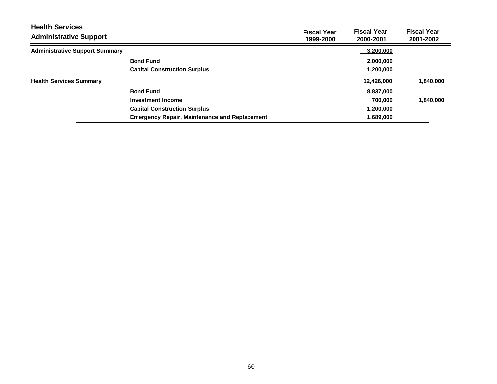| <b>Health Services</b><br><b>Administrative Support</b> |                                                      | <b>Fiscal Year</b><br>1999-2000 | <b>Fiscal Year</b><br>2000-2001 | <b>Fiscal Year</b><br>2001-2002 |
|---------------------------------------------------------|------------------------------------------------------|---------------------------------|---------------------------------|---------------------------------|
| <b>Administrative Support Summary</b>                   |                                                      |                                 | 3,200,000                       |                                 |
|                                                         | <b>Bond Fund</b>                                     |                                 | 2,000,000                       |                                 |
|                                                         | <b>Capital Construction Surplus</b>                  |                                 | 1,200,000                       |                                 |
| <b>Health Services Summary</b>                          |                                                      |                                 | 12,426,000                      | 1,840,000                       |
|                                                         | <b>Bond Fund</b>                                     |                                 | 8,837,000                       |                                 |
|                                                         | <b>Investment Income</b>                             |                                 | 700.000                         | 1,840,000                       |
|                                                         | <b>Capital Construction Surplus</b>                  |                                 | 1,200,000                       |                                 |
|                                                         | <b>Emergency Repair, Maintenance and Replacement</b> |                                 | 1,689,000                       |                                 |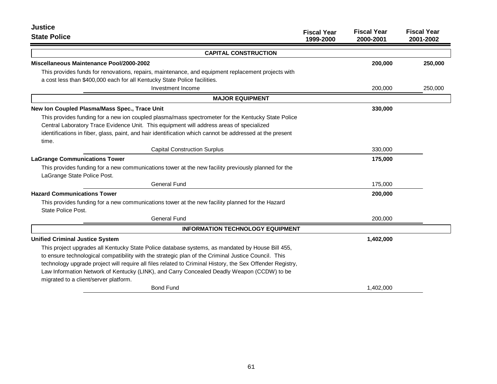| <b>Justice</b><br><b>State Police</b>                                                                                 | <b>Fiscal Year</b> | <b>Fiscal Year</b> | <b>Fiscal Year</b> |
|-----------------------------------------------------------------------------------------------------------------------|--------------------|--------------------|--------------------|
|                                                                                                                       | 1999-2000          | 2000-2001          | 2001-2002          |
| <b>CAPITAL CONSTRUCTION</b>                                                                                           |                    |                    |                    |
| <b>Miscellaneous Maintenance Pool/2000-2002</b>                                                                       |                    | 200,000            | 250,000            |
| This provides funds for renovations, repairs, maintenance, and equipment replacement projects with                    |                    |                    |                    |
| a cost less than \$400,000 each for all Kentucky State Police facilities.                                             |                    |                    |                    |
| Investment Income                                                                                                     |                    | 200,000            | 250,000            |
| <b>MAJOR EQUIPMENT</b>                                                                                                |                    |                    |                    |
| New Ion Coupled Plasma/Mass Spec., Trace Unit                                                                         |                    | 330,000            |                    |
| This provides funding for a new ion coupled plasma/mass spectrometer for the Kentucky State Police                    |                    |                    |                    |
| Central Laboratory Trace Evidence Unit. This equipment will address areas of specialized                              |                    |                    |                    |
| identifications in fiber, glass, paint, and hair identification which cannot be addressed at the present              |                    |                    |                    |
| time.                                                                                                                 |                    |                    |                    |
| <b>Capital Construction Surplus</b>                                                                                   |                    | 330,000            |                    |
| <b>LaGrange Communications Tower</b>                                                                                  |                    | 175,000            |                    |
| This provides funding for a new communications tower at the new facility previously planned for the                   |                    |                    |                    |
| LaGrange State Police Post.                                                                                           |                    |                    |                    |
| General Fund                                                                                                          |                    | 175,000            |                    |
| <b>Hazard Communications Tower</b>                                                                                    |                    | 200,000            |                    |
| This provides funding for a new communications tower at the new facility planned for the Hazard<br>State Police Post. |                    |                    |                    |
| General Fund                                                                                                          |                    | 200,000            |                    |
| <b>INFORMATION TECHNOLOGY EQUIPMENT</b>                                                                               |                    |                    |                    |
| <b>Unified Criminal Justice System</b>                                                                                |                    | 1,402,000          |                    |
| This project upgrades all Kentucky State Police database systems, as mandated by House Bill 455,                      |                    |                    |                    |
| to ensure technological compatibility with the strategic plan of the Criminal Justice Council. This                   |                    |                    |                    |
| technology upgrade project will require all files related to Criminal History, the Sex Offender Registry,             |                    |                    |                    |
| Law Information Network of Kentucky (LINK), and Carry Concealed Deadly Weapon (CCDW) to be                            |                    |                    |                    |
| migrated to a client/server platform.                                                                                 |                    |                    |                    |
| <b>Bond Fund</b>                                                                                                      |                    | 1,402,000          |                    |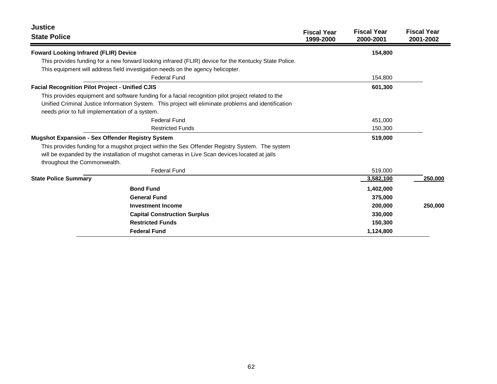| Justice                                                                                               | <b>Fiscal Year</b> | <b>Fiscal Year</b> | <b>Fiscal Year</b> |
|-------------------------------------------------------------------------------------------------------|--------------------|--------------------|--------------------|
| <b>State Police</b>                                                                                   | 1999-2000          | 2000-2001          | 2001-2002          |
| <b>Foward Looking Infrared (FLIR) Device</b>                                                          |                    | 154,800            |                    |
| This provides funding for a new forward looking infrared (FLIR) device for the Kentucky State Police. |                    |                    |                    |
| This equipment will address field investigation needs on the agency helicopter.                       |                    |                    |                    |
| <b>Federal Fund</b>                                                                                   |                    | 154,800            |                    |
| <b>Facial Recognition Pilot Project - Unified CJIS</b>                                                |                    | 601,300            |                    |
| This provides equipment and software funding for a facial recognition pilot project related to the    |                    |                    |                    |
| Unified Criminal Justice Information System. This project will eliminate problems and identification  |                    |                    |                    |
| needs prior to full implementation of a system.                                                       |                    |                    |                    |
| <b>Federal Fund</b>                                                                                   |                    | 451,000            |                    |
| <b>Restricted Funds</b>                                                                               |                    | 150,300            |                    |
| <b>Mugshot Expansion - Sex Offender Registry System</b>                                               |                    | 519,000            |                    |
| This provides funding for a mugshot project within the Sex Offender Registry System. The system       |                    |                    |                    |
| will be expanded by the installation of mugshot cameras in Live Scan devices located at jails         |                    |                    |                    |
| throughout the Commonwealth.                                                                          |                    |                    |                    |
| <b>Federal Fund</b>                                                                                   |                    | 519,000            |                    |
| <b>State Police Summary</b>                                                                           |                    | 3,582,100          | 250,000            |
| <b>Bond Fund</b>                                                                                      |                    | 1,402,000          |                    |
| <b>General Fund</b>                                                                                   |                    | 375,000            |                    |
| <b>Investment Income</b>                                                                              |                    | 200,000            | 250,000            |
| <b>Capital Construction Surplus</b>                                                                   |                    | 330,000            |                    |
| <b>Restricted Funds</b>                                                                               |                    | 150,300            |                    |
| <b>Federal Fund</b>                                                                                   |                    | 1,124,800          |                    |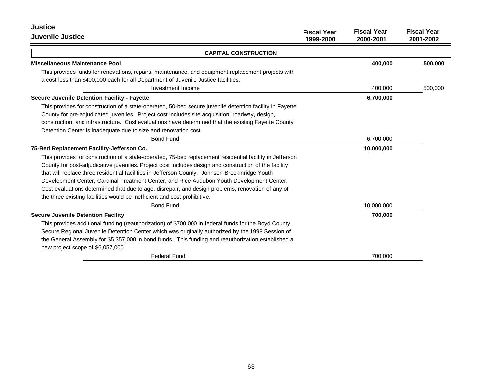| <b>Justice</b>                                                                                                                                                                                                                                                                                                                                                                                                                                                                                                                                                                                    | <b>Fiscal Year</b> | <b>Fiscal Year</b> | <b>Fiscal Year</b> |
|---------------------------------------------------------------------------------------------------------------------------------------------------------------------------------------------------------------------------------------------------------------------------------------------------------------------------------------------------------------------------------------------------------------------------------------------------------------------------------------------------------------------------------------------------------------------------------------------------|--------------------|--------------------|--------------------|
| <b>Juvenile Justice</b>                                                                                                                                                                                                                                                                                                                                                                                                                                                                                                                                                                           | 1999-2000          | 2000-2001          | 2001-2002          |
| <b>CAPITAL CONSTRUCTION</b>                                                                                                                                                                                                                                                                                                                                                                                                                                                                                                                                                                       |                    |                    |                    |
| Miscellaneous Maintenance Pool                                                                                                                                                                                                                                                                                                                                                                                                                                                                                                                                                                    |                    | 400,000            | 500,000            |
| This provides funds for renovations, repairs, maintenance, and equipment replacement projects with<br>a cost less than \$400,000 each for all Department of Juvenile Justice facilities.                                                                                                                                                                                                                                                                                                                                                                                                          |                    |                    |                    |
| Investment Income                                                                                                                                                                                                                                                                                                                                                                                                                                                                                                                                                                                 |                    | 400,000            | 500,000            |
| <b>Secure Juvenile Detention Facility - Fayette</b>                                                                                                                                                                                                                                                                                                                                                                                                                                                                                                                                               |                    | 6,700,000          |                    |
| This provides for construction of a state-operated, 50-bed secure juvenile detention facility in Fayette<br>County for pre-adjudicated juveniles. Project cost includes site acquisition, roadway, design,<br>construction, and infrastructure. Cost evaluations have determined that the existing Fayette County<br>Detention Center is inadequate due to size and renovation cost.                                                                                                                                                                                                              |                    |                    |                    |
| <b>Bond Fund</b>                                                                                                                                                                                                                                                                                                                                                                                                                                                                                                                                                                                  |                    | 6,700,000          |                    |
| 75-Bed Replacement Facility-Jefferson Co.                                                                                                                                                                                                                                                                                                                                                                                                                                                                                                                                                         |                    | 10,000,000         |                    |
| This provides for construction of a state-operated, 75-bed replacement residential facility in Jefferson<br>County for post-adjudicative juveniles. Project cost includes design and construction of the facility<br>that will replace three residential facilities in Jefferson County: Johnson-Breckinridge Youth<br>Development Center, Cardinal Treatment Center, and Rice-Audubon Youth Development Center.<br>Cost evaluations determined that due to age, disrepair, and design problems, renovation of any of<br>the three existing facilities would be inefficient and cost prohibitive. |                    |                    |                    |
| <b>Bond Fund</b>                                                                                                                                                                                                                                                                                                                                                                                                                                                                                                                                                                                  |                    | 10,000,000         |                    |
| <b>Secure Juvenile Detention Facility</b>                                                                                                                                                                                                                                                                                                                                                                                                                                                                                                                                                         |                    | 700,000            |                    |
| This provides additional funding (reauthorization) of \$700,000 in federal funds for the Boyd County<br>Secure Regional Juvenile Detention Center which was originally authorized by the 1998 Session of<br>the General Assembly for \$5,357,000 in bond funds. This funding and reauthorization established a<br>new project scope of \$6,057,000.                                                                                                                                                                                                                                               |                    |                    |                    |
| <b>Federal Fund</b>                                                                                                                                                                                                                                                                                                                                                                                                                                                                                                                                                                               |                    | 700,000            |                    |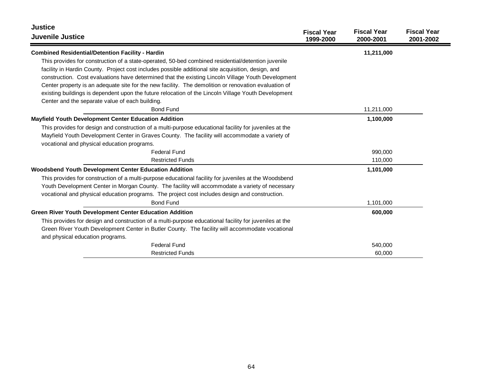| <b>Justice</b>                                                                                         | <b>Fiscal Year</b> | <b>Fiscal Year</b> | <b>Fiscal Year</b> |
|--------------------------------------------------------------------------------------------------------|--------------------|--------------------|--------------------|
| <b>Juvenile Justice</b>                                                                                | 1999-2000          | 2000-2001          | 2001-2002          |
| <b>Combined Residential/Detention Facility - Hardin</b>                                                |                    | 11,211,000         |                    |
| This provides for construction of a state-operated, 50-bed combined residential/detention juvenile     |                    |                    |                    |
| facility in Hardin County. Project cost includes possible additional site acquisition, design, and     |                    |                    |                    |
| construction. Cost evaluations have determined that the existing Lincoln Village Youth Development     |                    |                    |                    |
| Center property is an adequate site for the new facility. The demolition or renovation evaluation of   |                    |                    |                    |
| existing buildings is dependent upon the future relocation of the Lincoln Village Youth Development    |                    |                    |                    |
| Center and the separate value of each building.                                                        |                    |                    |                    |
| <b>Bond Fund</b>                                                                                       |                    | 11,211,000         |                    |
| Mayfield Youth Development Center Education Addition                                                   |                    | 1,100,000          |                    |
| This provides for design and construction of a multi-purpose educational facility for juveniles at the |                    |                    |                    |
| Mayfield Youth Development Center in Graves County. The facility will accommodate a variety of         |                    |                    |                    |
| vocational and physical education programs.                                                            |                    |                    |                    |
| <b>Federal Fund</b>                                                                                    |                    | 990,000            |                    |
| <b>Restricted Funds</b>                                                                                |                    | 110,000            |                    |
| Woodsbend Youth Development Center Education Addition                                                  |                    | 1,101,000          |                    |
| This provides for construction of a multi-purpose educational facility for juveniles at the Woodsbend  |                    |                    |                    |
| Youth Development Center in Morgan County. The facility will accommodate a variety of necessary        |                    |                    |                    |
| vocational and physical education programs. The project cost includes design and construction.         |                    |                    |                    |
| <b>Bond Fund</b>                                                                                       |                    | 1,101,000          |                    |
| <b>Green River Youth Development Center Education Addition</b>                                         |                    | 600,000            |                    |
| This provides for design and construction of a multi-purpose educational facility for juveniles at the |                    |                    |                    |
| Green River Youth Development Center in Butler County. The facility will accommodate vocational        |                    |                    |                    |
| and physical education programs.                                                                       |                    |                    |                    |
| <b>Federal Fund</b>                                                                                    |                    | 540,000            |                    |
| <b>Restricted Funds</b>                                                                                |                    | 60,000             |                    |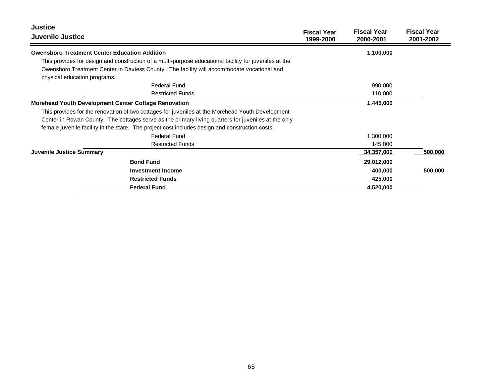| <b>Justice</b><br>Juvenile Justice                                                                                         | <b>Fiscal Year</b><br>1999-2000 | <b>Fiscal Year</b><br>2000-2001 | <b>Fiscal Year</b><br>2001-2002 |
|----------------------------------------------------------------------------------------------------------------------------|---------------------------------|---------------------------------|---------------------------------|
| <b>Owensboro Treatment Center Education Addition</b>                                                                       |                                 | 1,100,000                       |                                 |
| This provides for design and construction of a multi-purpose educational facility for juveniles at the                     |                                 |                                 |                                 |
| Owensboro Treatment Center in Daviess County. The facility will accommodate vocational and<br>physical education programs. |                                 |                                 |                                 |
| Federal Fund                                                                                                               |                                 | 990,000                         |                                 |
| <b>Restricted Funds</b>                                                                                                    |                                 | 110,000                         |                                 |
| Morehead Youth Development Center Cottage Renovation                                                                       |                                 | 1,445,000                       |                                 |
| This provides for the renovation of two cottages for juveniles at the Morehead Youth Development                           |                                 |                                 |                                 |
| Center in Rowan County. The cottages serve as the primary living quarters for juveniles at the only                        |                                 |                                 |                                 |
| female juvenile facility in the state. The project cost includes design and construction costs.                            |                                 |                                 |                                 |
| <b>Federal Fund</b>                                                                                                        |                                 | 1,300,000                       |                                 |
| <b>Restricted Funds</b>                                                                                                    |                                 | 145,000                         |                                 |
| Juvenile Justice Summary                                                                                                   |                                 | 34,357,000                      | 500,000                         |
| <b>Bond Fund</b>                                                                                                           |                                 | 29,012,000                      |                                 |
| <b>Investment Income</b>                                                                                                   |                                 | 400,000                         | 500,000                         |
| <b>Restricted Funds</b>                                                                                                    |                                 | 425,000                         |                                 |
| <b>Federal Fund</b>                                                                                                        |                                 | 4,520,000                       |                                 |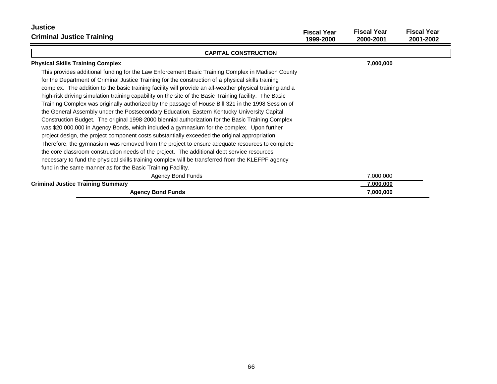| <b>Justice</b><br><b>Criminal Justice Training</b>                                                                                                                                                                                                                                                                                                                                                                                                                                                                                                                                                                                                                                                                                                                                                                                                                                                                                                                                                                                                                                                                                                                                                                                                                                                           | <b>Fiscal Year</b><br>1999-2000 | <b>Fiscal Year</b><br>2000-2001 | <b>Fiscal Year</b><br>2001-2002 |
|--------------------------------------------------------------------------------------------------------------------------------------------------------------------------------------------------------------------------------------------------------------------------------------------------------------------------------------------------------------------------------------------------------------------------------------------------------------------------------------------------------------------------------------------------------------------------------------------------------------------------------------------------------------------------------------------------------------------------------------------------------------------------------------------------------------------------------------------------------------------------------------------------------------------------------------------------------------------------------------------------------------------------------------------------------------------------------------------------------------------------------------------------------------------------------------------------------------------------------------------------------------------------------------------------------------|---------------------------------|---------------------------------|---------------------------------|
| <b>CAPITAL CONSTRUCTION</b>                                                                                                                                                                                                                                                                                                                                                                                                                                                                                                                                                                                                                                                                                                                                                                                                                                                                                                                                                                                                                                                                                                                                                                                                                                                                                  |                                 |                                 |                                 |
| <b>Physical Skills Training Complex</b>                                                                                                                                                                                                                                                                                                                                                                                                                                                                                                                                                                                                                                                                                                                                                                                                                                                                                                                                                                                                                                                                                                                                                                                                                                                                      |                                 | 7,000,000                       |                                 |
| This provides additional funding for the Law Enforcement Basic Training Complex in Madison County<br>for the Department of Criminal Justice Training for the construction of a physical skills training<br>complex. The addition to the basic training facility will provide an all-weather physical training and a<br>high-risk driving simulation training capability on the site of the Basic Training facility. The Basic<br>Training Complex was originally authorized by the passage of House Bill 321 in the 1998 Session of<br>the General Assembly under the Postsecondary Education, Eastern Kentucky University Capital<br>Construction Budget. The original 1998-2000 biennial authorization for the Basic Training Complex<br>was \$20,000,000 in Agency Bonds, which included a gymnasium for the complex. Upon further<br>project design, the project component costs substantially exceeded the original appropriation.<br>Therefore, the gymnasium was removed from the project to ensure adequate resources to complete<br>the core classroom construction needs of the project. The additional debt service resources<br>necessary to fund the physical skills training complex will be transferred from the KLEFPF agency<br>fund in the same manner as for the Basic Training Facility. |                                 |                                 |                                 |
| <b>Agency Bond Funds</b>                                                                                                                                                                                                                                                                                                                                                                                                                                                                                                                                                                                                                                                                                                                                                                                                                                                                                                                                                                                                                                                                                                                                                                                                                                                                                     |                                 | 7,000,000                       |                                 |
| <b>Criminal Justice Training Summary</b>                                                                                                                                                                                                                                                                                                                                                                                                                                                                                                                                                                                                                                                                                                                                                                                                                                                                                                                                                                                                                                                                                                                                                                                                                                                                     |                                 | 7,000,000                       |                                 |
| <b>Agency Bond Funds</b>                                                                                                                                                                                                                                                                                                                                                                                                                                                                                                                                                                                                                                                                                                                                                                                                                                                                                                                                                                                                                                                                                                                                                                                                                                                                                     |                                 | 7,000,000                       |                                 |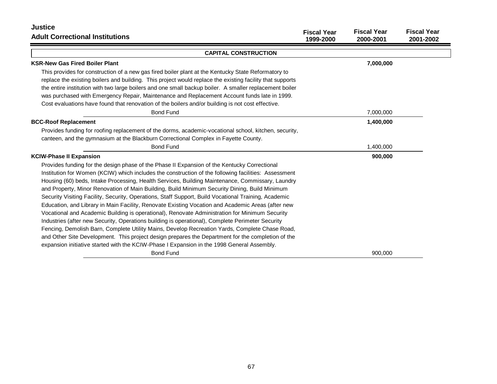| <b>Justice</b>                                                                                                                                                                                                                                                                                                                                                                                                                                                                                                                                                                                                                                                                                                                                                                                                                                                                                                                                                                                                                                                                                                                    |                                 |                                 |                                 |
|-----------------------------------------------------------------------------------------------------------------------------------------------------------------------------------------------------------------------------------------------------------------------------------------------------------------------------------------------------------------------------------------------------------------------------------------------------------------------------------------------------------------------------------------------------------------------------------------------------------------------------------------------------------------------------------------------------------------------------------------------------------------------------------------------------------------------------------------------------------------------------------------------------------------------------------------------------------------------------------------------------------------------------------------------------------------------------------------------------------------------------------|---------------------------------|---------------------------------|---------------------------------|
| <b>Adult Correctional Institutions</b>                                                                                                                                                                                                                                                                                                                                                                                                                                                                                                                                                                                                                                                                                                                                                                                                                                                                                                                                                                                                                                                                                            | <b>Fiscal Year</b><br>1999-2000 | <b>Fiscal Year</b><br>2000-2001 | <b>Fiscal Year</b><br>2001-2002 |
| <b>CAPITAL CONSTRUCTION</b>                                                                                                                                                                                                                                                                                                                                                                                                                                                                                                                                                                                                                                                                                                                                                                                                                                                                                                                                                                                                                                                                                                       |                                 |                                 |                                 |
| <b>KSR-New Gas Fired Boiler Plant</b>                                                                                                                                                                                                                                                                                                                                                                                                                                                                                                                                                                                                                                                                                                                                                                                                                                                                                                                                                                                                                                                                                             |                                 | 7,000,000                       |                                 |
| This provides for construction of a new gas fired boiler plant at the Kentucky State Reformatory to<br>replace the existing boilers and building. This project would replace the existing facility that supports                                                                                                                                                                                                                                                                                                                                                                                                                                                                                                                                                                                                                                                                                                                                                                                                                                                                                                                  |                                 |                                 |                                 |
| the entire institution with two large boilers and one small backup boiler. A smaller replacement boiler<br>was purchased with Emergency Repair, Maintenance and Replacement Account funds late in 1999.<br>Cost evaluations have found that renovation of the boilers and/or building is not cost effective.                                                                                                                                                                                                                                                                                                                                                                                                                                                                                                                                                                                                                                                                                                                                                                                                                      |                                 |                                 |                                 |
| <b>Bond Fund</b>                                                                                                                                                                                                                                                                                                                                                                                                                                                                                                                                                                                                                                                                                                                                                                                                                                                                                                                                                                                                                                                                                                                  |                                 | 7,000,000                       |                                 |
| <b>BCC-Roof Replacement</b>                                                                                                                                                                                                                                                                                                                                                                                                                                                                                                                                                                                                                                                                                                                                                                                                                                                                                                                                                                                                                                                                                                       |                                 | 1,400,000                       |                                 |
| Provides funding for roofing replacement of the dorms, academic-vocational school, kitchen, security,<br>canteen, and the gymnasium at the Blackburn Correctional Complex in Fayette County.                                                                                                                                                                                                                                                                                                                                                                                                                                                                                                                                                                                                                                                                                                                                                                                                                                                                                                                                      |                                 |                                 |                                 |
| <b>Bond Fund</b>                                                                                                                                                                                                                                                                                                                                                                                                                                                                                                                                                                                                                                                                                                                                                                                                                                                                                                                                                                                                                                                                                                                  |                                 | 1,400,000                       |                                 |
| <b>KCIW-Phase II Expansion</b>                                                                                                                                                                                                                                                                                                                                                                                                                                                                                                                                                                                                                                                                                                                                                                                                                                                                                                                                                                                                                                                                                                    |                                 | 900,000                         |                                 |
| Provides funding for the design phase of the Phase II Expansion of the Kentucky Correctional<br>Institution for Women (KCIW) which includes the construction of the following facilities: Assessment<br>Housing (60) beds, Intake Processing, Health Services, Building Maintenance, Commissary, Laundry<br>and Property, Minor Renovation of Main Building, Build Minimum Security Dining, Build Minimum<br>Security Visiting Facility, Security, Operations, Staff Support, Build Vocational Training, Academic<br>Education, and Library in Main Facility, Renovate Existing Vocation and Academic Areas (after new<br>Vocational and Academic Building is operational), Renovate Administration for Minimum Security<br>Industries (after new Security, Operations building is operational), Complete Perimeter Security<br>Fencing, Demolish Barn, Complete Utility Mains, Develop Recreation Yards, Complete Chase Road,<br>and Other Site Development. This project design prepares the Department for the completion of the<br>expansion initiative started with the KCIW-Phase I Expansion in the 1998 General Assembly. |                                 |                                 |                                 |
| <b>Bond Fund</b>                                                                                                                                                                                                                                                                                                                                                                                                                                                                                                                                                                                                                                                                                                                                                                                                                                                                                                                                                                                                                                                                                                                  |                                 | 900,000                         |                                 |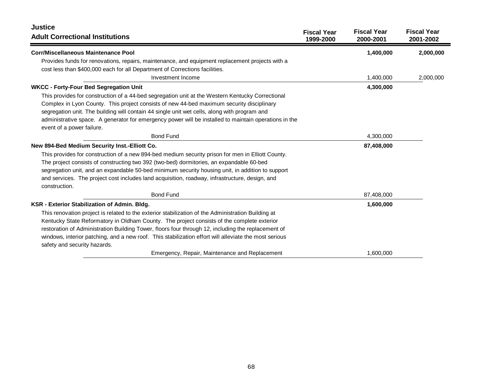| <b>Justice</b><br><b>Adult Correctional Institutions</b>                                                                                                                                                                                                                                                                                                                                                                                        | <b>Fiscal Year</b><br>1999-2000 | <b>Fiscal Year</b><br>2000-2001 | <b>Fiscal Year</b><br>2001-2002 |
|-------------------------------------------------------------------------------------------------------------------------------------------------------------------------------------------------------------------------------------------------------------------------------------------------------------------------------------------------------------------------------------------------------------------------------------------------|---------------------------------|---------------------------------|---------------------------------|
| <b>Corr/Miscellaneous Maintenance Pool</b>                                                                                                                                                                                                                                                                                                                                                                                                      |                                 | 1,400,000                       | 2,000,000                       |
| Provides funds for renovations, repairs, maintenance, and equipment replacement projects with a<br>cost less than \$400,000 each for all Department of Corrections facilities.                                                                                                                                                                                                                                                                  |                                 |                                 |                                 |
| Investment Income                                                                                                                                                                                                                                                                                                                                                                                                                               |                                 | 1,400,000                       | 2,000,000                       |
| <b>WKCC - Forty-Four Bed Segregation Unit</b>                                                                                                                                                                                                                                                                                                                                                                                                   |                                 | 4,300,000                       |                                 |
| This provides for construction of a 44-bed segregation unit at the Western Kentucky Correctional<br>Complex in Lyon County. This project consists of new 44-bed maximum security disciplinary<br>segregation unit. The building will contain 44 single unit wet cells, along with program and<br>administrative space. A generator for emergency power will be installed to maintain operations in the<br>event of a power failure.             |                                 |                                 |                                 |
| <b>Bond Fund</b>                                                                                                                                                                                                                                                                                                                                                                                                                                |                                 | 4,300,000                       |                                 |
| New 894-Bed Medium Security Inst.-Elliott Co.                                                                                                                                                                                                                                                                                                                                                                                                   |                                 | 87,408,000                      |                                 |
| This provides for construction of a new 894-bed medium security prison for men in Elliott County.<br>The project consists of constructing two 392 (two-bed) dormitories, an expandable 60-bed<br>segregation unit, and an expandable 50-bed minimum security housing unit, in addition to support<br>and services. The project cost includes land acquisition, roadway, infrastructure, design, and<br>construction.                            |                                 |                                 |                                 |
| <b>Bond Fund</b>                                                                                                                                                                                                                                                                                                                                                                                                                                |                                 | 87,408,000                      |                                 |
| KSR - Exterior Stabilization of Admin. Bldg.                                                                                                                                                                                                                                                                                                                                                                                                    |                                 | 1,600,000                       |                                 |
| This renovation project is related to the exterior stabilization of the Administration Building at<br>Kentucky State Reformatory in Oldham County. The project consists of the complete exterior<br>restoration of Administration Building Tower, floors four through 12, including the replacement of<br>windows, interior patching, and a new roof. This stabilization effort will alleviate the most serious<br>safety and security hazards. |                                 |                                 |                                 |
| Emergency, Repair, Maintenance and Replacement                                                                                                                                                                                                                                                                                                                                                                                                  |                                 | 1,600,000                       |                                 |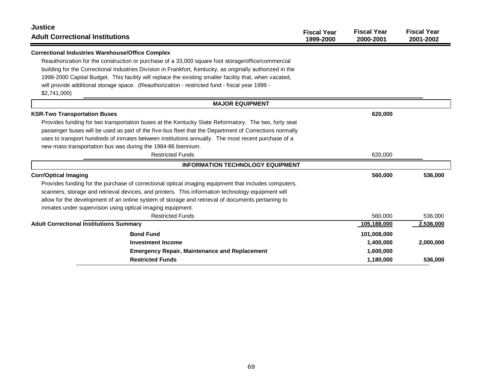| <b>Justice</b><br><b>Adult Correctional Institutions</b>                                                  | <b>Fiscal Year</b><br>1999-2000 | <b>Fiscal Year</b><br>2000-2001 | <b>Fiscal Year</b><br>2001-2002 |
|-----------------------------------------------------------------------------------------------------------|---------------------------------|---------------------------------|---------------------------------|
| <b>Correctional Industries Warehouse/Office Complex</b>                                                   |                                 |                                 |                                 |
| Reauthorization for the construction or purchase of a 33,000 square foot storage/office/commercial        |                                 |                                 |                                 |
| building for the Correctional Industries Division in Frankfort, Kentucky, as originally authorized in the |                                 |                                 |                                 |
| 1998-2000 Capital Budget. This facility will replace the existing smaller facility that, when vacated,    |                                 |                                 |                                 |
| will provide additional storage space. (Reauthorization - restricted fund - fiscal year 1999 -            |                                 |                                 |                                 |
| \$2,741,000                                                                                               |                                 |                                 |                                 |
| <b>MAJOR EQUIPMENT</b>                                                                                    |                                 |                                 |                                 |
| <b>KSR-Two Transportation Buses</b>                                                                       |                                 | 620,000                         |                                 |
| Provides funding for two transportation buses at the Kentucky State Reformatory. The two, forty seat      |                                 |                                 |                                 |
| passenger buses will be used as part of the five-bus fleet that the Department of Corrections normally    |                                 |                                 |                                 |
| uses to transport hundreds of inmates between institutions annually. The most recent purchase of a        |                                 |                                 |                                 |
| new mass transportation bus was during the 1984-86 biennium.                                              |                                 |                                 |                                 |
| <b>Restricted Funds</b>                                                                                   |                                 | 620,000                         |                                 |
| <b>INFORMATION TECHNOLOGY EQUIPMENT</b>                                                                   |                                 |                                 |                                 |
| <b>Corr/Optical Imaging</b>                                                                               |                                 | 560,000                         | 536,000                         |
| Provides funding for the purchase of correctional optical imaging equipment that includes computers,      |                                 |                                 |                                 |
| scanners, storage and retrieval devices, and printers. This information technology equipment will         |                                 |                                 |                                 |
| allow for the development of an online system of storage and retrieval of documents pertaining to         |                                 |                                 |                                 |
| inmates under supervision using optical imaging equipment.                                                |                                 |                                 |                                 |
| <b>Restricted Funds</b>                                                                                   |                                 | 560,000                         | 536,000                         |
| <b>Adult Correctional Institutions Summary</b>                                                            |                                 | 105,188,000                     | 2,536,000                       |
| <b>Bond Fund</b>                                                                                          |                                 | 101,008,000                     |                                 |
| <b>Investment Income</b>                                                                                  |                                 | 1,400,000                       | 2,000,000                       |
| <b>Emergency Repair, Maintenance and Replacement</b>                                                      |                                 | 1,600,000                       |                                 |
| <b>Restricted Funds</b>                                                                                   |                                 | 1,180,000                       | 536,000                         |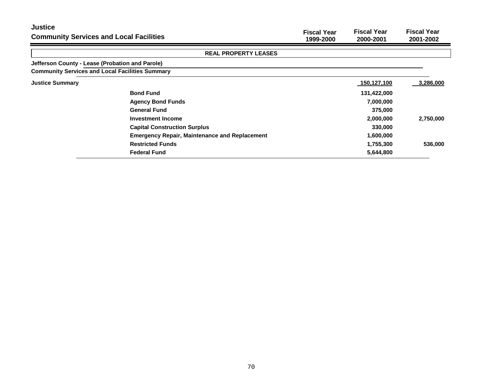| <b>Justice</b><br><b>Community Services and Local Facilities</b> |                                                      | <b>Fiscal Year</b><br>1999-2000 | <b>Fiscal Year</b><br>2000-2001 | <b>Fiscal Year</b><br>2001-2002 |
|------------------------------------------------------------------|------------------------------------------------------|---------------------------------|---------------------------------|---------------------------------|
|                                                                  | <b>REAL PROPERTY LEASES</b>                          |                                 |                                 |                                 |
| Jefferson County - Lease (Probation and Parole)                  |                                                      |                                 |                                 |                                 |
| <b>Community Services and Local Facilities Summary</b>           |                                                      |                                 |                                 |                                 |
| <b>Justice Summary</b>                                           |                                                      |                                 | 150,127,100                     | 3,286,000                       |
|                                                                  | <b>Bond Fund</b>                                     |                                 | 131,422,000                     |                                 |
|                                                                  | <b>Agency Bond Funds</b>                             |                                 | 7,000,000                       |                                 |
|                                                                  | <b>General Fund</b>                                  |                                 | 375,000                         |                                 |
|                                                                  | <b>Investment Income</b>                             |                                 | 2,000,000                       | 2,750,000                       |
|                                                                  | <b>Capital Construction Surplus</b>                  |                                 | 330,000                         |                                 |
|                                                                  | <b>Emergency Repair, Maintenance and Replacement</b> |                                 | 1,600,000                       |                                 |
|                                                                  | <b>Restricted Funds</b>                              |                                 | 1,755,300                       | 536,000                         |
|                                                                  | <b>Federal Fund</b>                                  |                                 | 5,644,800                       |                                 |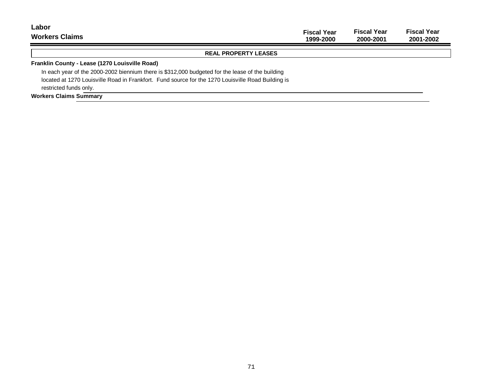| Labor<br><b>Workers Claims</b>                                                                     | <b>Fiscal Year</b><br>1999-2000 | <b>Fiscal Year</b><br>2000-2001 | <b>Fiscal Year</b><br>2001-2002 |
|----------------------------------------------------------------------------------------------------|---------------------------------|---------------------------------|---------------------------------|
| <b>REAL PROPERTY LEASES</b>                                                                        |                                 |                                 |                                 |
| Franklin County - Lease (1270 Louisville Road)                                                     |                                 |                                 |                                 |
| In each year of the 2000-2002 biennium there is \$312,000 budgeted for the lease of the building   |                                 |                                 |                                 |
| located at 1270 Louisville Road in Frankfort. Fund source for the 1270 Louisville Road Building is |                                 |                                 |                                 |
| restricted funds only.                                                                             |                                 |                                 |                                 |
| <b>Workers Claims Summary</b>                                                                      |                                 |                                 |                                 |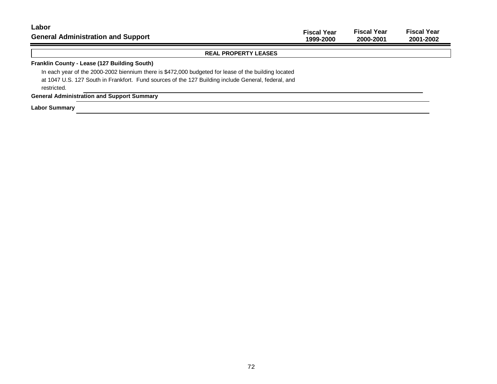| Labor<br><b>General Administration and Support</b>                                                                                                                                                                         | <b>Fiscal Year</b><br>1999-2000 | <b>Fiscal Year</b><br>2000-2001 | <b>Fiscal Year</b><br>2001-2002 |
|----------------------------------------------------------------------------------------------------------------------------------------------------------------------------------------------------------------------------|---------------------------------|---------------------------------|---------------------------------|
| <b>REAL PROPERTY LEASES</b>                                                                                                                                                                                                |                                 |                                 |                                 |
| Franklin County - Lease (127 Building South)                                                                                                                                                                               |                                 |                                 |                                 |
| In each year of the 2000-2002 biennium there is \$472,000 budgeted for lease of the building located<br>at 1047 U.S. 127 South in Frankfort. Fund sources of the 127 Building include General, federal, and<br>restricted. |                                 |                                 |                                 |
| <b>General Administration and Support Summary</b>                                                                                                                                                                          |                                 |                                 |                                 |
| <b>Labor Summary</b>                                                                                                                                                                                                       |                                 |                                 |                                 |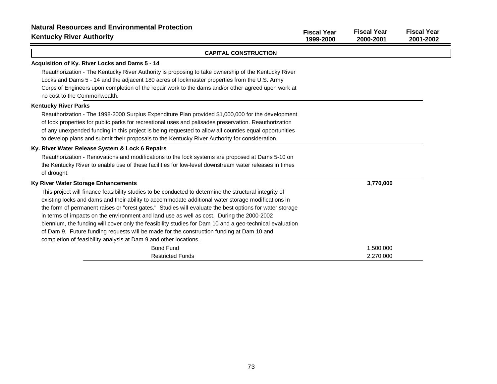| <b>Natural Resources and Environmental Protection</b><br><b>Kentucky River Authority</b>                                                                                                                                                                                                                                                                                                                                                                                                                                                                                                                                                                                                         | <b>Fiscal Year</b><br>1999-2000 | <b>Fiscal Year</b><br>2000-2001 | <b>Fiscal Year</b><br>2001-2002 |
|--------------------------------------------------------------------------------------------------------------------------------------------------------------------------------------------------------------------------------------------------------------------------------------------------------------------------------------------------------------------------------------------------------------------------------------------------------------------------------------------------------------------------------------------------------------------------------------------------------------------------------------------------------------------------------------------------|---------------------------------|---------------------------------|---------------------------------|
| <b>CAPITAL CONSTRUCTION</b>                                                                                                                                                                                                                                                                                                                                                                                                                                                                                                                                                                                                                                                                      |                                 |                                 |                                 |
| Acquisition of Ky. River Locks and Dams 5 - 14                                                                                                                                                                                                                                                                                                                                                                                                                                                                                                                                                                                                                                                   |                                 |                                 |                                 |
| Reauthorization - The Kentucky River Authority is proposing to take ownership of the Kentucky River                                                                                                                                                                                                                                                                                                                                                                                                                                                                                                                                                                                              |                                 |                                 |                                 |
| Locks and Dams 5 - 14 and the adjacent 180 acres of lockmaster properties from the U.S. Army                                                                                                                                                                                                                                                                                                                                                                                                                                                                                                                                                                                                     |                                 |                                 |                                 |
| Corps of Engineers upon completion of the repair work to the dams and/or other agreed upon work at<br>no cost to the Commonwealth.                                                                                                                                                                                                                                                                                                                                                                                                                                                                                                                                                               |                                 |                                 |                                 |
| <b>Kentucky River Parks</b>                                                                                                                                                                                                                                                                                                                                                                                                                                                                                                                                                                                                                                                                      |                                 |                                 |                                 |
| Reauthorization - The 1998-2000 Surplus Expenditure Plan provided \$1,000,000 for the development<br>of lock properties for public parks for recreational uses and palisades preservation. Reauthorization<br>of any unexpended funding in this project is being requested to allow all counties equal opportunities<br>to develop plans and submit their proposals to the Kentucky River Authority for consideration.                                                                                                                                                                                                                                                                           |                                 |                                 |                                 |
| Ky. River Water Release System & Lock 6 Repairs                                                                                                                                                                                                                                                                                                                                                                                                                                                                                                                                                                                                                                                  |                                 |                                 |                                 |
| Reauthorization - Renovations and modifications to the lock systems are proposed at Dams 5-10 on<br>the Kentucky River to enable use of these facilities for low-level downstream water releases in times<br>of drought.                                                                                                                                                                                                                                                                                                                                                                                                                                                                         |                                 |                                 |                                 |
| Ky River Water Storage Enhancements                                                                                                                                                                                                                                                                                                                                                                                                                                                                                                                                                                                                                                                              |                                 | 3,770,000                       |                                 |
| This project will finance feasibility studies to be conducted to determine the structural integrity of<br>existing locks and dams and their ability to accommodate additional water storage modifications in<br>the form of permanent raises or "crest gates." Studies will evaluate the best options for water storage<br>in terms of impacts on the environment and land use as well as cost. During the 2000-2002<br>biennium, the funding will cover only the feasibility studies for Dam 10 and a geo-technical evaluation<br>of Dam 9. Future funding requests will be made for the construction funding at Dam 10 and<br>completion of feasibility analysis at Dam 9 and other locations. |                                 |                                 |                                 |
| <b>Bond Fund</b>                                                                                                                                                                                                                                                                                                                                                                                                                                                                                                                                                                                                                                                                                 |                                 | 1,500,000                       |                                 |
| <b>Restricted Funds</b>                                                                                                                                                                                                                                                                                                                                                                                                                                                                                                                                                                                                                                                                          |                                 | 2,270,000                       |                                 |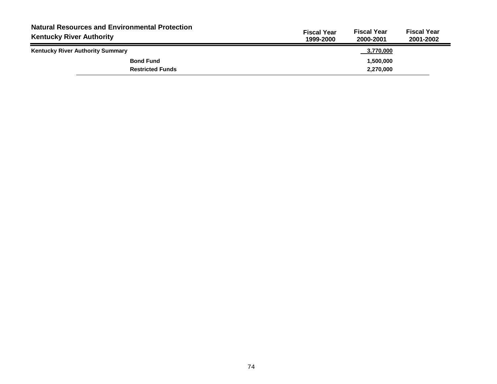| <b>Natural Resources and Environmental Protection</b><br><b>Kentucky River Authority</b> | <b>Fiscal Year</b><br><b>Fiscal Year</b><br><b>Fiscal Year</b><br>1999-2000<br>2001-2002<br>2000-2001 |
|------------------------------------------------------------------------------------------|-------------------------------------------------------------------------------------------------------|
| <b>Kentucky River Authority Summary</b>                                                  | 3,770,000                                                                                             |
| <b>Bond Fund</b>                                                                         | 1,500,000                                                                                             |
| <b>Restricted Funds</b>                                                                  | 2,270,000                                                                                             |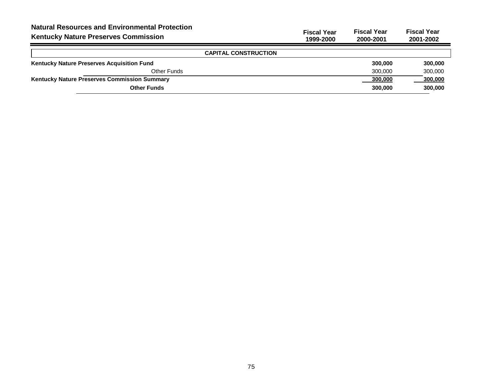| <b>Natural Resources and Environmental Protection</b><br><b>Kentucky Nature Preserves Commission</b> | <b>Fiscal Year</b><br>1999-2000 | <b>Fiscal Year</b><br>2000-2001 | <b>Fiscal Year</b><br>2001-2002 |
|------------------------------------------------------------------------------------------------------|---------------------------------|---------------------------------|---------------------------------|
| <b>CAPITAL CONSTRUCTION</b>                                                                          |                                 |                                 |                                 |
| Kentucky Nature Preserves Acquisition Fund                                                           |                                 | 300,000                         | 300,000                         |
| Other Funds                                                                                          |                                 | 300.000                         | 300,000                         |
| <b>Kentucky Nature Preserves Commission Summary</b>                                                  |                                 | 300,000                         | 300,000                         |
| <b>Other Funds</b>                                                                                   |                                 | 300,000                         | 300,000                         |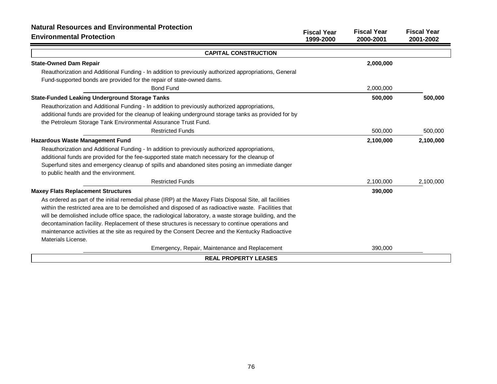| <b>Natural Resources and Environmental Protection</b><br><b>Environmental Protection</b>                | <b>Fiscal Year</b><br>1999-2000 | <b>Fiscal Year</b><br>2000-2001 | <b>Fiscal Year</b><br>2001-2002 |
|---------------------------------------------------------------------------------------------------------|---------------------------------|---------------------------------|---------------------------------|
| <b>CAPITAL CONSTRUCTION</b>                                                                             |                                 |                                 |                                 |
| <b>State-Owned Dam Repair</b>                                                                           |                                 | 2,000,000                       |                                 |
| Reauthorization and Additional Funding - In addition to previously authorized appropriations, General   |                                 |                                 |                                 |
| Fund-supported bonds are provided for the repair of state-owned dams.                                   |                                 |                                 |                                 |
| <b>Bond Fund</b>                                                                                        |                                 | 2,000,000                       |                                 |
| <b>State-Funded Leaking Underground Storage Tanks</b>                                                   |                                 | 500,000                         | 500,000                         |
| Reauthorization and Additional Funding - In addition to previously authorized appropriations,           |                                 |                                 |                                 |
| additional funds are provided for the cleanup of leaking underground storage tanks as provided for by   |                                 |                                 |                                 |
| the Petroleum Storage Tank Environmental Assurance Trust Fund.                                          |                                 |                                 |                                 |
| <b>Restricted Funds</b>                                                                                 |                                 | 500,000                         | 500,000                         |
| <b>Hazardous Waste Management Fund</b>                                                                  |                                 | 2,100,000                       | 2,100,000                       |
| Reauthorization and Additional Funding - In addition to previously authorized appropriations,           |                                 |                                 |                                 |
| additional funds are provided for the fee-supported state match necessary for the cleanup of            |                                 |                                 |                                 |
| Superfund sites and emergency cleanup of spills and abandoned sites posing an immediate danger          |                                 |                                 |                                 |
| to public health and the environment.                                                                   |                                 |                                 |                                 |
| <b>Restricted Funds</b>                                                                                 |                                 | 2,100,000                       | 2,100,000                       |
| <b>Maxey Flats Replacement Structures</b>                                                               |                                 | 390,000                         |                                 |
| As ordered as part of the initial remedial phase (IRP) at the Maxey Flats Disposal Site, all facilities |                                 |                                 |                                 |
| within the restricted area are to be demolished and disposed of as radioactive waste. Facilities that   |                                 |                                 |                                 |
| will be demolished include office space, the radiological laboratory, a waste storage building, and the |                                 |                                 |                                 |
| decontamination facility. Replacement of these structures is necessary to continue operations and       |                                 |                                 |                                 |
| maintenance activities at the site as required by the Consent Decree and the Kentucky Radioactive       |                                 |                                 |                                 |
| Materials License.                                                                                      |                                 |                                 |                                 |
| Emergency, Repair, Maintenance and Replacement                                                          |                                 | 390,000                         |                                 |
| <b>REAL PROPERTY LEASES</b>                                                                             |                                 |                                 |                                 |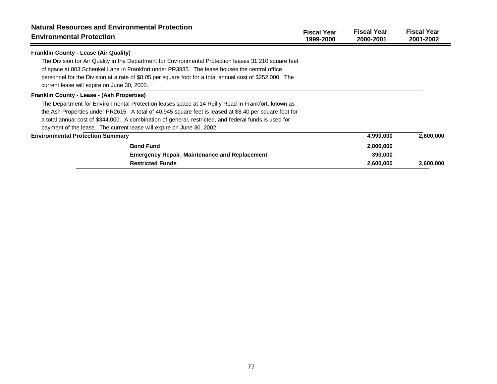| <b>Natural Resources and Environmental Protection</b><br><b>Environmental Protection</b>                                                                                                                                                                                                                                                                         | <b>Fiscal Year</b><br>1999-2000 | <b>Fiscal Year</b><br>2000-2001 | <b>Fiscal Year</b><br>2001-2002 |
|------------------------------------------------------------------------------------------------------------------------------------------------------------------------------------------------------------------------------------------------------------------------------------------------------------------------------------------------------------------|---------------------------------|---------------------------------|---------------------------------|
| <b>Franklin County - Lease (Air Quality)</b>                                                                                                                                                                                                                                                                                                                     |                                 |                                 |                                 |
| The Division for Air Quality in the Department for Environmental Protection leases 31,210 square feet<br>of space at 803 Schenkel Lane in Frankfort under PR3835. The lease houses the central office<br>personnel for the Division at a rate of \$8.05 per square foot for a total annual cost of \$252,000. The<br>current lease will expire on June 30, 2002. |                                 |                                 |                                 |
| <b>Franklin County - Lease - (Ash Properties)</b>                                                                                                                                                                                                                                                                                                                |                                 |                                 |                                 |
| The Department for Environmental Protection leases space at 14 Reilly Road in Frankfort, known as                                                                                                                                                                                                                                                                |                                 |                                 |                                 |
| the Ash Properties under PR2615. A total of 40,945 square feet is leased at \$8.40 per square foot for                                                                                                                                                                                                                                                           |                                 |                                 |                                 |
| a total annual cost of \$344,000. A combination of general, restricted, and federal funds is used for                                                                                                                                                                                                                                                            |                                 |                                 |                                 |
| payment of the lease. The current lease will expire on June 30, 2002.                                                                                                                                                                                                                                                                                            |                                 |                                 |                                 |
| <b>Environmental Protection Summary</b>                                                                                                                                                                                                                                                                                                                          |                                 | 4,990,000                       | 2,600,000                       |
| <b>Bond Fund</b>                                                                                                                                                                                                                                                                                                                                                 |                                 | 2,000,000                       |                                 |
| <b>Emergency Repair, Maintenance and Replacement</b>                                                                                                                                                                                                                                                                                                             |                                 | 390,000                         |                                 |
| <b>Restricted Funds</b>                                                                                                                                                                                                                                                                                                                                          |                                 | 2,600,000                       | 2,600,000                       |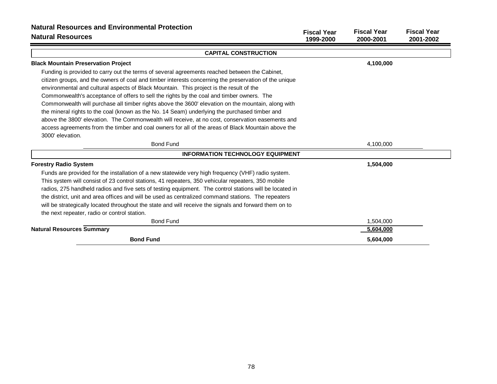| <b>Natural Resources and Environmental Protection</b><br><b>Natural Resources</b>                       | <b>Fiscal Year</b><br>1999-2000 | <b>Fiscal Year</b><br>2000-2001 | <b>Fiscal Year</b><br>2001-2002 |
|---------------------------------------------------------------------------------------------------------|---------------------------------|---------------------------------|---------------------------------|
| <b>CAPITAL CONSTRUCTION</b>                                                                             |                                 |                                 |                                 |
| <b>Black Mountain Preservation Project</b>                                                              |                                 | 4,100,000                       |                                 |
| Funding is provided to carry out the terms of several agreements reached between the Cabinet,           |                                 |                                 |                                 |
| citizen groups, and the owners of coal and timber interests concerning the preservation of the unique   |                                 |                                 |                                 |
| environmental and cultural aspects of Black Mountain. This project is the result of the                 |                                 |                                 |                                 |
| Commonwealth's acceptance of offers to sell the rights by the coal and timber owners. The               |                                 |                                 |                                 |
| Commonwealth will purchase all timber rights above the 3600' elevation on the mountain, along with      |                                 |                                 |                                 |
| the mineral rights to the coal (known as the No. 14 Seam) underlying the purchased timber and           |                                 |                                 |                                 |
| above the 3800' elevation. The Commonwealth will receive, at no cost, conservation easements and        |                                 |                                 |                                 |
| access agreements from the timber and coal owners for all of the areas of Black Mountain above the      |                                 |                                 |                                 |
| 3000' elevation.                                                                                        |                                 |                                 |                                 |
| <b>Bond Fund</b>                                                                                        |                                 | 4,100,000                       |                                 |
| <b>INFORMATION TECHNOLOGY EQUIPMENT</b>                                                                 |                                 |                                 |                                 |
| <b>Forestry Radio System</b>                                                                            |                                 | 1,504,000                       |                                 |
| Funds are provided for the installation of a new statewide very high frequency (VHF) radio system.      |                                 |                                 |                                 |
| This system will consist of 23 control stations, 41 repeaters, 350 vehicular repeaters, 350 mobile      |                                 |                                 |                                 |
| radios, 275 handheld radios and five sets of testing equipment. The control stations will be located in |                                 |                                 |                                 |
| the district, unit and area offices and will be used as centralized command stations. The repeaters     |                                 |                                 |                                 |
| will be strategically located throughout the state and will receive the signals and forward them on to  |                                 |                                 |                                 |
| the next repeater, radio or control station.                                                            |                                 |                                 |                                 |
| <b>Bond Fund</b>                                                                                        |                                 | 1,504,000                       |                                 |
| <b>Natural Resources Summary</b>                                                                        |                                 | 5,604,000                       |                                 |
| <b>Bond Fund</b>                                                                                        |                                 | 5,604,000                       |                                 |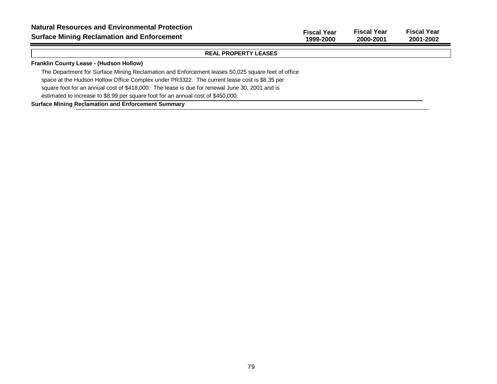**Fiscal Year Fiscal Year Fiscal Year 1999-2000 2000-2001 2001-2002**

## **REAL PROPERTY LEASES**

## **Franklin County Lease - (Hudson Hollow)**

The Department for Surface Mining Reclamation and Enforcement leases 50,025 square feet of office space at the Hudson Hollow Office Complex under PR3322. The current lease cost is \$8.35 per

square foot for an annual cost of \$418,000. The lease is due for renewal June 30, 2001 and is

estimated to increase to \$8.99 per square foot for an annual cost of \$450,000.

## **Surface Mining Reclamation and Enforcement Summary**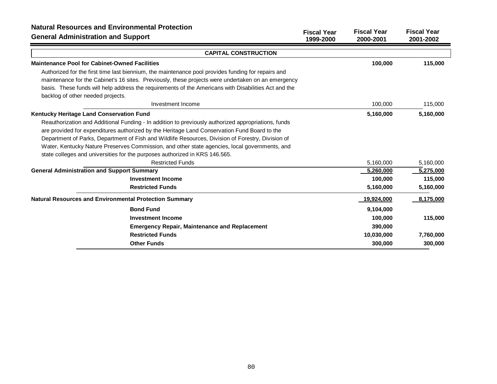| <b>Natural Resources and Environmental Protection</b><br><b>General Administration and Support</b>   | <b>Fiscal Year</b> | <b>Fiscal Year</b> | <b>Fiscal Year</b> |
|------------------------------------------------------------------------------------------------------|--------------------|--------------------|--------------------|
|                                                                                                      | 1999-2000          | 2000-2001          | 2001-2002          |
| <b>CAPITAL CONSTRUCTION</b>                                                                          |                    |                    |                    |
| <b>Maintenance Pool for Cabinet-Owned Facilities</b>                                                 |                    | 100,000            | 115,000            |
| Authorized for the first time last biennium, the maintenance pool provides funding for repairs and   |                    |                    |                    |
| maintenance for the Cabinet's 16 sites. Previously, these projects were undertaken on an emergency   |                    |                    |                    |
| basis. These funds will help address the requirements of the Americans with Disabilities Act and the |                    |                    |                    |
| backlog of other needed projects.                                                                    |                    |                    |                    |
| Investment Income                                                                                    |                    | 100,000            | 115,000            |
| Kentucky Heritage Land Conservation Fund                                                             |                    | 5,160,000          | 5,160,000          |
| Reauthorization and Additional Funding - In addition to previously authorized appropriations, funds  |                    |                    |                    |
| are provided for expenditures authorized by the Heritage Land Conservation Fund Board to the         |                    |                    |                    |
| Department of Parks, Department of Fish and Wildlife Resources, Division of Forestry, Division of    |                    |                    |                    |
| Water, Kentucky Nature Preserves Commission, and other state agencies, local governments, and        |                    |                    |                    |
| state colleges and universities for the purposes authorized in KRS 146.565.                          |                    |                    |                    |
| <b>Restricted Funds</b>                                                                              |                    | 5,160,000          | 5,160,000          |
| <b>General Administration and Support Summary</b>                                                    |                    | 5,260,000          | 5,275,000          |
| <b>Investment Income</b>                                                                             |                    | 100,000            | 115,000            |
| <b>Restricted Funds</b>                                                                              |                    | 5,160,000          | 5,160,000          |
| <b>Natural Resources and Environmental Protection Summary</b>                                        |                    | 19,924,000         | 8,175,000          |
| <b>Bond Fund</b>                                                                                     |                    | 9,104,000          |                    |
| <b>Investment Income</b>                                                                             |                    | 100,000            | 115,000            |
| <b>Emergency Repair, Maintenance and Replacement</b>                                                 |                    | 390,000            |                    |
| <b>Restricted Funds</b>                                                                              |                    | 10,030,000         | 7,760,000          |
| <b>Other Funds</b>                                                                                   |                    | 300,000            | 300,000            |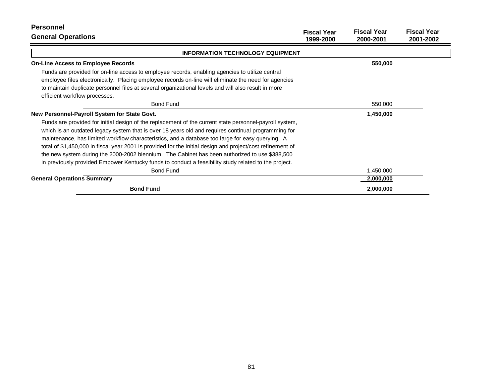| <b>Personnel</b><br><b>General Operations</b>                                                                                                                                                                                                                                                                                                                                                                                                                                                                                                                                                                                              | <b>Fiscal Year</b><br>1999-2000 | <b>Fiscal Year</b><br>2000-2001 | <b>Fiscal Year</b><br>2001-2002 |
|--------------------------------------------------------------------------------------------------------------------------------------------------------------------------------------------------------------------------------------------------------------------------------------------------------------------------------------------------------------------------------------------------------------------------------------------------------------------------------------------------------------------------------------------------------------------------------------------------------------------------------------------|---------------------------------|---------------------------------|---------------------------------|
| <b>INFORMATION TECHNOLOGY EQUIPMENT</b>                                                                                                                                                                                                                                                                                                                                                                                                                                                                                                                                                                                                    |                                 |                                 |                                 |
| <b>On-Line Access to Employee Records</b>                                                                                                                                                                                                                                                                                                                                                                                                                                                                                                                                                                                                  |                                 | 550,000                         |                                 |
| Funds are provided for on-line access to employee records, enabling agencies to utilize central<br>employee files electronically. Placing employee records on-line will eliminate the need for agencies<br>to maintain duplicate personnel files at several organizational levels and will also result in more<br>efficient workflow processes.                                                                                                                                                                                                                                                                                            |                                 |                                 |                                 |
| <b>Bond Fund</b>                                                                                                                                                                                                                                                                                                                                                                                                                                                                                                                                                                                                                           |                                 | 550,000                         |                                 |
| New Personnel-Payroll System for State Govt.                                                                                                                                                                                                                                                                                                                                                                                                                                                                                                                                                                                               |                                 | 1,450,000                       |                                 |
| Funds are provided for initial design of the replacement of the current state personnel-payroll system,<br>which is an outdated legacy system that is over 18 years old and requires continual programming for<br>maintenance, has limited workflow characteristics, and a database too large for easy querying. A<br>total of \$1,450,000 in fiscal year 2001 is provided for the initial design and project/cost refinement of<br>the new system during the 2000-2002 biennium. The Cabinet has been authorized to use \$388,500<br>in previously provided Empower Kentucky funds to conduct a feasibility study related to the project. |                                 |                                 |                                 |
| <b>Bond Fund</b>                                                                                                                                                                                                                                                                                                                                                                                                                                                                                                                                                                                                                           |                                 | 1,450,000                       |                                 |
| <b>General Operations Summary</b>                                                                                                                                                                                                                                                                                                                                                                                                                                                                                                                                                                                                          |                                 | 2,000,000                       |                                 |
| <b>Bond Fund</b>                                                                                                                                                                                                                                                                                                                                                                                                                                                                                                                                                                                                                           |                                 | 2,000,000                       |                                 |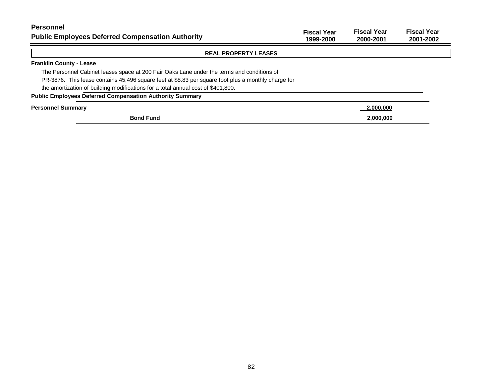| <b>Personnel</b><br><b>Public Employees Deferred Compensation Authority</b>                         | <b>Fiscal Year</b><br>1999-2000 | <b>Fiscal Year</b><br>2000-2001 | <b>Fiscal Year</b><br>2001-2002 |
|-----------------------------------------------------------------------------------------------------|---------------------------------|---------------------------------|---------------------------------|
| <b>REAL PROPERTY LEASES</b>                                                                         |                                 |                                 |                                 |
| <b>Franklin County - Lease</b>                                                                      |                                 |                                 |                                 |
| The Personnel Cabinet leases space at 200 Fair Oaks Lane under the terms and conditions of          |                                 |                                 |                                 |
| PR-3876. This lease contains 45,496 square feet at \$8.83 per square foot plus a monthly charge for |                                 |                                 |                                 |
| the amortization of building modifications for a total annual cost of \$401,800.                    |                                 |                                 |                                 |
| <b>Public Employees Deferred Compensation Authority Summary</b>                                     |                                 |                                 |                                 |
| <b>Personnel Summary</b>                                                                            |                                 | 2,000,000                       |                                 |
| <b>Bond Fund</b>                                                                                    |                                 | 2,000,000                       |                                 |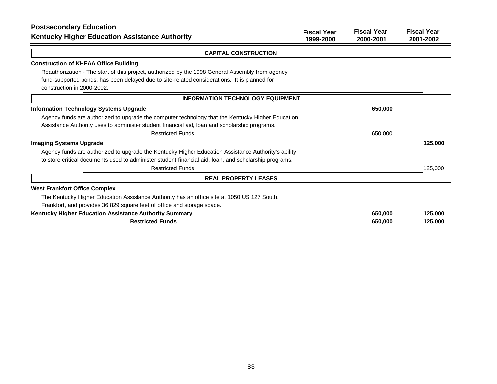| <b>Postsecondary Education</b>                                                                        | <b>Fiscal Year</b> | <b>Fiscal Year</b> | <b>Fiscal Year</b> |
|-------------------------------------------------------------------------------------------------------|--------------------|--------------------|--------------------|
| <b>Kentucky Higher Education Assistance Authority</b>                                                 | 1999-2000          | 2000-2001          | 2001-2002          |
| <b>CAPITAL CONSTRUCTION</b>                                                                           |                    |                    |                    |
| <b>Construction of KHEAA Office Building</b>                                                          |                    |                    |                    |
| Reauthorization - The start of this project, authorized by the 1998 General Assembly from agency      |                    |                    |                    |
| fund-supported bonds, has been delayed due to site-related considerations. It is planned for          |                    |                    |                    |
| construction in 2000-2002.                                                                            |                    |                    |                    |
| <b>INFORMATION TECHNOLOGY EQUIPMENT</b>                                                               |                    |                    |                    |
| <b>Information Technology Systems Upgrade</b>                                                         |                    | 650,000            |                    |
| Agency funds are authorized to upgrade the computer technology that the Kentucky Higher Education     |                    |                    |                    |
| Assistance Authority uses to administer student financial aid, loan and scholarship programs.         |                    |                    |                    |
| <b>Restricted Funds</b>                                                                               |                    | 650,000            |                    |
| <b>Imaging Systems Upgrade</b>                                                                        |                    |                    | 125,000            |
| Agency funds are authorized to upgrade the Kentucky Higher Education Assistance Authority's ability   |                    |                    |                    |
| to store critical documents used to administer student financial aid, loan, and scholarship programs. |                    |                    |                    |
| <b>Restricted Funds</b>                                                                               |                    |                    | 125,000            |
| <b>REAL PROPERTY LEASES</b>                                                                           |                    |                    |                    |
| <b>West Frankfort Office Complex</b>                                                                  |                    |                    |                    |
| The Kentucky Higher Education Assistance Authority has an office site at 1050 US 127 South,           |                    |                    |                    |
| Frankfort, and provides 36,829 square feet of office and storage space.                               |                    |                    |                    |
| Kentucky Higher Education Assistance Authority Summary                                                |                    | 650,000            | 125,000            |
| <b>Restricted Funds</b>                                                                               |                    | 650,000            | 125,000            |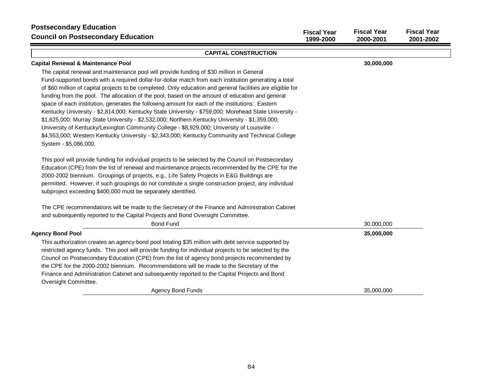| <b>Postsecondary Education</b><br><b>Council on Postsecondary Education</b>                                                                                                                                                                                                                                                                                                                                                                                                                                                                                                                                                                                                                                                                                                                                                                                                                                                                                     | <b>Fiscal Year</b><br>1999-2000 | <b>Fiscal Year</b><br>2000-2001 | <b>Fiscal Year</b><br>2001-2002 |
|-----------------------------------------------------------------------------------------------------------------------------------------------------------------------------------------------------------------------------------------------------------------------------------------------------------------------------------------------------------------------------------------------------------------------------------------------------------------------------------------------------------------------------------------------------------------------------------------------------------------------------------------------------------------------------------------------------------------------------------------------------------------------------------------------------------------------------------------------------------------------------------------------------------------------------------------------------------------|---------------------------------|---------------------------------|---------------------------------|
| <b>CAPITAL CONSTRUCTION</b>                                                                                                                                                                                                                                                                                                                                                                                                                                                                                                                                                                                                                                                                                                                                                                                                                                                                                                                                     |                                 |                                 |                                 |
| <b>Capital Renewal &amp; Maintenance Pool</b>                                                                                                                                                                                                                                                                                                                                                                                                                                                                                                                                                                                                                                                                                                                                                                                                                                                                                                                   |                                 | 30,000,000                      |                                 |
| The capital renewal and maintenance pool will provide funding of \$30 million in General<br>Fund-supported bonds with a required dollar-for-dollar match from each institution generating a total<br>of \$60 million of capital projects to be completed. Only education and general facilities are eligible for<br>funding from the pool. The allocation of the pool, based on the amount of education and general<br>space of each institution, generates the following amount for each of the institutions: Eastern<br>Kentucky University - \$2,814,000: Kentucky State University - \$759,000: Morehead State University -<br>\$1,625,000; Murray State University - \$2,532,000; Northern Kentucky University - \$1,359,000;<br>University of Kentucky/Lexington Community College - \$8,929,000; University of Louisville -<br>\$4,553,000; Western Kentucky University - \$2,343,000; Kentucky Community and Technical College<br>System - \$5,086,000. |                                 |                                 |                                 |
| This pool will provide funding for individual projects to be selected by the Council on Postsecondary<br>Education (CPE) from the list of renewal and maintenance projects recommended by the CPE for the<br>2000-2002 biennium. Groupings of projects, e.g., Life Safety Projects in E&G Buildings are<br>permitted. However, if such groupings do not constitute a single construction project, any individual<br>subproject exceeding \$400,000 must be separately identified.                                                                                                                                                                                                                                                                                                                                                                                                                                                                               |                                 |                                 |                                 |
| The CPE recommendations will be made to the Secretary of the Finance and Administration Cabinet<br>and subsequently reported to the Capital Projects and Bond Oversight Committee.<br><b>Bond Fund</b>                                                                                                                                                                                                                                                                                                                                                                                                                                                                                                                                                                                                                                                                                                                                                          |                                 | 30,000,000                      |                                 |
| <b>Agency Bond Pool</b>                                                                                                                                                                                                                                                                                                                                                                                                                                                                                                                                                                                                                                                                                                                                                                                                                                                                                                                                         |                                 | 35,000,000                      |                                 |
| This authorization creates an agency bond pool totaling \$35 million with debt service supported by<br>restricted agency funds. This pool will provide funding for individual projects to be selected by the<br>Council on Postsecondary Education (CPE) from the list of agency bond projects recommended by<br>the CPE for the 2000-2002 biennium. Recommendations will be made to the Secretary of the<br>Finance and Administration Cabinet and subsequently reported to the Capital Projects and Bond<br>Oversight Committee.                                                                                                                                                                                                                                                                                                                                                                                                                              |                                 |                                 |                                 |
| <b>Agency Bond Funds</b>                                                                                                                                                                                                                                                                                                                                                                                                                                                                                                                                                                                                                                                                                                                                                                                                                                                                                                                                        |                                 | 35,000,000                      |                                 |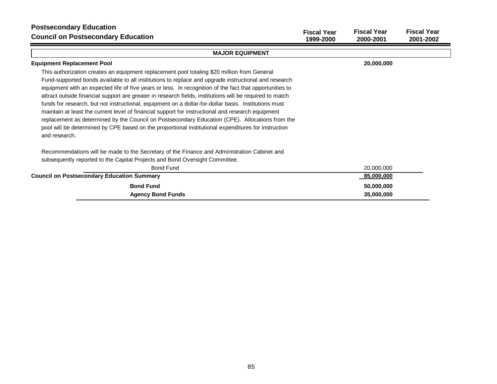| <b>Postsecondary Education</b><br><b>Council on Postsecondary Education</b>                                                                                                                                                                                                                                                                                                                                                                                                                                                                                                                                                                                                                                                                                                                                                                                        | <b>Fiscal Year</b><br>1999-2000 | <b>Fiscal Year</b><br>2000-2001 | <b>Fiscal Year</b><br>2001-2002 |
|--------------------------------------------------------------------------------------------------------------------------------------------------------------------------------------------------------------------------------------------------------------------------------------------------------------------------------------------------------------------------------------------------------------------------------------------------------------------------------------------------------------------------------------------------------------------------------------------------------------------------------------------------------------------------------------------------------------------------------------------------------------------------------------------------------------------------------------------------------------------|---------------------------------|---------------------------------|---------------------------------|
| <b>MAJOR EQUIPMENT</b>                                                                                                                                                                                                                                                                                                                                                                                                                                                                                                                                                                                                                                                                                                                                                                                                                                             |                                 |                                 |                                 |
| <b>Equipment Replacement Pool</b>                                                                                                                                                                                                                                                                                                                                                                                                                                                                                                                                                                                                                                                                                                                                                                                                                                  |                                 | 20,000,000                      |                                 |
| This authorization creates an equipment replacement pool totaling \$20 million from General<br>Fund-supported bonds available to all institutions to replace and upgrade instructional and research<br>equipment with an expected life of five years or less. In recognition of the fact that opportunities to<br>attract outside financial support are greater in research fields, institutions will be required to match<br>funds for research, but not instructional, equipment on a dollar-for-dollar basis. Institutions must<br>maintain at least the current level of financial support for instructional and research equipment<br>replacement as determined by the Council on Postsecondary Education (CPE). Allocations from the<br>pool will be determined by CPE based on the proportional institutional expenditures for instruction<br>and research. |                                 |                                 |                                 |
| Recommendations will be made to the Secretary of the Finance and Administration Cabinet and<br>subsequently reported to the Capital Projects and Bond Oversight Committee.                                                                                                                                                                                                                                                                                                                                                                                                                                                                                                                                                                                                                                                                                         |                                 |                                 |                                 |
| <b>Bond Fund</b>                                                                                                                                                                                                                                                                                                                                                                                                                                                                                                                                                                                                                                                                                                                                                                                                                                                   |                                 | 20,000,000                      |                                 |
| <b>Council on Postsecondary Education Summary</b>                                                                                                                                                                                                                                                                                                                                                                                                                                                                                                                                                                                                                                                                                                                                                                                                                  |                                 | 85,000,000                      |                                 |
| <b>Bond Fund</b>                                                                                                                                                                                                                                                                                                                                                                                                                                                                                                                                                                                                                                                                                                                                                                                                                                                   |                                 | 50,000,000                      |                                 |
| <b>Agency Bond Funds</b>                                                                                                                                                                                                                                                                                                                                                                                                                                                                                                                                                                                                                                                                                                                                                                                                                                           |                                 | 35,000,000                      |                                 |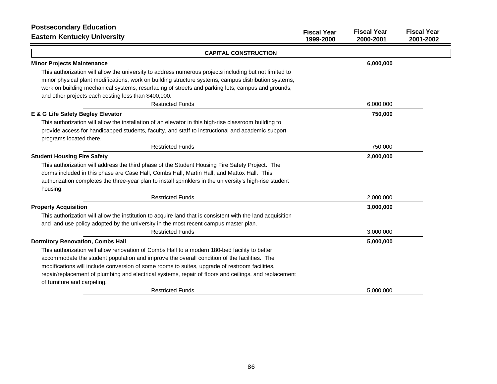| <b>Postsecondary Education</b>                                                                             | <b>Fiscal Year</b> | <b>Fiscal Year</b> | <b>Fiscal Year</b> |
|------------------------------------------------------------------------------------------------------------|--------------------|--------------------|--------------------|
| <b>Eastern Kentucky University</b>                                                                         | 1999-2000          | 2000-2001          | 2001-2002          |
| <b>CAPITAL CONSTRUCTION</b>                                                                                |                    |                    |                    |
| <b>Minor Projects Maintenance</b>                                                                          |                    | 6,000,000          |                    |
| This authorization will allow the university to address numerous projects including but not limited to     |                    |                    |                    |
| minor physical plant modifications, work on building structure systems, campus distribution systems,       |                    |                    |                    |
| work on building mechanical systems, resurfacing of streets and parking lots, campus and grounds,          |                    |                    |                    |
| and other projects each costing less than \$400,000.                                                       |                    |                    |                    |
| <b>Restricted Funds</b>                                                                                    |                    | 6,000,000          |                    |
| E & G Life Safety Begley Elevator                                                                          |                    | 750,000            |                    |
| This authorization will allow the installation of an elevator in this high-rise classroom building to      |                    |                    |                    |
| provide access for handicapped students, faculty, and staff to instructional and academic support          |                    |                    |                    |
| programs located there.                                                                                    |                    |                    |                    |
| <b>Restricted Funds</b>                                                                                    |                    | 750,000            |                    |
| <b>Student Housing Fire Safety</b>                                                                         |                    | 2,000,000          |                    |
| This authorization will address the third phase of the Student Housing Fire Safety Project. The            |                    |                    |                    |
| dorms included in this phase are Case Hall, Combs Hall, Martin Hall, and Mattox Hall. This                 |                    |                    |                    |
| authorization completes the three-year plan to install sprinklers in the university's high-rise student    |                    |                    |                    |
| housing.                                                                                                   |                    |                    |                    |
| <b>Restricted Funds</b>                                                                                    |                    | 2,000,000          |                    |
| <b>Property Acquisition</b>                                                                                |                    | 3,000,000          |                    |
| This authorization will allow the institution to acquire land that is consistent with the land acquisition |                    |                    |                    |
| and land use policy adopted by the university in the most recent campus master plan.                       |                    |                    |                    |
| <b>Restricted Funds</b>                                                                                    |                    | 3,000,000          |                    |
| <b>Dormitory Renovation, Combs Hall</b>                                                                    |                    | 5,000,000          |                    |
| This authorization will allow renovation of Combs Hall to a modern 180-bed facility to better              |                    |                    |                    |
| accommodate the student population and improve the overall condition of the facilities. The                |                    |                    |                    |
| modifications will include conversion of some rooms to suites, upgrade of restroom facilities,             |                    |                    |                    |
| repair/replacement of plumbing and electrical systems, repair of floors and ceilings, and replacement      |                    |                    |                    |
| of furniture and carpeting.                                                                                |                    |                    |                    |
| <b>Restricted Funds</b>                                                                                    |                    | 5,000,000          |                    |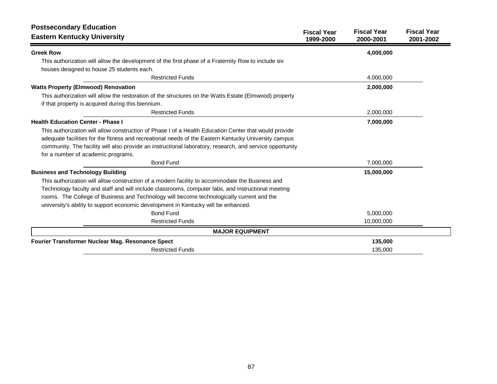| <b>Postsecondary Education</b><br><b>Eastern Kentucky University</b>                                                                                                                                                                                                                                                                                                                                                                | <b>Fiscal Year</b><br>1999-2000 | <b>Fiscal Year</b><br>2000-2001 | <b>Fiscal Year</b><br>2001-2002 |
|-------------------------------------------------------------------------------------------------------------------------------------------------------------------------------------------------------------------------------------------------------------------------------------------------------------------------------------------------------------------------------------------------------------------------------------|---------------------------------|---------------------------------|---------------------------------|
| <b>Greek Row</b>                                                                                                                                                                                                                                                                                                                                                                                                                    |                                 | 4,000,000                       |                                 |
| This authorization will allow the development of the first phase of a Fraternity Row to include six<br>houses designed to house 25 students each.                                                                                                                                                                                                                                                                                   |                                 |                                 |                                 |
| <b>Restricted Funds</b>                                                                                                                                                                                                                                                                                                                                                                                                             |                                 | 4,000,000                       |                                 |
| <b>Watts Property (Elmwood) Renovation</b>                                                                                                                                                                                                                                                                                                                                                                                          |                                 | 2,000,000                       |                                 |
| This authorization will allow the restoration of the structures on the Watts Estate (Elmwood) property<br>if that property is acquired during this biennium.                                                                                                                                                                                                                                                                        |                                 |                                 |                                 |
| <b>Restricted Funds</b>                                                                                                                                                                                                                                                                                                                                                                                                             |                                 | 2,000,000                       |                                 |
| <b>Health Education Center - Phase I</b>                                                                                                                                                                                                                                                                                                                                                                                            |                                 | 7,000,000                       |                                 |
| This authorization will allow construction of Phase I of a Health Education Center that would provide<br>adequate facilities for the fitness and recreational needs of the Eastern Kentucky University campus<br>community. The facility will also provide an instructional laboratory, research, and service opportunity<br>for a number of academic programs.                                                                     |                                 |                                 |                                 |
| <b>Bond Fund</b>                                                                                                                                                                                                                                                                                                                                                                                                                    |                                 | 7,000,000                       |                                 |
| <b>Business and Technology Building</b><br>This authorization will allow construction of a modern facility to accommodate the Business and<br>Technology faculty and staff and will include classrooms, computer labs, and instructional meeting<br>rooms. The College of Business and Technology will become technologically current and the<br>university's ability to support economic development in Kentucky will be enhanced. |                                 | 15,000,000                      |                                 |
| <b>Bond Fund</b>                                                                                                                                                                                                                                                                                                                                                                                                                    |                                 | 5,000,000                       |                                 |
| <b>Restricted Funds</b>                                                                                                                                                                                                                                                                                                                                                                                                             |                                 | 10,000,000                      |                                 |
| <b>MAJOR EQUIPMENT</b>                                                                                                                                                                                                                                                                                                                                                                                                              |                                 |                                 |                                 |
| Fourier Transformer Nuclear Mag. Resonance Spect                                                                                                                                                                                                                                                                                                                                                                                    |                                 | 135,000                         |                                 |
| <b>Restricted Funds</b>                                                                                                                                                                                                                                                                                                                                                                                                             |                                 | 135,000                         |                                 |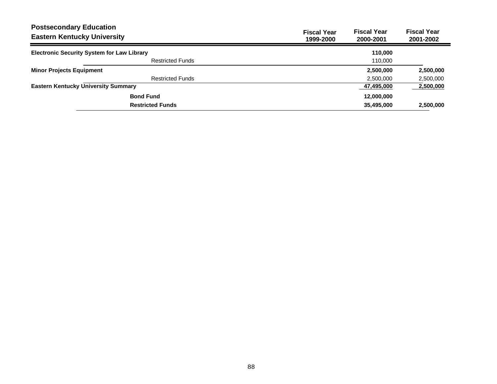| <b>Postsecondary Education</b><br><b>Eastern Kentucky University</b> |                                                   | <b>Fiscal Year</b><br>1999-2000 | <b>Fiscal Year</b><br>2000-2001 | <b>Fiscal Year</b><br>2001-2002 |
|----------------------------------------------------------------------|---------------------------------------------------|---------------------------------|---------------------------------|---------------------------------|
|                                                                      | <b>Electronic Security System for Law Library</b> |                                 | 110,000                         |                                 |
|                                                                      | <b>Restricted Funds</b>                           |                                 | 110,000                         |                                 |
| <b>Minor Projects Equipment</b>                                      |                                                   |                                 | 2,500,000                       | 2,500,000                       |
|                                                                      | <b>Restricted Funds</b>                           |                                 | 2,500,000                       | 2,500,000                       |
|                                                                      | <b>Eastern Kentucky University Summary</b>        |                                 | 47,495,000                      | 2,500,000                       |
|                                                                      | <b>Bond Fund</b>                                  |                                 | 12,000,000                      |                                 |
|                                                                      | <b>Restricted Funds</b>                           |                                 | 35,495,000                      | 2,500,000                       |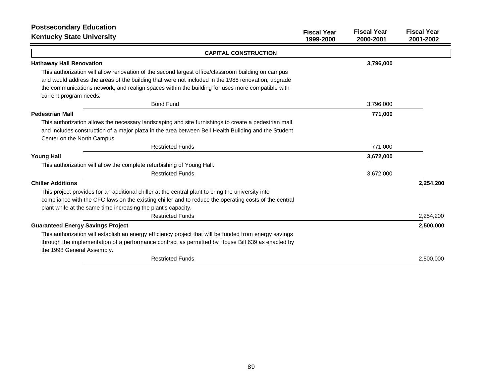| <b>Postsecondary Education</b><br><b>Kentucky State University</b>                                     | <b>Fiscal Year</b><br>1999-2000 | <b>Fiscal Year</b><br>2000-2001 | <b>Fiscal Year</b><br>2001-2002 |
|--------------------------------------------------------------------------------------------------------|---------------------------------|---------------------------------|---------------------------------|
| <b>CAPITAL CONSTRUCTION</b>                                                                            |                                 |                                 |                                 |
| <b>Hathaway Hall Renovation</b>                                                                        |                                 | 3,796,000                       |                                 |
| This authorization will allow renovation of the second largest office/classroom building on campus     |                                 |                                 |                                 |
| and would address the areas of the building that were not included in the 1988 renovation, upgrade     |                                 |                                 |                                 |
| the communications network, and realign spaces within the building for uses more compatible with       |                                 |                                 |                                 |
| current program needs.                                                                                 |                                 |                                 |                                 |
| <b>Bond Fund</b>                                                                                       |                                 | 3,796,000                       |                                 |
| <b>Pedestrian Mall</b>                                                                                 |                                 | 771,000                         |                                 |
| This authorization allows the necessary landscaping and site furnishings to create a pedestrian mall   |                                 |                                 |                                 |
| and includes construction of a major plaza in the area between Bell Health Building and the Student    |                                 |                                 |                                 |
| Center on the North Campus.                                                                            |                                 |                                 |                                 |
| <b>Restricted Funds</b>                                                                                |                                 | 771,000                         |                                 |
| <b>Young Hall</b>                                                                                      |                                 | 3,672,000                       |                                 |
| This authorization will allow the complete refurbishing of Young Hall.                                 |                                 |                                 |                                 |
| <b>Restricted Funds</b>                                                                                |                                 | 3,672,000                       |                                 |
| <b>Chiller Additions</b>                                                                               |                                 |                                 | 2,254,200                       |
| This project provides for an additional chiller at the central plant to bring the university into      |                                 |                                 |                                 |
| compliance with the CFC laws on the existing chiller and to reduce the operating costs of the central  |                                 |                                 |                                 |
| plant while at the same time increasing the plant's capacity.                                          |                                 |                                 |                                 |
| <b>Restricted Funds</b>                                                                                |                                 |                                 | 2,254,200                       |
| <b>Guaranteed Energy Savings Project</b>                                                               |                                 |                                 | 2,500,000                       |
| This authorization will establish an energy efficiency project that will be funded from energy savings |                                 |                                 |                                 |
| through the implementation of a performance contract as permitted by House Bill 639 as enacted by      |                                 |                                 |                                 |
| the 1998 General Assembly.                                                                             |                                 |                                 |                                 |
| <b>Restricted Funds</b>                                                                                |                                 |                                 | 2,500,000                       |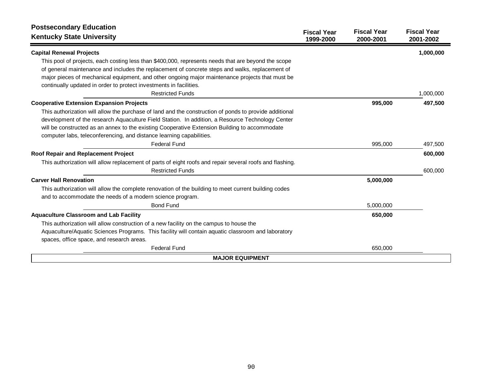| <b>Postsecondary Education</b><br><b>Kentucky State University</b>                                       | <b>Fiscal Year</b><br>1999-2000 | <b>Fiscal Year</b><br>2000-2001 | <b>Fiscal Year</b><br>2001-2002 |
|----------------------------------------------------------------------------------------------------------|---------------------------------|---------------------------------|---------------------------------|
| <b>Capital Renewal Projects</b>                                                                          |                                 |                                 | 1,000,000                       |
| This pool of projects, each costing less than \$400,000, represents needs that are beyond the scope      |                                 |                                 |                                 |
| of general maintenance and includes the replacement of concrete steps and walks, replacement of          |                                 |                                 |                                 |
| major pieces of mechanical equipment, and other ongoing major maintenance projects that must be          |                                 |                                 |                                 |
| continually updated in order to protect investments in facilities.                                       |                                 |                                 |                                 |
| <b>Restricted Funds</b>                                                                                  |                                 |                                 | 1,000,000                       |
| <b>Cooperative Extension Expansion Projects</b>                                                          |                                 | 995,000                         | 497,500                         |
| This authorization will allow the purchase of land and the construction of ponds to provide additional   |                                 |                                 |                                 |
| development of the research Aquaculture Field Station. In addition, a Resource Technology Center         |                                 |                                 |                                 |
| will be constructed as an annex to the existing Cooperative Extension Building to accommodate            |                                 |                                 |                                 |
| computer labs, teleconferencing, and distance learning capabilities.                                     |                                 |                                 |                                 |
| <b>Federal Fund</b>                                                                                      |                                 | 995,000                         | 497,500                         |
| Roof Repair and Replacement Project                                                                      |                                 |                                 | 600,000                         |
| This authorization will allow replacement of parts of eight roofs and repair several roofs and flashing. |                                 |                                 |                                 |
| <b>Restricted Funds</b>                                                                                  |                                 |                                 | 600,000                         |
| <b>Carver Hall Renovation</b>                                                                            |                                 | 5,000,000                       |                                 |
| This authorization will allow the complete renovation of the building to meet current building codes     |                                 |                                 |                                 |
| and to accommodate the needs of a modern science program.                                                |                                 |                                 |                                 |
| <b>Bond Fund</b>                                                                                         |                                 | 5,000,000                       |                                 |
| <b>Aquaculture Classroom and Lab Facility</b>                                                            |                                 | 650,000                         |                                 |
| This authorization will allow construction of a new facility on the campus to house the                  |                                 |                                 |                                 |
| Aquaculture/Aquatic Sciences Programs. This facility will contain aquatic classroom and laboratory       |                                 |                                 |                                 |
| spaces, office space, and research areas.                                                                |                                 |                                 |                                 |
| <b>Federal Fund</b>                                                                                      |                                 | 650,000                         |                                 |
| <b>MAJOR EQUIPMENT</b>                                                                                   |                                 |                                 |                                 |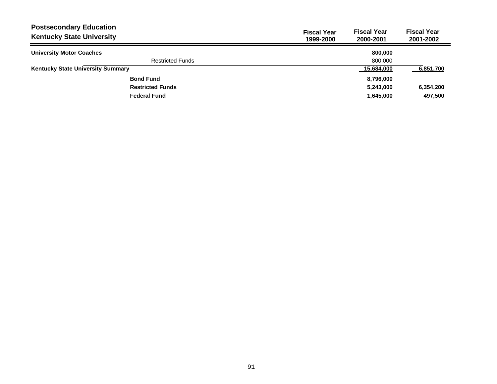| <b>Postsecondary Education</b><br><b>Kentucky State University</b> | <b>Fiscal Year</b><br>1999-2000 | <b>Fiscal Year</b><br>2000-2001 | <b>Fiscal Year</b><br>2001-2002 |
|--------------------------------------------------------------------|---------------------------------|---------------------------------|---------------------------------|
| <b>University Motor Coaches</b>                                    |                                 | 800,000                         |                                 |
| <b>Restricted Funds</b>                                            |                                 | 800.000                         |                                 |
| <b>Kentucky State University Summary</b>                           |                                 | 15,684,000                      | 6,851,700                       |
| <b>Bond Fund</b>                                                   |                                 | 8,796,000                       |                                 |
| <b>Restricted Funds</b>                                            |                                 | 5,243,000                       | 6,354,200                       |
| <b>Federal Fund</b>                                                |                                 | 1,645,000                       | 497,500                         |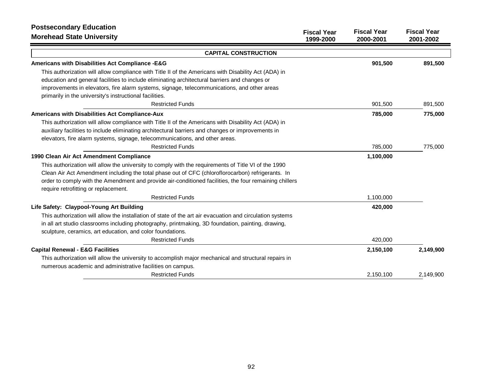| <b>Postsecondary Education</b>                                                                                                                                                                                                                                                            | <b>Fiscal Year</b> | <b>Fiscal Year</b> | <b>Fiscal Year</b> |
|-------------------------------------------------------------------------------------------------------------------------------------------------------------------------------------------------------------------------------------------------------------------------------------------|--------------------|--------------------|--------------------|
| <b>Morehead State University</b>                                                                                                                                                                                                                                                          | 1999-2000          | 2000-2001          | 2001-2002          |
| <b>CAPITAL CONSTRUCTION</b>                                                                                                                                                                                                                                                               |                    |                    |                    |
| Americans with Disabilities Act Compliance -E&G                                                                                                                                                                                                                                           |                    | 901,500            | 891,500            |
| This authorization will allow compliance with Title II of the Americans with Disability Act (ADA) in<br>education and general facilities to include eliminating architectural barriers and changes or                                                                                     |                    |                    |                    |
| improvements in elevators, fire alarm systems, signage, telecommunications, and other areas<br>primarily in the university's instructional facilities.                                                                                                                                    |                    |                    |                    |
| <b>Restricted Funds</b>                                                                                                                                                                                                                                                                   |                    | 901,500            | 891,500            |
| Americans with Disabilities Act Compliance-Aux                                                                                                                                                                                                                                            |                    | 785,000            | 775,000            |
| This authorization will allow compliance with Title II of the Americans with Disability Act (ADA) in<br>auxiliary facilities to include eliminating architectural barriers and changes or improvements in<br>elevators, fire alarm systems, signage, telecommunications, and other areas. |                    |                    |                    |
| <b>Restricted Funds</b>                                                                                                                                                                                                                                                                   |                    | 785,000            | 775,000            |
| 1990 Clean Air Act Amendment Compliance                                                                                                                                                                                                                                                   |                    | 1,100,000          |                    |
| This authorization will allow the university to comply with the requirements of Title VI of the 1990                                                                                                                                                                                      |                    |                    |                    |
| Clean Air Act Amendment including the total phase out of CFC (chloroflorocarbon) refrigerants. In<br>order to comply with the Amendment and provide air-conditioned facilities, the four remaining chillers<br>require retrofitting or replacement.                                       |                    |                    |                    |
| <b>Restricted Funds</b>                                                                                                                                                                                                                                                                   |                    | 1,100,000          |                    |
| Life Safety: Claypool-Young Art Building                                                                                                                                                                                                                                                  |                    | 420,000            |                    |
| This authorization will allow the installation of state of the art air evacuation and circulation systems<br>in all art studio classrooms including photography, printmaking, 3D foundation, painting, drawing,<br>sculpture, ceramics, art education, and color foundations.             |                    |                    |                    |
| <b>Restricted Funds</b>                                                                                                                                                                                                                                                                   |                    | 420,000            |                    |
| <b>Capital Renewal - E&amp;G Facilities</b>                                                                                                                                                                                                                                               |                    | 2,150,100          | 2,149,900          |
| This authorization will allow the university to accomplish major mechanical and structural repairs in<br>numerous academic and administrative facilities on campus.                                                                                                                       |                    |                    |                    |
| <b>Restricted Funds</b>                                                                                                                                                                                                                                                                   |                    | 2,150,100          | 2.149.900          |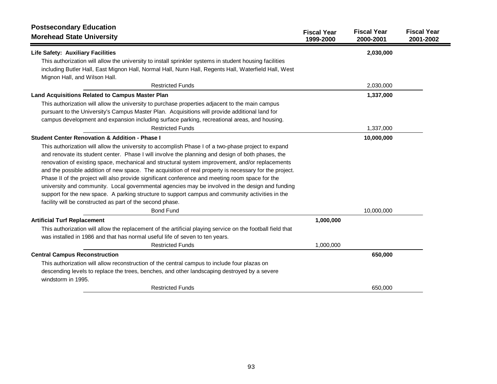| <b>Postsecondary Education</b>                                                                                     |                                 |                                 |                                 |
|--------------------------------------------------------------------------------------------------------------------|---------------------------------|---------------------------------|---------------------------------|
| <b>Morehead State University</b>                                                                                   | <b>Fiscal Year</b><br>1999-2000 | <b>Fiscal Year</b><br>2000-2001 | <b>Fiscal Year</b><br>2001-2002 |
| Life Safety: Auxiliary Facilities                                                                                  |                                 | 2,030,000                       |                                 |
| This authorization will allow the university to install sprinkler systems in student housing facilities            |                                 |                                 |                                 |
| including Butler Hall, East Mignon Hall, Normal Hall, Nunn Hall, Regents Hall, Waterfield Hall, West               |                                 |                                 |                                 |
| Mignon Hall, and Wilson Hall.                                                                                      |                                 |                                 |                                 |
| <b>Restricted Funds</b>                                                                                            |                                 | 2,030,000                       |                                 |
| Land Acquisitions Related to Campus Master Plan                                                                    |                                 | 1,337,000                       |                                 |
| This authorization will allow the university to purchase properties adjacent to the main campus                    |                                 |                                 |                                 |
| pursuant to the University's Campus Master Plan. Acquisitions will provide additional land for                     |                                 |                                 |                                 |
| campus development and expansion including surface parking, recreational areas, and housing.                       |                                 |                                 |                                 |
| <b>Restricted Funds</b>                                                                                            |                                 | 1,337,000                       |                                 |
| <b>Student Center Renovation &amp; Addition - Phase I</b>                                                          |                                 | 10,000,000                      |                                 |
| This authorization will allow the university to accomplish Phase I of a two-phase project to expand                |                                 |                                 |                                 |
| and renovate its student center. Phase I will involve the planning and design of both phases, the                  |                                 |                                 |                                 |
| renovation of existing space, mechanical and structural system improvement, and/or replacements                    |                                 |                                 |                                 |
| and the possible addition of new space. The acquisition of real property is necessary for the project.             |                                 |                                 |                                 |
| Phase II of the project will also provide significant conference and meeting room space for the                    |                                 |                                 |                                 |
| university and community. Local governmental agencies may be involved in the design and funding                    |                                 |                                 |                                 |
| support for the new space. A parking structure to support campus and community activities in the                   |                                 |                                 |                                 |
| facility will be constructed as part of the second phase.                                                          |                                 |                                 |                                 |
| <b>Bond Fund</b>                                                                                                   |                                 | 10,000,000                      |                                 |
| <b>Artificial Turf Replacement</b>                                                                                 | 1,000,000                       |                                 |                                 |
| This authorization will allow the replacement of the artificial playing service on the football field that         |                                 |                                 |                                 |
| was installed in 1986 and that has normal useful life of seven to ten years.                                       |                                 |                                 |                                 |
| <b>Restricted Funds</b>                                                                                            | 1,000,000                       |                                 |                                 |
| <b>Central Campus Reconstruction</b>                                                                               |                                 | 650,000                         |                                 |
| This authorization will allow reconstruction of the central campus to include four plazas on                       |                                 |                                 |                                 |
| descending levels to replace the trees, benches, and other landscaping destroyed by a severe<br>windstorm in 1995. |                                 |                                 |                                 |
| <b>Restricted Funds</b>                                                                                            |                                 | 650,000                         |                                 |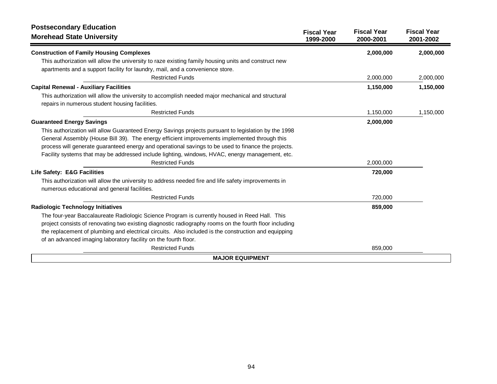| <b>Postsecondary Education</b><br><b>Morehead State University</b>                                     | <b>Fiscal Year</b><br>1999-2000 | <b>Fiscal Year</b><br>2000-2001 | <b>Fiscal Year</b><br>2001-2002 |
|--------------------------------------------------------------------------------------------------------|---------------------------------|---------------------------------|---------------------------------|
| <b>Construction of Family Housing Complexes</b>                                                        |                                 | 2,000,000                       | 2,000,000                       |
| This authorization will allow the university to raze existing family housing units and construct new   |                                 |                                 |                                 |
| apartments and a support facility for laundry, mail, and a convenience store.                          |                                 |                                 |                                 |
| <b>Restricted Funds</b>                                                                                |                                 | 2,000,000                       | 2,000,000                       |
| <b>Capital Renewal - Auxiliary Facilities</b>                                                          |                                 | 1,150,000                       | 1,150,000                       |
| This authorization will allow the university to accomplish needed major mechanical and structural      |                                 |                                 |                                 |
| repairs in numerous student housing facilities.                                                        |                                 |                                 |                                 |
| <b>Restricted Funds</b>                                                                                |                                 | 1,150,000                       | 1,150,000                       |
| <b>Guaranteed Energy Savings</b>                                                                       |                                 | 2,000,000                       |                                 |
| This authorization will allow Guaranteed Energy Savings projects pursuant to legislation by the 1998   |                                 |                                 |                                 |
| General Assembly (House Bill 39). The energy efficient improvements implemented through this           |                                 |                                 |                                 |
| process will generate guaranteed energy and operational savings to be used to finance the projects.    |                                 |                                 |                                 |
| Facility systems that may be addressed include lighting, windows, HVAC, energy management, etc.        |                                 |                                 |                                 |
| <b>Restricted Funds</b>                                                                                |                                 | 2,000,000                       |                                 |
| Life Safety: E&G Facilities                                                                            |                                 | 720,000                         |                                 |
| This authorization will allow the university to address needed fire and life safety improvements in    |                                 |                                 |                                 |
| numerous educational and general facilities.                                                           |                                 |                                 |                                 |
| <b>Restricted Funds</b>                                                                                |                                 | 720,000                         |                                 |
| <b>Radiologic Technology Initiatives</b>                                                               |                                 | 859,000                         |                                 |
| The four-year Baccalaureate Radiologic Science Program is currently housed in Reed Hall. This          |                                 |                                 |                                 |
| project consists of renovating two existing diagnostic radiography rooms on the fourth floor including |                                 |                                 |                                 |
| the replacement of plumbing and electrical circuits. Also included is the construction and equipping   |                                 |                                 |                                 |
| of an advanced imaging laboratory facility on the fourth floor.                                        |                                 |                                 |                                 |
| <b>Restricted Funds</b>                                                                                |                                 | 859,000                         |                                 |
| <b>MAJOR EQUIPMENT</b>                                                                                 |                                 |                                 |                                 |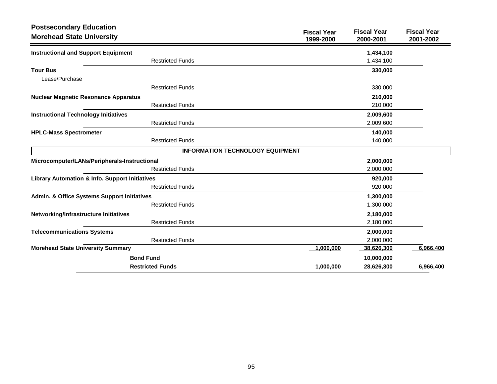| <b>Postsecondary Education</b><br><b>Morehead State University</b> | <b>Fiscal Year</b><br>1999-2000         | <b>Fiscal Year</b><br>2000-2001 | <b>Fiscal Year</b><br>2001-2002 |
|--------------------------------------------------------------------|-----------------------------------------|---------------------------------|---------------------------------|
| <b>Instructional and Support Equipment</b>                         |                                         | 1,434,100                       |                                 |
| <b>Restricted Funds</b>                                            |                                         | 1,434,100                       |                                 |
| <b>Tour Bus</b><br>Lease/Purchase                                  |                                         | 330,000                         |                                 |
| <b>Restricted Funds</b>                                            |                                         | 330,000                         |                                 |
| <b>Nuclear Magnetic Resonance Apparatus</b>                        |                                         | 210,000                         |                                 |
| <b>Restricted Funds</b>                                            |                                         | 210,000                         |                                 |
| <b>Instructional Technology Initiatives</b>                        |                                         | 2,009,600                       |                                 |
| <b>Restricted Funds</b>                                            |                                         | 2,009,600                       |                                 |
| <b>HPLC-Mass Spectrometer</b>                                      |                                         | 140,000                         |                                 |
| <b>Restricted Funds</b>                                            |                                         | 140,000                         |                                 |
|                                                                    | <b>INFORMATION TECHNOLOGY EQUIPMENT</b> |                                 |                                 |
| Microcomputer/LANs/Peripherals-Instructional                       |                                         | 2,000,000                       |                                 |
| <b>Restricted Funds</b>                                            |                                         | 2,000,000                       |                                 |
| Library Automation & Info. Support Initiatives                     |                                         | 920,000                         |                                 |
| <b>Restricted Funds</b>                                            |                                         | 920,000                         |                                 |
| Admin. & Office Systems Support Initiatives                        |                                         | 1,300,000                       |                                 |
| <b>Restricted Funds</b>                                            |                                         | 1,300,000                       |                                 |
| Networking/Infrastructure Initiatives                              |                                         | 2,180,000                       |                                 |
| <b>Restricted Funds</b>                                            |                                         | 2,180,000                       |                                 |
| <b>Telecommunications Systems</b>                                  |                                         | 2,000,000                       |                                 |
| <b>Restricted Funds</b>                                            |                                         | 2,000,000                       |                                 |
| <b>Morehead State University Summary</b>                           | 1,000,000                               | 38,626,300                      | 6,966,400                       |
| <b>Bond Fund</b>                                                   |                                         | 10,000,000                      |                                 |
| <b>Restricted Funds</b>                                            | 1,000,000                               | 28,626,300                      | 6,966,400                       |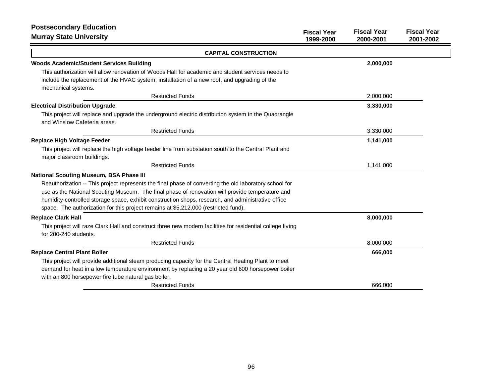| <b>Postsecondary Education</b><br><b>Murray State University</b>                                                                     | <b>Fiscal Year</b><br>1999-2000 | <b>Fiscal Year</b><br>2000-2001 | <b>Fiscal Year</b><br>2001-2002 |
|--------------------------------------------------------------------------------------------------------------------------------------|---------------------------------|---------------------------------|---------------------------------|
| <b>CAPITAL CONSTRUCTION</b>                                                                                                          |                                 |                                 |                                 |
| <b>Woods Academic/Student Services Building</b>                                                                                      |                                 | 2,000,000                       |                                 |
| This authorization will allow renovation of Woods Hall for academic and student services needs to                                    |                                 |                                 |                                 |
| include the replacement of the HVAC system, installation of a new roof, and upgrading of the<br>mechanical systems.                  |                                 |                                 |                                 |
| <b>Restricted Funds</b>                                                                                                              |                                 | 2,000,000                       |                                 |
| <b>Electrical Distribution Upgrade</b>                                                                                               |                                 | 3,330,000                       |                                 |
| This project will replace and upgrade the underground electric distribution system in the Quadrangle<br>and Winslow Cafeteria areas. |                                 |                                 |                                 |
| <b>Restricted Funds</b>                                                                                                              |                                 | 3,330,000                       |                                 |
| <b>Replace High Voltage Feeder</b>                                                                                                   |                                 | 1,141,000                       |                                 |
| This project will replace the high voltage feeder line from substation south to the Central Plant and<br>major classroom buildings.  |                                 |                                 |                                 |
| <b>Restricted Funds</b>                                                                                                              |                                 | 1,141,000                       |                                 |
| <b>National Scouting Museum, BSA Phase III</b>                                                                                       |                                 |                                 |                                 |
| Reauthorization -- This project represents the final phase of converting the old laboratory school for                               |                                 |                                 |                                 |
| use as the National Scouting Museum. The final phase of renovation will provide temperature and                                      |                                 |                                 |                                 |
| humidity-controlled storage space, exhibit construction shops, research, and administrative office                                   |                                 |                                 |                                 |
| space. The authorization for this project remains at \$5,212,000 (restricted fund).                                                  |                                 |                                 |                                 |
| <b>Replace Clark Hall</b>                                                                                                            |                                 | 8,000,000                       |                                 |
| This project will raze Clark Hall and construct three new modern facilities for residential college living<br>for 200-240 students.  |                                 |                                 |                                 |
| <b>Restricted Funds</b>                                                                                                              |                                 | 8,000,000                       |                                 |
| <b>Replace Central Plant Boiler</b>                                                                                                  |                                 | 666,000                         |                                 |
| This project will provide additional steam producing capacity for the Central Heating Plant to meet                                  |                                 |                                 |                                 |
| demand for heat in a low temperature environment by replacing a 20 year old 600 horsepower boiler                                    |                                 |                                 |                                 |
| with an 800 horsepower fire tube natural gas boiler.                                                                                 |                                 |                                 |                                 |
| <b>Restricted Funds</b>                                                                                                              |                                 | 666,000                         |                                 |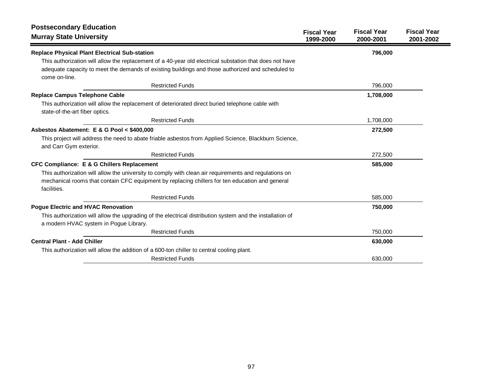| <b>Postsecondary Education</b><br><b>Murray State University</b>                                                                                    | <b>Fiscal Year</b> | <b>Fiscal Year</b> | <b>Fiscal Year</b> |
|-----------------------------------------------------------------------------------------------------------------------------------------------------|--------------------|--------------------|--------------------|
|                                                                                                                                                     | 1999-2000          | 2000-2001          | 2001-2002          |
| <b>Replace Physical Plant Electrical Sub-station</b>                                                                                                |                    | 796,000            |                    |
| This authorization will allow the replacement of a 40-year old electrical substation that does not have                                             |                    |                    |                    |
| adequate capacity to meet the demands of existing buildings and those authorized and scheduled to<br>come on-line.                                  |                    |                    |                    |
| <b>Restricted Funds</b>                                                                                                                             |                    | 796,000            |                    |
| <b>Replace Campus Telephone Cable</b>                                                                                                               |                    | 1,708,000          |                    |
| This authorization will allow the replacement of deteriorated direct buried telephone cable with<br>state-of-the-art fiber optics.                  |                    |                    |                    |
| <b>Restricted Funds</b>                                                                                                                             |                    | 1,708,000          |                    |
| Asbestos Abatement: E & G Pool < \$400,000                                                                                                          |                    | 272,500            |                    |
| This project will address the need to abate friable asbestos from Applied Science, Blackburn Science,<br>and Carr Gym exterior.                     |                    |                    |                    |
| <b>Restricted Funds</b>                                                                                                                             |                    | 272,500            |                    |
| <b>CFC Compliance: E &amp; G Chillers Replacement</b>                                                                                               |                    | 585,000            |                    |
| This authorization will allow the university to comply with clean air requirements and regulations on                                               |                    |                    |                    |
| mechanical rooms that contain CFC equipment by replacing chillers for ten education and general<br>facilities.                                      |                    |                    |                    |
| <b>Restricted Funds</b>                                                                                                                             |                    | 585,000            |                    |
| <b>Pogue Electric and HVAC Renovation</b>                                                                                                           |                    | 750,000            |                    |
| This authorization will allow the upgrading of the electrical distribution system and the installation of<br>a modern HVAC system in Pogue Library. |                    |                    |                    |
| <b>Restricted Funds</b>                                                                                                                             |                    | 750,000            |                    |
| <b>Central Plant - Add Chiller</b>                                                                                                                  |                    | 630,000            |                    |
| This authorization will allow the addition of a 600-ton chiller to central cooling plant.                                                           |                    |                    |                    |
| <b>Restricted Funds</b>                                                                                                                             |                    | 630,000            |                    |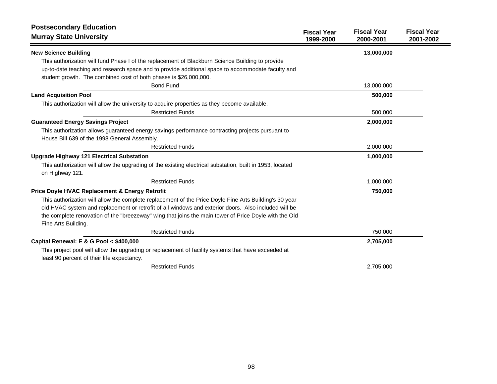| <b>Postsecondary Education</b>                                                                                                                    |                                 |                                 |                                 |
|---------------------------------------------------------------------------------------------------------------------------------------------------|---------------------------------|---------------------------------|---------------------------------|
| <b>Murray State University</b>                                                                                                                    | <b>Fiscal Year</b><br>1999-2000 | <b>Fiscal Year</b><br>2000-2001 | <b>Fiscal Year</b><br>2001-2002 |
| <b>New Science Building</b>                                                                                                                       |                                 | 13,000,000                      |                                 |
| This authorization will fund Phase I of the replacement of Blackburn Science Building to provide                                                  |                                 |                                 |                                 |
| up-to-date teaching and research space and to provide additional space to accommodate faculty and                                                 |                                 |                                 |                                 |
| student growth. The combined cost of both phases is \$26,000,000.                                                                                 |                                 |                                 |                                 |
| <b>Bond Fund</b>                                                                                                                                  |                                 | 13,000,000                      |                                 |
| <b>Land Acquisition Pool</b>                                                                                                                      |                                 | 500,000                         |                                 |
| This authorization will allow the university to acquire properties as they become available.                                                      |                                 |                                 |                                 |
| <b>Restricted Funds</b>                                                                                                                           |                                 | 500,000                         |                                 |
| <b>Guaranteed Energy Savings Project</b>                                                                                                          |                                 | 2,000,000                       |                                 |
| This authorization allows guaranteed energy savings performance contracting projects pursuant to                                                  |                                 |                                 |                                 |
| House Bill 639 of the 1998 General Assembly.                                                                                                      |                                 |                                 |                                 |
| <b>Restricted Funds</b>                                                                                                                           |                                 | 2,000,000                       |                                 |
| <b>Upgrade Highway 121 Electrical Substation</b>                                                                                                  |                                 | 1,000,000                       |                                 |
| This authorization will allow the upgrading of the existing electrical substation, built in 1953, located<br>on Highway 121.                      |                                 |                                 |                                 |
| <b>Restricted Funds</b>                                                                                                                           |                                 | 1,000,000                       |                                 |
| Price Doyle HVAC Replacement & Energy Retrofit                                                                                                    |                                 | 750,000                         |                                 |
| This authorization will allow the complete replacement of the Price Doyle Fine Arts Building's 30 year                                            |                                 |                                 |                                 |
| old HVAC system and replacement or retrofit of all windows and exterior doors. Also included will be                                              |                                 |                                 |                                 |
| the complete renovation of the "breezeway" wing that joins the main tower of Price Doyle with the Old                                             |                                 |                                 |                                 |
| Fine Arts Building.                                                                                                                               |                                 |                                 |                                 |
| <b>Restricted Funds</b>                                                                                                                           |                                 | 750,000                         |                                 |
| Capital Renewal: E & G Pool < \$400,000                                                                                                           |                                 | 2,705,000                       |                                 |
| This project pool will allow the upgrading or replacement of facility systems that have exceeded at<br>least 90 percent of their life expectancy. |                                 |                                 |                                 |
| <b>Restricted Funds</b>                                                                                                                           |                                 | 2,705,000                       |                                 |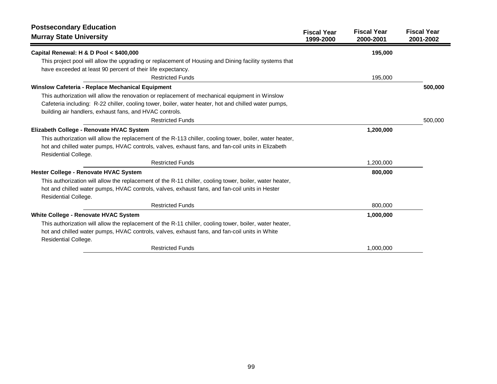| <b>Postsecondary Education</b><br><b>Murray State University</b>                                                                                                                                                                                                                  | <b>Fiscal Year</b><br>1999-2000 | <b>Fiscal Year</b><br>2000-2001 | <b>Fiscal Year</b><br>2001-2002 |
|-----------------------------------------------------------------------------------------------------------------------------------------------------------------------------------------------------------------------------------------------------------------------------------|---------------------------------|---------------------------------|---------------------------------|
| Capital Renewal: H & D Pool < \$400,000                                                                                                                                                                                                                                           |                                 | 195,000                         |                                 |
| This project pool will allow the upgrading or replacement of Housing and Dining facility systems that<br>have exceeded at least 90 percent of their life expectancy.                                                                                                              |                                 |                                 |                                 |
| <b>Restricted Funds</b>                                                                                                                                                                                                                                                           |                                 | 195,000                         |                                 |
| Winslow Cafeteria - Replace Mechanical Equipment                                                                                                                                                                                                                                  |                                 |                                 | 500,000                         |
| This authorization will allow the renovation or replacement of mechanical equipment in Winslow<br>Cafeteria including: R-22 chiller, cooling tower, boiler, water heater, hot and chilled water pumps,<br>building air handlers, exhaust fans, and HVAC controls.                 |                                 |                                 |                                 |
| <b>Restricted Funds</b>                                                                                                                                                                                                                                                           |                                 |                                 | 500,000                         |
| Elizabeth College - Renovate HVAC System<br>This authorization will allow the replacement of the R-113 chiller, cooling tower, boiler, water heater,<br>hot and chilled water pumps, HVAC controls, valves, exhaust fans, and fan-coil units in Elizabeth<br>Residential College. |                                 | 1,200,000                       |                                 |
| <b>Restricted Funds</b>                                                                                                                                                                                                                                                           |                                 | 1,200,000                       |                                 |
| Hester College - Renovate HVAC System<br>This authorization will allow the replacement of the R-11 chiller, cooling tower, boiler, water heater,<br>hot and chilled water pumps, HVAC controls, valves, exhaust fans, and fan-coil units in Hester<br>Residential College.        |                                 | 800,000                         |                                 |
| <b>Restricted Funds</b>                                                                                                                                                                                                                                                           |                                 | 800,000                         |                                 |
| White College - Renovate HVAC System<br>This authorization will allow the replacement of the R-11 chiller, cooling tower, boiler, water heater,<br>hot and chilled water pumps, HVAC controls, valves, exhaust fans, and fan-coil units in White                                  |                                 | 1,000,000                       |                                 |
| Residential College.<br><b>Restricted Funds</b>                                                                                                                                                                                                                                   |                                 | 1,000,000                       |                                 |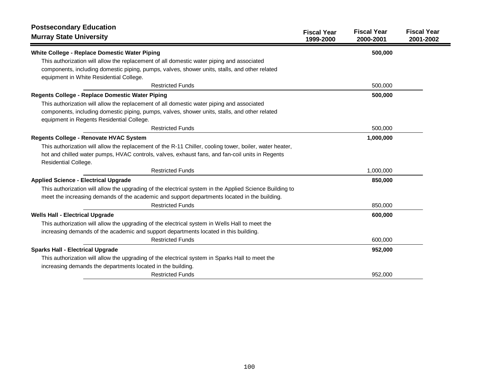| <b>Postsecondary Education</b><br><b>Murray State University</b>                                                                                                                                                                        | <b>Fiscal Year</b><br>1999-2000 | <b>Fiscal Year</b><br>2000-2001 | <b>Fiscal Year</b><br>2001-2002 |
|-----------------------------------------------------------------------------------------------------------------------------------------------------------------------------------------------------------------------------------------|---------------------------------|---------------------------------|---------------------------------|
| White College - Replace Domestic Water Piping                                                                                                                                                                                           |                                 | 500,000                         |                                 |
| This authorization will allow the replacement of all domestic water piping and associated<br>components, including domestic piping, pumps, valves, shower units, stalls, and other related<br>equipment in White Residential College.   |                                 |                                 |                                 |
| <b>Restricted Funds</b>                                                                                                                                                                                                                 |                                 | 500,000                         |                                 |
| Regents College - Replace Domestic Water Piping                                                                                                                                                                                         |                                 | 500,000                         |                                 |
| This authorization will allow the replacement of all domestic water piping and associated<br>components, including domestic piping, pumps, valves, shower units, stalls, and other related<br>equipment in Regents Residential College. |                                 |                                 |                                 |
| <b>Restricted Funds</b>                                                                                                                                                                                                                 |                                 | 500,000                         |                                 |
| Regents College - Renovate HVAC System                                                                                                                                                                                                  |                                 | 1,000,000                       |                                 |
| This authorization will allow the replacement of the R-11 Chiller, cooling tower, boiler, water heater,<br>hot and chilled water pumps, HVAC controls, valves, exhaust fans, and fan-coil units in Regents<br>Residential College.      |                                 |                                 |                                 |
| <b>Restricted Funds</b>                                                                                                                                                                                                                 |                                 | 1,000,000                       |                                 |
| <b>Applied Science - Electrical Upgrade</b>                                                                                                                                                                                             |                                 | 850,000                         |                                 |
| This authorization will allow the upgrading of the electrical system in the Applied Science Building to<br>meet the increasing demands of the academic and support departments located in the building.                                 |                                 |                                 |                                 |
| <b>Restricted Funds</b>                                                                                                                                                                                                                 |                                 | 850,000                         |                                 |
| <b>Wells Hall - Electrical Upgrade</b>                                                                                                                                                                                                  |                                 | 600,000                         |                                 |
| This authorization will allow the upgrading of the electrical system in Wells Hall to meet the<br>increasing demands of the academic and support departments located in this building.                                                  |                                 |                                 |                                 |
| <b>Restricted Funds</b>                                                                                                                                                                                                                 |                                 | 600,000                         |                                 |
| <b>Sparks Hall - Electrical Upgrade</b>                                                                                                                                                                                                 |                                 | 952,000                         |                                 |
| This authorization will allow the upgrading of the electrical system in Sparks Hall to meet the<br>increasing demands the departments located in the building.                                                                          |                                 |                                 |                                 |
| <b>Restricted Funds</b>                                                                                                                                                                                                                 |                                 | 952,000                         |                                 |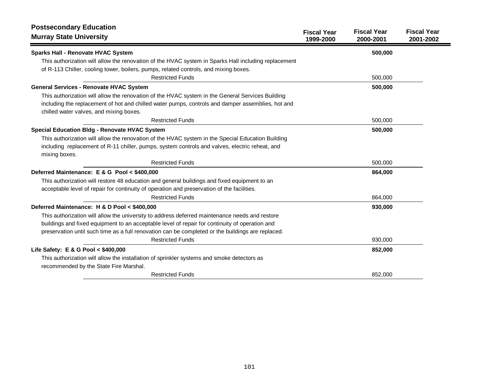| <b>Postsecondary Education</b><br><b>Murray State University</b>                                                                     | <b>Fiscal Year</b><br>1999-2000 | <b>Fiscal Year</b><br>2000-2001 | <b>Fiscal Year</b><br>2001-2002 |
|--------------------------------------------------------------------------------------------------------------------------------------|---------------------------------|---------------------------------|---------------------------------|
| <b>Sparks Hall - Renovate HVAC System</b>                                                                                            |                                 | 500,000                         |                                 |
| This authorization will allow the renovation of the HVAC system in Sparks Hall including replacement                                 |                                 |                                 |                                 |
| of R-113 Chiller, cooling tower, boilers, pumps, related controls, and mixing boxes.                                                 |                                 |                                 |                                 |
| <b>Restricted Funds</b>                                                                                                              |                                 | 500,000                         |                                 |
| <b>General Services - Renovate HVAC System</b>                                                                                       |                                 | 500,000                         |                                 |
| This authorization will allow the renovation of the HVAC system in the General Services Building                                     |                                 |                                 |                                 |
| including the replacement of hot and chilled water pumps, controls and damper assemblies, hot and                                    |                                 |                                 |                                 |
| chilled water valves, and mixing boxes.                                                                                              |                                 |                                 |                                 |
| <b>Restricted Funds</b>                                                                                                              |                                 | 500,000                         |                                 |
| Special Education Bldg - Renovate HVAC System                                                                                        |                                 | 500,000                         |                                 |
| This authorization will allow the renovation of the HVAC system in the Special Education Building                                    |                                 |                                 |                                 |
| including replacement of R-11 chiller, pumps, system controls and valves, electric reheat, and                                       |                                 |                                 |                                 |
| mixing boxes.                                                                                                                        |                                 |                                 |                                 |
| <b>Restricted Funds</b>                                                                                                              |                                 | 500,000                         |                                 |
| Deferred Maintenance: E & G Pool < \$400,000                                                                                         |                                 | 864,000                         |                                 |
| This authorization will restore 48 education and general buildings and fixed equipment to an                                         |                                 |                                 |                                 |
| acceptable level of repair for continuity of operation and preservation of the facilities.                                           |                                 |                                 |                                 |
| <b>Restricted Funds</b>                                                                                                              |                                 | 864,000                         |                                 |
| Deferred Maintenance: H & D Pool < \$400,000                                                                                         |                                 | 930,000                         |                                 |
| This authorization will allow the university to address deferred maintenance needs and restore                                       |                                 |                                 |                                 |
| buildings and fixed equipment to an acceptable level of repair for continuity of operation and                                       |                                 |                                 |                                 |
| preservation until such time as a full renovation can be completed or the buildings are replaced.                                    |                                 |                                 |                                 |
| <b>Restricted Funds</b>                                                                                                              |                                 | 930,000                         |                                 |
| Life Safety: E & G Pool < \$400,000                                                                                                  |                                 | 852,000                         |                                 |
| This authorization will allow the installation of sprinkler systems and smoke detectors as<br>recommended by the State Fire Marshal. |                                 |                                 |                                 |
| <b>Restricted Funds</b>                                                                                                              |                                 | 852,000                         |                                 |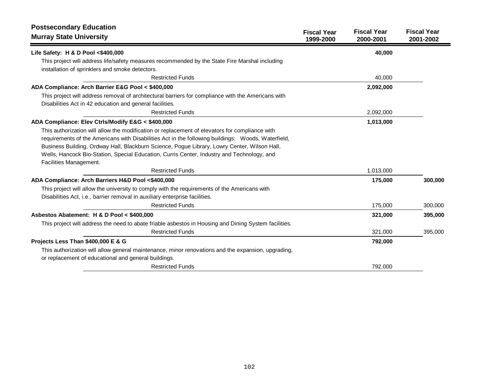| <b>Postsecondary Education</b><br><b>Murray State University</b>                                                                                           | <b>Fiscal Year</b><br>1999-2000 | <b>Fiscal Year</b><br>2000-2001 | <b>Fiscal Year</b><br>2001-2002 |
|------------------------------------------------------------------------------------------------------------------------------------------------------------|---------------------------------|---------------------------------|---------------------------------|
| Life Safety: H & D Pool <\$400,000                                                                                                                         |                                 | 40,000                          |                                 |
| This project will address life/safety measures recommended by the State Fire Marshal including                                                             |                                 |                                 |                                 |
| installation of sprinklers and smoke detectors.                                                                                                            |                                 |                                 |                                 |
| <b>Restricted Funds</b>                                                                                                                                    |                                 | 40,000                          |                                 |
| ADA Compliance: Arch Barrier E&G Pool < \$400,000                                                                                                          |                                 | 2,092,000                       |                                 |
| This project will address removal of architectural barriers for compliance with the Americans with                                                         |                                 |                                 |                                 |
| Disabilities Act in 42 education and general facilities.                                                                                                   |                                 |                                 |                                 |
| <b>Restricted Funds</b>                                                                                                                                    |                                 | 2,092,000                       |                                 |
| ADA Compliance: Elev Ctrls/Modify E&G < \$400,000                                                                                                          |                                 | 1,013,000                       |                                 |
| This authorization will allow the modification or replacement of elevators for compliance with                                                             |                                 |                                 |                                 |
| requirements of the Americans with Disabilities Act in the following buildings: Woods, Waterfield,                                                         |                                 |                                 |                                 |
| Business Building, Ordway Hall, Blackburn Science, Pogue Library, Lowry Center, Wilson Hall,                                                               |                                 |                                 |                                 |
| Wells, Hancock Bio-Station, Special Education, Curris Center, Industry and Technology, and                                                                 |                                 |                                 |                                 |
| Facilities Management.                                                                                                                                     |                                 |                                 |                                 |
| <b>Restricted Funds</b>                                                                                                                                    |                                 | 1,013,000                       |                                 |
| ADA Compliance: Arch Barriers H&D Pool <\$400,000                                                                                                          |                                 | 175,000                         | 300,000                         |
| This project will allow the university to comply with the requirements of the Americans with                                                               |                                 |                                 |                                 |
| Disabilities Act, i.e., barrier removal in auxiliary enterprise facilities.                                                                                |                                 |                                 |                                 |
| <b>Restricted Funds</b>                                                                                                                                    |                                 | 175,000                         | 300,000                         |
| Asbestos Abatement: H & D Pool < \$400,000                                                                                                                 |                                 | 321,000                         | 395,000                         |
| This project will address the need to abate friable asbestos in Housing and Dining System facilities.                                                      |                                 |                                 |                                 |
| <b>Restricted Funds</b>                                                                                                                                    |                                 | 321,000                         | 395,000                         |
| Projects Less Than \$400,000 E & G                                                                                                                         |                                 | 792,000                         |                                 |
| This authorization will allow general maintenance, minor renovations and the expansion, upgrading,<br>or replacement of educational and general buildings. |                                 |                                 |                                 |
| <b>Restricted Funds</b>                                                                                                                                    |                                 | 792,000                         |                                 |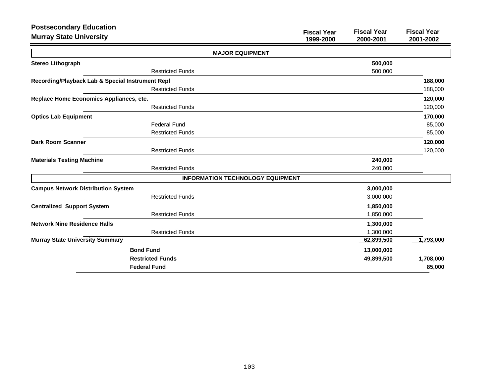| <b>Postsecondary Education</b>                   |                                                                    |                                 |
|--------------------------------------------------|--------------------------------------------------------------------|---------------------------------|
| <b>Murray State University</b>                   | <b>Fiscal Year</b><br><b>Fiscal Year</b><br>1999-2000<br>2000-2001 | <b>Fiscal Year</b><br>2001-2002 |
|                                                  | <b>MAJOR EQUIPMENT</b>                                             |                                 |
| <b>Stereo Lithograph</b>                         | 500,000                                                            |                                 |
| <b>Restricted Funds</b>                          | 500,000                                                            |                                 |
| Recording/Playback Lab & Special Instrument Repl |                                                                    | 188,000                         |
| <b>Restricted Funds</b>                          |                                                                    | 188,000                         |
| Replace Home Economics Appliances, etc.          |                                                                    | 120,000                         |
| <b>Restricted Funds</b>                          |                                                                    | 120,000                         |
| <b>Optics Lab Equipment</b>                      |                                                                    | 170,000                         |
| <b>Federal Fund</b>                              |                                                                    | 85,000                          |
| <b>Restricted Funds</b>                          |                                                                    | 85,000                          |
| <b>Dark Room Scanner</b>                         |                                                                    | 120,000                         |
| <b>Restricted Funds</b>                          |                                                                    | 120,000                         |
| <b>Materials Testing Machine</b>                 | 240,000                                                            |                                 |
| <b>Restricted Funds</b>                          | 240,000                                                            |                                 |
|                                                  | <b>INFORMATION TECHNOLOGY EQUIPMENT</b>                            |                                 |
| <b>Campus Network Distribution System</b>        | 3,000,000                                                          |                                 |
| <b>Restricted Funds</b>                          | 3,000,000                                                          |                                 |
| <b>Centralized Support System</b>                | 1,850,000                                                          |                                 |
| <b>Restricted Funds</b>                          | 1,850,000                                                          |                                 |
| <b>Network Nine Residence Halls</b>              | 1,300,000                                                          |                                 |
| <b>Restricted Funds</b>                          | 1,300,000                                                          |                                 |
| <b>Murray State University Summary</b>           | 62,899,500                                                         | 1,793,000                       |
| <b>Bond Fund</b>                                 | 13,000,000                                                         |                                 |
| <b>Restricted Funds</b>                          | 49,899,500                                                         | 1,708,000                       |
| <b>Federal Fund</b>                              |                                                                    | 85,000                          |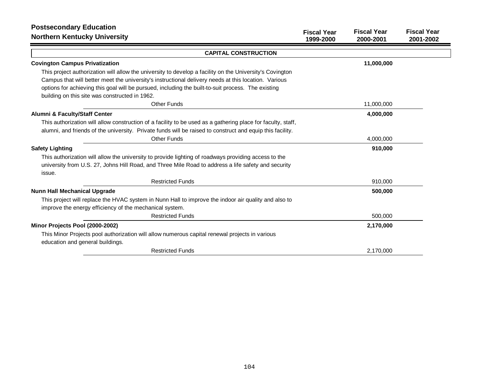| <b>Postsecondary Education</b><br><b>Northern Kentucky University</b>                                        | <b>Fiscal Year</b><br>1999-2000 | <b>Fiscal Year</b><br>2000-2001 | <b>Fiscal Year</b><br>2001-2002 |
|--------------------------------------------------------------------------------------------------------------|---------------------------------|---------------------------------|---------------------------------|
| <b>CAPITAL CONSTRUCTION</b>                                                                                  |                                 |                                 |                                 |
| <b>Covington Campus Privatization</b>                                                                        |                                 | 11,000,000                      |                                 |
| This project authorization will allow the university to develop a facility on the University's Covington     |                                 |                                 |                                 |
| Campus that will better meet the university's instructional delivery needs at this location. Various         |                                 |                                 |                                 |
| options for achieving this goal will be pursued, including the built-to-suit process. The existing           |                                 |                                 |                                 |
| building on this site was constructed in 1962.                                                               |                                 |                                 |                                 |
| <b>Other Funds</b>                                                                                           |                                 | 11,000,000                      |                                 |
| Alumni & Faculty/Staff Center                                                                                |                                 | 4,000,000                       |                                 |
| This authorization will allow construction of a facility to be used as a gathering place for faculty, staff, |                                 |                                 |                                 |
| alumni, and friends of the university. Private funds will be raised to construct and equip this facility.    |                                 |                                 |                                 |
| <b>Other Funds</b>                                                                                           |                                 | 4,000,000                       |                                 |
| <b>Safety Lighting</b>                                                                                       |                                 | 910,000                         |                                 |
| This authorization will allow the university to provide lighting of roadways providing access to the         |                                 |                                 |                                 |
| university from U.S. 27, Johns Hill Road, and Three Mile Road to address a life safety and security          |                                 |                                 |                                 |
| issue.                                                                                                       |                                 |                                 |                                 |
| <b>Restricted Funds</b>                                                                                      |                                 | 910,000                         |                                 |
| <b>Nunn Hall Mechanical Upgrade</b>                                                                          |                                 | 500,000                         |                                 |
| This project will replace the HVAC system in Nunn Hall to improve the indoor air quality and also to         |                                 |                                 |                                 |
| improve the energy efficiency of the mechanical system.                                                      |                                 |                                 |                                 |
| <b>Restricted Funds</b>                                                                                      |                                 | 500,000                         |                                 |
| Minor Projects Pool (2000-2002)                                                                              |                                 | 2,170,000                       |                                 |
| This Minor Projects pool authorization will allow numerous capital renewal projects in various               |                                 |                                 |                                 |
| education and general buildings.                                                                             |                                 |                                 |                                 |
| <b>Restricted Funds</b>                                                                                      |                                 | 2,170,000                       |                                 |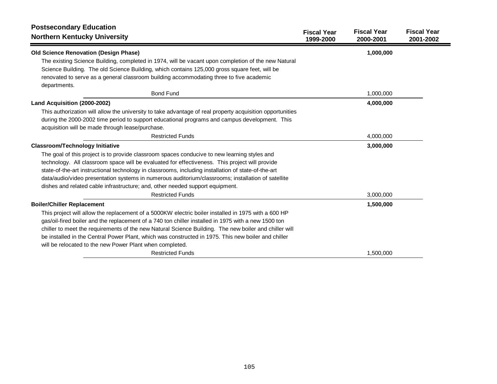| <b>Postsecondary Education</b>                                                                            | <b>Fiscal Year</b> | <b>Fiscal Year</b> | <b>Fiscal Year</b> |
|-----------------------------------------------------------------------------------------------------------|--------------------|--------------------|--------------------|
| <b>Northern Kentucky University</b>                                                                       | 1999-2000          | 2000-2001          | 2001-2002          |
| <b>Old Science Renovation (Design Phase)</b>                                                              |                    | 1,000,000          |                    |
| The existing Science Building, completed in 1974, will be vacant upon completion of the new Natural       |                    |                    |                    |
| Science Building. The old Science Building, which contains 125,000 gross square feet, will be             |                    |                    |                    |
| renovated to serve as a general classroom building accommodating three to five academic                   |                    |                    |                    |
| departments.                                                                                              |                    |                    |                    |
| <b>Bond Fund</b>                                                                                          |                    | 1,000,000          |                    |
| Land Acquisition (2000-2002)                                                                              |                    | 4,000,000          |                    |
| This authorization will allow the university to take advantage of real property acquisition opportunities |                    |                    |                    |
| during the 2000-2002 time period to support educational programs and campus development. This             |                    |                    |                    |
| acquisition will be made through lease/purchase.                                                          |                    |                    |                    |
| <b>Restricted Funds</b>                                                                                   |                    | 4,000,000          |                    |
| <b>Classroom/Technology Initiative</b>                                                                    |                    | 3,000,000          |                    |
| The goal of this project is to provide classroom spaces conducive to new learning styles and              |                    |                    |                    |
| technology. All classroom space will be evaluated for effectiveness. This project will provide            |                    |                    |                    |
| state-of-the-art instructional technology in classrooms, including installation of state-of-the-art       |                    |                    |                    |
| data/audio/video presentation systems in numerous auditorium/classrooms; installation of satellite        |                    |                    |                    |
| dishes and related cable infrastructure; and, other needed support equipment.                             |                    |                    |                    |
| <b>Restricted Funds</b>                                                                                   |                    | 3,000,000          |                    |
| <b>Boiler/Chiller Replacement</b>                                                                         |                    | 1,500,000          |                    |
| This project will allow the replacement of a 5000KW electric boiler installed in 1975 with a 600 HP       |                    |                    |                    |
| gas/oil-fired boiler and the replacement of a 740 ton chiller installed in 1975 with a new 1500 ton       |                    |                    |                    |
| chiller to meet the requirements of the new Natural Science Building. The new boiler and chiller will     |                    |                    |                    |
| be installed in the Central Power Plant, which was constructed in 1975. This new boiler and chiller       |                    |                    |                    |
| will be relocated to the new Power Plant when completed.                                                  |                    |                    |                    |
| <b>Restricted Funds</b>                                                                                   |                    | 1,500,000          |                    |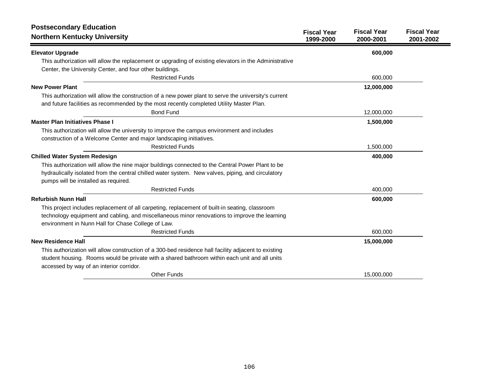| <b>Postsecondary Education</b><br><b>Northern Kentucky University</b>                                                                     | <b>Fiscal Year</b><br>1999-2000 | <b>Fiscal Year</b><br>2000-2001 | <b>Fiscal Year</b><br>2001-2002 |
|-------------------------------------------------------------------------------------------------------------------------------------------|---------------------------------|---------------------------------|---------------------------------|
| <b>Elevator Upgrade</b>                                                                                                                   |                                 | 600,000                         |                                 |
| This authorization will allow the replacement or upgrading of existing elevators in the Administrative                                    |                                 |                                 |                                 |
| Center, the University Center, and four other buildings.                                                                                  |                                 |                                 |                                 |
| <b>Restricted Funds</b>                                                                                                                   |                                 | 600,000                         |                                 |
| <b>New Power Plant</b>                                                                                                                    |                                 | 12,000,000                      |                                 |
| This authorization will allow the construction of a new power plant to serve the university's current                                     |                                 |                                 |                                 |
| and future facilities as recommended by the most recently completed Utility Master Plan.                                                  |                                 |                                 |                                 |
| <b>Bond Fund</b>                                                                                                                          |                                 | 12,000,000                      |                                 |
| <b>Master Plan Initiatives Phase I</b>                                                                                                    |                                 | 1,500,000                       |                                 |
| This authorization will allow the university to improve the campus environment and includes                                               |                                 |                                 |                                 |
| construction of a Welcome Center and major landscaping initiatives.                                                                       |                                 |                                 |                                 |
| <b>Restricted Funds</b>                                                                                                                   |                                 | 1,500,000                       |                                 |
| <b>Chilled Water System Redesign</b>                                                                                                      |                                 | 400,000                         |                                 |
| This authorization will allow the nine major buildings connected to the Central Power Plant to be                                         |                                 |                                 |                                 |
| hydraulically isolated from the central chilled water system. New valves, piping, and circulatory                                         |                                 |                                 |                                 |
| pumps will be installed as required.                                                                                                      |                                 |                                 |                                 |
| <b>Restricted Funds</b>                                                                                                                   |                                 | 400,000                         |                                 |
| <b>Refurbish Nunn Hall</b>                                                                                                                |                                 | 600,000                         |                                 |
| This project includes replacement of all carpeting, replacement of built-in seating, classroom                                            |                                 |                                 |                                 |
| technology equipment and cabling, and miscellaneous minor renovations to improve the learning                                             |                                 |                                 |                                 |
| environment in Nunn Hall for Chase College of Law.                                                                                        |                                 |                                 |                                 |
| <b>Restricted Funds</b>                                                                                                                   |                                 | 600,000                         |                                 |
| <b>New Residence Hall</b>                                                                                                                 |                                 | 15,000,000                      |                                 |
| This authorization will allow construction of a 300-bed residence hall facility adjacent to existing                                      |                                 |                                 |                                 |
| student housing. Rooms would be private with a shared bathroom within each unit and all units<br>accessed by way of an interior corridor. |                                 |                                 |                                 |
| <b>Other Funds</b>                                                                                                                        |                                 | 15,000,000                      |                                 |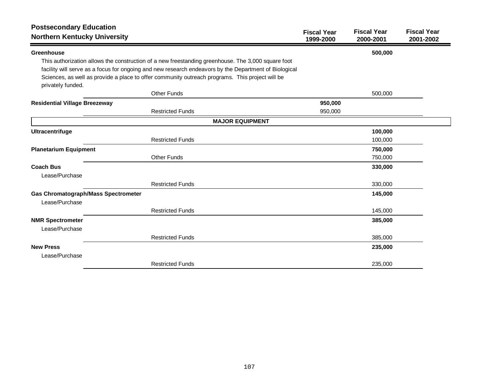| <b>Postsecondary Education</b><br><b>Northern Kentucky University</b> |                                                                                                                                                                                                             | <b>Fiscal Year</b><br>1999-2000 | <b>Fiscal Year</b><br>2000-2001 | <b>Fiscal Year</b><br>2001-2002 |
|-----------------------------------------------------------------------|-------------------------------------------------------------------------------------------------------------------------------------------------------------------------------------------------------------|---------------------------------|---------------------------------|---------------------------------|
| Greenhouse                                                            |                                                                                                                                                                                                             |                                 | 500,000                         |                                 |
|                                                                       | This authorization allows the construction of a new freestanding greenhouse. The 3,000 square foot<br>facility will serve as a focus for ongoing and new research endeavors by the Department of Biological |                                 |                                 |                                 |
| privately funded.                                                     | Sciences, as well as provide a place to offer community outreach programs. This project will be                                                                                                             |                                 |                                 |                                 |
|                                                                       | Other Funds                                                                                                                                                                                                 |                                 | 500,000                         |                                 |
| <b>Residential Village Breezeway</b>                                  |                                                                                                                                                                                                             | 950,000                         |                                 |                                 |
|                                                                       | <b>Restricted Funds</b>                                                                                                                                                                                     | 950,000                         |                                 |                                 |
|                                                                       | <b>MAJOR EQUIPMENT</b>                                                                                                                                                                                      |                                 |                                 |                                 |
| Ultracentrifuge                                                       |                                                                                                                                                                                                             |                                 | 100,000                         |                                 |
|                                                                       | <b>Restricted Funds</b>                                                                                                                                                                                     |                                 | 100,000                         |                                 |
| <b>Planetarium Equipment</b>                                          |                                                                                                                                                                                                             |                                 | 750,000                         |                                 |
|                                                                       | <b>Other Funds</b>                                                                                                                                                                                          |                                 | 750,000                         |                                 |
| <b>Coach Bus</b>                                                      |                                                                                                                                                                                                             |                                 | 330,000                         |                                 |
| Lease/Purchase                                                        |                                                                                                                                                                                                             |                                 |                                 |                                 |
|                                                                       | <b>Restricted Funds</b>                                                                                                                                                                                     |                                 | 330,000                         |                                 |
| <b>Gas Chromatograph/Mass Spectrometer</b>                            |                                                                                                                                                                                                             |                                 | 145,000                         |                                 |
| Lease/Purchase                                                        |                                                                                                                                                                                                             |                                 |                                 |                                 |
|                                                                       | <b>Restricted Funds</b>                                                                                                                                                                                     |                                 | 145,000                         |                                 |
| <b>NMR Spectrometer</b>                                               |                                                                                                                                                                                                             |                                 | 385,000                         |                                 |
| Lease/Purchase                                                        |                                                                                                                                                                                                             |                                 |                                 |                                 |
|                                                                       | <b>Restricted Funds</b>                                                                                                                                                                                     |                                 | 385,000                         |                                 |
| <b>New Press</b>                                                      |                                                                                                                                                                                                             |                                 | 235,000                         |                                 |
| Lease/Purchase                                                        |                                                                                                                                                                                                             |                                 |                                 |                                 |
|                                                                       | <b>Restricted Funds</b>                                                                                                                                                                                     |                                 | 235,000                         |                                 |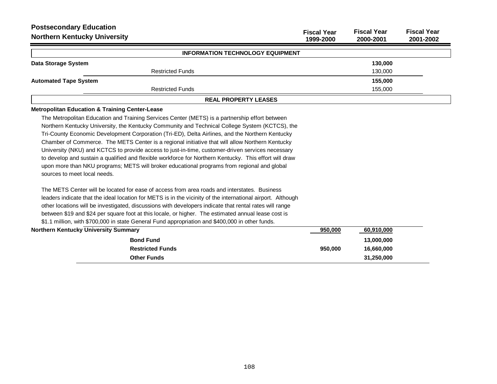| <b>Postsecondary Education</b><br><b>Northern Kentucky University</b>                                       | <b>Fiscal Year</b><br>1999-2000 | <b>Fiscal Year</b><br>2000-2001 | <b>Fiscal Year</b><br>2001-2002 |
|-------------------------------------------------------------------------------------------------------------|---------------------------------|---------------------------------|---------------------------------|
| <b>INFORMATION TECHNOLOGY EQUIPMENT</b>                                                                     |                                 |                                 |                                 |
| Data Storage System                                                                                         |                                 | 130,000                         |                                 |
| <b>Restricted Funds</b>                                                                                     |                                 | 130,000                         |                                 |
| <b>Automated Tape System</b>                                                                                |                                 | 155,000                         |                                 |
| <b>Restricted Funds</b>                                                                                     |                                 | 155,000                         |                                 |
| <b>REAL PROPERTY LEASES</b>                                                                                 |                                 |                                 |                                 |
| <b>Metropolitan Education &amp; Training Center-Lease</b>                                                   |                                 |                                 |                                 |
| The Metropolitan Education and Training Services Center (METS) is a partnership effort between              |                                 |                                 |                                 |
| Northern Kentucky University, the Kentucky Community and Technical College System (KCTCS), the              |                                 |                                 |                                 |
| Tri-County Economic Development Corporation (Tri-ED), Delta Airlines, and the Northern Kentucky             |                                 |                                 |                                 |
| Chamber of Commerce. The METS Center is a regional initiative that will allow Northern Kentucky             |                                 |                                 |                                 |
| University (NKU) and KCTCS to provide access to just-in-time, customer-driven services necessary            |                                 |                                 |                                 |
| to develop and sustain a qualified and flexible workforce for Northern Kentucky. This effort will draw      |                                 |                                 |                                 |
| upon more than NKU programs; METS will broker educational programs from regional and global                 |                                 |                                 |                                 |
| sources to meet local needs.                                                                                |                                 |                                 |                                 |
| The METS Center will be located for ease of access from area roads and interstates. Business                |                                 |                                 |                                 |
| leaders indicate that the ideal location for METS is in the vicinity of the international airport. Although |                                 |                                 |                                 |
| other locations will be investigated, discussions with developers indicate that rental rates will range     |                                 |                                 |                                 |
| between \$19 and \$24 per square foot at this locale, or higher. The estimated annual lease cost is         |                                 |                                 |                                 |
| \$1.1 million, with \$700,000 in state General Fund appropriation and \$400,000 in other funds.             |                                 |                                 |                                 |
| <b>Northern Kentucky University Summary</b>                                                                 | 950,000                         | 60,910,000                      |                                 |
| <b>Bond Fund</b>                                                                                            |                                 | 13,000,000                      |                                 |
| <b>Restricted Funds</b>                                                                                     | 950,000                         | 16.660.000                      |                                 |

**Other Funds 31,250,000**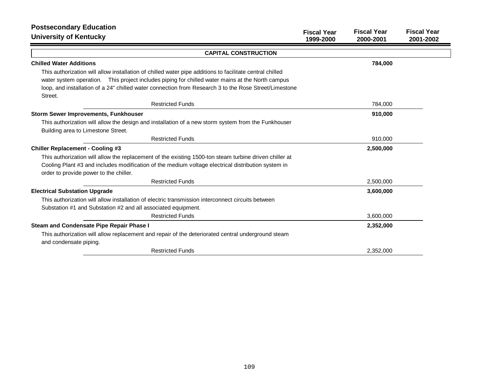| <b>Postsecondary Education</b><br><b>University of Kentucky</b>                                                                              | <b>Fiscal Year</b><br>1999-2000 | <b>Fiscal Year</b><br>2000-2001 | <b>Fiscal Year</b><br>2001-2002 |
|----------------------------------------------------------------------------------------------------------------------------------------------|---------------------------------|---------------------------------|---------------------------------|
| <b>CAPITAL CONSTRUCTION</b>                                                                                                                  |                                 |                                 |                                 |
| <b>Chilled Water Additions</b>                                                                                                               |                                 | 784,000                         |                                 |
| This authorization will allow installation of chilled water pipe additions to facilitate central chilled                                     |                                 |                                 |                                 |
| water system operation. This project includes piping for chilled water mains at the North campus                                             |                                 |                                 |                                 |
| loop, and installation of a 24" chilled water connection from Research 3 to the Rose Street/Limestone<br>Street.                             |                                 |                                 |                                 |
| <b>Restricted Funds</b>                                                                                                                      |                                 | 784,000                         |                                 |
| <b>Storm Sewer Improvements, Funkhouser</b>                                                                                                  |                                 | 910,000                         |                                 |
| This authorization will allow the design and installation of a new storm system from the Funkhouser                                          |                                 |                                 |                                 |
| Building area to Limestone Street.                                                                                                           |                                 |                                 |                                 |
| <b>Restricted Funds</b>                                                                                                                      |                                 | 910,000                         |                                 |
| <b>Chiller Replacement - Cooling #3</b>                                                                                                      |                                 | 2,500,000                       |                                 |
| This authorization will allow the replacement of the existing 1500-ton steam turbine driven chiller at                                       |                                 |                                 |                                 |
| Cooling Plant #3 and includes modification of the medium voltage electrical distribution system in<br>order to provide power to the chiller. |                                 |                                 |                                 |
| <b>Restricted Funds</b>                                                                                                                      |                                 | 2,500,000                       |                                 |
| <b>Electrical Substation Upgrade</b>                                                                                                         |                                 | 3,600,000                       |                                 |
| This authorization will allow installation of electric transmission interconnect circuits between                                            |                                 |                                 |                                 |
| Substation #1 and Substation #2 and all associated equipment.                                                                                |                                 |                                 |                                 |
| <b>Restricted Funds</b>                                                                                                                      |                                 | 3,600,000                       |                                 |
| Steam and Condensate Pipe Repair Phase I                                                                                                     |                                 | 2,352,000                       |                                 |
| This authorization will allow replacement and repair of the deteriorated central underground steam<br>and condensate piping.                 |                                 |                                 |                                 |
| <b>Restricted Funds</b>                                                                                                                      |                                 | 2,352,000                       |                                 |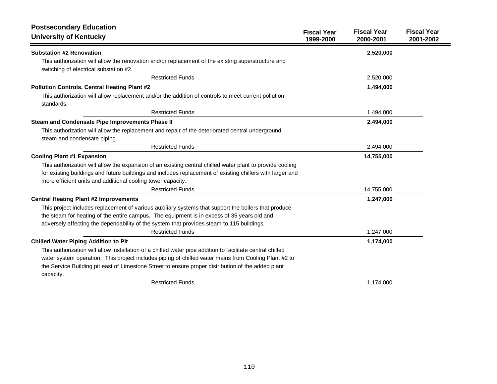| <b>Postsecondary Education</b>                                                                                                                                                                                                                                                                                                       | <b>Fiscal Year</b> | <b>Fiscal Year</b> | <b>Fiscal Year</b> |
|--------------------------------------------------------------------------------------------------------------------------------------------------------------------------------------------------------------------------------------------------------------------------------------------------------------------------------------|--------------------|--------------------|--------------------|
| <b>University of Kentucky</b>                                                                                                                                                                                                                                                                                                        | 1999-2000          | 2000-2001          | 2001-2002          |
| <b>Substation #2 Renovation</b>                                                                                                                                                                                                                                                                                                      |                    | 2,520,000          |                    |
| This authorization will allow the renovation and/or replacement of the existing superstructure and<br>switching of electrical substation #2.                                                                                                                                                                                         |                    |                    |                    |
| <b>Restricted Funds</b>                                                                                                                                                                                                                                                                                                              |                    | 2,520,000          |                    |
| <b>Pollution Controls, Central Heating Plant #2</b>                                                                                                                                                                                                                                                                                  |                    | 1,494,000          |                    |
| This authorization will allow replacement and/or the addition of controls to meet current pollution<br>standards.                                                                                                                                                                                                                    |                    |                    |                    |
| <b>Restricted Funds</b>                                                                                                                                                                                                                                                                                                              |                    | 1,494,000          |                    |
| Steam and Condensate Pipe Improvements Phase II                                                                                                                                                                                                                                                                                      |                    | 2,494,000          |                    |
| This authorization will allow the replacement and repair of the deteriorated central underground<br>steam and condensate piping.                                                                                                                                                                                                     |                    |                    |                    |
| <b>Restricted Funds</b>                                                                                                                                                                                                                                                                                                              |                    | 2,494,000          |                    |
| <b>Cooling Plant #1 Expansion</b>                                                                                                                                                                                                                                                                                                    |                    | 14,755,000         |                    |
| This authorization will allow the expansion of an existing central chilled water plant to provide cooling                                                                                                                                                                                                                            |                    |                    |                    |
| for existing buildings and future buildings and includes replacement of existing chillers with larger and                                                                                                                                                                                                                            |                    |                    |                    |
| more efficient units and additional cooling tower capacity.                                                                                                                                                                                                                                                                          |                    |                    |                    |
| <b>Restricted Funds</b>                                                                                                                                                                                                                                                                                                              |                    | 14,755,000         |                    |
| <b>Central Heating Plant #2 Improvements</b>                                                                                                                                                                                                                                                                                         |                    | 1,247,000          |                    |
| This project includes replacement of various auxiliary systems that support the boilers that produce<br>the steam for heating of the entire campus. The equipment is in excess of 35 years old and<br>adversely affecting the dependability of the system that provides steam to 115 buildings.                                      |                    |                    |                    |
| <b>Restricted Funds</b>                                                                                                                                                                                                                                                                                                              |                    | 1,247,000          |                    |
| <b>Chilled Water Piping Addition to Pit</b>                                                                                                                                                                                                                                                                                          |                    | 1,174,000          |                    |
| This authorization will allow installation of a chilled water pipe addition to facilitate central chilled<br>water system operation. This project includes piping of chilled water mains from Cooling Plant #2 to<br>the Service Building pit east of Limestone Street to ensure proper distribution of the added plant<br>capacity. |                    |                    |                    |
| <b>Restricted Funds</b>                                                                                                                                                                                                                                                                                                              |                    | 1,174,000          |                    |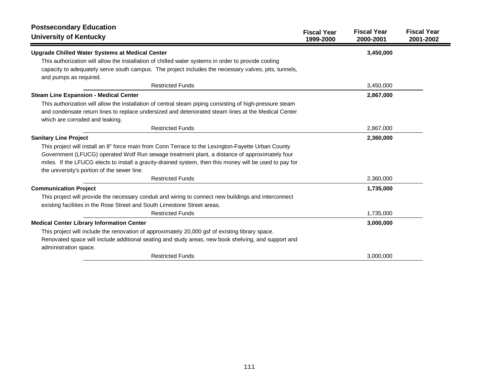| <b>Postsecondary Education</b><br><b>University of Kentucky</b>                                          | <b>Fiscal Year</b><br>1999-2000 | <b>Fiscal Year</b><br>2000-2001 | <b>Fiscal Year</b><br>2001-2002 |
|----------------------------------------------------------------------------------------------------------|---------------------------------|---------------------------------|---------------------------------|
| Upgrade Chilled Water Systems at Medical Center                                                          |                                 | 3,450,000                       |                                 |
| This authorization will allow the installation of chilled water systems in order to provide cooling      |                                 |                                 |                                 |
| capacity to adequately serve south campus. The project includes the necessary valves, pits, tunnels,     |                                 |                                 |                                 |
| and pumps as required.                                                                                   |                                 |                                 |                                 |
| <b>Restricted Funds</b>                                                                                  |                                 | 3,450,000                       |                                 |
| <b>Steam Line Expansion - Medical Center</b>                                                             |                                 | 2,867,000                       |                                 |
| This authorization will allow the installation of central steam piping consisting of high-pressure steam |                                 |                                 |                                 |
| and condensate return lines to replace undersized and deteriorated steam lines at the Medical Center     |                                 |                                 |                                 |
| which are corroded and leaking.                                                                          |                                 |                                 |                                 |
| <b>Restricted Funds</b>                                                                                  |                                 | 2,867,000                       |                                 |
| <b>Sanitary Line Project</b>                                                                             |                                 | 2,360,000                       |                                 |
| This project will install an 8" force main from Conn Terrace to the Lexington-Fayette Urban County       |                                 |                                 |                                 |
| Government (LFUCG) operated Wolf Run sewage treatment plant, a distance of approximately four            |                                 |                                 |                                 |
| miles. If the LFUCG elects to install a gravity-drained system, then this money will be used to pay for  |                                 |                                 |                                 |
| the university's portion of the sewer line.                                                              |                                 |                                 |                                 |
| <b>Restricted Funds</b>                                                                                  |                                 | 2,360,000                       |                                 |
| <b>Communication Project</b>                                                                             |                                 | 1,735,000                       |                                 |
| This project will provide the necessary conduit and wiring to connect new buildings and interconnect     |                                 |                                 |                                 |
| existing facilities in the Rose Street and South Limestone Street areas.                                 |                                 |                                 |                                 |
| <b>Restricted Funds</b>                                                                                  |                                 | 1,735,000                       |                                 |
| <b>Medical Center Library Information Center</b>                                                         |                                 | 3,000,000                       |                                 |
| This project will include the renovation of approximately 20,000 gsf of existing library space.          |                                 |                                 |                                 |
| Renovated space will include additional seating and study areas, new book shelving, and support and      |                                 |                                 |                                 |
| administration space.                                                                                    |                                 |                                 |                                 |
| <b>Restricted Funds</b>                                                                                  |                                 | 3,000,000                       |                                 |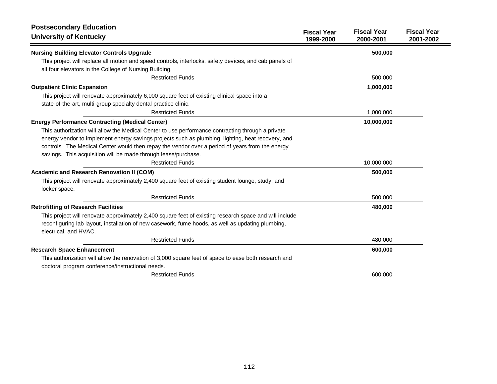| <b>Postsecondary Education</b>                                                                                                                                                                                                       |                                 |                                 |                                 |
|--------------------------------------------------------------------------------------------------------------------------------------------------------------------------------------------------------------------------------------|---------------------------------|---------------------------------|---------------------------------|
| <b>University of Kentucky</b>                                                                                                                                                                                                        | <b>Fiscal Year</b><br>1999-2000 | <b>Fiscal Year</b><br>2000-2001 | <b>Fiscal Year</b><br>2001-2002 |
| <b>Nursing Building Elevator Controls Upgrade</b>                                                                                                                                                                                    |                                 | 500,000                         |                                 |
| This project will replace all motion and speed controls, interlocks, safety devices, and cab panels of                                                                                                                               |                                 |                                 |                                 |
| all four elevators in the College of Nursing Building.                                                                                                                                                                               |                                 |                                 |                                 |
| <b>Restricted Funds</b>                                                                                                                                                                                                              |                                 | 500,000                         |                                 |
| <b>Outpatient Clinic Expansion</b>                                                                                                                                                                                                   |                                 | 1,000,000                       |                                 |
| This project will renovate approximately 6,000 square feet of existing clinical space into a                                                                                                                                         |                                 |                                 |                                 |
| state-of-the-art, multi-group specialty dental practice clinic.                                                                                                                                                                      |                                 |                                 |                                 |
| <b>Restricted Funds</b>                                                                                                                                                                                                              |                                 | 1,000,000                       |                                 |
| <b>Energy Performance Contracting (Medical Center)</b>                                                                                                                                                                               |                                 | 10,000,000                      |                                 |
| This authorization will allow the Medical Center to use performance contracting through a private                                                                                                                                    |                                 |                                 |                                 |
| energy vendor to implement energy savings projects such as plumbing, lighting, heat recovery, and                                                                                                                                    |                                 |                                 |                                 |
| controls. The Medical Center would then repay the vendor over a period of years from the energy                                                                                                                                      |                                 |                                 |                                 |
| savings. This acquisition will be made through lease/purchase.                                                                                                                                                                       |                                 |                                 |                                 |
| <b>Restricted Funds</b>                                                                                                                                                                                                              |                                 | 10,000,000                      |                                 |
| Academic and Research Renovation II (COM)                                                                                                                                                                                            |                                 | 500,000                         |                                 |
| This project will renovate approximately 2,400 square feet of existing student lounge, study, and<br>locker space.                                                                                                                   |                                 |                                 |                                 |
| <b>Restricted Funds</b>                                                                                                                                                                                                              |                                 | 500,000                         |                                 |
| <b>Retrofitting of Research Facilities</b>                                                                                                                                                                                           |                                 | 480,000                         |                                 |
| This project will renovate approximately 2,400 square feet of existing research space and will include<br>reconfiguring lab layout, installation of new casework, fume hoods, as well as updating plumbing,<br>electrical, and HVAC. |                                 |                                 |                                 |
| <b>Restricted Funds</b>                                                                                                                                                                                                              |                                 | 480,000                         |                                 |
| <b>Research Space Enhancement</b>                                                                                                                                                                                                    |                                 | 600,000                         |                                 |
| This authorization will allow the renovation of 3,000 square feet of space to ease both research and<br>doctoral program conference/instructional needs.                                                                             |                                 |                                 |                                 |
| <b>Restricted Funds</b>                                                                                                                                                                                                              |                                 | 600,000                         |                                 |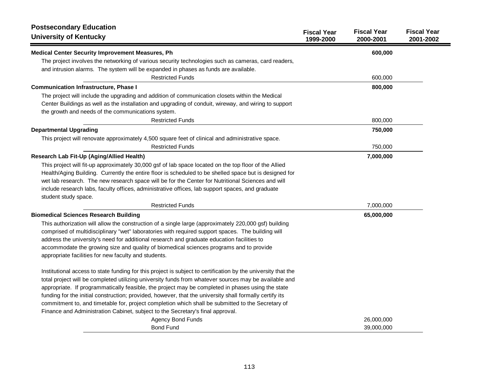| <b>Postsecondary Education</b><br><b>University of Kentucky</b>                                               | <b>Fiscal Year</b><br>1999-2000 | <b>Fiscal Year</b><br>2000-2001 | <b>Fiscal Year</b><br>2001-2002 |
|---------------------------------------------------------------------------------------------------------------|---------------------------------|---------------------------------|---------------------------------|
| <b>Medical Center Security Improvement Measures, Ph</b>                                                       |                                 | 600,000                         |                                 |
| The project involves the networking of various security technologies such as cameras, card readers,           |                                 |                                 |                                 |
| and intrusion alarms. The system will be expanded in phases as funds are available.                           |                                 |                                 |                                 |
| <b>Restricted Funds</b>                                                                                       |                                 | 600,000                         |                                 |
| <b>Communication Infrastructure, Phase I</b>                                                                  |                                 | 800,000                         |                                 |
| The project will include the upgrading and addition of communication closets within the Medical               |                                 |                                 |                                 |
| Center Buildings as well as the installation and upgrading of conduit, wireway, and wiring to support         |                                 |                                 |                                 |
| the growth and needs of the communications system.                                                            |                                 |                                 |                                 |
| <b>Restricted Funds</b>                                                                                       |                                 | 800,000                         |                                 |
| <b>Departmental Upgrading</b>                                                                                 |                                 | 750,000                         |                                 |
| This project will renovate approximately 4,500 square feet of clinical and administrative space.              |                                 |                                 |                                 |
| <b>Restricted Funds</b>                                                                                       |                                 | 750,000                         |                                 |
| Research Lab Fit-Up (Aging/Allied Health)                                                                     |                                 | 7,000,000                       |                                 |
| This project will fit-up approximately 30,000 gsf of lab space located on the top floor of the Allied         |                                 |                                 |                                 |
| Health/Aging Building. Currently the entire floor is scheduled to be shelled space but is designed for        |                                 |                                 |                                 |
| wet lab research. The new research space will be for the Center for Nutritional Sciences and will             |                                 |                                 |                                 |
| include research labs, faculty offices, administrative offices, lab support spaces, and graduate              |                                 |                                 |                                 |
| student study space.                                                                                          |                                 |                                 |                                 |
| <b>Restricted Funds</b>                                                                                       |                                 | 7,000,000                       |                                 |
| <b>Biomedical Sciences Research Building</b>                                                                  |                                 | 65,000,000                      |                                 |
| This authorization will allow the construction of a single large (approximately 220,000 gsf) building         |                                 |                                 |                                 |
| comprised of multidisciplinary "wet" laboratories with required support spaces. The building will             |                                 |                                 |                                 |
| address the university's need for additional research and graduate education facilities to                    |                                 |                                 |                                 |
| accommodate the growing size and quality of biomedical sciences programs and to provide                       |                                 |                                 |                                 |
| appropriate facilities for new faculty and students.                                                          |                                 |                                 |                                 |
| Institutional access to state funding for this project is subject to certification by the university that the |                                 |                                 |                                 |
| total project will be completed utilizing university funds from whatever sources may be available and         |                                 |                                 |                                 |
| appropriate. If programmatically feasible, the project may be completed in phases using the state             |                                 |                                 |                                 |
| funding for the initial construction; provided, however, that the university shall formally certify its       |                                 |                                 |                                 |
| commitment to, and timetable for, project completion which shall be submitted to the Secretary of             |                                 |                                 |                                 |
| Finance and Administration Cabinet, subject to the Secretary's final approval.                                |                                 |                                 |                                 |
| <b>Agency Bond Funds</b>                                                                                      |                                 | 26,000,000                      |                                 |
| <b>Bond Fund</b>                                                                                              |                                 | 39,000,000                      |                                 |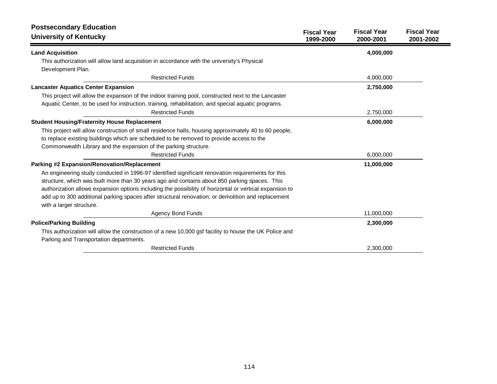| <b>Postsecondary Education</b><br><b>University of Kentucky</b>                                                                                                                                                                                                                                                                                                                                                                                 | <b>Fiscal Year</b><br>1999-2000 | <b>Fiscal Year</b><br>2000-2001 | <b>Fiscal Year</b><br>2001-2002 |
|-------------------------------------------------------------------------------------------------------------------------------------------------------------------------------------------------------------------------------------------------------------------------------------------------------------------------------------------------------------------------------------------------------------------------------------------------|---------------------------------|---------------------------------|---------------------------------|
| <b>Land Acquisition</b>                                                                                                                                                                                                                                                                                                                                                                                                                         |                                 | 4,000,000                       |                                 |
| This authorization will allow land acquisition in accordance with the university's Physical<br>Development Plan.                                                                                                                                                                                                                                                                                                                                |                                 |                                 |                                 |
| <b>Restricted Funds</b>                                                                                                                                                                                                                                                                                                                                                                                                                         |                                 | 4,000,000                       |                                 |
| <b>Lancaster Aquatics Center Expansion</b>                                                                                                                                                                                                                                                                                                                                                                                                      |                                 | 2,750,000                       |                                 |
| This project will allow the expansion of the indoor training pool, constructed next to the Lancaster<br>Aquatic Center, to be used for instruction, training, rehabilitation, and special aquatic programs.                                                                                                                                                                                                                                     |                                 |                                 |                                 |
| <b>Restricted Funds</b>                                                                                                                                                                                                                                                                                                                                                                                                                         |                                 | 2,750,000                       |                                 |
| <b>Student Housing/Fraternity House Replacement</b>                                                                                                                                                                                                                                                                                                                                                                                             |                                 | 6,000,000                       |                                 |
| This project will allow construction of small residence halls, housing approximately 40 to 60 people,<br>to replace existing buildings which are scheduled to be removed to provide access to the<br>Commonwealth Library and the expansion of the parking structure.                                                                                                                                                                           |                                 |                                 |                                 |
| <b>Restricted Funds</b>                                                                                                                                                                                                                                                                                                                                                                                                                         |                                 | 6,000,000                       |                                 |
| Parking #2 Expansion/Renovation/Replacement                                                                                                                                                                                                                                                                                                                                                                                                     |                                 | 11,000,000                      |                                 |
| An engineering study conducted in 1996-97 identified significant renovation requirements for this<br>structure, which was built more than 30 years ago and contains about 850 parking spaces. This<br>authorization allows expansion options including the possibility of horizontal or vertical expansion to<br>add up to 300 additional parking spaces after structural renovation; or demolition and replacement<br>with a larger structure. |                                 |                                 |                                 |
| <b>Agency Bond Funds</b>                                                                                                                                                                                                                                                                                                                                                                                                                        |                                 | 11,000,000                      |                                 |
| <b>Police/Parking Building</b><br>This authorization will allow the construction of a new 10,000 gsf facility to house the UK Police and<br>Parking and Transportation departments.                                                                                                                                                                                                                                                             |                                 | 2,300,000                       |                                 |
| <b>Restricted Funds</b>                                                                                                                                                                                                                                                                                                                                                                                                                         |                                 | 2.300.000                       |                                 |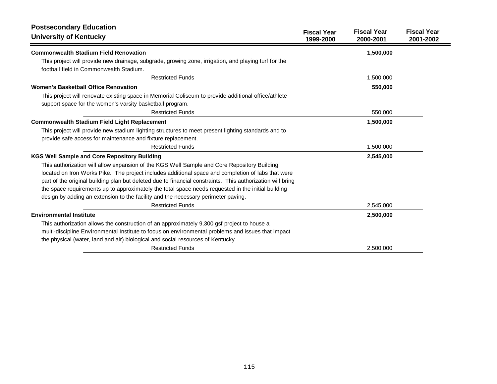| <b>Postsecondary Education</b><br><b>University of Kentucky</b>                                                                                                  | <b>Fiscal Year</b><br>1999-2000 | <b>Fiscal Year</b><br>2000-2001 | <b>Fiscal Year</b><br>2001-2002 |
|------------------------------------------------------------------------------------------------------------------------------------------------------------------|---------------------------------|---------------------------------|---------------------------------|
| <b>Commonwealth Stadium Field Renovation</b>                                                                                                                     |                                 | 1,500,000                       |                                 |
| This project will provide new drainage, subgrade, growing zone, irrigation, and playing turf for the<br>football field in Commonwealth Stadium.                  |                                 |                                 |                                 |
| <b>Restricted Funds</b>                                                                                                                                          |                                 | 1,500,000                       |                                 |
| <b>Women's Basketball Office Renovation</b>                                                                                                                      |                                 | 550,000                         |                                 |
| This project will renovate existing space in Memorial Coliseum to provide additional office/athlete<br>support space for the women's varsity basketball program. |                                 |                                 |                                 |
| <b>Restricted Funds</b>                                                                                                                                          |                                 | 550,000                         |                                 |
| <b>Commonwealth Stadium Field Light Replacement</b>                                                                                                              |                                 | 1,500,000                       |                                 |
| This project will provide new stadium lighting structures to meet present lighting standards and to                                                              |                                 |                                 |                                 |
| provide safe access for maintenance and fixture replacement.                                                                                                     |                                 |                                 |                                 |
| <b>Restricted Funds</b>                                                                                                                                          |                                 | 1,500,000                       |                                 |
| <b>KGS Well Sample and Core Repository Building</b>                                                                                                              |                                 | 2,545,000                       |                                 |
| This authorization will allow expansion of the KGS Well Sample and Core Repository Building                                                                      |                                 |                                 |                                 |
| located on Iron Works Pike. The project includes additional space and completion of labs that were                                                               |                                 |                                 |                                 |
| part of the original building plan but deleted due to financial constraints. This authorization will bring                                                       |                                 |                                 |                                 |
| the space requirements up to approximately the total space needs requested in the initial building                                                               |                                 |                                 |                                 |
| design by adding an extension to the facility and the necessary perimeter paving.                                                                                |                                 |                                 |                                 |
| <b>Restricted Funds</b>                                                                                                                                          |                                 | 2,545,000                       |                                 |
| <b>Environmental Institute</b>                                                                                                                                   |                                 | 2,500,000                       |                                 |
| This authorization allows the construction of an approximately 9,300 gsf project to house a                                                                      |                                 |                                 |                                 |
| multi-discipline Environmental Institute to focus on environmental problems and issues that impact                                                               |                                 |                                 |                                 |
| the physical (water, land and air) biological and social resources of Kentucky.                                                                                  |                                 |                                 |                                 |
| <b>Restricted Funds</b>                                                                                                                                          |                                 | 2,500,000                       |                                 |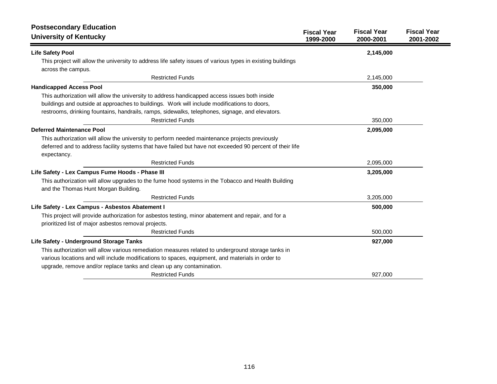| <b>Postsecondary Education</b>                                                                                                                                                                                                                                                                                             |                                 |                                 |                                 |
|----------------------------------------------------------------------------------------------------------------------------------------------------------------------------------------------------------------------------------------------------------------------------------------------------------------------------|---------------------------------|---------------------------------|---------------------------------|
| <b>University of Kentucky</b>                                                                                                                                                                                                                                                                                              | <b>Fiscal Year</b><br>1999-2000 | <b>Fiscal Year</b><br>2000-2001 | <b>Fiscal Year</b><br>2001-2002 |
| <b>Life Safety Pool</b>                                                                                                                                                                                                                                                                                                    |                                 | 2,145,000                       |                                 |
| This project will allow the university to address life safety issues of various types in existing buildings<br>across the campus.                                                                                                                                                                                          |                                 |                                 |                                 |
| <b>Restricted Funds</b>                                                                                                                                                                                                                                                                                                    |                                 | 2,145,000                       |                                 |
| <b>Handicapped Access Pool</b>                                                                                                                                                                                                                                                                                             |                                 | 350,000                         |                                 |
| This authorization will allow the university to address handicapped access issues both inside<br>buildings and outside at approaches to buildings. Work will include modifications to doors,<br>restrooms, drinking fountains, handrails, ramps, sidewalks, telephones, signage, and elevators.<br><b>Restricted Funds</b> |                                 | 350,000                         |                                 |
| <b>Deferred Maintenance Pool</b>                                                                                                                                                                                                                                                                                           |                                 | 2,095,000                       |                                 |
| This authorization will allow the university to perform needed maintenance projects previously<br>deferred and to address facility systems that have failed but have not exceeded 90 percent of their life<br>expectancy.                                                                                                  |                                 |                                 |                                 |
| <b>Restricted Funds</b>                                                                                                                                                                                                                                                                                                    |                                 | 2,095,000                       |                                 |
| Life Safety - Lex Campus Fume Hoods - Phase III                                                                                                                                                                                                                                                                            |                                 | 3,205,000                       |                                 |
| This authorization will allow upgrades to the fume hood systems in the Tobacco and Health Building<br>and the Thomas Hunt Morgan Building.                                                                                                                                                                                 |                                 |                                 |                                 |
| <b>Restricted Funds</b>                                                                                                                                                                                                                                                                                                    |                                 | 3,205,000                       |                                 |
| Life Safety - Lex Campus - Asbestos Abatement I<br>This project will provide authorization for asbestos testing, minor abatement and repair, and for a<br>prioritized list of major asbestos removal projects.                                                                                                             |                                 | 500,000                         |                                 |
| <b>Restricted Funds</b>                                                                                                                                                                                                                                                                                                    |                                 | 500,000                         |                                 |
| Life Safety - Underground Storage Tanks<br>This authorization will allow various remediation measures related to underground storage tanks in<br>various locations and will include modifications to spaces, equipment, and materials in order to<br>upgrade, remove and/or replace tanks and clean up any contamination.  |                                 | 927,000                         |                                 |
| <b>Restricted Funds</b>                                                                                                                                                                                                                                                                                                    |                                 | 927,000                         |                                 |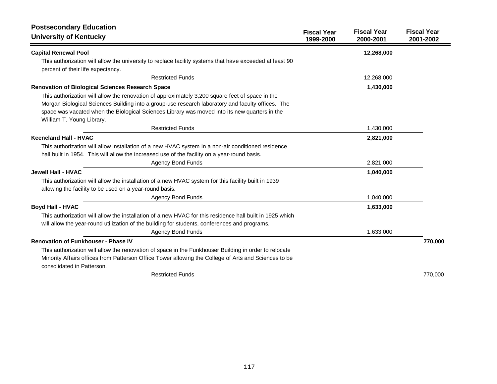| <b>Postsecondary Education</b>                                                                                                                                                                                                                                                                                                     |                                 |                                 |                                 |
|------------------------------------------------------------------------------------------------------------------------------------------------------------------------------------------------------------------------------------------------------------------------------------------------------------------------------------|---------------------------------|---------------------------------|---------------------------------|
| <b>University of Kentucky</b>                                                                                                                                                                                                                                                                                                      | <b>Fiscal Year</b><br>1999-2000 | <b>Fiscal Year</b><br>2000-2001 | <b>Fiscal Year</b><br>2001-2002 |
| <b>Capital Renewal Pool</b>                                                                                                                                                                                                                                                                                                        |                                 | 12,268,000                      |                                 |
| This authorization will allow the university to replace facility systems that have exceeded at least 90<br>percent of their life expectancy.                                                                                                                                                                                       |                                 |                                 |                                 |
| <b>Restricted Funds</b>                                                                                                                                                                                                                                                                                                            |                                 | 12,268,000                      |                                 |
| <b>Renovation of Biological Sciences Research Space</b>                                                                                                                                                                                                                                                                            |                                 | 1,430,000                       |                                 |
| This authorization will allow the renovation of approximately 3,200 square feet of space in the<br>Morgan Biological Sciences Building into a group-use research laboratory and faculty offices. The<br>space was vacated when the Biological Sciences Library was moved into its new quarters in the<br>William T. Young Library. |                                 |                                 |                                 |
| <b>Restricted Funds</b>                                                                                                                                                                                                                                                                                                            |                                 | 1,430,000                       |                                 |
| <b>Keeneland Hall - HVAC</b>                                                                                                                                                                                                                                                                                                       |                                 | 2,821,000                       |                                 |
| This authorization will allow installation of a new HVAC system in a non-air conditioned residence<br>hall built in 1954. This will allow the increased use of the facility on a year-round basis.                                                                                                                                 |                                 |                                 |                                 |
| <b>Agency Bond Funds</b>                                                                                                                                                                                                                                                                                                           |                                 | 2,821,000                       |                                 |
| <b>Jewell Hall - HVAC</b>                                                                                                                                                                                                                                                                                                          |                                 | 1,040,000                       |                                 |
| This authorization will allow the installation of a new HVAC system for this facility built in 1939<br>allowing the facility to be used on a year-round basis.                                                                                                                                                                     |                                 |                                 |                                 |
| <b>Agency Bond Funds</b>                                                                                                                                                                                                                                                                                                           |                                 | 1,040,000                       |                                 |
| <b>Boyd Hall - HVAC</b><br>This authorization will allow the installation of a new HVAC for this residence hall built in 1925 which<br>will allow the year-round utilization of the building for students, conferences and programs.                                                                                               |                                 | 1,633,000                       |                                 |
| <b>Agency Bond Funds</b>                                                                                                                                                                                                                                                                                                           |                                 | 1,633,000                       |                                 |
| <b>Renovation of Funkhouser - Phase IV</b>                                                                                                                                                                                                                                                                                         |                                 |                                 | 770,000                         |
| This authorization will allow the renovation of space in the Funkhouser Building in order to relocate<br>Minority Affairs offices from Patterson Office Tower allowing the College of Arts and Sciences to be<br>consolidated in Patterson.                                                                                        |                                 |                                 |                                 |
| <b>Restricted Funds</b>                                                                                                                                                                                                                                                                                                            |                                 |                                 | 770,000                         |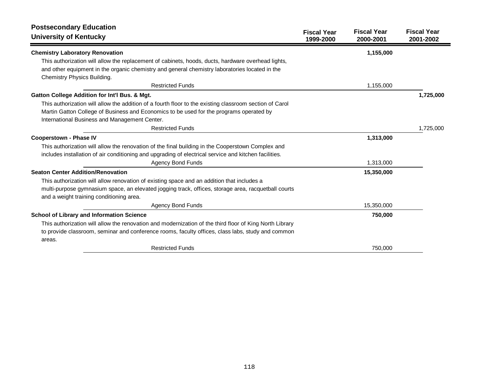| <b>Postsecondary Education</b><br><b>University of Kentucky</b>                                         | <b>Fiscal Year</b><br>1999-2000 | <b>Fiscal Year</b><br>2000-2001 | <b>Fiscal Year</b><br>2001-2002 |
|---------------------------------------------------------------------------------------------------------|---------------------------------|---------------------------------|---------------------------------|
| <b>Chemistry Laboratory Renovation</b>                                                                  |                                 | 1,155,000                       |                                 |
| This authorization will allow the replacement of cabinets, hoods, ducts, hardware overhead lights,      |                                 |                                 |                                 |
| and other equipment in the organic chemistry and general chemistry laboratories located in the          |                                 |                                 |                                 |
| Chemistry Physics Building.                                                                             |                                 |                                 |                                 |
| <b>Restricted Funds</b>                                                                                 |                                 | 1,155,000                       |                                 |
| Gatton College Addition for Int'l Bus. & Mgt.                                                           |                                 |                                 | 1,725,000                       |
| This authorization will allow the addition of a fourth floor to the existing classroom section of Carol |                                 |                                 |                                 |
| Martin Gatton College of Business and Economics to be used for the programs operated by                 |                                 |                                 |                                 |
| International Business and Management Center.                                                           |                                 |                                 |                                 |
| <b>Restricted Funds</b>                                                                                 |                                 |                                 | 1,725,000                       |
| <b>Cooperstown - Phase IV</b>                                                                           |                                 | 1,313,000                       |                                 |
| This authorization will allow the renovation of the final building in the Cooperstown Complex and       |                                 |                                 |                                 |
| includes installation of air conditioning and upgrading of electrical service and kitchen facilities.   |                                 |                                 |                                 |
| <b>Agency Bond Funds</b>                                                                                |                                 | 1,313,000                       |                                 |
| <b>Seaton Center Addition/Renovation</b>                                                                |                                 | 15,350,000                      |                                 |
| This authorization will allow renovation of existing space and an addition that includes a              |                                 |                                 |                                 |
| multi-purpose gymnasium space, an elevated jogging track, offices, storage area, racquetball courts     |                                 |                                 |                                 |
| and a weight training conditioning area.                                                                |                                 |                                 |                                 |
| <b>Agency Bond Funds</b>                                                                                |                                 | 15,350,000                      |                                 |
| School of Library and Information Science                                                               |                                 | 750,000                         |                                 |
| This authorization will allow the renovation and modernization of the third floor of King North Library |                                 |                                 |                                 |
| to provide classroom, seminar and conference rooms, faculty offices, class labs, study and common       |                                 |                                 |                                 |
| areas.                                                                                                  |                                 |                                 |                                 |
| <b>Restricted Funds</b>                                                                                 |                                 | 750,000                         |                                 |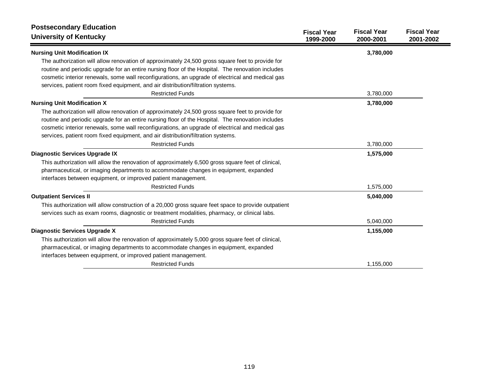| <b>Postsecondary Education</b>                                                                       |                                 |                                 |                                 |
|------------------------------------------------------------------------------------------------------|---------------------------------|---------------------------------|---------------------------------|
| <b>University of Kentucky</b>                                                                        | <b>Fiscal Year</b><br>1999-2000 | <b>Fiscal Year</b><br>2000-2001 | <b>Fiscal Year</b><br>2001-2002 |
| <b>Nursing Unit Modification IX</b>                                                                  |                                 | 3,780,000                       |                                 |
| The authorization will allow renovation of approximately 24,500 gross square feet to provide for     |                                 |                                 |                                 |
| routine and periodic upgrade for an entire nursing floor of the Hospital. The renovation includes    |                                 |                                 |                                 |
| cosmetic interior renewals, some wall reconfigurations, an upgrade of electrical and medical gas     |                                 |                                 |                                 |
| services, patient room fixed equipment, and air distribution/filtration systems.                     |                                 |                                 |                                 |
| <b>Restricted Funds</b>                                                                              |                                 | 3,780,000                       |                                 |
| <b>Nursing Unit Modification X</b>                                                                   |                                 | 3,780,000                       |                                 |
| The authorization will allow renovation of approximately 24,500 gross square feet to provide for     |                                 |                                 |                                 |
| routine and periodic upgrade for an entire nursing floor of the Hospital. The renovation includes    |                                 |                                 |                                 |
| cosmetic interior renewals, some wall reconfigurations, an upgrade of electrical and medical gas     |                                 |                                 |                                 |
| services, patient room fixed equipment, and air distribution/filtration systems.                     |                                 |                                 |                                 |
| <b>Restricted Funds</b>                                                                              |                                 | 3,780,000                       |                                 |
| Diagnostic Services Upgrade IX                                                                       |                                 | 1,575,000                       |                                 |
| This authorization will allow the renovation of approximately 6,500 gross square feet of clinical,   |                                 |                                 |                                 |
| pharmaceutical, or imaging departments to accommodate changes in equipment, expanded                 |                                 |                                 |                                 |
| interfaces between equipment, or improved patient management.                                        |                                 |                                 |                                 |
| <b>Restricted Funds</b>                                                                              |                                 | 1,575,000                       |                                 |
| <b>Outpatient Services II</b>                                                                        |                                 | 5,040,000                       |                                 |
| This authorization will allow construction of a 20,000 gross square feet space to provide outpatient |                                 |                                 |                                 |
| services such as exam rooms, diagnostic or treatment modalities, pharmacy, or clinical labs.         |                                 |                                 |                                 |
| <b>Restricted Funds</b>                                                                              |                                 | 5,040,000                       |                                 |
| <b>Diagnostic Services Upgrade X</b>                                                                 |                                 | 1,155,000                       |                                 |
| This authorization will allow the renovation of approximately 5,000 gross square feet of clinical,   |                                 |                                 |                                 |
| pharmaceutical, or imaging departments to accommodate changes in equipment, expanded                 |                                 |                                 |                                 |
| interfaces between equipment, or improved patient management.                                        |                                 |                                 |                                 |
| <b>Restricted Funds</b>                                                                              |                                 | 1,155,000                       |                                 |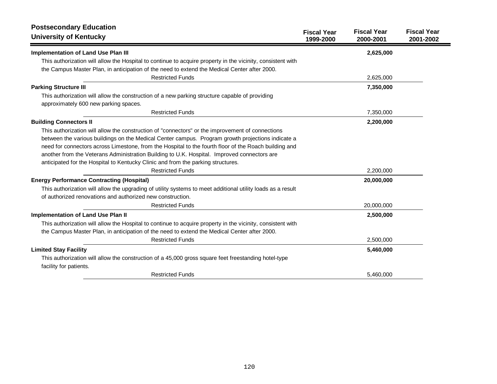| <b>Postsecondary Education</b>                                                                                                 |                                 |                                 |                                 |
|--------------------------------------------------------------------------------------------------------------------------------|---------------------------------|---------------------------------|---------------------------------|
| <b>University of Kentucky</b>                                                                                                  | <b>Fiscal Year</b><br>1999-2000 | <b>Fiscal Year</b><br>2000-2001 | <b>Fiscal Year</b><br>2001-2002 |
| <b>Implementation of Land Use Plan III</b>                                                                                     |                                 | 2,625,000                       |                                 |
| This authorization will allow the Hospital to continue to acquire property in the vicinity, consistent with                    |                                 |                                 |                                 |
| the Campus Master Plan, in anticipation of the need to extend the Medical Center after 2000.                                   |                                 |                                 |                                 |
| <b>Restricted Funds</b>                                                                                                        |                                 | 2,625,000                       |                                 |
| <b>Parking Structure III</b>                                                                                                   |                                 | 7,350,000                       |                                 |
| This authorization will allow the construction of a new parking structure capable of providing                                 |                                 |                                 |                                 |
| approximately 600 new parking spaces.                                                                                          |                                 |                                 |                                 |
| <b>Restricted Funds</b>                                                                                                        |                                 | 7,350,000                       |                                 |
| <b>Building Connectors II</b>                                                                                                  |                                 | 2,200,000                       |                                 |
| This authorization will allow the construction of "connectors" or the improvement of connections                               |                                 |                                 |                                 |
| between the various buildings on the Medical Center campus. Program growth projections indicate a                              |                                 |                                 |                                 |
| need for connectors across Limestone, from the Hospital to the fourth floor of the Roach building and                          |                                 |                                 |                                 |
| another from the Veterans Administration Building to U.K. Hospital. Improved connectors are                                    |                                 |                                 |                                 |
| anticipated for the Hospital to Kentucky Clinic and from the parking structures.                                               |                                 |                                 |                                 |
| <b>Restricted Funds</b>                                                                                                        |                                 | 2,200,000                       |                                 |
| <b>Energy Performance Contracting (Hospital)</b>                                                                               |                                 | 20,000,000                      |                                 |
| This authorization will allow the upgrading of utility systems to meet additional utility loads as a result                    |                                 |                                 |                                 |
| of authorized renovations and authorized new construction.                                                                     |                                 |                                 |                                 |
| <b>Restricted Funds</b>                                                                                                        |                                 | 20,000,000                      |                                 |
| <b>Implementation of Land Use Plan II</b>                                                                                      |                                 | 2,500,000                       |                                 |
| This authorization will allow the Hospital to continue to acquire property in the vicinity, consistent with                    |                                 |                                 |                                 |
| the Campus Master Plan, in anticipation of the need to extend the Medical Center after 2000.                                   |                                 |                                 |                                 |
| <b>Restricted Funds</b>                                                                                                        |                                 | 2,500,000                       |                                 |
| <b>Limited Stay Facility</b>                                                                                                   |                                 | 5,460,000                       |                                 |
| This authorization will allow the construction of a 45,000 gross square feet freestanding hotel-type<br>facility for patients. |                                 |                                 |                                 |
| <b>Restricted Funds</b>                                                                                                        |                                 | 5,460,000                       |                                 |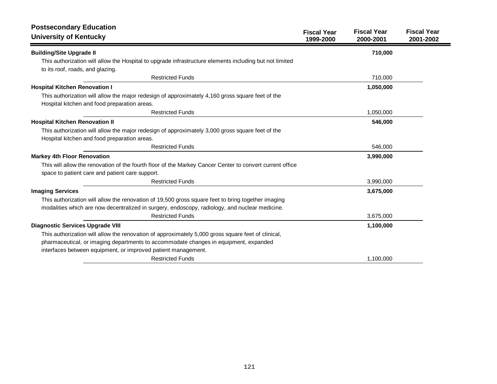| <b>Postsecondary Education</b>                                                                           | <b>Fiscal Year</b> | <b>Fiscal Year</b> | <b>Fiscal Year</b> |
|----------------------------------------------------------------------------------------------------------|--------------------|--------------------|--------------------|
| <b>University of Kentucky</b>                                                                            | 1999-2000          | 2000-2001          | 2001-2002          |
| <b>Building/Site Upgrade II</b>                                                                          |                    | 710,000            |                    |
| This authorization will allow the Hospital to upgrade infrastructure elements including but not limited  |                    |                    |                    |
| to its roof, roads, and glazing.                                                                         |                    |                    |                    |
| <b>Restricted Funds</b>                                                                                  |                    | 710,000            |                    |
| <b>Hospital Kitchen Renovation I</b>                                                                     |                    | 1,050,000          |                    |
| This authorization will allow the major redesign of approximately 4,160 gross square feet of the         |                    |                    |                    |
| Hospital kitchen and food preparation areas.                                                             |                    |                    |                    |
| <b>Restricted Funds</b>                                                                                  |                    | 1,050,000          |                    |
| <b>Hospital Kitchen Renovation II</b>                                                                    |                    | 546,000            |                    |
| This authorization will allow the major redesign of approximately 3,000 gross square feet of the         |                    |                    |                    |
| Hospital kitchen and food preparation areas.                                                             |                    |                    |                    |
| <b>Restricted Funds</b>                                                                                  |                    | 546,000            |                    |
| <b>Markey 4th Floor Renovation</b>                                                                       |                    | 3,990,000          |                    |
| This will allow the renovation of the fourth floor of the Markey Cancer Center to convert current office |                    |                    |                    |
| space to patient care and patient care support.                                                          |                    |                    |                    |
| <b>Restricted Funds</b>                                                                                  |                    | 3,990,000          |                    |
| <b>Imaging Services</b>                                                                                  |                    | 3,675,000          |                    |
| This authorization will allow the renovation of 19,500 gross square feet to bring together imaging       |                    |                    |                    |
| modalities which are now decentralized in surgery, endoscopy, radiology, and nuclear medicine.           |                    |                    |                    |
| <b>Restricted Funds</b>                                                                                  |                    | 3,675,000          |                    |
| <b>Diagnostic Services Upgrade VIII</b>                                                                  |                    | 1,100,000          |                    |
| This authorization will allow the renovation of approximately 5,000 gross square feet of clinical,       |                    |                    |                    |
| pharmaceutical, or imaging departments to accommodate changes in equipment, expanded                     |                    |                    |                    |
| interfaces between equipment, or improved patient management.                                            |                    |                    |                    |
| <b>Restricted Funds</b>                                                                                  |                    | 1,100,000          |                    |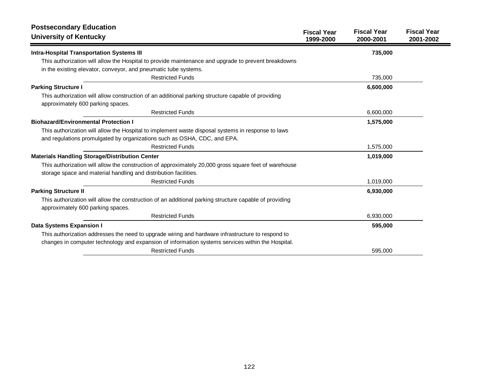| <b>Postsecondary Education</b><br><b>University of Kentucky</b>                                                                                                        | <b>Fiscal Year</b><br>1999-2000 | <b>Fiscal Year</b><br>2000-2001 | <b>Fiscal Year</b><br>2001-2002 |
|------------------------------------------------------------------------------------------------------------------------------------------------------------------------|---------------------------------|---------------------------------|---------------------------------|
| <b>Intra-Hospital Transportation Systems III</b>                                                                                                                       |                                 | 735,000                         |                                 |
| This authorization will allow the Hospital to provide maintenance and upgrade to prevent breakdowns<br>in the existing elevator, conveyor, and pneumatic tube systems. |                                 |                                 |                                 |
| <b>Restricted Funds</b>                                                                                                                                                |                                 | 735,000                         |                                 |
| <b>Parking Structure I</b>                                                                                                                                             |                                 | 6,600,000                       |                                 |
| This authorization will allow construction of an additional parking structure capable of providing<br>approximately 600 parking spaces.                                |                                 |                                 |                                 |
| <b>Restricted Funds</b>                                                                                                                                                |                                 | 6,600,000                       |                                 |
| <b>Biohazard/Environmental Protection I</b>                                                                                                                            |                                 | 1,575,000                       |                                 |
| This authorization will allow the Hospital to implement waste disposal systems in response to laws                                                                     |                                 |                                 |                                 |
| and regulations promulgated by organizations such as OSHA, CDC, and EPA.                                                                                               |                                 |                                 |                                 |
| <b>Restricted Funds</b>                                                                                                                                                |                                 | 1,575,000                       |                                 |
| <b>Materials Handling Storage/Distribution Center</b>                                                                                                                  |                                 | 1,019,000                       |                                 |
| This authorization will allow the construction of approximately 20,000 gross square feet of warehouse                                                                  |                                 |                                 |                                 |
| storage space and material handling and distribution facilities.                                                                                                       |                                 |                                 |                                 |
| <b>Restricted Funds</b>                                                                                                                                                |                                 | 1,019,000                       |                                 |
| <b>Parking Structure II</b>                                                                                                                                            |                                 | 6,930,000                       |                                 |
| This authorization will allow the construction of an additional parking structure capable of providing                                                                 |                                 |                                 |                                 |
| approximately 600 parking spaces.                                                                                                                                      |                                 |                                 |                                 |
| <b>Restricted Funds</b>                                                                                                                                                |                                 | 6,930,000                       |                                 |
| Data Systems Expansion I                                                                                                                                               |                                 | 595,000                         |                                 |
| This authorization addresses the need to upgrade wiring and hardware infrastructure to respond to                                                                      |                                 |                                 |                                 |
| changes in computer technology and expansion of information systems services within the Hospital.                                                                      |                                 |                                 |                                 |
| <b>Restricted Funds</b>                                                                                                                                                |                                 | 595,000                         |                                 |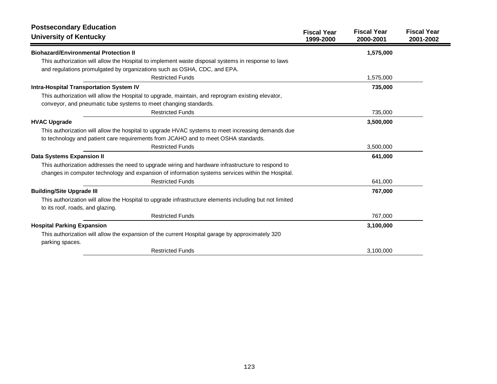| <b>Postsecondary Education</b><br><b>University of Kentucky</b>                                                                                                                                        | <b>Fiscal Year</b><br>1999-2000 | <b>Fiscal Year</b><br>2000-2001 | <b>Fiscal Year</b><br>2001-2002 |
|--------------------------------------------------------------------------------------------------------------------------------------------------------------------------------------------------------|---------------------------------|---------------------------------|---------------------------------|
| <b>Biohazard/Environmental Protection II</b>                                                                                                                                                           |                                 | 1,575,000                       |                                 |
| This authorization will allow the Hospital to implement waste disposal systems in response to laws<br>and regulations promulgated by organizations such as OSHA, CDC, and EPA.                         |                                 |                                 |                                 |
| <b>Restricted Funds</b>                                                                                                                                                                                |                                 | 1,575,000                       |                                 |
| <b>Intra-Hospital Transportation System IV</b>                                                                                                                                                         |                                 | 735,000                         |                                 |
| This authorization will allow the Hospital to upgrade, maintain, and reprogram existing elevator,<br>conveyor, and pneumatic tube systems to meet changing standards.                                  |                                 |                                 |                                 |
| <b>Restricted Funds</b>                                                                                                                                                                                |                                 | 735,000                         |                                 |
| <b>HVAC Upgrade</b>                                                                                                                                                                                    |                                 | 3,500,000                       |                                 |
| This authorization will allow the hospital to upgrade HVAC systems to meet increasing demands due<br>to technology and patient care requirements from JCAHO and to meet OSHA standards.                |                                 |                                 |                                 |
| <b>Restricted Funds</b>                                                                                                                                                                                |                                 | 3,500,000                       |                                 |
| Data Systems Expansion II                                                                                                                                                                              |                                 | 641,000                         |                                 |
| This authorization addresses the need to upgrade wiring and hardware infrastructure to respond to<br>changes in computer technology and expansion of information systems services within the Hospital. |                                 |                                 |                                 |
| <b>Restricted Funds</b>                                                                                                                                                                                |                                 | 641,000                         |                                 |
| <b>Building/Site Upgrade III</b>                                                                                                                                                                       |                                 | 767,000                         |                                 |
| This authorization will allow the Hospital to upgrade infrastructure elements including but not limited<br>to its roof, roads, and glazing.                                                            |                                 |                                 |                                 |
| <b>Restricted Funds</b>                                                                                                                                                                                |                                 | 767,000                         |                                 |
| <b>Hospital Parking Expansion</b>                                                                                                                                                                      |                                 | 3,100,000                       |                                 |
| This authorization will allow the expansion of the current Hospital garage by approximately 320<br>parking spaces.                                                                                     |                                 |                                 |                                 |
| <b>Restricted Funds</b>                                                                                                                                                                                |                                 | 3,100,000                       |                                 |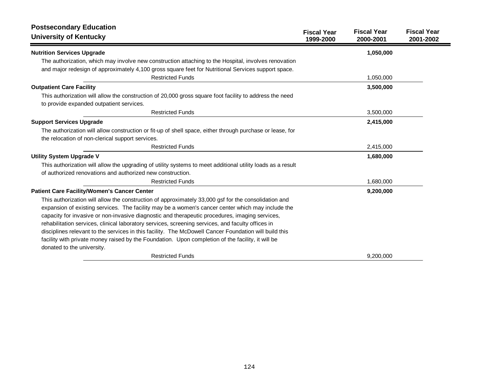| <b>Postsecondary Education</b><br><b>University of Kentucky</b>                                             | <b>Fiscal Year</b><br>1999-2000 | <b>Fiscal Year</b><br>2000-2001 | <b>Fiscal Year</b><br>2001-2002 |
|-------------------------------------------------------------------------------------------------------------|---------------------------------|---------------------------------|---------------------------------|
| <b>Nutrition Services Upgrade</b>                                                                           |                                 | 1,050,000                       |                                 |
| The authorization, which may involve new construction attaching to the Hospital, involves renovation        |                                 |                                 |                                 |
| and major redesign of approximately 4,100 gross square feet for Nutritional Services support space.         |                                 |                                 |                                 |
| <b>Restricted Funds</b>                                                                                     |                                 | 1,050,000                       |                                 |
| <b>Outpatient Care Facility</b>                                                                             |                                 | 3,500,000                       |                                 |
| This authorization will allow the construction of 20,000 gross square foot facility to address the need     |                                 |                                 |                                 |
| to provide expanded outpatient services.                                                                    |                                 |                                 |                                 |
| <b>Restricted Funds</b>                                                                                     |                                 | 3,500,000                       |                                 |
| <b>Support Services Upgrade</b>                                                                             |                                 | 2,415,000                       |                                 |
| The authorization will allow construction or fit-up of shell space, either through purchase or lease, for   |                                 |                                 |                                 |
| the relocation of non-clerical support services.                                                            |                                 |                                 |                                 |
| <b>Restricted Funds</b>                                                                                     |                                 | 2,415,000                       |                                 |
| <b>Utility System Upgrade V</b>                                                                             |                                 | 1,680,000                       |                                 |
| This authorization will allow the upgrading of utility systems to meet additional utility loads as a result |                                 |                                 |                                 |
| of authorized renovations and authorized new construction.                                                  |                                 |                                 |                                 |
| <b>Restricted Funds</b>                                                                                     |                                 | 1,680,000                       |                                 |
| <b>Patient Care Facility/Women's Cancer Center</b>                                                          |                                 | 9,200,000                       |                                 |
| This authorization will allow the construction of approximately 33,000 gsf for the consolidation and        |                                 |                                 |                                 |
| expansion of existing services. The facility may be a women's cancer center which may include the           |                                 |                                 |                                 |
| capacity for invasive or non-invasive diagnostic and therapeutic procedures, imaging services,              |                                 |                                 |                                 |
| rehabilitation services, clinical laboratory services, screening services, and faculty offices in           |                                 |                                 |                                 |
| disciplines relevant to the services in this facility. The McDowell Cancer Foundation will build this       |                                 |                                 |                                 |
| facility with private money raised by the Foundation. Upon completion of the facility, it will be           |                                 |                                 |                                 |
| donated to the university.                                                                                  |                                 |                                 |                                 |
| <b>Restricted Funds</b>                                                                                     |                                 | 9.200.000                       |                                 |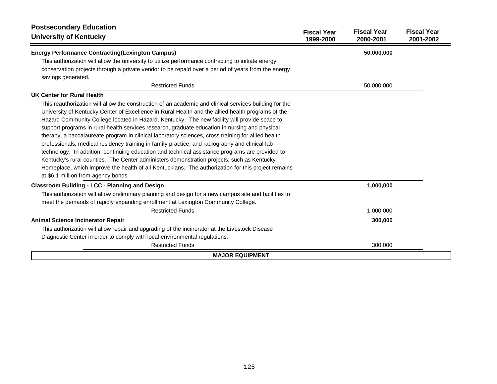| <b>Postsecondary Education</b><br><b>University of Kentucky</b>                                        | <b>Fiscal Year</b> | <b>Fiscal Year</b> | <b>Fiscal Year</b> |  |
|--------------------------------------------------------------------------------------------------------|--------------------|--------------------|--------------------|--|
|                                                                                                        | 1999-2000          | 2000-2001          | 2001-2002          |  |
| <b>Energy Performance Contracting(Lexington Campus)</b>                                                |                    | 50,000,000         |                    |  |
| This authorization will allow the university to utilize performance contracting to initiate energy     |                    |                    |                    |  |
| conservation projects through a private vendor to be repaid over a period of years from the energy     |                    |                    |                    |  |
| savings generated.                                                                                     |                    |                    |                    |  |
| <b>Restricted Funds</b>                                                                                |                    | 50,000,000         |                    |  |
| UK Center for Rural Health                                                                             |                    |                    |                    |  |
| This reauthorization will allow the construction of an academic and clinical services building for the |                    |                    |                    |  |
| University of Kentucky Center of Excellence in Rural Health and the allied health programs of the      |                    |                    |                    |  |
| Hazard Community College located in Hazard, Kentucky. The new facility will provide space to           |                    |                    |                    |  |
| support programs in rural health services research, graduate education in nursing and physical         |                    |                    |                    |  |
| therapy, a baccalaureate program in clinical laboratory sciences, cross training for allied health     |                    |                    |                    |  |
| professionals, medical residency training in family practice, and radiography and clinical lab         |                    |                    |                    |  |
| technology. In addition, continuing education and technical assistance programs are provided to        |                    |                    |                    |  |
| Kentucky's rural counties. The Center administers demonstration projects, such as Kentucky             |                    |                    |                    |  |
| Homeplace, which improve the health of all Kentuckians. The authorization for this project remains     |                    |                    |                    |  |
| at \$6.1 million from agency bonds.                                                                    |                    |                    |                    |  |
| <b>Classroom Building - LCC - Planning and Design</b>                                                  |                    | 1,000,000          |                    |  |
| This authorization will allow preliminary planning and design for a new campus site and facilities to  |                    |                    |                    |  |
| meet the demands of rapidly expanding enrollment at Lexington Community College.                       |                    |                    |                    |  |
| <b>Restricted Funds</b>                                                                                |                    | 1,000,000          |                    |  |
| <b>Animal Science Incinerator Repair</b>                                                               |                    | 300,000            |                    |  |
| This authorization will allow repair and upgrading of the incinerator at the Livestock Disease         |                    |                    |                    |  |
| Diagnostic Center in order to comply with local environmental regulations.                             |                    |                    |                    |  |
| <b>Restricted Funds</b>                                                                                |                    | 300,000            |                    |  |
| <b>MAJOR EQUIPMENT</b>                                                                                 |                    |                    |                    |  |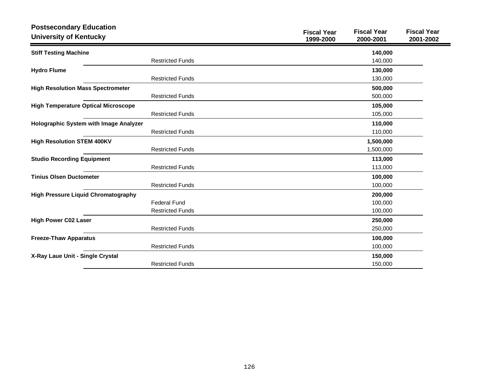| <b>Postsecondary Education</b>             |                         | <b>Fiscal Year</b> | <b>Fiscal Year</b> | <b>Fiscal Year</b> |
|--------------------------------------------|-------------------------|--------------------|--------------------|--------------------|
| <b>University of Kentucky</b>              |                         | 1999-2000          | 2000-2001          | 2001-2002          |
| <b>Stiff Testing Machine</b>               |                         |                    | 140,000            |                    |
|                                            | <b>Restricted Funds</b> |                    | 140,000            |                    |
| <b>Hydro Flume</b>                         |                         |                    | 130,000            |                    |
|                                            | <b>Restricted Funds</b> |                    | 130,000            |                    |
| <b>High Resolution Mass Spectrometer</b>   |                         |                    | 500,000            |                    |
|                                            | <b>Restricted Funds</b> |                    | 500,000            |                    |
| <b>High Temperature Optical Microscope</b> |                         |                    | 105,000            |                    |
|                                            | <b>Restricted Funds</b> |                    | 105,000            |                    |
| Holographic System with Image Analyzer     |                         |                    | 110,000            |                    |
|                                            | <b>Restricted Funds</b> |                    | 110,000            |                    |
| <b>High Resolution STEM 400KV</b>          |                         |                    | 1,500,000          |                    |
|                                            | <b>Restricted Funds</b> |                    | 1,500,000          |                    |
| <b>Studio Recording Equipment</b>          |                         |                    | 113,000            |                    |
|                                            | <b>Restricted Funds</b> |                    | 113,000            |                    |
| <b>Tinius Olsen Ductometer</b>             |                         |                    | 100,000            |                    |
|                                            | <b>Restricted Funds</b> |                    | 100,000            |                    |
| <b>High Pressure Liquid Chromatography</b> |                         |                    | 200,000            |                    |
|                                            | <b>Federal Fund</b>     |                    | 100,000            |                    |
|                                            | <b>Restricted Funds</b> |                    | 100,000            |                    |
| <b>High Power C02 Laser</b>                |                         |                    | 250,000            |                    |
|                                            | <b>Restricted Funds</b> |                    | 250,000            |                    |
| <b>Freeze-Thaw Apparatus</b>               |                         |                    | 100,000            |                    |
|                                            | <b>Restricted Funds</b> |                    | 100,000            |                    |
| X-Ray Laue Unit - Single Crystal           |                         |                    | 150,000            |                    |
|                                            | <b>Restricted Funds</b> |                    | 150,000            |                    |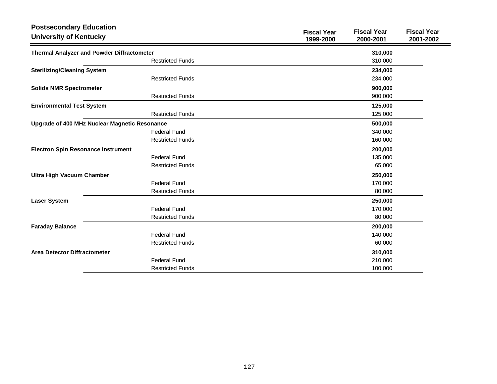| <b>Postsecondary Education</b>                    |                         |                                 |                                 |                                 |
|---------------------------------------------------|-------------------------|---------------------------------|---------------------------------|---------------------------------|
| <b>University of Kentucky</b>                     |                         | <b>Fiscal Year</b><br>1999-2000 | <b>Fiscal Year</b><br>2000-2001 | <b>Fiscal Year</b><br>2001-2002 |
| <b>Thermal Analyzer and Powder Diffractometer</b> |                         |                                 | 310,000                         |                                 |
|                                                   | <b>Restricted Funds</b> |                                 | 310,000                         |                                 |
| <b>Sterilizing/Cleaning System</b>                |                         |                                 | 234,000                         |                                 |
|                                                   | <b>Restricted Funds</b> |                                 | 234,000                         |                                 |
| <b>Solids NMR Spectrometer</b>                    |                         |                                 | 900,000                         |                                 |
|                                                   | <b>Restricted Funds</b> |                                 | 900,000                         |                                 |
| <b>Environmental Test System</b>                  |                         |                                 | 125,000                         |                                 |
|                                                   | <b>Restricted Funds</b> |                                 | 125,000                         |                                 |
| Upgrade of 400 MHz Nuclear Magnetic Resonance     |                         |                                 | 500,000                         |                                 |
|                                                   | <b>Federal Fund</b>     |                                 | 340,000                         |                                 |
|                                                   | <b>Restricted Funds</b> |                                 | 160,000                         |                                 |
| <b>Electron Spin Resonance Instrument</b>         |                         |                                 | 200,000                         |                                 |
|                                                   | <b>Federal Fund</b>     |                                 | 135,000                         |                                 |
|                                                   | <b>Restricted Funds</b> |                                 | 65,000                          |                                 |
| <b>Ultra High Vacuum Chamber</b>                  |                         |                                 | 250,000                         |                                 |
|                                                   | <b>Federal Fund</b>     |                                 | 170,000                         |                                 |
|                                                   | <b>Restricted Funds</b> |                                 | 80,000                          |                                 |
| <b>Laser System</b>                               |                         |                                 | 250,000                         |                                 |
|                                                   | <b>Federal Fund</b>     |                                 | 170,000                         |                                 |
|                                                   | <b>Restricted Funds</b> |                                 | 80,000                          |                                 |
| <b>Faraday Balance</b>                            |                         |                                 | 200,000                         |                                 |
|                                                   | <b>Federal Fund</b>     |                                 | 140,000                         |                                 |
|                                                   | <b>Restricted Funds</b> |                                 | 60,000                          |                                 |
| <b>Area Detector Diffractometer</b>               |                         |                                 | 310,000                         |                                 |
|                                                   | <b>Federal Fund</b>     |                                 | 210,000                         |                                 |
|                                                   | <b>Restricted Funds</b> |                                 | 100,000                         |                                 |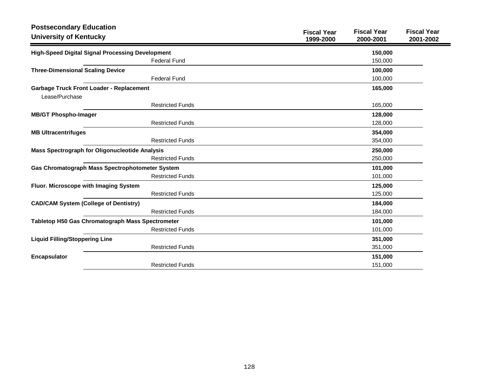| <b>Postsecondary Education</b><br><b>University of Kentucky</b> |                         | <b>Fiscal Year</b><br>1999-2000 | <b>Fiscal Year</b><br>2000-2001 | <b>Fiscal Year</b><br>2001-2002 |
|-----------------------------------------------------------------|-------------------------|---------------------------------|---------------------------------|---------------------------------|
| <b>High-Speed Digital Signal Processing Development</b>         |                         |                                 | 150,000                         |                                 |
|                                                                 | <b>Federal Fund</b>     |                                 | 150,000                         |                                 |
| <b>Three-Dimensional Scaling Device</b>                         |                         |                                 | 100,000                         |                                 |
|                                                                 | <b>Federal Fund</b>     |                                 | 100,000                         |                                 |
| <b>Garbage Truck Front Loader - Replacement</b>                 |                         |                                 | 165,000                         |                                 |
| Lease/Purchase                                                  |                         |                                 |                                 |                                 |
|                                                                 | <b>Restricted Funds</b> |                                 | 165,000                         |                                 |
| <b>MB/GT Phospho-Imager</b>                                     |                         |                                 | 128,000                         |                                 |
|                                                                 | <b>Restricted Funds</b> |                                 | 128,000                         |                                 |
| <b>MB Ultracentrifuges</b>                                      |                         |                                 | 354,000                         |                                 |
|                                                                 | <b>Restricted Funds</b> |                                 | 354,000                         |                                 |
| <b>Mass Spectrograph for Oligonucleotide Analysis</b>           |                         |                                 | 250,000                         |                                 |
|                                                                 | <b>Restricted Funds</b> |                                 | 250,000                         |                                 |
| Gas Chromatograph Mass Spectrophotometer System                 |                         |                                 | 101,000                         |                                 |
|                                                                 | <b>Restricted Funds</b> |                                 | 101,000                         |                                 |
| Fluor. Microscope with Imaging System                           |                         |                                 | 125,000                         |                                 |
|                                                                 | <b>Restricted Funds</b> |                                 | 125,000                         |                                 |
| <b>CAD/CAM System (College of Dentistry)</b>                    |                         |                                 | 184,000                         |                                 |
|                                                                 | <b>Restricted Funds</b> |                                 | 184,000                         |                                 |
| Tabletop H50 Gas Chromatograph Mass Spectrometer                |                         |                                 | 101,000                         |                                 |
|                                                                 | <b>Restricted Funds</b> |                                 | 101,000                         |                                 |
| <b>Liquid Filling/Stoppering Line</b>                           |                         |                                 | 351,000                         |                                 |
|                                                                 | <b>Restricted Funds</b> |                                 | 351,000                         |                                 |
| <b>Encapsulator</b>                                             |                         |                                 | 151,000                         |                                 |
|                                                                 | <b>Restricted Funds</b> |                                 | 151,000                         |                                 |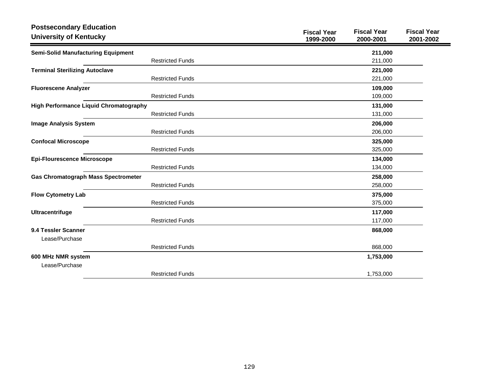| <b>Postsecondary Education</b><br><b>University of Kentucky</b> |                         | <b>Fiscal Year</b><br>1999-2000 | <b>Fiscal Year</b><br>2000-2001 | <b>Fiscal Year</b><br>2001-2002 |
|-----------------------------------------------------------------|-------------------------|---------------------------------|---------------------------------|---------------------------------|
| <b>Semi-Solid Manufacturing Equipment</b>                       |                         |                                 | 211,000                         |                                 |
|                                                                 | <b>Restricted Funds</b> |                                 | 211,000                         |                                 |
| <b>Terminal Sterilizing Autoclave</b>                           |                         |                                 | 221,000                         |                                 |
|                                                                 | <b>Restricted Funds</b> |                                 | 221,000                         |                                 |
| <b>Fluorescene Analyzer</b>                                     |                         |                                 | 109,000                         |                                 |
|                                                                 | <b>Restricted Funds</b> |                                 | 109,000                         |                                 |
| <b>High Performance Liquid Chromatography</b>                   |                         |                                 | 131,000                         |                                 |
|                                                                 | <b>Restricted Funds</b> |                                 | 131,000                         |                                 |
| <b>Image Analysis System</b>                                    |                         |                                 | 206,000                         |                                 |
|                                                                 | <b>Restricted Funds</b> |                                 | 206,000                         |                                 |
| <b>Confocal Microscope</b>                                      |                         |                                 | 325,000                         |                                 |
|                                                                 | <b>Restricted Funds</b> |                                 | 325,000                         |                                 |
| <b>Epi-Flourescence Microscope</b>                              |                         |                                 | 134,000                         |                                 |
|                                                                 | <b>Restricted Funds</b> |                                 | 134,000                         |                                 |
| <b>Gas Chromatograph Mass Spectrometer</b>                      |                         |                                 | 258,000                         |                                 |
|                                                                 | <b>Restricted Funds</b> |                                 | 258,000                         |                                 |
| <b>Flow Cytometry Lab</b>                                       |                         |                                 | 375,000                         |                                 |
|                                                                 | <b>Restricted Funds</b> |                                 | 375,000                         |                                 |
| <b>Ultracentrifuge</b>                                          |                         |                                 | 117,000                         |                                 |
|                                                                 | <b>Restricted Funds</b> |                                 | 117,000                         |                                 |
| 9.4 Tessler Scanner                                             |                         |                                 | 868,000                         |                                 |
| Lease/Purchase                                                  |                         |                                 |                                 |                                 |
|                                                                 | <b>Restricted Funds</b> |                                 | 868,000                         |                                 |
| 600 MHz NMR system                                              |                         |                                 | 1,753,000                       |                                 |
| Lease/Purchase                                                  |                         |                                 |                                 |                                 |
|                                                                 | <b>Restricted Funds</b> |                                 | 1,753,000                       |                                 |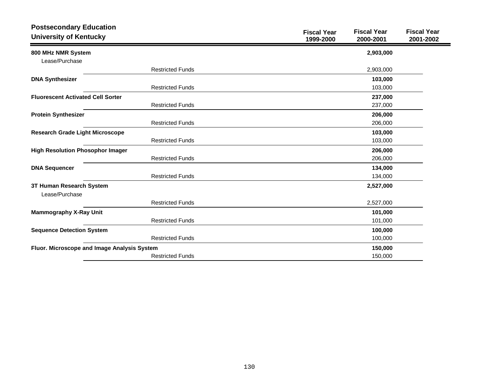| <b>Postsecondary Education</b><br><b>University of Kentucky</b> |                         | <b>Fiscal Year</b><br>1999-2000 | <b>Fiscal Year</b><br>2000-2001 | <b>Fiscal Year</b><br>2001-2002 |
|-----------------------------------------------------------------|-------------------------|---------------------------------|---------------------------------|---------------------------------|
| 800 MHz NMR System                                              |                         |                                 | 2,903,000                       |                                 |
| Lease/Purchase                                                  |                         |                                 |                                 |                                 |
|                                                                 | <b>Restricted Funds</b> |                                 | 2,903,000                       |                                 |
| <b>DNA Synthesizer</b>                                          |                         |                                 | 103,000                         |                                 |
|                                                                 | <b>Restricted Funds</b> |                                 | 103,000                         |                                 |
| <b>Fluorescent Activated Cell Sorter</b>                        |                         |                                 | 237,000                         |                                 |
|                                                                 | <b>Restricted Funds</b> |                                 | 237,000                         |                                 |
| <b>Protein Synthesizer</b>                                      |                         |                                 | 206,000                         |                                 |
|                                                                 | <b>Restricted Funds</b> |                                 | 206,000                         |                                 |
| <b>Research Grade Light Microscope</b>                          |                         |                                 | 103,000                         |                                 |
|                                                                 | <b>Restricted Funds</b> |                                 | 103,000                         |                                 |
| <b>High Resolution Phosophor Imager</b>                         |                         |                                 | 206,000                         |                                 |
|                                                                 | <b>Restricted Funds</b> |                                 | 206,000                         |                                 |
| <b>DNA Sequencer</b>                                            |                         |                                 | 134,000                         |                                 |
|                                                                 | <b>Restricted Funds</b> |                                 | 134,000                         |                                 |
| 3T Human Research System                                        |                         |                                 | 2,527,000                       |                                 |
| Lease/Purchase                                                  |                         |                                 |                                 |                                 |
|                                                                 | <b>Restricted Funds</b> |                                 | 2,527,000                       |                                 |
| <b>Mammography X-Ray Unit</b>                                   |                         |                                 | 101,000                         |                                 |
|                                                                 | <b>Restricted Funds</b> |                                 | 101,000                         |                                 |
| <b>Sequence Detection System</b>                                |                         |                                 | 100,000                         |                                 |
|                                                                 | <b>Restricted Funds</b> |                                 | 100,000                         |                                 |
| Fluor. Microscope and Image Analysis System                     |                         |                                 | 150,000                         |                                 |
|                                                                 | <b>Restricted Funds</b> |                                 | 150,000                         |                                 |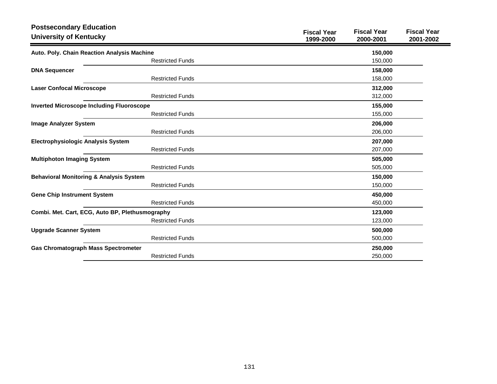| <b>Postsecondary Education</b><br><b>University of Kentucky</b> | <b>Fiscal Year</b><br><b>Fiscal Year</b><br><b>Fiscal Year</b><br>1999-2000<br>2000-2001<br>2001-2002 |
|-----------------------------------------------------------------|-------------------------------------------------------------------------------------------------------|
| Auto. Poly. Chain Reaction Analysis Machine                     | 150,000                                                                                               |
| <b>Restricted Funds</b>                                         | 150,000                                                                                               |
| <b>DNA Sequencer</b>                                            | 158,000                                                                                               |
| <b>Restricted Funds</b>                                         | 158,000                                                                                               |
| <b>Laser Confocal Microscope</b>                                | 312,000                                                                                               |
| <b>Restricted Funds</b>                                         | 312,000                                                                                               |
| <b>Inverted Microscope Including Fluoroscope</b>                | 155,000                                                                                               |
| <b>Restricted Funds</b>                                         | 155,000                                                                                               |
| <b>Image Analyzer System</b>                                    | 206,000                                                                                               |
| <b>Restricted Funds</b>                                         | 206,000                                                                                               |
| <b>Electrophysiologic Analysis System</b>                       | 207,000                                                                                               |
| <b>Restricted Funds</b>                                         | 207,000                                                                                               |
| <b>Multiphoton Imaging System</b>                               | 505,000                                                                                               |
| <b>Restricted Funds</b>                                         | 505,000                                                                                               |
| <b>Behavioral Monitoring &amp; Analysis System</b>              | 150,000                                                                                               |
| <b>Restricted Funds</b>                                         | 150,000                                                                                               |
| <b>Gene Chip Instrument System</b>                              | 450,000                                                                                               |
| <b>Restricted Funds</b>                                         | 450,000                                                                                               |
| Combi. Met. Cart, ECG, Auto BP, Plethusmography                 | 123,000                                                                                               |
| <b>Restricted Funds</b>                                         | 123,000                                                                                               |
| <b>Upgrade Scanner System</b>                                   | 500,000                                                                                               |
| <b>Restricted Funds</b>                                         | 500,000                                                                                               |
| <b>Gas Chromatograph Mass Spectrometer</b>                      | 250,000                                                                                               |
| <b>Restricted Funds</b>                                         | 250,000                                                                                               |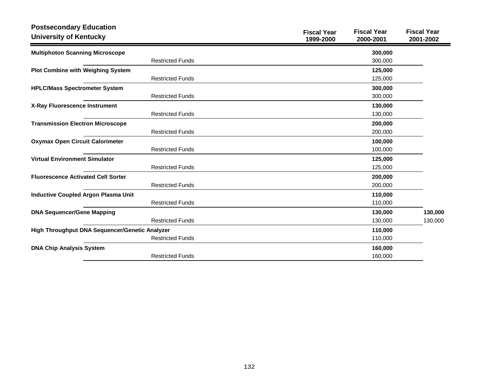| <b>Postsecondary Education</b><br><b>University of Kentucky</b> | <b>Fiscal Year</b><br><b>Fiscal Year</b><br><b>Fiscal Year</b><br>1999-2000<br>2000-2001<br>2001-2002 |
|-----------------------------------------------------------------|-------------------------------------------------------------------------------------------------------|
| <b>Multiphoton Scanning Microscope</b>                          | 300,000                                                                                               |
| <b>Restricted Funds</b>                                         | 300,000                                                                                               |
| <b>Plot Combine with Weighing System</b>                        | 125,000                                                                                               |
| <b>Restricted Funds</b>                                         | 125,000                                                                                               |
| <b>HPLC/Mass Spectrometer System</b>                            | 300,000                                                                                               |
| <b>Restricted Funds</b>                                         | 300,000                                                                                               |
| X-Ray Fluorescence Instrument                                   | 130,000                                                                                               |
| <b>Restricted Funds</b>                                         | 130,000                                                                                               |
| <b>Transmission Electron Microscope</b>                         | 200,000                                                                                               |
| <b>Restricted Funds</b>                                         | 200,000                                                                                               |
| <b>Oxymax Open Circuit Calorimeter</b>                          | 100,000                                                                                               |
| <b>Restricted Funds</b>                                         | 100,000                                                                                               |
| <b>Virtual Environment Simulator</b>                            | 125,000                                                                                               |
| <b>Restricted Funds</b>                                         | 125,000                                                                                               |
| <b>Fluorescence Activated Cell Sorter</b>                       | 200,000                                                                                               |
| <b>Restricted Funds</b>                                         | 200,000                                                                                               |
| <b>Inductive Coupled Argon Plasma Unit</b>                      | 110,000                                                                                               |
| <b>Restricted Funds</b>                                         | 110,000                                                                                               |
| <b>DNA Sequencer/Gene Mapping</b>                               | 130,000<br>130,000                                                                                    |
| <b>Restricted Funds</b>                                         | 130,000<br>130,000                                                                                    |
| High Throughput DNA Sequencer/Genetic Analyzer                  | 110,000                                                                                               |
| <b>Restricted Funds</b>                                         | 110,000                                                                                               |
| <b>DNA Chip Analysis System</b>                                 | 160,000                                                                                               |
| <b>Restricted Funds</b>                                         | 160,000                                                                                               |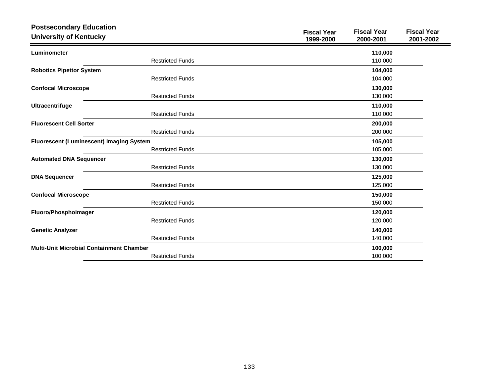| <b>Postsecondary Education</b><br><b>University of Kentucky</b> |                         | <b>Fiscal Year</b><br>1999-2000 | <b>Fiscal Year</b><br>2000-2001 | <b>Fiscal Year</b><br>2001-2002 |
|-----------------------------------------------------------------|-------------------------|---------------------------------|---------------------------------|---------------------------------|
| Luminometer                                                     |                         |                                 | 110,000                         |                                 |
|                                                                 | <b>Restricted Funds</b> |                                 | 110,000                         |                                 |
| <b>Robotics Pipettor System</b>                                 |                         |                                 | 104,000                         |                                 |
|                                                                 | <b>Restricted Funds</b> |                                 | 104,000                         |                                 |
| <b>Confocal Microscope</b>                                      |                         |                                 | 130,000                         |                                 |
|                                                                 | <b>Restricted Funds</b> |                                 | 130,000                         |                                 |
| Ultracentrifuge                                                 |                         |                                 | 110,000                         |                                 |
|                                                                 | <b>Restricted Funds</b> |                                 | 110,000                         |                                 |
| <b>Fluorescent Cell Sorter</b>                                  |                         |                                 | 200,000                         |                                 |
|                                                                 | <b>Restricted Funds</b> |                                 | 200,000                         |                                 |
| Fluorescent (Luminescent) Imaging System                        |                         |                                 | 105,000                         |                                 |
|                                                                 | <b>Restricted Funds</b> |                                 | 105,000                         |                                 |
| <b>Automated DNA Sequencer</b>                                  |                         |                                 | 130,000                         |                                 |
|                                                                 | <b>Restricted Funds</b> |                                 | 130,000                         |                                 |
| <b>DNA Sequencer</b>                                            |                         |                                 | 125,000                         |                                 |
|                                                                 | <b>Restricted Funds</b> |                                 | 125,000                         |                                 |
| <b>Confocal Microscope</b>                                      |                         |                                 | 150,000                         |                                 |
|                                                                 | <b>Restricted Funds</b> |                                 | 150,000                         |                                 |
| Fluoro/Phosphoimager                                            |                         |                                 | 120,000                         |                                 |
|                                                                 | <b>Restricted Funds</b> |                                 | 120,000                         |                                 |
| <b>Genetic Analyzer</b>                                         |                         |                                 | 140,000                         |                                 |
|                                                                 | <b>Restricted Funds</b> |                                 | 140,000                         |                                 |
| <b>Multi-Unit Microbial Containment Chamber</b>                 |                         |                                 | 100,000                         |                                 |
|                                                                 | <b>Restricted Funds</b> |                                 | 100,000                         |                                 |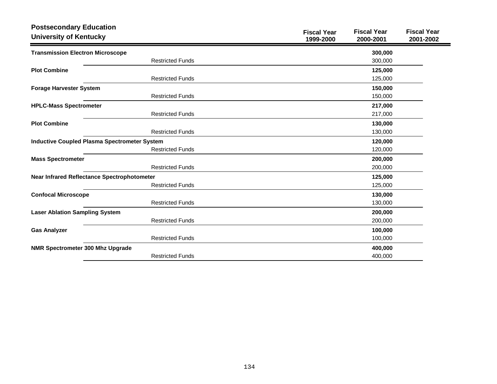| <b>Postsecondary Education</b><br><b>University of Kentucky</b> |                         | <b>Fiscal Year</b><br>1999-2000 | <b>Fiscal Year</b><br>2000-2001 | <b>Fiscal Year</b><br>2001-2002 |
|-----------------------------------------------------------------|-------------------------|---------------------------------|---------------------------------|---------------------------------|
| <b>Transmission Electron Microscope</b>                         |                         |                                 | 300,000                         |                                 |
|                                                                 | <b>Restricted Funds</b> |                                 | 300,000                         |                                 |
| <b>Plot Combine</b>                                             |                         |                                 | 125,000                         |                                 |
|                                                                 | <b>Restricted Funds</b> |                                 | 125,000                         |                                 |
| <b>Forage Harvester System</b>                                  |                         |                                 | 150,000                         |                                 |
|                                                                 | <b>Restricted Funds</b> |                                 | 150,000                         |                                 |
| <b>HPLC-Mass Spectrometer</b>                                   |                         |                                 | 217,000                         |                                 |
|                                                                 | <b>Restricted Funds</b> |                                 | 217,000                         |                                 |
| <b>Plot Combine</b>                                             |                         |                                 | 130,000                         |                                 |
|                                                                 | <b>Restricted Funds</b> |                                 | 130,000                         |                                 |
| <b>Inductive Coupled Plasma Spectrometer System</b>             |                         |                                 | 120,000                         |                                 |
|                                                                 | <b>Restricted Funds</b> |                                 | 120,000                         |                                 |
| <b>Mass Spectrometer</b>                                        |                         |                                 | 200,000                         |                                 |
|                                                                 | <b>Restricted Funds</b> |                                 | 200,000                         |                                 |
| Near Infrared Reflectance Spectrophotometer                     |                         |                                 | 125,000                         |                                 |
|                                                                 | <b>Restricted Funds</b> |                                 | 125,000                         |                                 |
| <b>Confocal Microscope</b>                                      |                         |                                 | 130,000                         |                                 |
|                                                                 | <b>Restricted Funds</b> |                                 | 130,000                         |                                 |
| <b>Laser Ablation Sampling System</b>                           |                         |                                 | 200,000                         |                                 |
|                                                                 | <b>Restricted Funds</b> |                                 | 200,000                         |                                 |
| <b>Gas Analyzer</b>                                             |                         |                                 | 100,000                         |                                 |
|                                                                 | <b>Restricted Funds</b> |                                 | 100,000                         |                                 |
| <b>NMR Spectrometer 300 Mhz Upgrade</b>                         |                         |                                 | 400,000                         |                                 |
|                                                                 | <b>Restricted Funds</b> |                                 | 400,000                         |                                 |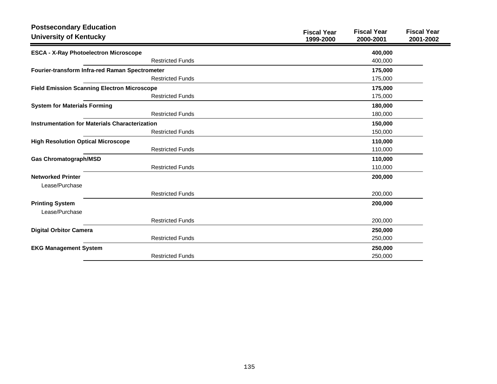| <b>Postsecondary Education</b><br><b>University of Kentucky</b> | <b>Fiscal Year</b><br>1999-2000 | <b>Fiscal Year</b><br>2000-2001 | <b>Fiscal Year</b><br>2001-2002 |
|-----------------------------------------------------------------|---------------------------------|---------------------------------|---------------------------------|
| <b>ESCA - X-Ray Photoelectron Microscope</b>                    |                                 | 400,000                         |                                 |
| <b>Restricted Funds</b>                                         |                                 | 400,000                         |                                 |
| Fourier-transform Infra-red Raman Spectrometer                  |                                 | 175,000                         |                                 |
| <b>Restricted Funds</b>                                         |                                 | 175,000                         |                                 |
| <b>Field Emission Scanning Electron Microscope</b>              |                                 | 175,000                         |                                 |
| <b>Restricted Funds</b>                                         |                                 | 175,000                         |                                 |
| <b>System for Materials Forming</b>                             |                                 | 180,000                         |                                 |
| <b>Restricted Funds</b>                                         |                                 | 180,000                         |                                 |
| <b>Instrumentation for Materials Characterization</b>           |                                 | 150,000                         |                                 |
| <b>Restricted Funds</b>                                         |                                 | 150,000                         |                                 |
| <b>High Resolution Optical Microscope</b>                       |                                 | 110,000                         |                                 |
| <b>Restricted Funds</b>                                         |                                 | 110,000                         |                                 |
| <b>Gas Chromatograph/MSD</b>                                    |                                 | 110,000                         |                                 |
| <b>Restricted Funds</b>                                         |                                 | 110,000                         |                                 |
| <b>Networked Printer</b>                                        |                                 | 200,000                         |                                 |
| Lease/Purchase                                                  |                                 |                                 |                                 |
| <b>Restricted Funds</b>                                         |                                 | 200,000                         |                                 |
| <b>Printing System</b>                                          |                                 | 200,000                         |                                 |
| Lease/Purchase                                                  |                                 |                                 |                                 |
| <b>Restricted Funds</b>                                         |                                 | 200,000                         |                                 |
| <b>Digital Orbitor Camera</b>                                   |                                 | 250,000                         |                                 |
| <b>Restricted Funds</b>                                         |                                 | 250,000                         |                                 |
| <b>EKG Management System</b>                                    |                                 | 250,000                         |                                 |
| <b>Restricted Funds</b>                                         |                                 | 250,000                         |                                 |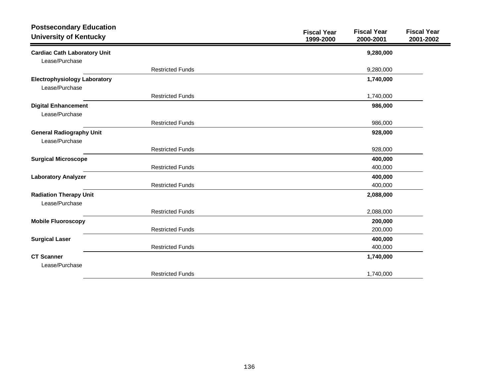| <b>Postsecondary Education</b><br><b>University of Kentucky</b> |                         | <b>Fiscal Year</b><br>1999-2000 | <b>Fiscal Year</b><br>2000-2001 | <b>Fiscal Year</b><br>2001-2002 |
|-----------------------------------------------------------------|-------------------------|---------------------------------|---------------------------------|---------------------------------|
| <b>Cardiac Cath Laboratory Unit</b>                             |                         |                                 | 9,280,000                       |                                 |
| Lease/Purchase                                                  |                         |                                 |                                 |                                 |
|                                                                 | <b>Restricted Funds</b> |                                 | 9,280,000                       |                                 |
| <b>Electrophysiology Laboratory</b>                             |                         |                                 | 1,740,000                       |                                 |
| Lease/Purchase                                                  |                         |                                 |                                 |                                 |
|                                                                 | <b>Restricted Funds</b> |                                 | 1,740,000                       |                                 |
| <b>Digital Enhancement</b>                                      |                         |                                 | 986,000                         |                                 |
| Lease/Purchase                                                  |                         |                                 |                                 |                                 |
|                                                                 | <b>Restricted Funds</b> |                                 | 986,000                         |                                 |
| <b>General Radiography Unit</b>                                 |                         |                                 | 928,000                         |                                 |
| Lease/Purchase                                                  |                         |                                 |                                 |                                 |
|                                                                 | <b>Restricted Funds</b> |                                 | 928,000                         |                                 |
| <b>Surgical Microscope</b>                                      |                         |                                 | 400,000                         |                                 |
|                                                                 | <b>Restricted Funds</b> |                                 | 400,000                         |                                 |
| <b>Laboratory Analyzer</b>                                      |                         |                                 | 400,000                         |                                 |
|                                                                 | <b>Restricted Funds</b> |                                 | 400,000                         |                                 |
| <b>Radiation Therapy Unit</b>                                   |                         |                                 | 2,088,000                       |                                 |
| Lease/Purchase                                                  |                         |                                 |                                 |                                 |
|                                                                 | <b>Restricted Funds</b> |                                 | 2,088,000                       |                                 |
| <b>Mobile Fluoroscopy</b>                                       |                         |                                 | 200,000                         |                                 |
|                                                                 | <b>Restricted Funds</b> |                                 | 200,000                         |                                 |
| <b>Surgical Laser</b>                                           |                         |                                 | 400,000                         |                                 |
|                                                                 | <b>Restricted Funds</b> |                                 | 400,000                         |                                 |
| <b>CT Scanner</b>                                               |                         |                                 | 1,740,000                       |                                 |
| Lease/Purchase                                                  |                         |                                 |                                 |                                 |
|                                                                 | <b>Restricted Funds</b> |                                 | 1,740,000                       |                                 |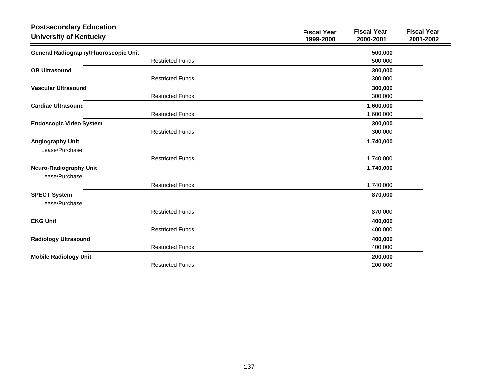| <b>Postsecondary Education</b><br><b>University of Kentucky</b> |                         | <b>Fiscal Year</b><br>1999-2000 | <b>Fiscal Year</b><br>2000-2001 | <b>Fiscal Year</b><br>2001-2002 |
|-----------------------------------------------------------------|-------------------------|---------------------------------|---------------------------------|---------------------------------|
| General Radiography/Fluoroscopic Unit                           |                         |                                 | 500,000                         |                                 |
|                                                                 | <b>Restricted Funds</b> |                                 | 500,000                         |                                 |
| <b>OB Ultrasound</b>                                            |                         |                                 | 300,000                         |                                 |
|                                                                 | <b>Restricted Funds</b> |                                 | 300,000                         |                                 |
| <b>Vascular Ultrasound</b>                                      |                         |                                 | 300,000                         |                                 |
|                                                                 | <b>Restricted Funds</b> |                                 | 300,000                         |                                 |
| <b>Cardiac Ultrasound</b>                                       |                         |                                 | 1,600,000                       |                                 |
|                                                                 | <b>Restricted Funds</b> |                                 | 1,600,000                       |                                 |
| <b>Endoscopic Video System</b>                                  |                         |                                 | 300,000                         |                                 |
|                                                                 | <b>Restricted Funds</b> |                                 | 300,000                         |                                 |
| <b>Angiography Unit</b><br>Lease/Purchase                       |                         |                                 | 1,740,000                       |                                 |
|                                                                 | <b>Restricted Funds</b> |                                 | 1,740,000                       |                                 |
| <b>Neuro-Radiography Unit</b><br>Lease/Purchase                 |                         |                                 | 1,740,000                       |                                 |
|                                                                 | <b>Restricted Funds</b> |                                 | 1,740,000                       |                                 |
| <b>SPECT System</b><br>Lease/Purchase                           |                         |                                 | 870,000                         |                                 |
|                                                                 | <b>Restricted Funds</b> |                                 | 870,000                         |                                 |
| <b>EKG Unit</b>                                                 |                         |                                 | 400,000                         |                                 |
|                                                                 | <b>Restricted Funds</b> |                                 | 400,000                         |                                 |
| <b>Radiology Ultrasound</b>                                     |                         |                                 | 400,000                         |                                 |
|                                                                 | <b>Restricted Funds</b> |                                 | 400,000                         |                                 |
| <b>Mobile Radiology Unit</b>                                    |                         |                                 | 200,000                         |                                 |
|                                                                 | <b>Restricted Funds</b> |                                 | 200,000                         |                                 |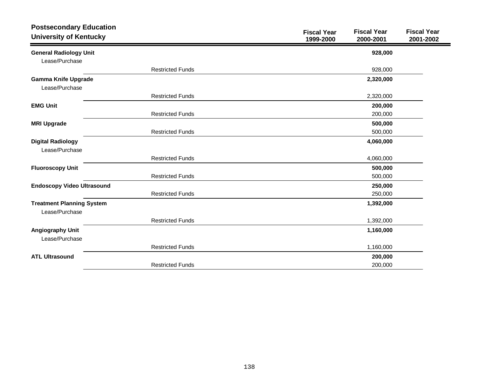| <b>Postsecondary Education</b><br><b>University of Kentucky</b> |                         | <b>Fiscal Year</b><br>1999-2000 | <b>Fiscal Year</b><br>2000-2001 | <b>Fiscal Year</b><br>2001-2002 |
|-----------------------------------------------------------------|-------------------------|---------------------------------|---------------------------------|---------------------------------|
| <b>General Radiology Unit</b>                                   |                         |                                 | 928,000                         |                                 |
| Lease/Purchase                                                  |                         |                                 |                                 |                                 |
|                                                                 | <b>Restricted Funds</b> |                                 | 928,000                         |                                 |
| <b>Gamma Knife Upgrade</b><br>Lease/Purchase                    |                         |                                 | 2,320,000                       |                                 |
|                                                                 | <b>Restricted Funds</b> |                                 | 2,320,000                       |                                 |
| <b>EMG Unit</b>                                                 |                         |                                 | 200,000                         |                                 |
|                                                                 | <b>Restricted Funds</b> |                                 | 200,000                         |                                 |
| <b>MRI Upgrade</b>                                              |                         |                                 | 500,000                         |                                 |
|                                                                 | <b>Restricted Funds</b> |                                 | 500,000                         |                                 |
| <b>Digital Radiology</b><br>Lease/Purchase                      |                         |                                 | 4,060,000                       |                                 |
|                                                                 | <b>Restricted Funds</b> |                                 | 4,060,000                       |                                 |
| <b>Fluoroscopy Unit</b>                                         |                         |                                 | 500,000                         |                                 |
|                                                                 | <b>Restricted Funds</b> |                                 | 500,000                         |                                 |
| <b>Endoscopy Video Ultrasound</b>                               |                         |                                 | 250,000                         |                                 |
|                                                                 | <b>Restricted Funds</b> |                                 | 250,000                         |                                 |
| <b>Treatment Planning System</b>                                |                         |                                 | 1,392,000                       |                                 |
| Lease/Purchase                                                  |                         |                                 |                                 |                                 |
|                                                                 | <b>Restricted Funds</b> |                                 | 1,392,000                       |                                 |
| <b>Angiography Unit</b><br>Lease/Purchase                       |                         |                                 | 1,160,000                       |                                 |
|                                                                 | <b>Restricted Funds</b> |                                 | 1,160,000                       |                                 |
| <b>ATL Ultrasound</b>                                           |                         |                                 | 200,000                         |                                 |
|                                                                 | <b>Restricted Funds</b> |                                 | 200,000                         |                                 |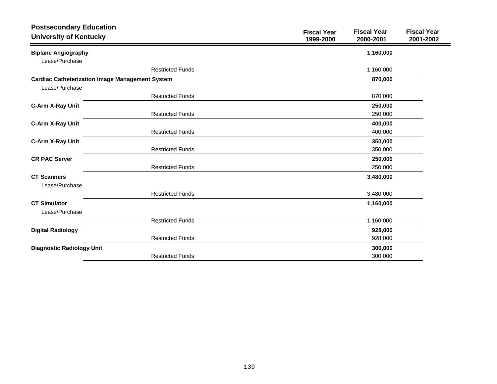| <b>Postsecondary Education</b><br><b>University of Kentucky</b> |                         | <b>Fiscal Year</b><br>1999-2000 | <b>Fiscal Year</b><br>2000-2001 | <b>Fiscal Year</b><br>2001-2002 |
|-----------------------------------------------------------------|-------------------------|---------------------------------|---------------------------------|---------------------------------|
| <b>Biplane Angiography</b>                                      |                         |                                 | 1,160,000                       |                                 |
| Lease/Purchase                                                  |                         |                                 |                                 |                                 |
|                                                                 | <b>Restricted Funds</b> |                                 | 1,160,000                       |                                 |
| <b>Cardiac Catheterization Image Management System</b>          |                         |                                 | 870,000                         |                                 |
| Lease/Purchase                                                  |                         |                                 |                                 |                                 |
|                                                                 | <b>Restricted Funds</b> |                                 | 870,000                         |                                 |
| C-Arm X-Ray Unit                                                |                         |                                 | 250,000                         |                                 |
|                                                                 | <b>Restricted Funds</b> |                                 | 250,000                         |                                 |
| C-Arm X-Ray Unit                                                |                         |                                 | 400,000                         |                                 |
|                                                                 | <b>Restricted Funds</b> |                                 | 400,000                         |                                 |
| C-Arm X-Ray Unit                                                |                         |                                 | 350,000                         |                                 |
|                                                                 | <b>Restricted Funds</b> |                                 | 350,000                         |                                 |
| <b>CR PAC Server</b>                                            |                         |                                 | 250,000                         |                                 |
|                                                                 | <b>Restricted Funds</b> |                                 | 250,000                         |                                 |
| <b>CT Scanners</b><br>Lease/Purchase                            |                         |                                 | 3,480,000                       |                                 |
|                                                                 | <b>Restricted Funds</b> |                                 | 3,480,000                       |                                 |
| <b>CT Simulator</b><br>Lease/Purchase                           |                         |                                 | 1,160,000                       |                                 |
|                                                                 | <b>Restricted Funds</b> |                                 | 1,160,000                       |                                 |
| <b>Digital Radiology</b>                                        |                         |                                 | 928,000                         |                                 |
|                                                                 | <b>Restricted Funds</b> |                                 | 928,000                         |                                 |
| <b>Diagnostic Radiology Unit</b>                                |                         |                                 | 300,000                         |                                 |
|                                                                 | <b>Restricted Funds</b> |                                 | 300,000                         |                                 |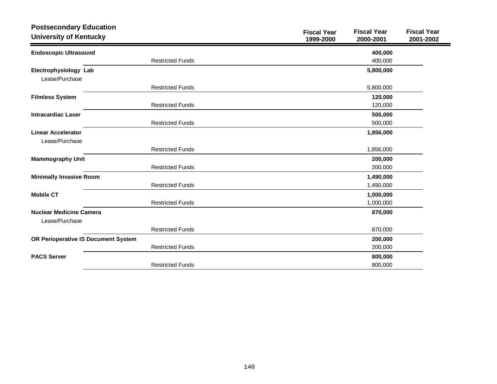| <b>Postsecondary Education</b>                   |                         | <b>Fiscal Year</b> | <b>Fiscal Year</b> | <b>Fiscal Year</b> |
|--------------------------------------------------|-------------------------|--------------------|--------------------|--------------------|
| <b>University of Kentucky</b>                    |                         | 1999-2000          | 2000-2001          | 2001-2002          |
| <b>Endoscopic Ultrasound</b>                     |                         |                    | 400,000            |                    |
|                                                  | <b>Restricted Funds</b> |                    | 400,000            |                    |
| Electrophysiology Lab<br>Lease/Purchase          |                         |                    | 5,800,000          |                    |
|                                                  | <b>Restricted Funds</b> |                    | 5,800,000          |                    |
| <b>Filmless System</b>                           |                         |                    | 120,000            |                    |
|                                                  | <b>Restricted Funds</b> |                    | 120,000            |                    |
| <b>Intracardiac Laser</b>                        |                         |                    | 500,000            |                    |
|                                                  | <b>Restricted Funds</b> |                    | 500,000            |                    |
| <b>Linear Accelerator</b>                        |                         |                    | 1,856,000          |                    |
| Lease/Purchase                                   |                         |                    |                    |                    |
|                                                  | <b>Restricted Funds</b> |                    | 1,856,000          |                    |
| <b>Mammography Unit</b>                          |                         |                    | 200,000            |                    |
|                                                  | <b>Restricted Funds</b> |                    | 200,000            |                    |
| <b>Minimally Invasive Room</b>                   |                         |                    | 1,490,000          |                    |
|                                                  | <b>Restricted Funds</b> |                    | 1,490,000          |                    |
| <b>Mobile CT</b>                                 |                         |                    | 1,000,000          |                    |
|                                                  | <b>Restricted Funds</b> |                    | 1,000,000          |                    |
| <b>Nuclear Medicine Camera</b><br>Lease/Purchase |                         |                    | 870,000            |                    |
|                                                  | <b>Restricted Funds</b> |                    | 870,000            |                    |
| OR Perioperative IS Document System              |                         |                    | 200,000            |                    |
|                                                  | <b>Restricted Funds</b> |                    | 200,000            |                    |
| <b>PACS Server</b>                               |                         |                    | 800,000            |                    |
|                                                  | <b>Restricted Funds</b> |                    | 800,000            |                    |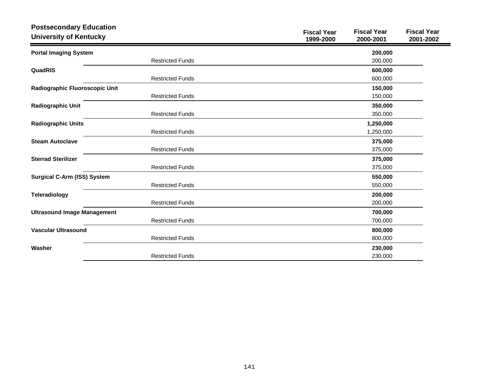| <b>Postsecondary Education</b><br><b>University of Kentucky</b> |                         | <b>Fiscal Year</b><br>1999-2000 | <b>Fiscal Year</b><br>2000-2001 | <b>Fiscal Year</b><br>2001-2002 |
|-----------------------------------------------------------------|-------------------------|---------------------------------|---------------------------------|---------------------------------|
| <b>Portal Imaging System</b>                                    |                         |                                 | 200,000                         |                                 |
|                                                                 | <b>Restricted Funds</b> |                                 | 200,000                         |                                 |
| QuadRIS                                                         |                         |                                 | 600,000                         |                                 |
|                                                                 | <b>Restricted Funds</b> |                                 | 600,000                         |                                 |
| Radiographic Fluoroscopic Unit                                  |                         |                                 | 150,000                         |                                 |
|                                                                 | <b>Restricted Funds</b> |                                 | 150,000                         |                                 |
| <b>Radiographic Unit</b>                                        |                         |                                 | 350,000                         |                                 |
|                                                                 | <b>Restricted Funds</b> |                                 | 350,000                         |                                 |
| <b>Radiographic Units</b>                                       |                         |                                 | 1,250,000                       |                                 |
|                                                                 | <b>Restricted Funds</b> |                                 | 1,250,000                       |                                 |
| <b>Steam Autoclave</b>                                          |                         |                                 | 375,000                         |                                 |
|                                                                 | <b>Restricted Funds</b> |                                 | 375,000                         |                                 |
| <b>Sterrad Sterilizer</b>                                       |                         |                                 | 375,000                         |                                 |
|                                                                 | <b>Restricted Funds</b> |                                 | 375,000                         |                                 |
| <b>Surgical C-Arm (ISS) System</b>                              |                         |                                 | 550,000                         |                                 |
|                                                                 | <b>Restricted Funds</b> |                                 | 550,000                         |                                 |
| <b>Teleradiology</b>                                            |                         |                                 | 200,000                         |                                 |
|                                                                 | <b>Restricted Funds</b> |                                 | 200,000                         |                                 |
| <b>Ultrasound Image Management</b>                              |                         |                                 | 700,000                         |                                 |
|                                                                 | <b>Restricted Funds</b> |                                 | 700,000                         |                                 |
| <b>Vascular Ultrasound</b>                                      |                         |                                 | 800,000                         |                                 |
|                                                                 | <b>Restricted Funds</b> |                                 | 800,000                         |                                 |
| Washer                                                          |                         |                                 | 230,000                         |                                 |
|                                                                 | <b>Restricted Funds</b> |                                 | 230,000                         |                                 |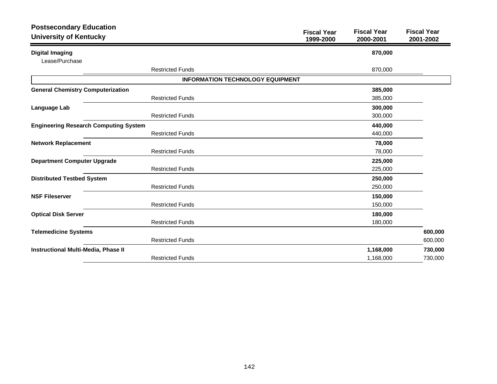| <b>Postsecondary Education</b><br><b>University of Kentucky</b> |                                         | <b>Fiscal Year</b><br>1999-2000 | <b>Fiscal Year</b><br>2000-2001 | <b>Fiscal Year</b><br>2001-2002 |
|-----------------------------------------------------------------|-----------------------------------------|---------------------------------|---------------------------------|---------------------------------|
| <b>Digital Imaging</b>                                          |                                         |                                 | 870,000                         |                                 |
| Lease/Purchase                                                  |                                         |                                 |                                 |                                 |
|                                                                 | <b>Restricted Funds</b>                 |                                 | 870,000                         |                                 |
|                                                                 | <b>INFORMATION TECHNOLOGY EQUIPMENT</b> |                                 |                                 |                                 |
| <b>General Chemistry Computerization</b>                        |                                         |                                 | 385,000                         |                                 |
|                                                                 | <b>Restricted Funds</b>                 |                                 | 385,000                         |                                 |
| Language Lab                                                    |                                         |                                 | 300,000                         |                                 |
|                                                                 | <b>Restricted Funds</b>                 |                                 | 300,000                         |                                 |
| <b>Engineering Research Computing System</b>                    |                                         |                                 | 440,000                         |                                 |
|                                                                 | <b>Restricted Funds</b>                 |                                 | 440,000                         |                                 |
| <b>Network Replacement</b>                                      |                                         |                                 | 78,000                          |                                 |
|                                                                 | <b>Restricted Funds</b>                 |                                 | 78,000                          |                                 |
| <b>Department Computer Upgrade</b>                              |                                         |                                 | 225,000                         |                                 |
|                                                                 | <b>Restricted Funds</b>                 |                                 | 225,000                         |                                 |
| <b>Distributed Testbed System</b>                               |                                         |                                 | 250,000                         |                                 |
|                                                                 | <b>Restricted Funds</b>                 |                                 | 250,000                         |                                 |
| <b>NSF Fileserver</b>                                           |                                         |                                 | 150,000                         |                                 |
|                                                                 | <b>Restricted Funds</b>                 |                                 | 150,000                         |                                 |
| <b>Optical Disk Server</b>                                      |                                         |                                 | 180,000                         |                                 |
|                                                                 | <b>Restricted Funds</b>                 |                                 | 180,000                         |                                 |
| <b>Telemedicine Systems</b>                                     |                                         |                                 |                                 | 600,000                         |
|                                                                 | <b>Restricted Funds</b>                 |                                 |                                 | 600,000                         |
| Instructional Multi-Media, Phase II                             |                                         |                                 | 1,168,000                       | 730,000                         |
|                                                                 | <b>Restricted Funds</b>                 |                                 | 1,168,000                       | 730,000                         |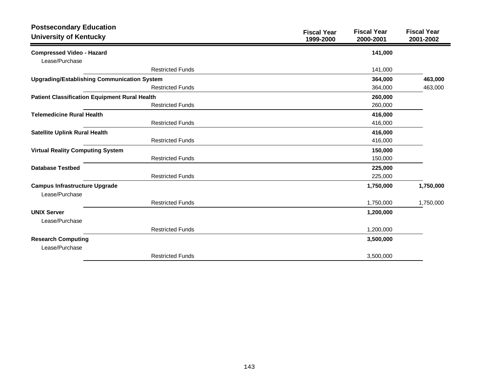| <b>Postsecondary Education</b><br><b>University of Kentucky</b> | <b>Fiscal Year</b><br>1999-2000 | <b>Fiscal Year</b><br>2000-2001 | <b>Fiscal Year</b><br>2001-2002 |
|-----------------------------------------------------------------|---------------------------------|---------------------------------|---------------------------------|
| <b>Compressed Video - Hazard</b>                                |                                 | 141,000                         |                                 |
| Lease/Purchase                                                  |                                 |                                 |                                 |
| <b>Restricted Funds</b>                                         |                                 | 141,000                         |                                 |
| <b>Upgrading/Establishing Communication System</b>              |                                 | 364,000                         | 463,000                         |
| <b>Restricted Funds</b>                                         |                                 | 364,000                         | 463,000                         |
| <b>Patient Classification Equipment Rural Health</b>            |                                 | 260,000                         |                                 |
| <b>Restricted Funds</b>                                         |                                 | 260,000                         |                                 |
| <b>Telemedicine Rural Health</b>                                |                                 | 416,000                         |                                 |
| <b>Restricted Funds</b>                                         |                                 | 416,000                         |                                 |
| <b>Satellite Uplink Rural Health</b>                            |                                 | 416,000                         |                                 |
| <b>Restricted Funds</b>                                         |                                 | 416,000                         |                                 |
| <b>Virtual Reality Computing System</b>                         |                                 | 150,000                         |                                 |
| <b>Restricted Funds</b>                                         |                                 | 150,000                         |                                 |
| <b>Database Testbed</b>                                         |                                 | 225,000                         |                                 |
| <b>Restricted Funds</b>                                         |                                 | 225,000                         |                                 |
| <b>Campus Infrastructure Upgrade</b>                            |                                 | 1,750,000                       | 1,750,000                       |
| Lease/Purchase                                                  |                                 |                                 |                                 |
| <b>Restricted Funds</b>                                         |                                 | 1,750,000                       | 1,750,000                       |
| <b>UNIX Server</b>                                              |                                 | 1,200,000                       |                                 |
| Lease/Purchase                                                  |                                 |                                 |                                 |
| <b>Restricted Funds</b>                                         |                                 | 1,200,000                       |                                 |
| <b>Research Computing</b>                                       |                                 | 3,500,000                       |                                 |
| Lease/Purchase                                                  |                                 |                                 |                                 |
| <b>Restricted Funds</b>                                         |                                 | 3,500,000                       |                                 |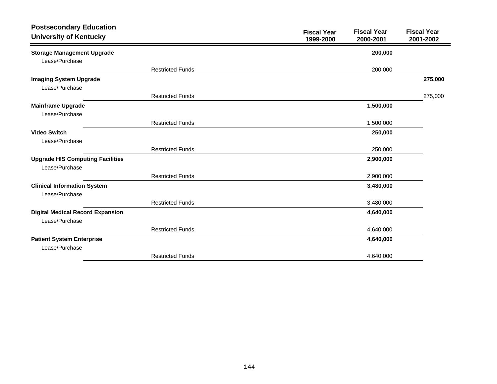| <b>Postsecondary Education</b><br><b>University of Kentucky</b> |                         | <b>Fiscal Year</b><br>1999-2000 | <b>Fiscal Year</b><br>2000-2001 | <b>Fiscal Year</b><br>2001-2002 |
|-----------------------------------------------------------------|-------------------------|---------------------------------|---------------------------------|---------------------------------|
| <b>Storage Management Upgrade</b><br>Lease/Purchase             |                         |                                 | 200,000                         |                                 |
|                                                                 | <b>Restricted Funds</b> |                                 | 200,000                         |                                 |
| <b>Imaging System Upgrade</b><br>Lease/Purchase                 |                         |                                 |                                 | 275,000                         |
|                                                                 | <b>Restricted Funds</b> |                                 |                                 | 275,000                         |
| <b>Mainframe Upgrade</b><br>Lease/Purchase                      |                         |                                 | 1,500,000                       |                                 |
|                                                                 | <b>Restricted Funds</b> |                                 | 1,500,000                       |                                 |
| <b>Video Switch</b><br>Lease/Purchase                           |                         |                                 | 250,000                         |                                 |
|                                                                 | <b>Restricted Funds</b> |                                 | 250,000                         |                                 |
| <b>Upgrade HIS Computing Facilities</b><br>Lease/Purchase       |                         |                                 | 2,900,000                       |                                 |
|                                                                 | <b>Restricted Funds</b> |                                 | 2,900,000                       |                                 |
| <b>Clinical Information System</b><br>Lease/Purchase            |                         |                                 | 3,480,000                       |                                 |
|                                                                 | <b>Restricted Funds</b> |                                 | 3,480,000                       |                                 |
| <b>Digital Medical Record Expansion</b><br>Lease/Purchase       |                         |                                 | 4,640,000                       |                                 |
|                                                                 | <b>Restricted Funds</b> |                                 | 4,640,000                       |                                 |
| <b>Patient System Enterprise</b><br>Lease/Purchase              |                         |                                 | 4,640,000                       |                                 |
|                                                                 | <b>Restricted Funds</b> |                                 | 4,640,000                       |                                 |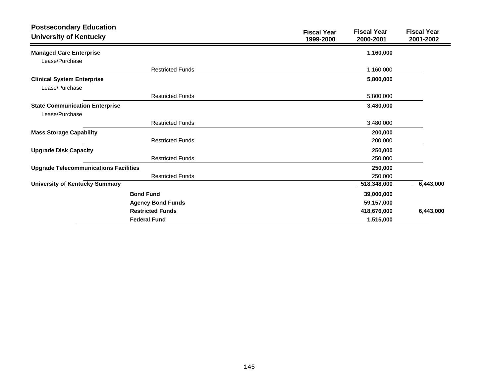| <b>Postsecondary Education</b><br><b>University of Kentucky</b> | <b>Fiscal Year</b><br><b>Fiscal Year</b><br><b>Fiscal Year</b><br>1999-2000<br>2000-2001<br>2001-2002 |
|-----------------------------------------------------------------|-------------------------------------------------------------------------------------------------------|
| <b>Managed Care Enterprise</b>                                  | 1,160,000                                                                                             |
| Lease/Purchase                                                  |                                                                                                       |
| <b>Restricted Funds</b>                                         | 1,160,000                                                                                             |
| <b>Clinical System Enterprise</b>                               | 5,800,000                                                                                             |
| Lease/Purchase                                                  |                                                                                                       |
| <b>Restricted Funds</b>                                         | 5,800,000                                                                                             |
| <b>State Communication Enterprise</b>                           | 3,480,000                                                                                             |
| Lease/Purchase                                                  |                                                                                                       |
| <b>Restricted Funds</b>                                         | 3,480,000                                                                                             |
| <b>Mass Storage Capability</b>                                  | 200,000                                                                                               |
| <b>Restricted Funds</b>                                         | 200,000                                                                                               |
| <b>Upgrade Disk Capacity</b>                                    | 250,000                                                                                               |
| <b>Restricted Funds</b>                                         | 250,000                                                                                               |
| <b>Upgrade Telecommunications Facilities</b>                    | 250,000                                                                                               |
| <b>Restricted Funds</b>                                         | 250,000                                                                                               |
| <b>University of Kentucky Summary</b>                           | 6,443,000<br>518,348,000                                                                              |
| <b>Bond Fund</b>                                                | 39,000,000                                                                                            |
| <b>Agency Bond Funds</b>                                        | 59,157,000                                                                                            |
| <b>Restricted Funds</b>                                         | 418,676,000<br>6,443,000                                                                              |
| <b>Federal Fund</b>                                             | 1,515,000                                                                                             |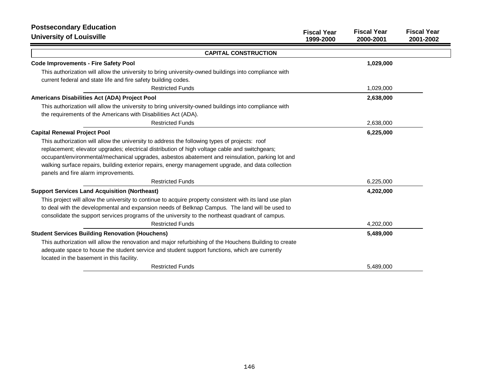| <b>Postsecondary Education</b>                                                                           |                                 |                                 |                                 |
|----------------------------------------------------------------------------------------------------------|---------------------------------|---------------------------------|---------------------------------|
| <b>University of Louisville</b>                                                                          | <b>Fiscal Year</b><br>1999-2000 | <b>Fiscal Year</b><br>2000-2001 | <b>Fiscal Year</b><br>2001-2002 |
| <b>CAPITAL CONSTRUCTION</b>                                                                              |                                 |                                 |                                 |
| <b>Code Improvements - Fire Safety Pool</b>                                                              |                                 | 1,029,000                       |                                 |
| This authorization will allow the university to bring university-owned buildings into compliance with    |                                 |                                 |                                 |
| current federal and state life and fire safety building codes.                                           |                                 |                                 |                                 |
| <b>Restricted Funds</b>                                                                                  |                                 | 1,029,000                       |                                 |
| Americans Disabilities Act (ADA) Project Pool                                                            |                                 | 2,638,000                       |                                 |
| This authorization will allow the university to bring university-owned buildings into compliance with    |                                 |                                 |                                 |
| the requirements of the Americans with Disabilities Act (ADA).                                           |                                 |                                 |                                 |
| <b>Restricted Funds</b>                                                                                  |                                 | 2,638,000                       |                                 |
| <b>Capital Renewal Project Pool</b>                                                                      |                                 | 6,225,000                       |                                 |
| This authorization will allow the university to address the following types of projects: roof            |                                 |                                 |                                 |
| replacement; elevator upgrades; electrical distribution of high voltage cable and switchgears;           |                                 |                                 |                                 |
| occupant/environmental/mechanical upgrades, asbestos abatement and reinsulation, parking lot and         |                                 |                                 |                                 |
| walking surface repairs, building exterior repairs, energy management upgrade, and data collection       |                                 |                                 |                                 |
| panels and fire alarm improvements.                                                                      |                                 |                                 |                                 |
| <b>Restricted Funds</b>                                                                                  |                                 | 6,225,000                       |                                 |
| <b>Support Services Land Acquisition (Northeast)</b>                                                     |                                 | 4,202,000                       |                                 |
| This project will allow the university to continue to acquire property consistent with its land use plan |                                 |                                 |                                 |
| to deal with the developmental and expansion needs of Belknap Campus. The land will be used to           |                                 |                                 |                                 |
| consolidate the support services programs of the university to the northeast quadrant of campus.         |                                 |                                 |                                 |
| <b>Restricted Funds</b>                                                                                  |                                 | 4,202,000                       |                                 |
| <b>Student Services Building Renovation (Houchens)</b>                                                   |                                 | 5,489,000                       |                                 |
| This authorization will allow the renovation and major refurbishing of the Houchens Building to create   |                                 |                                 |                                 |
| adequate space to house the student service and student support functions, which are currently           |                                 |                                 |                                 |
| located in the basement in this facility.                                                                |                                 |                                 |                                 |
| <b>Restricted Funds</b>                                                                                  |                                 | 5,489,000                       |                                 |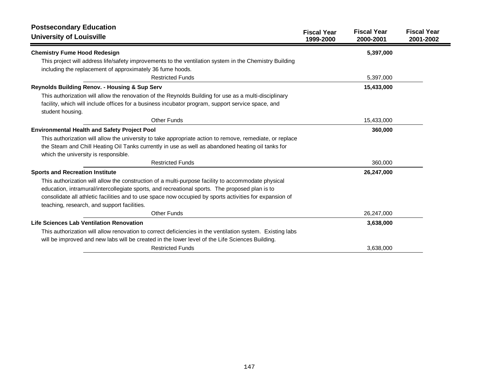| <b>Postsecondary Education</b><br><b>University of Louisville</b>                                         | <b>Fiscal Year</b> | <b>Fiscal Year</b> | <b>Fiscal Year</b> |
|-----------------------------------------------------------------------------------------------------------|--------------------|--------------------|--------------------|
|                                                                                                           | 1999-2000          | 2000-2001          | 2001-2002          |
| <b>Chemistry Fume Hood Redesign</b>                                                                       |                    | 5,397,000          |                    |
| This project will address life/safety improvements to the ventilation system in the Chemistry Building    |                    |                    |                    |
| including the replacement of approximately 36 fume hoods.                                                 |                    |                    |                    |
| <b>Restricted Funds</b>                                                                                   |                    | 5,397,000          |                    |
| Reynolds Building Renov. - Housing & Sup Serv                                                             |                    | 15,433,000         |                    |
| This authorization will allow the renovation of the Reynolds Building for use as a multi-disciplinary     |                    |                    |                    |
| facility, which will include offices for a business incubator program, support service space, and         |                    |                    |                    |
| student housing.                                                                                          |                    |                    |                    |
| Other Funds                                                                                               |                    | 15,433,000         |                    |
| <b>Environmental Health and Safety Project Pool</b>                                                       |                    | 360,000            |                    |
| This authorization will allow the university to take appropriate action to remove, remediate, or replace  |                    |                    |                    |
| the Steam and Chill Heating Oil Tanks currently in use as well as abandoned heating oil tanks for         |                    |                    |                    |
| which the university is responsible.                                                                      |                    |                    |                    |
| <b>Restricted Funds</b>                                                                                   |                    | 360,000            |                    |
| <b>Sports and Recreation Institute</b>                                                                    |                    | 26,247,000         |                    |
| This authorization will allow the construction of a multi-purpose facility to accommodate physical        |                    |                    |                    |
| education, intramural/intercollegiate sports, and recreational sports. The proposed plan is to            |                    |                    |                    |
| consolidate all athletic facilities and to use space now occupied by sports activities for expansion of   |                    |                    |                    |
| teaching, research, and support facilities.                                                               |                    |                    |                    |
| <b>Other Funds</b>                                                                                        |                    | 26,247,000         |                    |
| Life Sciences Lab Ventilation Renovation                                                                  |                    | 3,638,000          |                    |
| This authorization will allow renovation to correct deficiencies in the ventilation system. Existing labs |                    |                    |                    |
| will be improved and new labs will be created in the lower level of the Life Sciences Building.           |                    |                    |                    |
| <b>Restricted Funds</b>                                                                                   |                    | 3,638,000          |                    |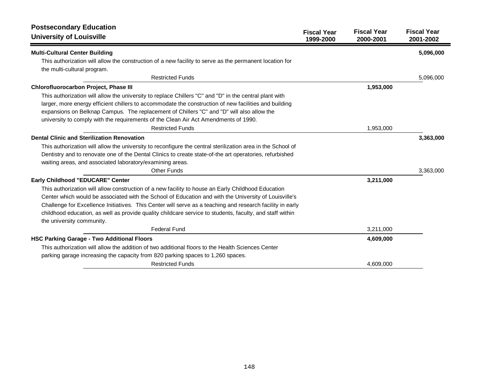| <b>Postsecondary Education</b><br><b>University of Louisville</b>                                           | <b>Fiscal Year</b><br>1999-2000 | <b>Fiscal Year</b><br>2000-2001 | <b>Fiscal Year</b><br>2001-2002 |
|-------------------------------------------------------------------------------------------------------------|---------------------------------|---------------------------------|---------------------------------|
|                                                                                                             |                                 |                                 |                                 |
| <b>Multi-Cultural Center Building</b>                                                                       |                                 |                                 | 5,096,000                       |
| This authorization will allow the construction of a new facility to serve as the permanent location for     |                                 |                                 |                                 |
| the multi-cultural program.                                                                                 |                                 |                                 |                                 |
| <b>Restricted Funds</b>                                                                                     |                                 |                                 | 5,096,000                       |
| Chlorofluorocarbon Project, Phase III                                                                       |                                 | 1,953,000                       |                                 |
| This authorization will allow the university to replace Chillers "C" and "D" in the central plant with      |                                 |                                 |                                 |
| larger, more energy efficient chillers to accommodate the construction of new facilities and building       |                                 |                                 |                                 |
| expansions on Belknap Campus. The replacement of Chillers "C" and "D" will also allow the                   |                                 |                                 |                                 |
| university to comply with the requirements of the Clean Air Act Amendments of 1990.                         |                                 |                                 |                                 |
| <b>Restricted Funds</b>                                                                                     |                                 | 1,953,000                       |                                 |
| <b>Dental Clinic and Sterilization Renovation</b>                                                           |                                 |                                 | 3,363,000                       |
| This authorization will allow the university to reconfigure the central sterilization area in the School of |                                 |                                 |                                 |
| Dentistry and to renovate one of the Dental Clinics to create state-of-the art operatories, refurbished     |                                 |                                 |                                 |
| waiting areas, and associated laboratory/examining areas.                                                   |                                 |                                 |                                 |
| <b>Other Funds</b>                                                                                          |                                 |                                 | 3,363,000                       |
| Early Childhood "EDUCARE" Center                                                                            |                                 | 3,211,000                       |                                 |
| This authorization will allow construction of a new facility to house an Early Childhood Education          |                                 |                                 |                                 |
| Center which would be associated with the School of Education and with the University of Louisville's       |                                 |                                 |                                 |
| Challenge for Excellence Initiatives. This Center will serve as a teaching and research facility in early   |                                 |                                 |                                 |
| childhood education, as well as provide quality childcare service to students, faculty, and staff within    |                                 |                                 |                                 |
| the university community.                                                                                   |                                 |                                 |                                 |
| <b>Federal Fund</b>                                                                                         |                                 | 3,211,000                       |                                 |
| <b>HSC Parking Garage - Two Additional Floors</b>                                                           |                                 | 4,609,000                       |                                 |
| This authorization will allow the addition of two additional floors to the Health Sciences Center           |                                 |                                 |                                 |
| parking garage increasing the capacity from 820 parking spaces to 1,260 spaces.                             |                                 |                                 |                                 |
| <b>Restricted Funds</b>                                                                                     |                                 | 4,609,000                       |                                 |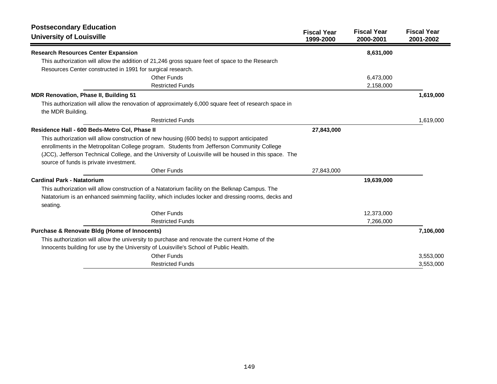| <b>Postsecondary Education</b>                                                                                            |                                 |                                 |                                 |
|---------------------------------------------------------------------------------------------------------------------------|---------------------------------|---------------------------------|---------------------------------|
| <b>University of Louisville</b>                                                                                           | <b>Fiscal Year</b><br>1999-2000 | <b>Fiscal Year</b><br>2000-2001 | <b>Fiscal Year</b><br>2001-2002 |
| <b>Research Resources Center Expansion</b>                                                                                |                                 | 8,631,000                       |                                 |
| This authorization will allow the addition of 21,246 gross square feet of space to the Research                           |                                 |                                 |                                 |
| Resources Center constructed in 1991 for surgical research.                                                               |                                 |                                 |                                 |
| Other Funds                                                                                                               |                                 | 6,473,000                       |                                 |
| <b>Restricted Funds</b>                                                                                                   |                                 | 2,158,000                       |                                 |
| MDR Renovation, Phase II, Building 51                                                                                     |                                 |                                 | 1,619,000                       |
| This authorization will allow the renovation of approximately 6,000 square feet of research space in<br>the MDR Building. |                                 |                                 |                                 |
| <b>Restricted Funds</b>                                                                                                   |                                 |                                 | 1,619,000                       |
| Residence Hall - 600 Beds-Metro Col, Phase II                                                                             | 27,843,000                      |                                 |                                 |
| This authorization will allow construction of new housing (600 beds) to support anticipated                               |                                 |                                 |                                 |
| enrollments in the Metropolitan College program. Students from Jefferson Community College                                |                                 |                                 |                                 |
| (JCC), Jefferson Technical College, and the University of Louisville will be housed in this space. The                    |                                 |                                 |                                 |
| source of funds is private investment.                                                                                    |                                 |                                 |                                 |
| Other Funds                                                                                                               | 27,843,000                      |                                 |                                 |
| <b>Cardinal Park - Natatorium</b>                                                                                         |                                 | 19,639,000                      |                                 |
| This authorization will allow construction of a Natatorium facility on the Belknap Campus. The                            |                                 |                                 |                                 |
| Natatorium is an enhanced swimming facility, which includes locker and dressing rooms, decks and<br>seating.              |                                 |                                 |                                 |
| <b>Other Funds</b>                                                                                                        |                                 | 12,373,000                      |                                 |
| <b>Restricted Funds</b>                                                                                                   |                                 | 7,266,000                       |                                 |
| <b>Purchase &amp; Renovate Bldg (Home of Innocents)</b>                                                                   |                                 |                                 | 7,106,000                       |
| This authorization will allow the university to purchase and renovate the current Home of the                             |                                 |                                 |                                 |
| Innocents building for use by the University of Louisville's School of Public Health.                                     |                                 |                                 |                                 |
| <b>Other Funds</b>                                                                                                        |                                 |                                 | 3,553,000                       |
| <b>Restricted Funds</b>                                                                                                   |                                 |                                 | 3,553,000                       |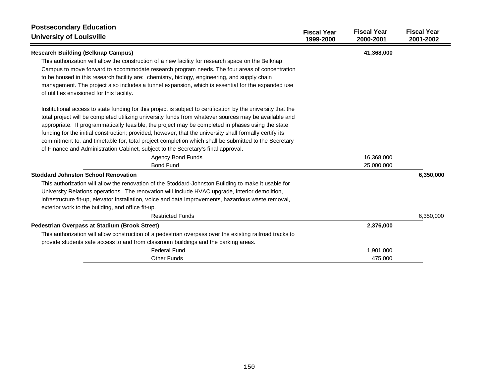| <b>Postsecondary Education</b><br><b>University of Louisville</b>                                                                                                                                                                                                                                                                                                                                                                                                                                                                                                                                                                   | <b>Fiscal Year</b><br>1999-2000 | <b>Fiscal Year</b><br>2000-2001 | <b>Fiscal Year</b><br>2001-2002 |
|-------------------------------------------------------------------------------------------------------------------------------------------------------------------------------------------------------------------------------------------------------------------------------------------------------------------------------------------------------------------------------------------------------------------------------------------------------------------------------------------------------------------------------------------------------------------------------------------------------------------------------------|---------------------------------|---------------------------------|---------------------------------|
| <b>Research Building (Belknap Campus)</b>                                                                                                                                                                                                                                                                                                                                                                                                                                                                                                                                                                                           |                                 | 41,368,000                      |                                 |
| This authorization will allow the construction of a new facility for research space on the Belknap<br>Campus to move forward to accommodate research program needs. The four areas of concentration<br>to be housed in this research facility are: chemistry, biology, engineering, and supply chain<br>management. The project also includes a tunnel expansion, which is essential for the expanded use<br>of utilities envisioned for this facility.                                                                                                                                                                             |                                 |                                 |                                 |
| Institutional access to state funding for this project is subject to certification by the university that the<br>total project will be completed utilizing university funds from whatever sources may be available and<br>appropriate. If programmatically feasible, the project may be completed in phases using the state<br>funding for the initial construction; provided, however, that the university shall formally certify its<br>commitment to, and timetable for, total project completion which shall be submitted to the Secretary<br>of Finance and Administration Cabinet, subject to the Secretary's final approval. |                                 |                                 |                                 |
| <b>Agency Bond Funds</b>                                                                                                                                                                                                                                                                                                                                                                                                                                                                                                                                                                                                            |                                 | 16,368,000                      |                                 |
| <b>Bond Fund</b>                                                                                                                                                                                                                                                                                                                                                                                                                                                                                                                                                                                                                    |                                 | 25,000,000                      |                                 |
| <b>Stoddard Johnston School Renovation</b>                                                                                                                                                                                                                                                                                                                                                                                                                                                                                                                                                                                          |                                 |                                 | 6,350,000                       |
| This authorization will allow the renovation of the Stoddard-Johnston Building to make it usable for<br>University Relations operations. The renovation will include HVAC upgrade, interior demolition,<br>infrastructure fit-up, elevator installation, voice and data improvements, hazardous waste removal,<br>exterior work to the building, and office fit-up.                                                                                                                                                                                                                                                                 |                                 |                                 |                                 |
| <b>Restricted Funds</b>                                                                                                                                                                                                                                                                                                                                                                                                                                                                                                                                                                                                             |                                 |                                 | 6,350,000                       |
| <b>Pedestrian Overpass at Stadium (Brook Street)</b>                                                                                                                                                                                                                                                                                                                                                                                                                                                                                                                                                                                |                                 | 2,376,000                       |                                 |
| This authorization will allow construction of a pedestrian overpass over the existing railroad tracks to                                                                                                                                                                                                                                                                                                                                                                                                                                                                                                                            |                                 |                                 |                                 |
| provide students safe access to and from classroom buildings and the parking areas.                                                                                                                                                                                                                                                                                                                                                                                                                                                                                                                                                 |                                 |                                 |                                 |
| <b>Federal Fund</b>                                                                                                                                                                                                                                                                                                                                                                                                                                                                                                                                                                                                                 |                                 | 1,901,000                       |                                 |
| <b>Other Funds</b>                                                                                                                                                                                                                                                                                                                                                                                                                                                                                                                                                                                                                  |                                 | 475,000                         |                                 |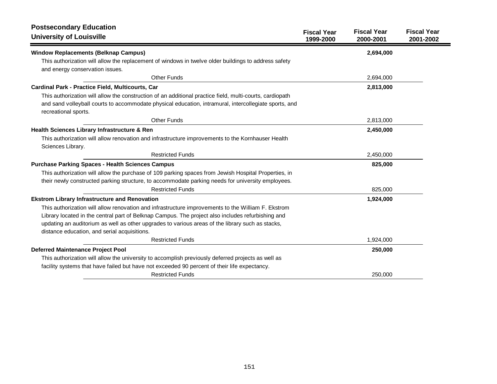| <b>Postsecondary Education</b>                                                                                                |                                 |                                 |                                 |
|-------------------------------------------------------------------------------------------------------------------------------|---------------------------------|---------------------------------|---------------------------------|
| <b>University of Louisville</b>                                                                                               | <b>Fiscal Year</b><br>1999-2000 | <b>Fiscal Year</b><br>2000-2001 | <b>Fiscal Year</b><br>2001-2002 |
| <b>Window Replacements (Belknap Campus)</b>                                                                                   |                                 | 2,694,000                       |                                 |
| This authorization will allow the replacement of windows in twelve older buildings to address safety                          |                                 |                                 |                                 |
| and energy conservation issues.                                                                                               |                                 |                                 |                                 |
| <b>Other Funds</b>                                                                                                            |                                 | 2,694,000                       |                                 |
| Cardinal Park - Practice Field, Multicourts, Car                                                                              |                                 | 2,813,000                       |                                 |
| This authorization will allow the construction of an additional practice field, multi-courts, cardiopath                      |                                 |                                 |                                 |
| and sand volleyball courts to accommodate physical education, intramural, intercollegiate sports, and<br>recreational sports. |                                 |                                 |                                 |
| <b>Other Funds</b>                                                                                                            |                                 | 2,813,000                       |                                 |
| Health Sciences Library Infrastructure & Ren                                                                                  |                                 | 2,450,000                       |                                 |
| This authorization will allow renovation and infrastructure improvements to the Kornhauser Health<br>Sciences Library.        |                                 |                                 |                                 |
| <b>Restricted Funds</b>                                                                                                       |                                 | 2,450,000                       |                                 |
| <b>Purchase Parking Spaces - Health Sciences Campus</b>                                                                       |                                 | 825,000                         |                                 |
| This authorization will allow the purchase of 109 parking spaces from Jewish Hospital Properties, in                          |                                 |                                 |                                 |
| their newly constructed parking structure, to accommodate parking needs for university employees.                             |                                 |                                 |                                 |
| <b>Restricted Funds</b>                                                                                                       |                                 | 825,000                         |                                 |
| <b>Ekstrom Library Infrastructure and Renovation</b>                                                                          |                                 | 1,924,000                       |                                 |
| This authorization will allow renovation and infrastructure improvements to the William F. Ekstrom                            |                                 |                                 |                                 |
| Library located in the central part of Belknap Campus. The project also includes refurbishing and                             |                                 |                                 |                                 |
| updating an auditorium as well as other upgrades to various areas of the library such as stacks,                              |                                 |                                 |                                 |
| distance education, and serial acquisitions.                                                                                  |                                 |                                 |                                 |
| <b>Restricted Funds</b>                                                                                                       |                                 | 1,924,000                       |                                 |
| <b>Deferred Maintenance Project Pool</b>                                                                                      |                                 | 250,000                         |                                 |
| This authorization will allow the university to accomplish previously deferred projects as well as                            |                                 |                                 |                                 |
| facility systems that have failed but have not exceeded 90 percent of their life expectancy.                                  |                                 |                                 |                                 |
| <b>Restricted Funds</b>                                                                                                       |                                 | 250,000                         |                                 |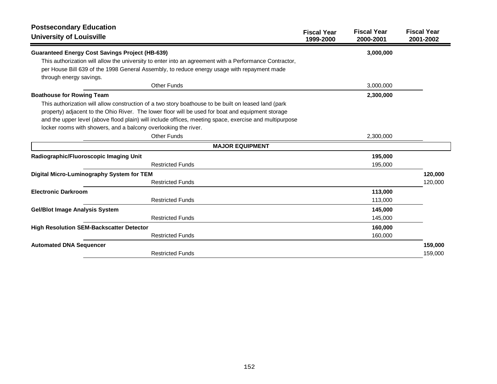| <b>Postsecondary Education</b><br><b>University of Louisville</b>                                      | <b>Fiscal Year</b><br>1999-2000 | <b>Fiscal Year</b><br>2000-2001 | <b>Fiscal Year</b><br>2001-2002 |
|--------------------------------------------------------------------------------------------------------|---------------------------------|---------------------------------|---------------------------------|
| <b>Guaranteed Energy Cost Savings Project (HB-639)</b>                                                 |                                 | 3,000,000                       |                                 |
| This authorization will allow the university to enter into an agreement with a Performance Contractor, |                                 |                                 |                                 |
| per House Bill 639 of the 1998 General Assembly, to reduce energy usage with repayment made            |                                 |                                 |                                 |
| through energy savings.                                                                                |                                 |                                 |                                 |
| <b>Other Funds</b>                                                                                     |                                 | 3,000,000                       |                                 |
| <b>Boathouse for Rowing Team</b>                                                                       |                                 | 2,300,000                       |                                 |
| This authorization will allow construction of a two story boathouse to be built on leased land (park   |                                 |                                 |                                 |
| property) adjacent to the Ohio River. The lower floor will be used for boat and equipment storage      |                                 |                                 |                                 |
| and the upper level (above flood plain) will include offices, meeting space, exercise and multipurpose |                                 |                                 |                                 |
| locker rooms with showers, and a balcony overlooking the river.                                        |                                 |                                 |                                 |
| <b>Other Funds</b>                                                                                     |                                 | 2,300,000                       |                                 |
| <b>MAJOR EQUIPMENT</b>                                                                                 |                                 |                                 |                                 |
| Radiographic/Fluoroscopic Imaging Unit                                                                 |                                 | 195,000                         |                                 |
| <b>Restricted Funds</b>                                                                                |                                 | 195,000                         |                                 |
| Digital Micro-Luminography System for TEM                                                              |                                 |                                 | 120,000                         |
| <b>Restricted Funds</b>                                                                                |                                 |                                 | 120,000                         |
| <b>Electronic Darkroom</b>                                                                             |                                 | 113,000                         |                                 |
| <b>Restricted Funds</b>                                                                                |                                 | 113,000                         |                                 |
| <b>Gel/Blot Image Analysis System</b>                                                                  |                                 | 145,000                         |                                 |
| <b>Restricted Funds</b>                                                                                |                                 | 145,000                         |                                 |
| <b>High Resolution SEM-Backscatter Detector</b>                                                        |                                 | 160,000                         |                                 |
| <b>Restricted Funds</b>                                                                                |                                 | 160,000                         |                                 |
| <b>Automated DNA Sequencer</b>                                                                         |                                 |                                 | 159,000                         |
| <b>Restricted Funds</b>                                                                                |                                 |                                 | 159,000                         |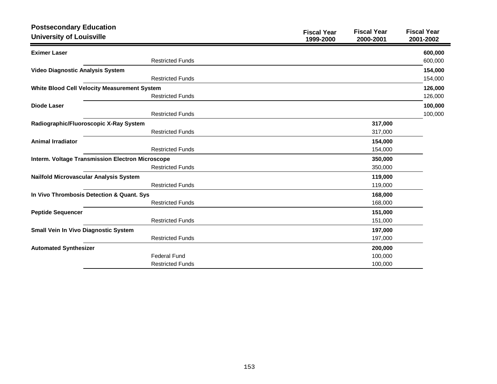| <b>Postsecondary Education</b><br><b>University of Louisville</b> |                         | <b>Fiscal Year</b><br>1999-2000 | <b>Fiscal Year</b><br>2000-2001 | <b>Fiscal Year</b><br>2001-2002 |
|-------------------------------------------------------------------|-------------------------|---------------------------------|---------------------------------|---------------------------------|
| <b>Eximer Laser</b>                                               |                         |                                 |                                 | 600,000                         |
|                                                                   | <b>Restricted Funds</b> |                                 |                                 | 600,000                         |
| Video Diagnostic Analysis System                                  |                         |                                 |                                 | 154,000                         |
|                                                                   | <b>Restricted Funds</b> |                                 |                                 | 154,000                         |
| White Blood Cell Velocity Measurement System                      |                         |                                 |                                 | 126,000                         |
|                                                                   | <b>Restricted Funds</b> |                                 |                                 | 126,000                         |
| <b>Diode Laser</b>                                                |                         |                                 |                                 | 100,000                         |
|                                                                   | <b>Restricted Funds</b> |                                 |                                 | 100,000                         |
| Radiographic/Fluoroscopic X-Ray System                            |                         |                                 | 317,000                         |                                 |
|                                                                   | <b>Restricted Funds</b> |                                 | 317,000                         |                                 |
| <b>Animal Irradiator</b>                                          |                         |                                 | 154,000                         |                                 |
|                                                                   | <b>Restricted Funds</b> |                                 | 154,000                         |                                 |
| <b>Interm. Voltage Transmission Electron Microscope</b>           |                         |                                 | 350,000                         |                                 |
|                                                                   | <b>Restricted Funds</b> |                                 | 350,000                         |                                 |
| Nailfold Microvascular Analysis System                            |                         |                                 | 119,000                         |                                 |
|                                                                   | <b>Restricted Funds</b> |                                 | 119,000                         |                                 |
| In Vivo Thrombosis Detection & Quant. Sys                         |                         |                                 | 168,000                         |                                 |
|                                                                   | <b>Restricted Funds</b> |                                 | 168,000                         |                                 |
| <b>Peptide Sequencer</b>                                          |                         |                                 | 151,000                         |                                 |
|                                                                   | <b>Restricted Funds</b> |                                 | 151,000                         |                                 |
| Small Vein In Vivo Diagnostic System                              |                         |                                 | 197,000                         |                                 |
|                                                                   | <b>Restricted Funds</b> |                                 | 197,000                         |                                 |
| <b>Automated Synthesizer</b>                                      |                         |                                 | 200,000                         |                                 |
|                                                                   | <b>Federal Fund</b>     |                                 | 100,000                         |                                 |
|                                                                   | <b>Restricted Funds</b> |                                 | 100,000                         |                                 |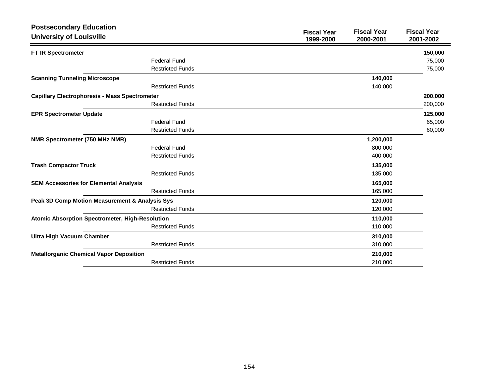| <b>Postsecondary Education</b>                         |                         |                                 |                                 |                                 |
|--------------------------------------------------------|-------------------------|---------------------------------|---------------------------------|---------------------------------|
| <b>University of Louisville</b>                        |                         | <b>Fiscal Year</b><br>1999-2000 | <b>Fiscal Year</b><br>2000-2001 | <b>Fiscal Year</b><br>2001-2002 |
| FT IR Spectrometer                                     |                         |                                 |                                 | 150,000                         |
|                                                        | <b>Federal Fund</b>     |                                 |                                 | 75,000                          |
|                                                        | <b>Restricted Funds</b> |                                 |                                 | 75,000                          |
| <b>Scanning Tunneling Microscope</b>                   |                         |                                 | 140,000                         |                                 |
|                                                        | <b>Restricted Funds</b> |                                 | 140,000                         |                                 |
| <b>Capillary Electrophoresis - Mass Spectrometer</b>   |                         |                                 |                                 | 200,000                         |
|                                                        | <b>Restricted Funds</b> |                                 |                                 | 200,000                         |
| <b>EPR Spectrometer Update</b>                         |                         |                                 |                                 | 125,000                         |
|                                                        | <b>Federal Fund</b>     |                                 |                                 | 65,000                          |
|                                                        | <b>Restricted Funds</b> |                                 |                                 | 60,000                          |
| NMR Spectrometer (750 MHz NMR)                         |                         |                                 | 1,200,000                       |                                 |
|                                                        | <b>Federal Fund</b>     |                                 | 800,000                         |                                 |
|                                                        | <b>Restricted Funds</b> |                                 | 400,000                         |                                 |
| <b>Trash Compactor Truck</b>                           |                         |                                 | 135,000                         |                                 |
|                                                        | <b>Restricted Funds</b> |                                 | 135,000                         |                                 |
| <b>SEM Accessories for Elemental Analysis</b>          |                         |                                 | 165,000                         |                                 |
|                                                        | <b>Restricted Funds</b> |                                 | 165,000                         |                                 |
| Peak 3D Comp Motion Measurement & Analysis Sys         |                         |                                 | 120,000                         |                                 |
|                                                        | <b>Restricted Funds</b> |                                 | 120,000                         |                                 |
| <b>Atomic Absorption Spectrometer, High-Resolution</b> |                         |                                 | 110,000                         |                                 |
|                                                        | <b>Restricted Funds</b> |                                 | 110,000                         |                                 |
| <b>Ultra High Vacuum Chamber</b>                       |                         |                                 | 310,000                         |                                 |
|                                                        | <b>Restricted Funds</b> |                                 | 310,000                         |                                 |
| <b>Metallorganic Chemical Vapor Deposition</b>         |                         |                                 | 210,000                         |                                 |
|                                                        | <b>Restricted Funds</b> |                                 | 210,000                         |                                 |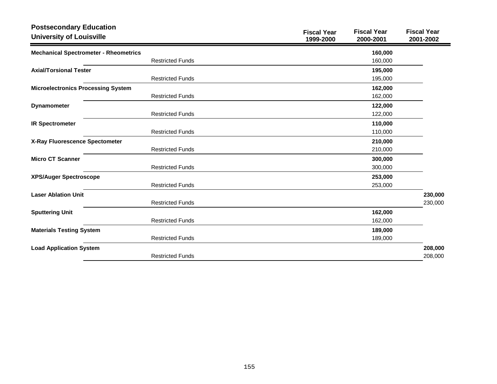| <b>Postsecondary Education</b><br><b>University of Louisville</b> |                         | <b>Fiscal Year</b><br>1999-2000 | <b>Fiscal Year</b><br>2000-2001 | <b>Fiscal Year</b><br>2001-2002 |  |
|-------------------------------------------------------------------|-------------------------|---------------------------------|---------------------------------|---------------------------------|--|
| <b>Mechanical Spectrometer - Rheometrics</b>                      |                         |                                 | 160,000                         |                                 |  |
|                                                                   | <b>Restricted Funds</b> |                                 | 160,000                         |                                 |  |
| <b>Axial/Torsional Tester</b>                                     |                         |                                 | 195,000                         |                                 |  |
|                                                                   | <b>Restricted Funds</b> |                                 | 195,000                         |                                 |  |
| <b>Microelectronics Processing System</b>                         |                         |                                 | 162,000                         |                                 |  |
|                                                                   | <b>Restricted Funds</b> |                                 | 162,000                         |                                 |  |
| <b>Dynamometer</b>                                                |                         |                                 | 122,000                         |                                 |  |
|                                                                   | <b>Restricted Funds</b> |                                 | 122,000                         |                                 |  |
| <b>IR Spectrometer</b>                                            |                         |                                 | 110,000                         |                                 |  |
|                                                                   | <b>Restricted Funds</b> |                                 | 110,000                         |                                 |  |
| X-Ray Fluorescence Spectometer                                    |                         |                                 | 210,000                         |                                 |  |
|                                                                   | <b>Restricted Funds</b> |                                 | 210,000                         |                                 |  |
| <b>Micro CT Scanner</b>                                           |                         |                                 | 300,000                         |                                 |  |
|                                                                   | <b>Restricted Funds</b> |                                 | 300,000                         |                                 |  |
| <b>XPS/Auger Spectroscope</b>                                     |                         |                                 | 253,000                         |                                 |  |
|                                                                   | <b>Restricted Funds</b> |                                 | 253,000                         |                                 |  |
| <b>Laser Ablation Unit</b>                                        |                         |                                 |                                 | 230,000                         |  |
|                                                                   | <b>Restricted Funds</b> |                                 |                                 | 230,000                         |  |
| <b>Sputtering Unit</b>                                            |                         |                                 | 162,000                         |                                 |  |
|                                                                   | <b>Restricted Funds</b> |                                 | 162,000                         |                                 |  |
| <b>Materials Testing System</b>                                   |                         |                                 | 189,000                         |                                 |  |
|                                                                   | <b>Restricted Funds</b> |                                 | 189,000                         |                                 |  |
| <b>Load Application System</b>                                    |                         |                                 |                                 | 208,000                         |  |
|                                                                   | <b>Restricted Funds</b> |                                 |                                 | 208,000                         |  |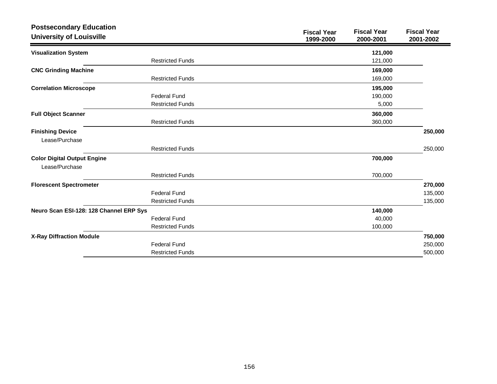| <b>Postsecondary Education</b><br><b>University of Louisville</b> |                         | <b>Fiscal Year</b><br>1999-2000 | <b>Fiscal Year</b><br>2000-2001 | <b>Fiscal Year</b><br>2001-2002 |
|-------------------------------------------------------------------|-------------------------|---------------------------------|---------------------------------|---------------------------------|
| <b>Visualization System</b>                                       |                         |                                 | 121,000                         |                                 |
|                                                                   | <b>Restricted Funds</b> |                                 | 121,000                         |                                 |
| <b>CNC Grinding Machine</b>                                       |                         |                                 | 169,000                         |                                 |
|                                                                   | <b>Restricted Funds</b> |                                 | 169,000                         |                                 |
| <b>Correlation Microscope</b>                                     |                         |                                 | 195,000                         |                                 |
|                                                                   | <b>Federal Fund</b>     |                                 | 190,000                         |                                 |
|                                                                   | <b>Restricted Funds</b> |                                 | 5,000                           |                                 |
| <b>Full Object Scanner</b>                                        |                         |                                 | 360,000                         |                                 |
|                                                                   | <b>Restricted Funds</b> |                                 | 360,000                         |                                 |
| <b>Finishing Device</b>                                           |                         |                                 |                                 | 250,000                         |
| Lease/Purchase                                                    |                         |                                 |                                 |                                 |
|                                                                   | <b>Restricted Funds</b> |                                 |                                 | 250,000                         |
| <b>Color Digital Output Engine</b>                                |                         |                                 | 700,000                         |                                 |
| Lease/Purchase                                                    |                         |                                 |                                 |                                 |
|                                                                   | <b>Restricted Funds</b> |                                 | 700,000                         |                                 |
| <b>Florescent Spectrometer</b>                                    |                         |                                 |                                 | 270,000                         |
|                                                                   | <b>Federal Fund</b>     |                                 |                                 | 135,000                         |
|                                                                   | <b>Restricted Funds</b> |                                 |                                 | 135,000                         |
| Neuro Scan ESI-128: 128 Channel ERP Sys                           |                         |                                 | 140,000                         |                                 |
|                                                                   | <b>Federal Fund</b>     |                                 | 40,000                          |                                 |
|                                                                   | <b>Restricted Funds</b> |                                 | 100,000                         |                                 |
| <b>X-Ray Diffraction Module</b>                                   |                         |                                 |                                 | 750,000                         |
|                                                                   | <b>Federal Fund</b>     |                                 |                                 | 250,000                         |
|                                                                   | <b>Restricted Funds</b> |                                 |                                 | 500,000                         |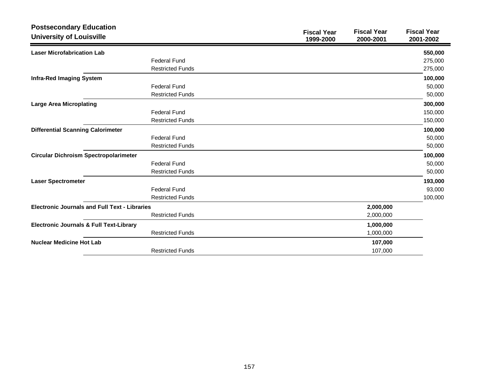| <b>Postsecondary Education</b><br><b>University of Louisville</b> |                         | <b>Fiscal Year</b><br>1999-2000 | <b>Fiscal Year</b><br>2000-2001 | <b>Fiscal Year</b><br>2001-2002 |
|-------------------------------------------------------------------|-------------------------|---------------------------------|---------------------------------|---------------------------------|
| <b>Laser Microfabrication Lab</b>                                 |                         |                                 |                                 | 550,000                         |
|                                                                   | <b>Federal Fund</b>     |                                 |                                 | 275,000                         |
|                                                                   | <b>Restricted Funds</b> |                                 |                                 | 275,000                         |
| <b>Infra-Red Imaging System</b>                                   |                         |                                 |                                 | 100,000                         |
|                                                                   | <b>Federal Fund</b>     |                                 |                                 | 50,000                          |
|                                                                   | <b>Restricted Funds</b> |                                 |                                 | 50,000                          |
| <b>Large Area Microplating</b>                                    |                         |                                 |                                 | 300,000                         |
|                                                                   | <b>Federal Fund</b>     |                                 |                                 | 150,000                         |
|                                                                   | <b>Restricted Funds</b> |                                 |                                 | 150,000                         |
| <b>Differential Scanning Calorimeter</b>                          |                         |                                 |                                 | 100,000                         |
|                                                                   | <b>Federal Fund</b>     |                                 |                                 | 50,000                          |
|                                                                   | <b>Restricted Funds</b> |                                 |                                 | 50,000                          |
| <b>Circular Dichroism Spectropolarimeter</b>                      |                         |                                 |                                 | 100,000                         |
|                                                                   | <b>Federal Fund</b>     |                                 |                                 | 50,000                          |
|                                                                   | <b>Restricted Funds</b> |                                 |                                 | 50,000                          |
| <b>Laser Spectrometer</b>                                         |                         |                                 |                                 | 193,000                         |
|                                                                   | <b>Federal Fund</b>     |                                 |                                 | 93,000                          |
|                                                                   | <b>Restricted Funds</b> |                                 |                                 | 100,000                         |
| <b>Electronic Journals and Full Text - Libraries</b>              |                         |                                 | 2,000,000                       |                                 |
|                                                                   | <b>Restricted Funds</b> |                                 | 2,000,000                       |                                 |
| <b>Electronic Journals &amp; Full Text-Library</b>                |                         |                                 | 1,000,000                       |                                 |
|                                                                   | <b>Restricted Funds</b> |                                 | 1,000,000                       |                                 |
| <b>Nuclear Medicine Hot Lab</b>                                   |                         |                                 | 107,000                         |                                 |
|                                                                   | <b>Restricted Funds</b> |                                 | 107,000                         |                                 |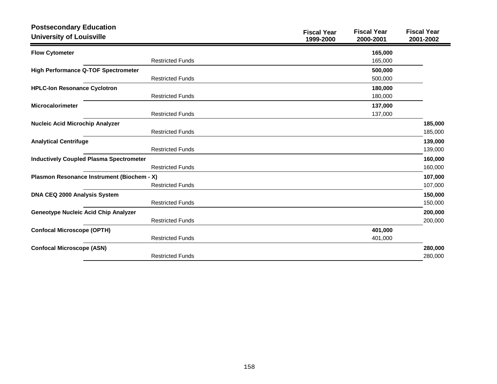| <b>Postsecondary Education</b><br><b>University of Louisville</b> |                         | <b>Fiscal Year</b><br>1999-2000 | <b>Fiscal Year</b><br>2000-2001 | <b>Fiscal Year</b><br>2001-2002 |
|-------------------------------------------------------------------|-------------------------|---------------------------------|---------------------------------|---------------------------------|
| <b>Flow Cytometer</b>                                             |                         |                                 | 165,000                         |                                 |
|                                                                   | <b>Restricted Funds</b> |                                 | 165,000                         |                                 |
| <b>High Performance Q-TOF Spectrometer</b>                        |                         |                                 | 500,000                         |                                 |
|                                                                   | <b>Restricted Funds</b> |                                 | 500,000                         |                                 |
| <b>HPLC-Ion Resonance Cyclotron</b>                               |                         |                                 | 180,000                         |                                 |
|                                                                   | <b>Restricted Funds</b> |                                 | 180,000                         |                                 |
| <b>Microcalorimeter</b>                                           |                         |                                 | 137,000                         |                                 |
|                                                                   | <b>Restricted Funds</b> |                                 | 137,000                         |                                 |
| <b>Nucleic Acid Microchip Analyzer</b>                            |                         |                                 |                                 | 185,000                         |
|                                                                   | <b>Restricted Funds</b> |                                 |                                 | 185,000                         |
| <b>Analytical Centrifuge</b>                                      |                         |                                 |                                 | 139,000                         |
|                                                                   | <b>Restricted Funds</b> |                                 |                                 | 139,000                         |
| <b>Inductively Coupled Plasma Spectrometer</b>                    |                         |                                 |                                 | 160,000                         |
|                                                                   | <b>Restricted Funds</b> |                                 |                                 | 160,000                         |
| Plasmon Resonance Instrument (Biochem - X)                        |                         |                                 |                                 | 107,000                         |
|                                                                   | <b>Restricted Funds</b> |                                 |                                 | 107,000                         |
| DNA CEQ 2000 Analysis System                                      |                         |                                 |                                 | 150,000                         |
|                                                                   | <b>Restricted Funds</b> |                                 |                                 | 150,000                         |
| <b>Geneotype Nucleic Acid Chip Analyzer</b>                       |                         |                                 |                                 | 200,000                         |
|                                                                   | <b>Restricted Funds</b> |                                 |                                 | 200,000                         |
| <b>Confocal Microscope (OPTH)</b>                                 |                         |                                 | 401,000                         |                                 |
|                                                                   | <b>Restricted Funds</b> |                                 | 401,000                         |                                 |
| <b>Confocal Microscope (ASN)</b>                                  |                         |                                 |                                 | 280,000                         |
|                                                                   | <b>Restricted Funds</b> |                                 |                                 | 280,000                         |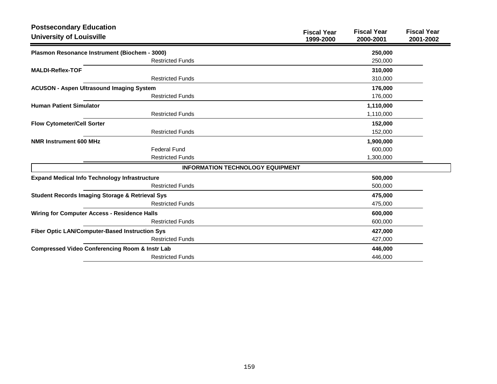| <b>Postsecondary Education</b><br><b>University of Louisville</b> | <b>Fiscal Year</b><br>1999-2000         | <b>Fiscal Year</b><br>2000-2001 | <b>Fiscal Year</b><br>2001-2002 |
|-------------------------------------------------------------------|-----------------------------------------|---------------------------------|---------------------------------|
|                                                                   |                                         |                                 |                                 |
| Plasmon Resonance Instrument (Biochem - 3000)                     |                                         | 250,000                         |                                 |
| <b>Restricted Funds</b>                                           |                                         | 250,000                         |                                 |
| <b>MALDI-Reflex-TOF</b>                                           |                                         | 310,000                         |                                 |
| <b>Restricted Funds</b>                                           |                                         | 310,000                         |                                 |
| <b>ACUSON - Aspen Ultrasound Imaging System</b>                   |                                         | 176,000                         |                                 |
| <b>Restricted Funds</b>                                           |                                         | 176,000                         |                                 |
| <b>Human Patient Simulator</b>                                    |                                         | 1,110,000                       |                                 |
| <b>Restricted Funds</b>                                           |                                         | 1,110,000                       |                                 |
| <b>Flow Cytometer/Cell Sorter</b>                                 |                                         | 152,000                         |                                 |
| <b>Restricted Funds</b>                                           |                                         | 152,000                         |                                 |
| <b>NMR Instrument 600 MHz</b>                                     |                                         | 1,900,000                       |                                 |
| <b>Federal Fund</b>                                               |                                         | 600,000                         |                                 |
| <b>Restricted Funds</b>                                           |                                         | 1,300,000                       |                                 |
|                                                                   | <b>INFORMATION TECHNOLOGY EQUIPMENT</b> |                                 |                                 |
| <b>Expand Medical Info Technology Infrastructure</b>              |                                         | 500,000                         |                                 |
| <b>Restricted Funds</b>                                           |                                         | 500,000                         |                                 |
| <b>Student Records Imaging Storage &amp; Retrieval Sys</b>        |                                         | 475,000                         |                                 |
| <b>Restricted Funds</b>                                           |                                         | 475,000                         |                                 |
| <b>Wiring for Computer Access - Residence Halls</b>               |                                         | 600,000                         |                                 |
| <b>Restricted Funds</b>                                           |                                         | 600,000                         |                                 |
| Fiber Optic LAN/Computer-Based Instruction Sys                    |                                         | 427,000                         |                                 |
| <b>Restricted Funds</b>                                           |                                         | 427,000                         |                                 |
| <b>Compressed Video Conferencing Room &amp; Instr Lab</b>         |                                         | 446,000                         |                                 |
| <b>Restricted Funds</b>                                           |                                         | 446,000                         |                                 |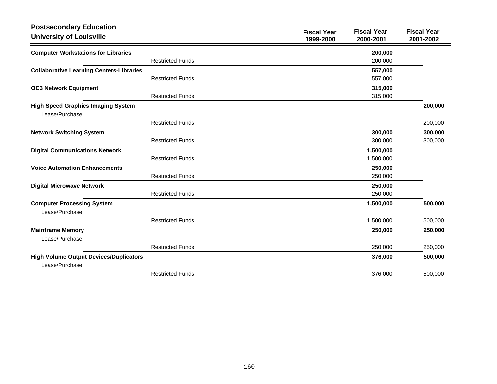| <b>Postsecondary Education</b><br><b>University of Louisville</b> |                         | <b>Fiscal Year</b><br>1999-2000 | <b>Fiscal Year</b><br>2000-2001 | <b>Fiscal Year</b><br>2001-2002 |
|-------------------------------------------------------------------|-------------------------|---------------------------------|---------------------------------|---------------------------------|
| <b>Computer Workstations for Libraries</b>                        |                         |                                 | 200,000                         |                                 |
|                                                                   | <b>Restricted Funds</b> |                                 | 200,000                         |                                 |
| <b>Collaborative Learning Centers-Libraries</b>                   |                         |                                 | 557,000                         |                                 |
|                                                                   | <b>Restricted Funds</b> |                                 | 557,000                         |                                 |
| <b>OC3 Network Equipment</b>                                      |                         |                                 | 315,000                         |                                 |
|                                                                   | <b>Restricted Funds</b> |                                 | 315,000                         |                                 |
| <b>High Speed Graphics Imaging System</b><br>Lease/Purchase       |                         |                                 |                                 | 200,000                         |
|                                                                   | <b>Restricted Funds</b> |                                 |                                 | 200,000                         |
| <b>Network Switching System</b>                                   |                         |                                 | 300,000                         | 300,000                         |
|                                                                   | <b>Restricted Funds</b> |                                 | 300,000                         | 300,000                         |
| <b>Digital Communications Network</b>                             |                         |                                 | 1,500,000                       |                                 |
|                                                                   | <b>Restricted Funds</b> |                                 | 1,500,000                       |                                 |
| <b>Voice Automation Enhancements</b>                              |                         |                                 | 250,000                         |                                 |
|                                                                   | <b>Restricted Funds</b> |                                 | 250,000                         |                                 |
| <b>Digital Microwave Network</b>                                  |                         |                                 | 250,000                         |                                 |
|                                                                   | <b>Restricted Funds</b> |                                 | 250,000                         |                                 |
| <b>Computer Processing System</b><br>Lease/Purchase               |                         |                                 | 1,500,000                       | 500,000                         |
|                                                                   | <b>Restricted Funds</b> |                                 | 1,500,000                       | 500,000                         |
| <b>Mainframe Memory</b><br>Lease/Purchase                         |                         |                                 | 250,000                         | 250,000                         |
|                                                                   | <b>Restricted Funds</b> |                                 | 250,000                         | 250,000                         |
| <b>High Volume Output Devices/Duplicators</b><br>Lease/Purchase   |                         |                                 | 376,000                         | 500,000                         |
|                                                                   | <b>Restricted Funds</b> |                                 | 376,000                         | 500,000                         |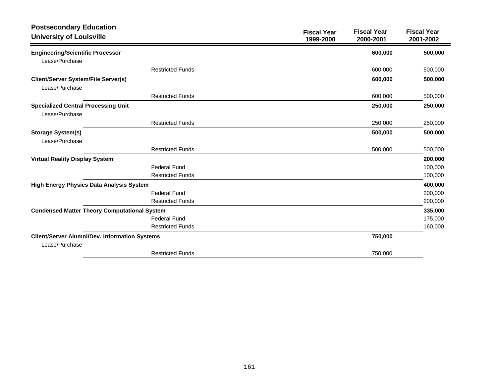| <b>Postsecondary Education</b><br><b>University of Louisville</b> |                         | <b>Fiscal Year</b><br>1999-2000 | <b>Fiscal Year</b><br>2000-2001 | <b>Fiscal Year</b><br>2001-2002 |
|-------------------------------------------------------------------|-------------------------|---------------------------------|---------------------------------|---------------------------------|
| <b>Engineering/Scientific Processor</b>                           |                         |                                 | 600,000                         | 500,000                         |
| Lease/Purchase                                                    |                         |                                 |                                 |                                 |
|                                                                   | <b>Restricted Funds</b> |                                 | 600,000                         | 500,000                         |
| <b>Client/Server System/File Server(s)</b>                        |                         |                                 | 600,000                         | 500,000                         |
| Lease/Purchase                                                    |                         |                                 |                                 |                                 |
|                                                                   | <b>Restricted Funds</b> |                                 | 600,000                         | 500,000                         |
| <b>Specialized Central Processing Unit</b><br>Lease/Purchase      |                         |                                 | 250,000                         | 250,000                         |
|                                                                   | <b>Restricted Funds</b> |                                 | 250,000                         | 250,000                         |
| <b>Storage System(s)</b><br>Lease/Purchase                        |                         |                                 | 500,000                         | 500,000                         |
|                                                                   | <b>Restricted Funds</b> |                                 | 500,000                         | 500,000                         |
| <b>Virtual Reality Display System</b>                             |                         |                                 |                                 | 200,000                         |
|                                                                   | <b>Federal Fund</b>     |                                 |                                 | 100,000                         |
|                                                                   | <b>Restricted Funds</b> |                                 |                                 | 100,000                         |
| High Energy Physics Data Analysis System                          |                         |                                 |                                 | 400,000                         |
|                                                                   | <b>Federal Fund</b>     |                                 |                                 | 200,000                         |
|                                                                   | <b>Restricted Funds</b> |                                 |                                 | 200,000                         |
| <b>Condensed Matter Theory Computational System</b>               |                         |                                 |                                 | 335,000                         |
|                                                                   | <b>Federal Fund</b>     |                                 |                                 | 175,000                         |
|                                                                   | <b>Restricted Funds</b> |                                 |                                 | 160,000                         |
| <b>Client/Server Alumni/Dev. Information Systems</b>              |                         |                                 | 750,000                         |                                 |
| Lease/Purchase                                                    |                         |                                 |                                 |                                 |
|                                                                   | <b>Restricted Funds</b> |                                 | 750,000                         |                                 |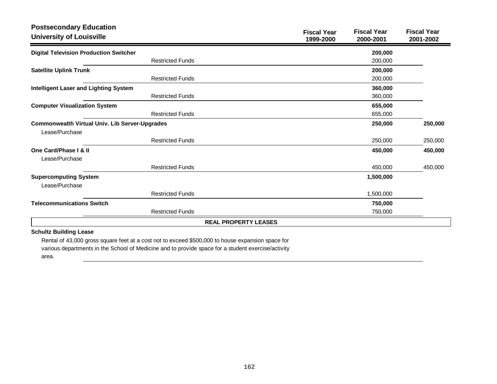| <b>Postsecondary Education</b><br><b>University of Louisville</b>                                                                  | <b>Fiscal Year</b><br>1999-2000 | <b>Fiscal Year</b><br>2000-2001 | <b>Fiscal Year</b><br>2001-2002 |
|------------------------------------------------------------------------------------------------------------------------------------|---------------------------------|---------------------------------|---------------------------------|
| <b>Digital Television Production Switcher</b>                                                                                      |                                 | 200,000                         |                                 |
| <b>Restricted Funds</b>                                                                                                            |                                 | 200,000                         |                                 |
| <b>Satellite Uplink Trunk</b>                                                                                                      |                                 | 200,000                         |                                 |
| <b>Restricted Funds</b>                                                                                                            |                                 | 200,000                         |                                 |
| <b>Intelligent Laser and Lighting System</b>                                                                                       |                                 | 360,000                         |                                 |
| <b>Restricted Funds</b>                                                                                                            |                                 | 360,000                         |                                 |
| <b>Computer Visualization System</b>                                                                                               |                                 | 655,000                         |                                 |
| <b>Restricted Funds</b>                                                                                                            |                                 | 655,000                         |                                 |
| <b>Commonwealth Virtual Univ. Lib Server-Upgrades</b>                                                                              |                                 | 250,000                         | 250,000                         |
| Lease/Purchase                                                                                                                     |                                 |                                 |                                 |
| <b>Restricted Funds</b>                                                                                                            |                                 | 250,000                         | 250,000                         |
| One Card/Phase I & II                                                                                                              |                                 | 450,000                         | 450,000                         |
| Lease/Purchase                                                                                                                     |                                 |                                 |                                 |
| <b>Restricted Funds</b>                                                                                                            |                                 | 450,000                         | 450,000                         |
| <b>Supercomputing System</b>                                                                                                       |                                 | 1,500,000                       |                                 |
| Lease/Purchase                                                                                                                     |                                 |                                 |                                 |
| <b>Restricted Funds</b>                                                                                                            |                                 | 1,500,000                       |                                 |
| <b>Telecommunications Switch</b>                                                                                                   |                                 | 750,000                         |                                 |
| <b>Restricted Funds</b>                                                                                                            |                                 | 750,000                         |                                 |
|                                                                                                                                    | <b>REAL PROPERTY LEASES</b>     |                                 |                                 |
| <b>Schultz Building Lease</b><br>Rental of 43,000 gross square feet at a cost not to exceed \$500,000 to bouse expansion space for |                                 |                                 |                                 |

Rental of 43,000 gross square feet at a cost not to exceed \$500,000 to house expansion space for various departments in the School of Medicine and to provide space for a student exercise/activity

area.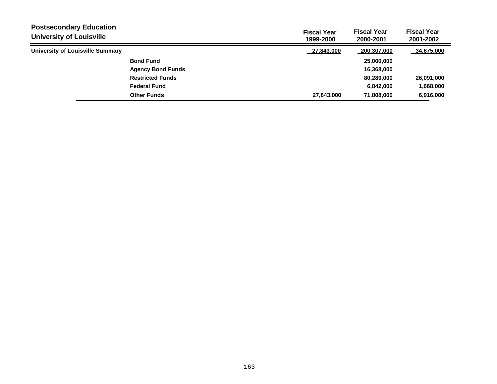| <b>Postsecondary Education</b><br><b>University of Louisville</b> |                          | <b>Fiscal Year</b><br>1999-2000 | <b>Fiscal Year</b><br>2000-2001 | <b>Fiscal Year</b><br>2001-2002 |
|-------------------------------------------------------------------|--------------------------|---------------------------------|---------------------------------|---------------------------------|
| University of Louisville Summary                                  |                          | 27,843,000                      | 200,307,000                     | 34,675,000                      |
|                                                                   | <b>Bond Fund</b>         |                                 | 25,000,000                      |                                 |
|                                                                   | <b>Agency Bond Funds</b> |                                 | 16,368,000                      |                                 |
|                                                                   | <b>Restricted Funds</b>  |                                 | 80,289,000                      | 26,091,000                      |
|                                                                   | <b>Federal Fund</b>      |                                 | 6,842,000                       | 1,668,000                       |
|                                                                   | <b>Other Funds</b>       | 27,843,000                      | 71,808,000                      | 6,916,000                       |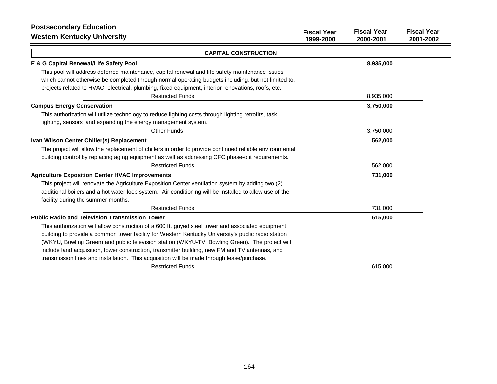| <b>Postsecondary Education</b>                                                                          |                                 |                                 |                                 |
|---------------------------------------------------------------------------------------------------------|---------------------------------|---------------------------------|---------------------------------|
| <b>Western Kentucky University</b>                                                                      | <b>Fiscal Year</b><br>1999-2000 | <b>Fiscal Year</b><br>2000-2001 | <b>Fiscal Year</b><br>2001-2002 |
| <b>CAPITAL CONSTRUCTION</b>                                                                             |                                 |                                 |                                 |
| E & G Capital Renewal/Life Safety Pool                                                                  |                                 | 8,935,000                       |                                 |
| This pool will address deferred maintenance, capital renewal and life safety maintenance issues         |                                 |                                 |                                 |
| which cannot otherwise be completed through normal operating budgets including, but not limited to,     |                                 |                                 |                                 |
| projects related to HVAC, electrical, plumbing, fixed equipment, interior renovations, roofs, etc.      |                                 |                                 |                                 |
| <b>Restricted Funds</b>                                                                                 |                                 | 8,935,000                       |                                 |
| <b>Campus Energy Conservation</b>                                                                       |                                 | 3,750,000                       |                                 |
| This authorization will utilize technology to reduce lighting costs through lighting retrofits, task    |                                 |                                 |                                 |
| lighting, sensors, and expanding the energy management system.                                          |                                 |                                 |                                 |
| <b>Other Funds</b>                                                                                      |                                 | 3,750,000                       |                                 |
| Ivan Wilson Center Chiller(s) Replacement                                                               |                                 | 562,000                         |                                 |
| The project will allow the replacement of chillers in order to provide continued reliable environmental |                                 |                                 |                                 |
| building control by replacing aging equipment as well as addressing CFC phase-out requirements.         |                                 |                                 |                                 |
| <b>Restricted Funds</b>                                                                                 |                                 | 562,000                         |                                 |
| <b>Agriculture Exposition Center HVAC Improvements</b>                                                  |                                 | 731,000                         |                                 |
| This project will renovate the Agriculture Exposition Center ventilation system by adding two (2)       |                                 |                                 |                                 |
| additional boilers and a hot water loop system. Air conditioning will be installed to allow use of the  |                                 |                                 |                                 |
| facility during the summer months.                                                                      |                                 |                                 |                                 |
| <b>Restricted Funds</b>                                                                                 |                                 | 731,000                         |                                 |
| <b>Public Radio and Television Transmission Tower</b>                                                   |                                 | 615,000                         |                                 |
| This authorization will allow construction of a 600 ft. guyed steel tower and associated equipment      |                                 |                                 |                                 |
| building to provide a common tower facility for Western Kentucky University's public radio station      |                                 |                                 |                                 |
| (WKYU, Bowling Green) and public television station (WKYU-TV, Bowling Green). The project will          |                                 |                                 |                                 |
| include land acquisition, tower construction, transmitter building, new FM and TV antennas, and         |                                 |                                 |                                 |
| transmission lines and installation. This acquisition will be made through lease/purchase.              |                                 |                                 |                                 |
| <b>Restricted Funds</b>                                                                                 |                                 | 615,000                         |                                 |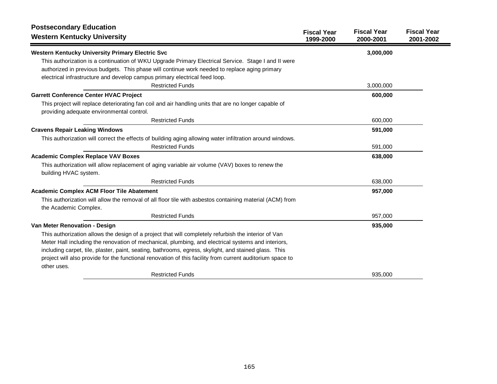| <b>Postsecondary Education</b>                                                                                                                     |                                 |                                 |                                 |
|----------------------------------------------------------------------------------------------------------------------------------------------------|---------------------------------|---------------------------------|---------------------------------|
| <b>Western Kentucky University</b>                                                                                                                 | <b>Fiscal Year</b><br>1999-2000 | <b>Fiscal Year</b><br>2000-2001 | <b>Fiscal Year</b><br>2001-2002 |
| Western Kentucky University Primary Electric Svc                                                                                                   |                                 | 3,000,000                       |                                 |
| This authorization is a continuation of WKU Upgrade Primary Electrical Service. Stage I and II were                                                |                                 |                                 |                                 |
| authorized in previous budgets. This phase will continue work needed to replace aging primary                                                      |                                 |                                 |                                 |
| electrical infrastructure and develop campus primary electrical feed loop.                                                                         |                                 |                                 |                                 |
| <b>Restricted Funds</b>                                                                                                                            |                                 | 3,000,000                       |                                 |
| <b>Garrett Conference Center HVAC Project</b>                                                                                                      |                                 | 600,000                         |                                 |
| This project will replace deteriorating fan coil and air handling units that are no longer capable of<br>providing adequate environmental control. |                                 |                                 |                                 |
| <b>Restricted Funds</b>                                                                                                                            |                                 | 600,000                         |                                 |
| <b>Cravens Repair Leaking Windows</b>                                                                                                              |                                 | 591,000                         |                                 |
| This authorization will correct the effects of building aging allowing water infiltration around windows.                                          |                                 |                                 |                                 |
| <b>Restricted Funds</b>                                                                                                                            |                                 | 591,000                         |                                 |
| <b>Academic Complex Replace VAV Boxes</b>                                                                                                          |                                 | 638,000                         |                                 |
| This authorization will allow replacement of aging variable air volume (VAV) boxes to renew the                                                    |                                 |                                 |                                 |
| building HVAC system.                                                                                                                              |                                 |                                 |                                 |
| <b>Restricted Funds</b>                                                                                                                            |                                 | 638,000                         |                                 |
| <b>Academic Complex ACM Floor Tile Abatement</b>                                                                                                   |                                 | 957,000                         |                                 |
| This authorization will allow the removal of all floor tile with asbestos containing material (ACM) from<br>the Academic Complex.                  |                                 |                                 |                                 |
| <b>Restricted Funds</b>                                                                                                                            |                                 | 957,000                         |                                 |
| Van Meter Renovation - Design                                                                                                                      |                                 | 935,000                         |                                 |
| This authorization allows the design of a project that will completely refurbish the interior of Van                                               |                                 |                                 |                                 |
| Meter Hall including the renovation of mechanical, plumbing, and electrical systems and interiors,                                                 |                                 |                                 |                                 |
| including carpet, tile, plaster, paint, seating, bathrooms, egress, skylight, and stained glass. This                                              |                                 |                                 |                                 |
| project will also provide for the functional renovation of this facility from current auditorium space to<br>other uses.                           |                                 |                                 |                                 |
| <b>Restricted Funds</b>                                                                                                                            |                                 | 935,000                         |                                 |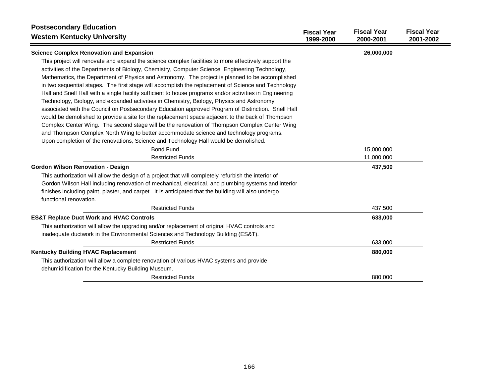| <b>Postsecondary Education</b><br><b>Western Kentucky University</b>                                                                                                                                                                                                                                                                                                                                                                                                                                                                                                                                                                                                                                                                                                                                                                                                                                                                | <b>Fiscal Year</b><br>1999-2000 | <b>Fiscal Year</b><br>2000-2001 | <b>Fiscal Year</b><br>2001-2002 |
|-------------------------------------------------------------------------------------------------------------------------------------------------------------------------------------------------------------------------------------------------------------------------------------------------------------------------------------------------------------------------------------------------------------------------------------------------------------------------------------------------------------------------------------------------------------------------------------------------------------------------------------------------------------------------------------------------------------------------------------------------------------------------------------------------------------------------------------------------------------------------------------------------------------------------------------|---------------------------------|---------------------------------|---------------------------------|
| <b>Science Complex Renovation and Expansion</b>                                                                                                                                                                                                                                                                                                                                                                                                                                                                                                                                                                                                                                                                                                                                                                                                                                                                                     |                                 | 26,000,000                      |                                 |
| This project will renovate and expand the science complex facilities to more effectively support the<br>activities of the Departments of Biology, Chemistry, Computer Science, Engineering Technology,<br>Mathematics, the Department of Physics and Astronomy. The project is planned to be accomplished<br>in two sequential stages. The first stage will accomplish the replacement of Science and Technology<br>Hall and Snell Hall with a single facility sufficient to house programs and/or activities in Engineering<br>Technology, Biology, and expanded activities in Chemistry, Biology, Physics and Astronomy<br>associated with the Council on Postsecondary Education approved Program of Distinction. Snell Hall<br>would be demolished to provide a site for the replacement space adjacent to the back of Thompson<br>Complex Center Wing. The second stage will be the renovation of Thompson Complex Center Wing |                                 |                                 |                                 |
| and Thompson Complex North Wing to better accommodate science and technology programs.                                                                                                                                                                                                                                                                                                                                                                                                                                                                                                                                                                                                                                                                                                                                                                                                                                              |                                 |                                 |                                 |
| Upon completion of the renovations, Science and Technology Hall would be demolished.                                                                                                                                                                                                                                                                                                                                                                                                                                                                                                                                                                                                                                                                                                                                                                                                                                                |                                 |                                 |                                 |
| <b>Bond Fund</b>                                                                                                                                                                                                                                                                                                                                                                                                                                                                                                                                                                                                                                                                                                                                                                                                                                                                                                                    |                                 | 15,000,000                      |                                 |
| <b>Restricted Funds</b>                                                                                                                                                                                                                                                                                                                                                                                                                                                                                                                                                                                                                                                                                                                                                                                                                                                                                                             |                                 | 11,000,000                      |                                 |
| <b>Gordon Wilson Renovation - Design</b>                                                                                                                                                                                                                                                                                                                                                                                                                                                                                                                                                                                                                                                                                                                                                                                                                                                                                            |                                 | 437,500                         |                                 |
| This authorization will allow the design of a project that will completely refurbish the interior of                                                                                                                                                                                                                                                                                                                                                                                                                                                                                                                                                                                                                                                                                                                                                                                                                                |                                 |                                 |                                 |
| Gordon Wilson Hall including renovation of mechanical, electrical, and plumbing systems and interior<br>finishes including paint, plaster, and carpet. It is anticipated that the building will also undergo<br>functional renovation.                                                                                                                                                                                                                                                                                                                                                                                                                                                                                                                                                                                                                                                                                              |                                 |                                 |                                 |
| <b>Restricted Funds</b>                                                                                                                                                                                                                                                                                                                                                                                                                                                                                                                                                                                                                                                                                                                                                                                                                                                                                                             |                                 | 437,500                         |                                 |
| <b>ES&amp;T Replace Duct Work and HVAC Controls</b>                                                                                                                                                                                                                                                                                                                                                                                                                                                                                                                                                                                                                                                                                                                                                                                                                                                                                 |                                 | 633,000                         |                                 |
| This authorization will allow the upgrading and/or replacement of original HVAC controls and                                                                                                                                                                                                                                                                                                                                                                                                                                                                                                                                                                                                                                                                                                                                                                                                                                        |                                 |                                 |                                 |
| inadequate ductwork in the Environmental Sciences and Technology Building (ES&T).                                                                                                                                                                                                                                                                                                                                                                                                                                                                                                                                                                                                                                                                                                                                                                                                                                                   |                                 |                                 |                                 |
| <b>Restricted Funds</b>                                                                                                                                                                                                                                                                                                                                                                                                                                                                                                                                                                                                                                                                                                                                                                                                                                                                                                             |                                 | 633,000                         |                                 |
| Kentucky Building HVAC Replacement                                                                                                                                                                                                                                                                                                                                                                                                                                                                                                                                                                                                                                                                                                                                                                                                                                                                                                  |                                 | 880,000                         |                                 |
| This authorization will allow a complete renovation of various HVAC systems and provide                                                                                                                                                                                                                                                                                                                                                                                                                                                                                                                                                                                                                                                                                                                                                                                                                                             |                                 |                                 |                                 |
| dehumidification for the Kentucky Building Museum.                                                                                                                                                                                                                                                                                                                                                                                                                                                                                                                                                                                                                                                                                                                                                                                                                                                                                  |                                 |                                 |                                 |
| <b>Restricted Funds</b>                                                                                                                                                                                                                                                                                                                                                                                                                                                                                                                                                                                                                                                                                                                                                                                                                                                                                                             |                                 | 880,000                         |                                 |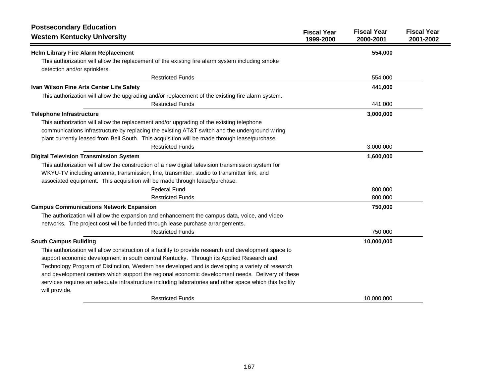| <b>Postsecondary Education</b><br><b>Western Kentucky University</b>                                                     | <b>Fiscal Year</b><br>1999-2000 | <b>Fiscal Year</b><br>2000-2001 | <b>Fiscal Year</b><br>2001-2002 |
|--------------------------------------------------------------------------------------------------------------------------|---------------------------------|---------------------------------|---------------------------------|
| <b>Helm Library Fire Alarm Replacement</b>                                                                               |                                 | 554,000                         |                                 |
| This authorization will allow the replacement of the existing fire alarm system including smoke                          |                                 |                                 |                                 |
| detection and/or sprinklers.                                                                                             |                                 |                                 |                                 |
| <b>Restricted Funds</b>                                                                                                  |                                 | 554,000                         |                                 |
| Ivan Wilson Fine Arts Center Life Safety                                                                                 |                                 | 441,000                         |                                 |
| This authorization will allow the upgrading and/or replacement of the existing fire alarm system.                        |                                 |                                 |                                 |
| <b>Restricted Funds</b>                                                                                                  |                                 | 441,000                         |                                 |
| <b>Telephone Infrastructure</b>                                                                                          |                                 | 3,000,000                       |                                 |
| This authorization will allow the replacement and/or upgrading of the existing telephone                                 |                                 |                                 |                                 |
| communications infrastructure by replacing the existing AT&T switch and the underground wiring                           |                                 |                                 |                                 |
| plant currently leased from Bell South. This acquisition will be made through lease/purchase.                            |                                 |                                 |                                 |
| <b>Restricted Funds</b>                                                                                                  |                                 | 3,000,000                       |                                 |
| <b>Digital Television Transmission System</b>                                                                            |                                 | 1,600,000                       |                                 |
| This authorization will allow the construction of a new digital television transmission system for                       |                                 |                                 |                                 |
| WKYU-TV including antenna, transmission, line, transmitter, studio to transmitter link, and                              |                                 |                                 |                                 |
| associated equipment. This acquisition will be made through lease/purchase.                                              |                                 |                                 |                                 |
| <b>Federal Fund</b>                                                                                                      |                                 | 800,000                         |                                 |
| <b>Restricted Funds</b>                                                                                                  |                                 | 800,000                         |                                 |
| <b>Campus Communications Network Expansion</b>                                                                           |                                 | 750,000                         |                                 |
| The authorization will allow the expansion and enhancement the campus data, voice, and video                             |                                 |                                 |                                 |
| networks. The project cost will be funded through lease purchase arrangements.                                           |                                 |                                 |                                 |
| <b>Restricted Funds</b>                                                                                                  |                                 | 750,000                         |                                 |
| <b>South Campus Building</b>                                                                                             |                                 | 10,000,000                      |                                 |
| This authorization will allow construction of a facility to provide research and development space to                    |                                 |                                 |                                 |
| support economic development in south central Kentucky. Through its Applied Research and                                 |                                 |                                 |                                 |
| Technology Program of Distinction, Western has developed and is developing a variety of research                         |                                 |                                 |                                 |
| and development centers which support the regional economic development needs. Delivery of these                         |                                 |                                 |                                 |
| services requires an adequate infrastructure including laboratories and other space which this facility<br>will provide. |                                 |                                 |                                 |
| <b>Restricted Funds</b>                                                                                                  |                                 | 10,000,000                      |                                 |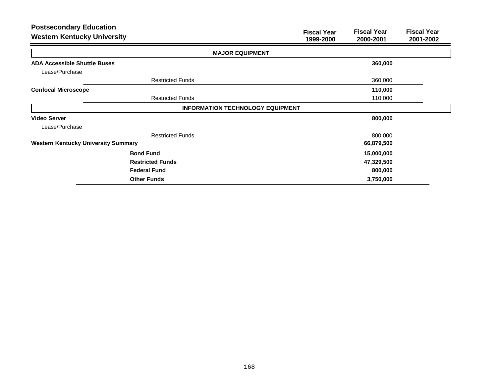| <b>Postsecondary Education</b><br><b>Western Kentucky University</b> | <b>Fiscal Year</b><br><b>Fiscal Year</b><br><b>Fiscal Year</b><br>1999-2000<br>2001-2002<br>2000-2001 |
|----------------------------------------------------------------------|-------------------------------------------------------------------------------------------------------|
|                                                                      | <b>MAJOR EQUIPMENT</b>                                                                                |
| <b>ADA Accessible Shuttle Buses</b>                                  | 360,000                                                                                               |
| Lease/Purchase                                                       |                                                                                                       |
| <b>Restricted Funds</b>                                              | 360,000                                                                                               |
| <b>Confocal Microscope</b>                                           | 110,000                                                                                               |
| <b>Restricted Funds</b>                                              | 110,000                                                                                               |
|                                                                      | <b>INFORMATION TECHNOLOGY EQUIPMENT</b>                                                               |
| <b>Video Server</b>                                                  | 800,000                                                                                               |
| Lease/Purchase                                                       |                                                                                                       |
| <b>Restricted Funds</b>                                              | 800,000                                                                                               |
| <b>Western Kentucky University Summary</b>                           | 66,879,500                                                                                            |
| <b>Bond Fund</b>                                                     | 15,000,000                                                                                            |
| <b>Restricted Funds</b>                                              | 47,329,500                                                                                            |
| <b>Federal Fund</b>                                                  | 800,000                                                                                               |
| <b>Other Funds</b>                                                   | 3,750,000                                                                                             |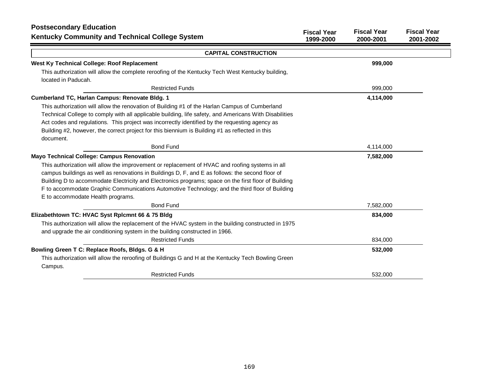| <b>Postsecondary Education</b><br>Kentucky Community and Technical College System                                                                                                                                                                                                                                                                                                                                          | <b>Fiscal Year</b><br>1999-2000 | <b>Fiscal Year</b><br>2000-2001 | <b>Fiscal Year</b><br>2001-2002 |
|----------------------------------------------------------------------------------------------------------------------------------------------------------------------------------------------------------------------------------------------------------------------------------------------------------------------------------------------------------------------------------------------------------------------------|---------------------------------|---------------------------------|---------------------------------|
| <b>CAPITAL CONSTRUCTION</b>                                                                                                                                                                                                                                                                                                                                                                                                |                                 |                                 |                                 |
| West Ky Technical College: Roof Replacement                                                                                                                                                                                                                                                                                                                                                                                |                                 | 999,000                         |                                 |
| This authorization will allow the complete reroofing of the Kentucky Tech West Kentucky building,<br>located in Paducah.                                                                                                                                                                                                                                                                                                   |                                 |                                 |                                 |
| <b>Restricted Funds</b>                                                                                                                                                                                                                                                                                                                                                                                                    |                                 | 999,000                         |                                 |
| Cumberland TC, Harlan Campus: Renovate Bldg. 1                                                                                                                                                                                                                                                                                                                                                                             |                                 | 4,114,000                       |                                 |
| This authorization will allow the renovation of Building #1 of the Harlan Campus of Cumberland<br>Technical College to comply with all applicable building, life safety, and Americans With Disabilities<br>Act codes and regulations. This project was incorrectly identified by the requesting agency as<br>Building #2, however, the correct project for this biennium is Building #1 as reflected in this<br>document. |                                 |                                 |                                 |
| <b>Bond Fund</b>                                                                                                                                                                                                                                                                                                                                                                                                           |                                 | 4,114,000                       |                                 |
| <b>Mayo Technical College: Campus Renovation</b>                                                                                                                                                                                                                                                                                                                                                                           |                                 | 7,582,000                       |                                 |
| This authorization will allow the improvement or replacement of HVAC and roofing systems in all                                                                                                                                                                                                                                                                                                                            |                                 |                                 |                                 |
| campus buildings as well as renovations in Buildings D, F, and E as follows: the second floor of                                                                                                                                                                                                                                                                                                                           |                                 |                                 |                                 |
| Building D to accommodate Electricity and Electronics programs; space on the first floor of Building                                                                                                                                                                                                                                                                                                                       |                                 |                                 |                                 |
| F to accommodate Graphic Communications Automotive Technology; and the third floor of Building<br>E to accommodate Health programs.                                                                                                                                                                                                                                                                                        |                                 |                                 |                                 |
| <b>Bond Fund</b>                                                                                                                                                                                                                                                                                                                                                                                                           |                                 | 7,582,000                       |                                 |
| Elizabethtown TC: HVAC Syst Rplcmnt 66 & 75 Bldg                                                                                                                                                                                                                                                                                                                                                                           |                                 | 834,000                         |                                 |
| This authorization will allow the replacement of the HVAC system in the building constructed in 1975<br>and upgrade the air conditioning system in the building constructed in 1966.                                                                                                                                                                                                                                       |                                 |                                 |                                 |
| <b>Restricted Funds</b>                                                                                                                                                                                                                                                                                                                                                                                                    |                                 | 834,000                         |                                 |
| Bowling Green T C: Replace Roofs, Bldgs. G & H                                                                                                                                                                                                                                                                                                                                                                             |                                 | 532,000                         |                                 |
| This authorization will allow the reroofing of Buildings G and H at the Kentucky Tech Bowling Green<br>Campus.                                                                                                                                                                                                                                                                                                             |                                 |                                 |                                 |
| <b>Restricted Funds</b>                                                                                                                                                                                                                                                                                                                                                                                                    |                                 | 532,000                         |                                 |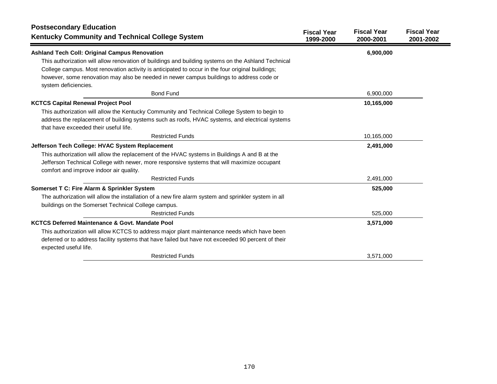| <b>Postsecondary Education</b><br><b>Kentucky Community and Technical College System</b>                                               | <b>Fiscal Year</b><br>1999-2000 | <b>Fiscal Year</b><br>2000-2001 | <b>Fiscal Year</b><br>2001-2002 |
|----------------------------------------------------------------------------------------------------------------------------------------|---------------------------------|---------------------------------|---------------------------------|
| <b>Ashland Tech Coll: Original Campus Renovation</b>                                                                                   |                                 | 6,900,000                       |                                 |
| This authorization will allow renovation of buildings and building systems on the Ashland Technical                                    |                                 |                                 |                                 |
| College campus. Most renovation activity is anticipated to occur in the four original buildings;                                       |                                 |                                 |                                 |
| however, some renovation may also be needed in newer campus buildings to address code or<br>system deficiencies.                       |                                 |                                 |                                 |
| <b>Bond Fund</b>                                                                                                                       |                                 | 6,900,000                       |                                 |
| <b>KCTCS Capital Renewal Project Pool</b>                                                                                              |                                 | 10,165,000                      |                                 |
| This authorization will allow the Kentucky Community and Technical College System to begin to                                          |                                 |                                 |                                 |
| address the replacement of building systems such as roofs, HVAC systems, and electrical systems                                        |                                 |                                 |                                 |
| that have exceeded their useful life.                                                                                                  |                                 |                                 |                                 |
| <b>Restricted Funds</b>                                                                                                                |                                 | 10,165,000                      |                                 |
| Jefferson Tech College: HVAC System Replacement                                                                                        |                                 | 2,491,000                       |                                 |
| This authorization will allow the replacement of the HVAC systems in Buildings A and B at the                                          |                                 |                                 |                                 |
| Jefferson Technical College with newer, more responsive systems that will maximize occupant<br>comfort and improve indoor air quality. |                                 |                                 |                                 |
| <b>Restricted Funds</b>                                                                                                                |                                 | 2,491,000                       |                                 |
| Somerset T C: Fire Alarm & Sprinkler System                                                                                            |                                 | 525,000                         |                                 |
| The authorization will allow the installation of a new fire alarm system and sprinkler system in all                                   |                                 |                                 |                                 |
| buildings on the Somerset Technical College campus.                                                                                    |                                 |                                 |                                 |
| <b>Restricted Funds</b>                                                                                                                |                                 | 525,000                         |                                 |
| <b>KCTCS Deferred Maintenance &amp; Govt. Mandate Pool</b>                                                                             |                                 | 3,571,000                       |                                 |
| This authorization will allow KCTCS to address major plant maintenance needs which have been                                           |                                 |                                 |                                 |
| deferred or to address facility systems that have failed but have not exceeded 90 percent of their                                     |                                 |                                 |                                 |
| expected useful life.                                                                                                                  |                                 |                                 |                                 |
| <b>Restricted Funds</b>                                                                                                                |                                 | 3,571,000                       |                                 |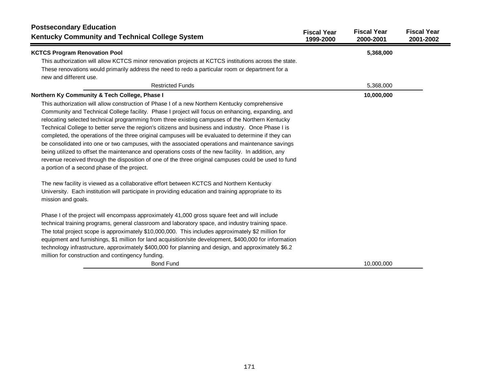| <b>Postsecondary Education</b><br><b>Kentucky Community and Technical College System</b>                                                                                                                                                                                                                                                                                                                                                                                                                                                                                                                                                                                                                                                                                                                                                                                              | <b>Fiscal Year</b><br>1999-2000 | <b>Fiscal Year</b><br>2000-2001 | <b>Fiscal Year</b><br>2001-2002 |
|---------------------------------------------------------------------------------------------------------------------------------------------------------------------------------------------------------------------------------------------------------------------------------------------------------------------------------------------------------------------------------------------------------------------------------------------------------------------------------------------------------------------------------------------------------------------------------------------------------------------------------------------------------------------------------------------------------------------------------------------------------------------------------------------------------------------------------------------------------------------------------------|---------------------------------|---------------------------------|---------------------------------|
| <b>KCTCS Program Renovation Pool</b>                                                                                                                                                                                                                                                                                                                                                                                                                                                                                                                                                                                                                                                                                                                                                                                                                                                  |                                 | 5,368,000                       |                                 |
| This authorization will allow KCTCS minor renovation projects at KCTCS institutions across the state.                                                                                                                                                                                                                                                                                                                                                                                                                                                                                                                                                                                                                                                                                                                                                                                 |                                 |                                 |                                 |
| These renovations would primarily address the need to redo a particular room or department for a<br>new and different use.                                                                                                                                                                                                                                                                                                                                                                                                                                                                                                                                                                                                                                                                                                                                                            |                                 |                                 |                                 |
| <b>Restricted Funds</b>                                                                                                                                                                                                                                                                                                                                                                                                                                                                                                                                                                                                                                                                                                                                                                                                                                                               |                                 | 5,368,000                       |                                 |
| Northern Ky Community & Tech College, Phase I                                                                                                                                                                                                                                                                                                                                                                                                                                                                                                                                                                                                                                                                                                                                                                                                                                         |                                 | 10,000,000                      |                                 |
| This authorization will allow construction of Phase I of a new Northern Kentucky comprehensive<br>Community and Technical College facility. Phase I project will focus on enhancing, expanding, and<br>relocating selected technical programming from three existing campuses of the Northern Kentucky<br>Technical College to better serve the region's citizens and business and industry. Once Phase I is<br>completed, the operations of the three original campuses will be evaluated to determine if they can<br>be consolidated into one or two campuses, with the associated operations and maintenance savings<br>being utilized to offset the maintenance and operations costs of the new facility. In addition, any<br>revenue received through the disposition of one of the three original campuses could be used to fund<br>a portion of a second phase of the project. |                                 |                                 |                                 |
| The new facility is viewed as a collaborative effort between KCTCS and Northern Kentucky<br>University. Each institution will participate in providing education and training appropriate to its<br>mission and goals.                                                                                                                                                                                                                                                                                                                                                                                                                                                                                                                                                                                                                                                                |                                 |                                 |                                 |
| Phase I of the project will encompass approximately 41,000 gross square feet and will include<br>technical training programs, general classroom and laboratory space, and industry training space.<br>The total project scope is approximately \$10,000,000. This includes approximately \$2 million for<br>equipment and furnishings, \$1 million for land acquisition/site development, \$400,000 for information<br>technology infrastructure, approximately \$400,000 for planning and design, and approximately \$6.2<br>million for construction and contingency funding.                                                                                                                                                                                                                                                                                                       |                                 |                                 |                                 |
| <b>Bond Fund</b>                                                                                                                                                                                                                                                                                                                                                                                                                                                                                                                                                                                                                                                                                                                                                                                                                                                                      |                                 | 10.000.000                      |                                 |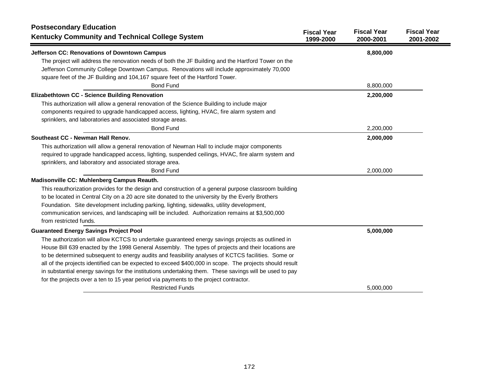| <b>Postsecondary Education</b><br><b>Kentucky Community and Technical College System</b>                                                                                                                                                              | <b>Fiscal Year</b><br>1999-2000 | <b>Fiscal Year</b><br>2000-2001 | <b>Fiscal Year</b><br>2001-2002 |
|-------------------------------------------------------------------------------------------------------------------------------------------------------------------------------------------------------------------------------------------------------|---------------------------------|---------------------------------|---------------------------------|
| Jefferson CC: Renovations of Downtown Campus<br>The project will address the renovation needs of both the JF Building and the Hartford Tower on the                                                                                                   |                                 | 8,800,000                       |                                 |
| Jefferson Community College Downtown Campus. Renovations will include approximately 70,000<br>square feet of the JF Building and 104,167 square feet of the Hartford Tower.                                                                           |                                 |                                 |                                 |
| <b>Bond Fund</b>                                                                                                                                                                                                                                      |                                 | 8,800,000                       |                                 |
| Elizabethtown CC - Science Building Renovation                                                                                                                                                                                                        |                                 | 2,200,000                       |                                 |
| This authorization will allow a general renovation of the Science Building to include major<br>components required to upgrade handicapped access, lighting, HVAC, fire alarm system and<br>sprinklers, and laboratories and associated storage areas. |                                 |                                 |                                 |
| <b>Bond Fund</b>                                                                                                                                                                                                                                      |                                 | 2,200,000                       |                                 |
| Southeast CC - Newman Hall Renov.                                                                                                                                                                                                                     |                                 | 2,000,000                       |                                 |
| This authorization will allow a general renovation of Newman Hall to include major components                                                                                                                                                         |                                 |                                 |                                 |
| required to upgrade handicapped access, lighting, suspended ceilings, HVAC, fire alarm system and                                                                                                                                                     |                                 |                                 |                                 |
| sprinklers, and laboratory and associated storage area.                                                                                                                                                                                               |                                 |                                 |                                 |
| <b>Bond Fund</b>                                                                                                                                                                                                                                      |                                 | 2,000,000                       |                                 |
| Madisonville CC: Muhlenberg Campus Reauth.                                                                                                                                                                                                            |                                 |                                 |                                 |
| This reauthorization provides for the design and construction of a general purpose classroom building                                                                                                                                                 |                                 |                                 |                                 |
| to be located in Central City on a 20 acre site donated to the university by the Everly Brothers                                                                                                                                                      |                                 |                                 |                                 |
| Foundation. Site development including parking, lighting, sidewalks, utility development,                                                                                                                                                             |                                 |                                 |                                 |
| communication services, and landscaping will be included. Authorization remains at \$3,500,000                                                                                                                                                        |                                 |                                 |                                 |
| from restricted funds.                                                                                                                                                                                                                                |                                 |                                 |                                 |
| <b>Guaranteed Energy Savings Project Pool</b>                                                                                                                                                                                                         |                                 | 5,000,000                       |                                 |
| The authorization will allow KCTCS to undertake guaranteed energy savings projects as outlined in                                                                                                                                                     |                                 |                                 |                                 |
| House Bill 639 enacted by the 1998 General Assembly. The types of projects and their locations are                                                                                                                                                    |                                 |                                 |                                 |
| to be determined subsequent to energy audits and feasibility analyses of KCTCS facilities. Some or                                                                                                                                                    |                                 |                                 |                                 |
| all of the projects identified can be expected to exceed \$400,000 in scope. The projects should result                                                                                                                                               |                                 |                                 |                                 |
| in substantial energy savings for the institutions undertaking them. These savings will be used to pay                                                                                                                                                |                                 |                                 |                                 |
| for the projects over a ten to 15 year period via payments to the project contractor.                                                                                                                                                                 |                                 |                                 |                                 |
| <b>Restricted Funds</b>                                                                                                                                                                                                                               |                                 | 5,000,000                       |                                 |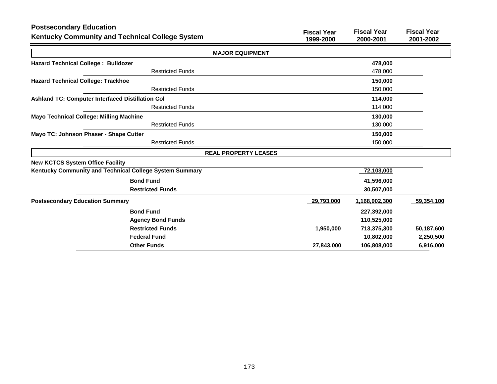| <b>Postsecondary Education</b><br><b>Kentucky Community and Technical College System</b> | <b>Fiscal Year</b><br>1999-2000 | <b>Fiscal Year</b><br>2000-2001 | <b>Fiscal Year</b><br>2001-2002 |
|------------------------------------------------------------------------------------------|---------------------------------|---------------------------------|---------------------------------|
| <b>MAJOR EQUIPMENT</b>                                                                   |                                 |                                 |                                 |
| <b>Hazard Technical College: Bulldozer</b>                                               |                                 | 478,000                         |                                 |
| <b>Restricted Funds</b>                                                                  |                                 | 478,000                         |                                 |
| <b>Hazard Technical College: Trackhoe</b>                                                |                                 | 150,000                         |                                 |
| <b>Restricted Funds</b>                                                                  |                                 | 150,000                         |                                 |
| <b>Ashland TC: Computer Interfaced Distillation Col</b>                                  |                                 | 114,000                         |                                 |
| <b>Restricted Funds</b>                                                                  |                                 | 114,000                         |                                 |
| <b>Mayo Technical College: Milling Machine</b>                                           |                                 | 130,000                         |                                 |
| <b>Restricted Funds</b>                                                                  |                                 | 130,000                         |                                 |
| Mayo TC: Johnson Phaser - Shape Cutter                                                   |                                 | 150,000                         |                                 |
| <b>Restricted Funds</b>                                                                  |                                 | 150,000                         |                                 |
| <b>REAL PROPERTY LEASES</b>                                                              |                                 |                                 |                                 |
| <b>New KCTCS System Office Facility</b>                                                  |                                 |                                 |                                 |
| Kentucky Community and Technical College System Summary                                  |                                 | 72,103,000                      |                                 |
| <b>Bond Fund</b>                                                                         |                                 | 41,596,000                      |                                 |
| <b>Restricted Funds</b>                                                                  |                                 | 30,507,000                      |                                 |
| <b>Postsecondary Education Summary</b>                                                   | 29,793,000                      | 1,168,902,300                   | 59,354,100                      |
| <b>Bond Fund</b>                                                                         |                                 | 227,392,000                     |                                 |
| <b>Agency Bond Funds</b>                                                                 |                                 | 110,525,000                     |                                 |
| <b>Restricted Funds</b>                                                                  | 1,950,000                       | 713,375,300                     | 50,187,600                      |
| <b>Federal Fund</b>                                                                      |                                 | 10,802,000                      | 2,250,500                       |
| <b>Other Funds</b>                                                                       | 27,843,000                      | 106,808,000                     | 6,916,000                       |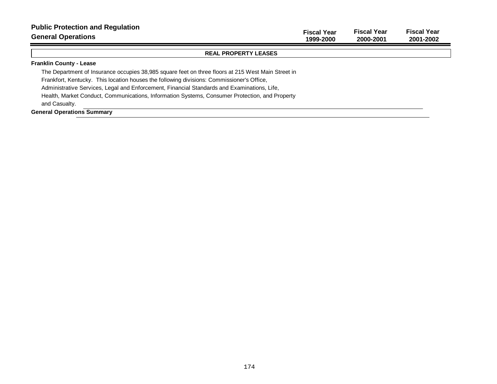| <b>Public Protection and Regulation</b><br><b>General Operations</b>                               | <b>Fiscal Year</b><br>1999-2000 | <b>Fiscal Year</b><br>2000-2001 | <b>Fiscal Year</b><br>2001-2002 |
|----------------------------------------------------------------------------------------------------|---------------------------------|---------------------------------|---------------------------------|
| <b>REAL PROPERTY LEASES</b>                                                                        |                                 |                                 |                                 |
| <b>Franklin County - Lease</b>                                                                     |                                 |                                 |                                 |
| The Department of Insurance occupies 38,985 square feet on three floors at 215 West Main Street in |                                 |                                 |                                 |
| Frankfort, Kentucky. This location houses the following divisions: Commissioner's Office,          |                                 |                                 |                                 |
| Administrative Services, Legal and Enforcement, Financial Standards and Examinations, Life,        |                                 |                                 |                                 |
| Health, Market Conduct, Communications, Information Systems, Consumer Protection, and Property     |                                 |                                 |                                 |
| and Casualty.                                                                                      |                                 |                                 |                                 |
| <b>General Operations Summary</b>                                                                  |                                 |                                 |                                 |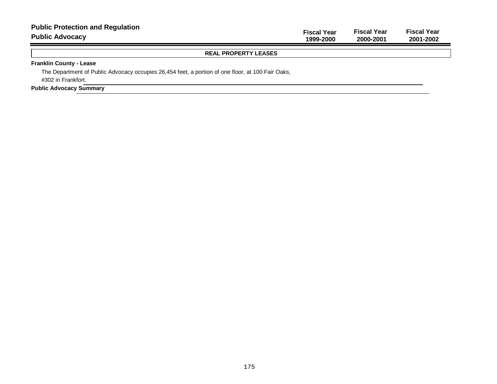| <b>Public Protection and Regulation</b><br><b>Public Advocacy</b>                                 | <b>Fiscal Year</b><br>1999-2000 | <b>Fiscal Year</b><br>2000-2001 | <b>Fiscal Year</b><br>2001-2002 |
|---------------------------------------------------------------------------------------------------|---------------------------------|---------------------------------|---------------------------------|
| <b>REAL PROPERTY LEASES</b>                                                                       |                                 |                                 |                                 |
| <b>Franklin County - Lease</b>                                                                    |                                 |                                 |                                 |
| The Department of Public Advocacy occupies 26,454 feet, a portion of one floor, at 100 Fair Oaks, |                                 |                                 |                                 |
| #302 in Frankfort.                                                                                |                                 |                                 |                                 |
| <b>Public Advocacy Summary</b>                                                                    |                                 |                                 |                                 |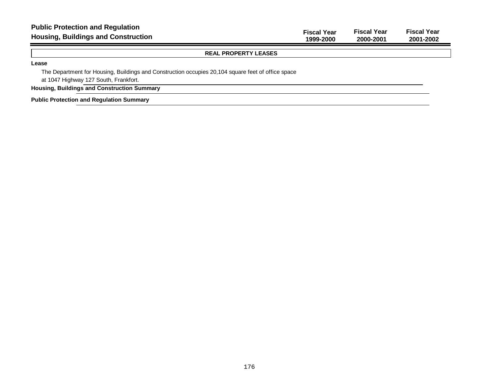| <b>Public Protection and Regulation</b><br><b>Housing, Buildings and Construction</b> | <b>Fiscal Year</b><br>1999-2000 | <b>Fiscal Year</b><br>2000-2001 | <b>Fiscal Year</b><br>2001-2002 |
|---------------------------------------------------------------------------------------|---------------------------------|---------------------------------|---------------------------------|
| <b>REAL PROPERTY LEASES</b>                                                           |                                 |                                 |                                 |
| Lease                                                                                 |                                 |                                 |                                 |

The Department for Housing, Buildings and Construction occupies 20,104 square feet of office space at 1047 Highway 127 South, Frankfort.

**Housing, Buildings and Construction Summary**

**Public Protection and Regulation Summary**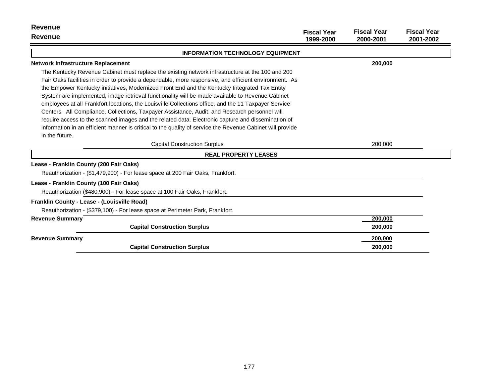| <b>Revenue</b>                                                                                            |                                 |                                 |                                 |
|-----------------------------------------------------------------------------------------------------------|---------------------------------|---------------------------------|---------------------------------|
| Revenue                                                                                                   | <b>Fiscal Year</b><br>1999-2000 | <b>Fiscal Year</b><br>2000-2001 | <b>Fiscal Year</b><br>2001-2002 |
| <b>INFORMATION TECHNOLOGY EQUIPMENT</b>                                                                   |                                 |                                 |                                 |
| <b>Network Infrastructure Replacement</b>                                                                 |                                 | 200,000                         |                                 |
| The Kentucky Revenue Cabinet must replace the existing network infrastructure at the 100 and 200          |                                 |                                 |                                 |
| Fair Oaks facilities in order to provide a dependable, more responsive, and efficient environment. As     |                                 |                                 |                                 |
| the Empower Kentucky initiatives, Modernized Front End and the Kentucky Integrated Tax Entity             |                                 |                                 |                                 |
| System are implemented, image retrieval functionality will be made available to Revenue Cabinet           |                                 |                                 |                                 |
| employees at all Frankfort locations, the Louisville Collections office, and the 11 Taxpayer Service      |                                 |                                 |                                 |
| Centers. All Compliance, Collections, Taxpayer Assistance, Audit, and Research personnel will             |                                 |                                 |                                 |
| require access to the scanned images and the related data. Electronic capture and dissemination of        |                                 |                                 |                                 |
| information in an efficient manner is critical to the quality of service the Revenue Cabinet will provide |                                 |                                 |                                 |
| in the future.                                                                                            |                                 |                                 |                                 |
| <b>Capital Construction Surplus</b>                                                                       |                                 | 200,000                         |                                 |
| <b>REAL PROPERTY LEASES</b>                                                                               |                                 |                                 |                                 |
| Lease - Franklin County (200 Fair Oaks)                                                                   |                                 |                                 |                                 |
| Reauthorization - (\$1,479,900) - For lease space at 200 Fair Oaks, Frankfort.                            |                                 |                                 |                                 |
| Lease - Franklin County (100 Fair Oaks)                                                                   |                                 |                                 |                                 |
| Reauthorization (\$480,900) - For lease space at 100 Fair Oaks, Frankfort.                                |                                 |                                 |                                 |
| Franklin County - Lease - (Louisville Road)                                                               |                                 |                                 |                                 |
| Reauthorization - (\$379,100) - For lease space at Perimeter Park, Frankfort.                             |                                 |                                 |                                 |
| <b>Revenue Summary</b>                                                                                    |                                 | 200,000                         |                                 |
| <b>Capital Construction Surplus</b>                                                                       |                                 | 200,000                         |                                 |
| <b>Revenue Summary</b>                                                                                    |                                 | 200,000                         |                                 |
| <b>Capital Construction Surplus</b>                                                                       |                                 | 200,000                         |                                 |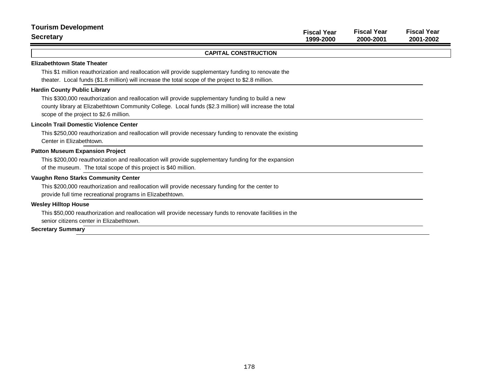| <b>Tourism Development</b><br><b>Secretary</b>                                                                                                                                                                                                                                               | <b>Fiscal Year</b><br>1999-2000 | <b>Fiscal Year</b><br>2000-2001 | <b>Fiscal Year</b><br>2001-2002 |
|----------------------------------------------------------------------------------------------------------------------------------------------------------------------------------------------------------------------------------------------------------------------------------------------|---------------------------------|---------------------------------|---------------------------------|
| <b>CAPITAL CONSTRUCTION</b>                                                                                                                                                                                                                                                                  |                                 |                                 |                                 |
| <b>Elizabethtown State Theater</b><br>This \$1 million reauthorization and reallocation will provide supplementary funding to renovate the<br>theater. Local funds (\$1.8 million) will increase the total scope of the project to \$2.8 million.                                            |                                 |                                 |                                 |
| <b>Hardin County Public Library</b><br>This \$300,000 reauthorization and reallocation will provide supplementary funding to build a new<br>county library at Elizabethtown Community College. Local funds (\$2.3 million) will increase the total<br>scope of the project to \$2.6 million. |                                 |                                 |                                 |
| <b>Lincoln Trail Domestic Violence Center</b><br>This \$250,000 reauthorization and reallocation will provide necessary funding to renovate the existing<br>Center in Elizabethtown.                                                                                                         |                                 |                                 |                                 |
| <b>Patton Museum Expansion Project</b><br>This \$200,000 reauthorization and reallocation will provide supplementary funding for the expansion<br>of the museum. The total scope of this project is \$40 million.                                                                            |                                 |                                 |                                 |
| <b>Vaughn Reno Starks Community Center</b><br>This \$200,000 reauthorization and reallocation will provide necessary funding for the center to<br>provide full time recreational programs in Elizabethtown.                                                                                  |                                 |                                 |                                 |
| <b>Wesley Hilltop House</b><br>This \$50,000 reauthorization and reallocation will provide necessary funds to renovate facilities in the<br>senior citizens center in Elizabethtown.<br><b>Secretary Summary</b>                                                                             |                                 |                                 |                                 |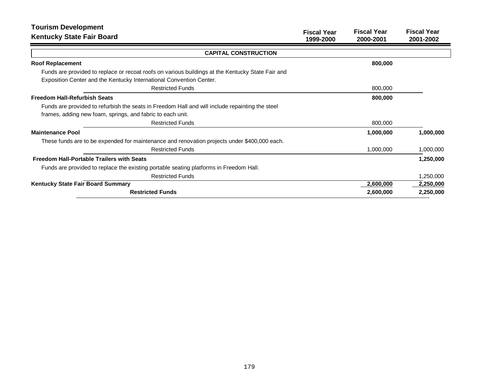| <b>Tourism Development</b>                                                                        | <b>Fiscal Year</b> | <b>Fiscal Year</b> | <b>Fiscal Year</b> |
|---------------------------------------------------------------------------------------------------|--------------------|--------------------|--------------------|
| <b>Kentucky State Fair Board</b>                                                                  | 1999-2000          | 2000-2001          | 2001-2002          |
| <b>CAPITAL CONSTRUCTION</b>                                                                       |                    |                    |                    |
| <b>Roof Replacement</b>                                                                           |                    | 800,000            |                    |
| Funds are provided to replace or recoat roofs on various buildings at the Kentucky State Fair and |                    |                    |                    |
| Exposition Center and the Kentucky International Convention Center.                               |                    |                    |                    |
| <b>Restricted Funds</b>                                                                           |                    | 800,000            |                    |
| <b>Freedom Hall-Refurbish Seats</b>                                                               |                    | 800,000            |                    |
| Funds are provided to refurbish the seats in Freedom Hall and will include repainting the steel   |                    |                    |                    |
| frames, adding new foam, springs, and fabric to each unit.                                        |                    |                    |                    |
| <b>Restricted Funds</b>                                                                           |                    | 800,000            |                    |
| <b>Maintenance Pool</b>                                                                           |                    | 1,000,000          | 1,000,000          |
| These funds are to be expended for maintenance and renovation projects under \$400,000 each.      |                    |                    |                    |
| <b>Restricted Funds</b>                                                                           |                    | 1,000,000          | 1,000,000          |
| <b>Freedom Hall-Portable Trailers with Seats</b>                                                  |                    |                    | 1,250,000          |
| Funds are provided to replace the existing portable seating platforms in Freedom Hall.            |                    |                    |                    |
| <b>Restricted Funds</b>                                                                           |                    |                    | 1,250,000          |
| Kentucky State Fair Board Summary                                                                 |                    | 2,600,000          | 2,250,000          |
| <b>Restricted Funds</b>                                                                           |                    | 2,600,000          | 2,250,000          |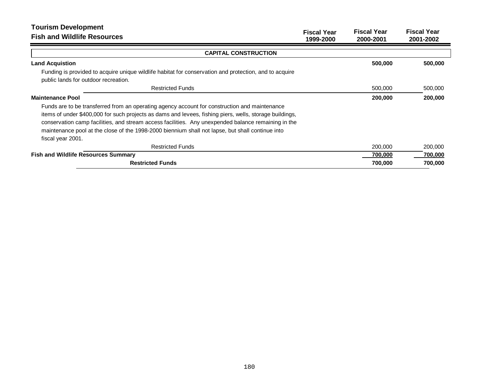| <b>Tourism Development</b><br><b>Fish and Wildlife Resources</b>                                                                                                                                         | <b>Fiscal Year</b><br>1999-2000 | <b>Fiscal Year</b><br>2000-2001 | <b>Fiscal Year</b><br>2001-2002 |
|----------------------------------------------------------------------------------------------------------------------------------------------------------------------------------------------------------|---------------------------------|---------------------------------|---------------------------------|
| <b>CAPITAL CONSTRUCTION</b>                                                                                                                                                                              |                                 |                                 |                                 |
| <b>Land Acquistion</b>                                                                                                                                                                                   |                                 | 500,000                         | 500,000                         |
| Funding is provided to acquire unique wildlife habitat for conservation and protection, and to acquire                                                                                                   |                                 |                                 |                                 |
| public lands for outdoor recreation.                                                                                                                                                                     |                                 |                                 |                                 |
| <b>Restricted Funds</b>                                                                                                                                                                                  |                                 | 500,000                         | 500,000                         |
| <b>Maintenance Pool</b>                                                                                                                                                                                  |                                 | 200,000                         | 200,000                         |
| Funds are to be transferred from an operating agency account for construction and maintenance<br>items of under \$400,000 for such projects as dams and levees, fishing piers, wells, storage buildings, |                                 |                                 |                                 |
| conservation camp facilities, and stream access facilities. Any unexpended balance remaining in the                                                                                                      |                                 |                                 |                                 |
| maintenance pool at the close of the 1998-2000 biennium shall not lapse, but shall continue into                                                                                                         |                                 |                                 |                                 |
| fiscal year 2001.                                                                                                                                                                                        |                                 |                                 |                                 |
| <b>Restricted Funds</b>                                                                                                                                                                                  |                                 | 200,000                         | 200,000                         |
| <b>Fish and Wildlife Resources Summary</b>                                                                                                                                                               |                                 | 700,000                         | 700,000                         |
| <b>Restricted Funds</b>                                                                                                                                                                                  |                                 | 700,000                         | 700,000                         |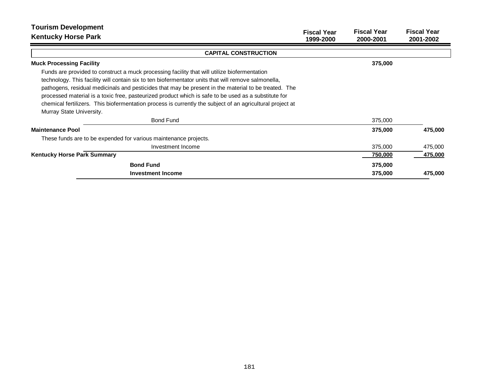| <b>Tourism Development</b><br><b>Kentucky Horse Park</b>                                                  | <b>Fiscal Year</b> | <b>Fiscal Year</b> | <b>Fiscal Year</b> |
|-----------------------------------------------------------------------------------------------------------|--------------------|--------------------|--------------------|
|                                                                                                           | 1999-2000          | 2000-2001          | 2001-2002          |
| <b>CAPITAL CONSTRUCTION</b>                                                                               |                    |                    |                    |
| <b>Muck Processing Facility</b>                                                                           |                    | 375,000            |                    |
| Funds are provided to construct a muck processing facility that will utilize biofermentation              |                    |                    |                    |
| technology. This facility will contain six to ten biofermentator units that will remove salmonella,       |                    |                    |                    |
| pathogens, residual medicinals and pesticides that may be present in the material to be treated. The      |                    |                    |                    |
| processed material is a toxic free, pasteurized product which is safe to be used as a substitute for      |                    |                    |                    |
| chemical fertilizers. This biofermentation process is currently the subject of an agricultural project at |                    |                    |                    |
| Murray State University.                                                                                  |                    |                    |                    |
| <b>Bond Fund</b>                                                                                          |                    | 375,000            |                    |
| <b>Maintenance Pool</b>                                                                                   |                    | 375,000            | 475,000            |
| These funds are to be expended for various maintenance projects.                                          |                    |                    |                    |
| Investment Income                                                                                         |                    | 375,000            | 475,000            |
| <b>Kentucky Horse Park Summary</b>                                                                        |                    | 750,000            | 475,000            |
| <b>Bond Fund</b>                                                                                          |                    | 375,000            |                    |
| <b>Investment Income</b>                                                                                  |                    | 375,000            | 475,000            |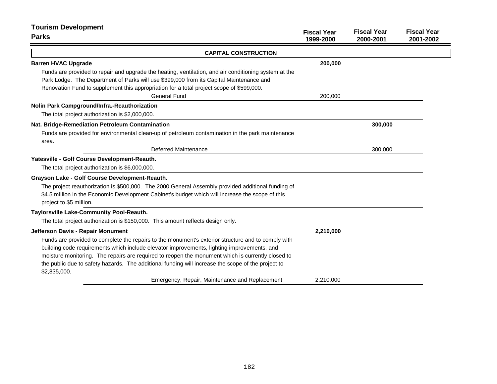| <b>Tourism Development</b>                                                                                                                                                                                                                                                                                                                                                                                                  |                                 |                                 |                                 |
|-----------------------------------------------------------------------------------------------------------------------------------------------------------------------------------------------------------------------------------------------------------------------------------------------------------------------------------------------------------------------------------------------------------------------------|---------------------------------|---------------------------------|---------------------------------|
| <b>Parks</b>                                                                                                                                                                                                                                                                                                                                                                                                                | <b>Fiscal Year</b><br>1999-2000 | <b>Fiscal Year</b><br>2000-2001 | <b>Fiscal Year</b><br>2001-2002 |
| <b>CAPITAL CONSTRUCTION</b>                                                                                                                                                                                                                                                                                                                                                                                                 |                                 |                                 |                                 |
| <b>Barren HVAC Upgrade</b>                                                                                                                                                                                                                                                                                                                                                                                                  | 200,000                         |                                 |                                 |
| Funds are provided to repair and upgrade the heating, ventilation, and air conditioning system at the<br>Park Lodge. The Department of Parks will use \$399,000 from its Capital Maintenance and<br>Renovation Fund to supplement this appropriation for a total project scope of \$599,000.                                                                                                                                |                                 |                                 |                                 |
| <b>General Fund</b>                                                                                                                                                                                                                                                                                                                                                                                                         | 200,000                         |                                 |                                 |
| Nolin Park Campground/Infra.-Reauthorization<br>The total project authorization is \$2,000,000.                                                                                                                                                                                                                                                                                                                             |                                 |                                 |                                 |
| Nat. Bridge-Remediation Petroleum Contamination<br>Funds are provided for environmental clean-up of petroleum contamination in the park maintenance                                                                                                                                                                                                                                                                         |                                 | 300,000                         |                                 |
| area.<br>Deferred Maintenance                                                                                                                                                                                                                                                                                                                                                                                               |                                 | 300,000                         |                                 |
| Yatesville - Golf Course Development-Reauth.                                                                                                                                                                                                                                                                                                                                                                                |                                 |                                 |                                 |
| The total project authorization is \$6,000,000.                                                                                                                                                                                                                                                                                                                                                                             |                                 |                                 |                                 |
| Grayson Lake - Golf Course Development-Reauth.                                                                                                                                                                                                                                                                                                                                                                              |                                 |                                 |                                 |
| The project reauthorization is \$500,000. The 2000 General Assembly provided additional funding of<br>\$4.5 million in the Economic Development Cabinet's budget which will increase the scope of this<br>project to \$5 million.                                                                                                                                                                                           |                                 |                                 |                                 |
| Taylorsville Lake-Community Pool-Reauth.                                                                                                                                                                                                                                                                                                                                                                                    |                                 |                                 |                                 |
| The total project authorization is \$150,000. This amount reflects design only.                                                                                                                                                                                                                                                                                                                                             |                                 |                                 |                                 |
| Jefferson Davis - Repair Monument                                                                                                                                                                                                                                                                                                                                                                                           | 2,210,000                       |                                 |                                 |
| Funds are provided to complete the repairs to the monument's exterior structure and to comply with<br>building code requirements which include elevator improvements, lighting improvements, and<br>moisture monitoring. The repairs are required to reopen the monument which is currently closed to<br>the public due to safety hazards. The additional funding will increase the scope of the project to<br>\$2,835,000. |                                 |                                 |                                 |
| Emergency, Repair, Maintenance and Replacement                                                                                                                                                                                                                                                                                                                                                                              | 2,210,000                       |                                 |                                 |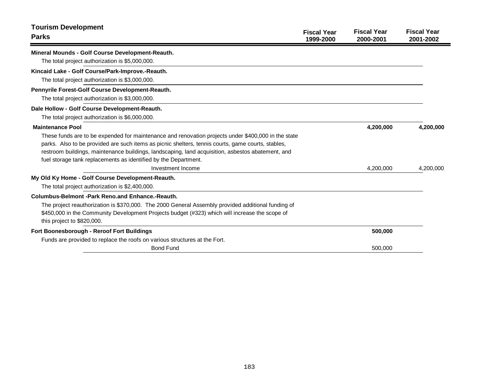| <b>Tourism Development</b><br><b>Parks</b>                                                          | <b>Fiscal Year</b><br>1999-2000 | <b>Fiscal Year</b><br>2000-2001 | <b>Fiscal Year</b><br>2001-2002 |
|-----------------------------------------------------------------------------------------------------|---------------------------------|---------------------------------|---------------------------------|
| Mineral Mounds - Golf Course Development-Reauth.                                                    |                                 |                                 |                                 |
| The total project authorization is \$5,000,000.                                                     |                                 |                                 |                                 |
| Kincaid Lake - Golf Course/Park-Improve.-Reauth.                                                    |                                 |                                 |                                 |
| The total project authorization is \$3,000,000.                                                     |                                 |                                 |                                 |
| <b>Pennyrile Forest-Golf Course Development-Reauth.</b>                                             |                                 |                                 |                                 |
| The total project authorization is \$3,000,000.                                                     |                                 |                                 |                                 |
| Dale Hollow - Golf Course Development-Reauth.                                                       |                                 |                                 |                                 |
| The total project authorization is \$6,000,000.                                                     |                                 |                                 |                                 |
| <b>Maintenance Pool</b>                                                                             |                                 | 4,200,000                       | 4,200,000                       |
| These funds are to be expended for maintenance and renovation projects under \$400,000 in the state |                                 |                                 |                                 |
| parks. Also to be provided are such items as picnic shelters, tennis courts, game courts, stables,  |                                 |                                 |                                 |
| restroom buildings, maintenance buildings, landscaping, land acquisition, asbestos abatement, and   |                                 |                                 |                                 |
| fuel storage tank replacements as identified by the Department.                                     |                                 |                                 |                                 |
| Investment Income                                                                                   |                                 | 4.200.000                       | 4,200,000                       |
| My Old Ky Home - Golf Course Development-Reauth.                                                    |                                 |                                 |                                 |
| The total project authorization is \$2,400,000.                                                     |                                 |                                 |                                 |
| <b>Columbus-Belmont -Park Reno.and Enhance.-Reauth.</b>                                             |                                 |                                 |                                 |
| The project reauthorization is \$370,000. The 2000 General Assembly provided additional funding of  |                                 |                                 |                                 |
| \$450,000 in the Community Development Projects budget (#323) which will increase the scope of      |                                 |                                 |                                 |
| this project to \$820,000.                                                                          |                                 |                                 |                                 |
| <b>Fort Boonesborough - Reroof Fort Buildings</b>                                                   |                                 | 500,000                         |                                 |
| Funds are provided to replace the roofs on various structures at the Fort.                          |                                 |                                 |                                 |
| <b>Bond Fund</b>                                                                                    |                                 | 500.000                         |                                 |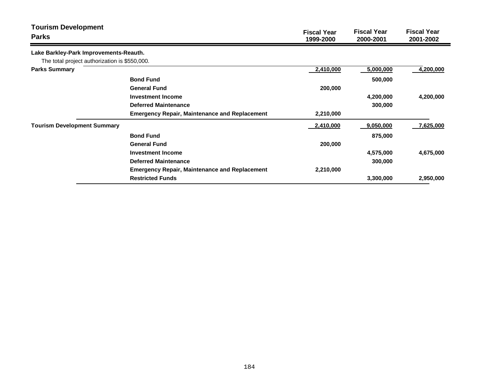| <b>Tourism Development</b><br><b>Parks</b>    |                                                      | <b>Fiscal Year</b><br>1999-2000 | <b>Fiscal Year</b><br>2000-2001 | <b>Fiscal Year</b><br>2001-2002 |
|-----------------------------------------------|------------------------------------------------------|---------------------------------|---------------------------------|---------------------------------|
| Lake Barkley-Park Improvements-Reauth.        |                                                      |                                 |                                 |                                 |
| The total project authorization is \$550,000. |                                                      |                                 |                                 |                                 |
| <b>Parks Summary</b>                          |                                                      | 2,410,000                       | 5,000,000                       | 4,200,000                       |
|                                               | <b>Bond Fund</b>                                     |                                 | 500,000                         |                                 |
|                                               | <b>General Fund</b>                                  | 200,000                         |                                 |                                 |
|                                               | Investment Income                                    |                                 | 4,200,000                       | 4,200,000                       |
|                                               | <b>Deferred Maintenance</b>                          |                                 | 300,000                         |                                 |
|                                               | <b>Emergency Repair, Maintenance and Replacement</b> | 2,210,000                       |                                 |                                 |
| <b>Tourism Development Summary</b>            |                                                      | 2,410,000                       | 9,050,000                       | 7,625,000                       |
|                                               | <b>Bond Fund</b>                                     |                                 | 875,000                         |                                 |
|                                               | <b>General Fund</b>                                  | 200,000                         |                                 |                                 |
|                                               | Investment Income                                    |                                 | 4,575,000                       | 4,675,000                       |
|                                               | <b>Deferred Maintenance</b>                          |                                 | 300,000                         |                                 |
|                                               | <b>Emergency Repair, Maintenance and Replacement</b> | 2,210,000                       |                                 |                                 |
|                                               | <b>Restricted Funds</b>                              |                                 | 3,300,000                       | 2,950,000                       |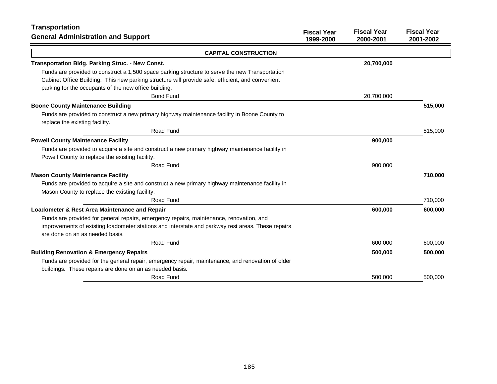| <b>Transportation</b>                                                                                                                                                                                                                                        | <b>Fiscal Year</b> | <b>Fiscal Year</b> | <b>Fiscal Year</b> |
|--------------------------------------------------------------------------------------------------------------------------------------------------------------------------------------------------------------------------------------------------------------|--------------------|--------------------|--------------------|
| <b>General Administration and Support</b>                                                                                                                                                                                                                    | 1999-2000          | 2000-2001          | 2001-2002          |
| <b>CAPITAL CONSTRUCTION</b>                                                                                                                                                                                                                                  |                    |                    |                    |
| Transportation Bldg. Parking Struc. - New Const.                                                                                                                                                                                                             |                    | 20,700,000         |                    |
| Funds are provided to construct a 1,500 space parking structure to serve the new Transportation<br>Cabinet Office Building. This new parking structure will provide safe, efficient, and convenient<br>parking for the occupants of the new office building. |                    |                    |                    |
| <b>Bond Fund</b>                                                                                                                                                                                                                                             |                    | 20,700,000         |                    |
| <b>Boone County Maintenance Building</b>                                                                                                                                                                                                                     |                    |                    | 515,000            |
| Funds are provided to construct a new primary highway maintenance facility in Boone County to<br>replace the existing facility.                                                                                                                              |                    |                    |                    |
| Road Fund                                                                                                                                                                                                                                                    |                    |                    | 515,000            |
| <b>Powell County Maintenance Facility</b>                                                                                                                                                                                                                    |                    | 900,000            |                    |
| Funds are provided to acquire a site and construct a new primary highway maintenance facility in<br>Powell County to replace the existing facility.                                                                                                          |                    |                    |                    |
| Road Fund                                                                                                                                                                                                                                                    |                    | 900,000            |                    |
| <b>Mason County Maintenance Facility</b>                                                                                                                                                                                                                     |                    |                    | 710,000            |
| Funds are provided to acquire a site and construct a new primary highway maintenance facility in<br>Mason County to replace the existing facility.                                                                                                           |                    |                    |                    |
| Road Fund                                                                                                                                                                                                                                                    |                    |                    | 710,000            |
| Loadometer & Rest Area Maintenance and Repair                                                                                                                                                                                                                |                    | 600,000            | 600,000            |
| Funds are provided for general repairs, emergency repairs, maintenance, renovation, and<br>improvements of existing loadometer stations and interstate and parkway rest areas. These repairs<br>are done on an as needed basis.                              |                    |                    |                    |
| Road Fund                                                                                                                                                                                                                                                    |                    | 600,000            | 600,000            |
| <b>Building Renovation &amp; Emergency Repairs</b>                                                                                                                                                                                                           |                    | 500,000            | 500,000            |
| Funds are provided for the general repair, emergency repair, maintenance, and renovation of older<br>buildings. These repairs are done on an as needed basis.                                                                                                |                    |                    |                    |
| Road Fund                                                                                                                                                                                                                                                    |                    | 500,000            | 500,000            |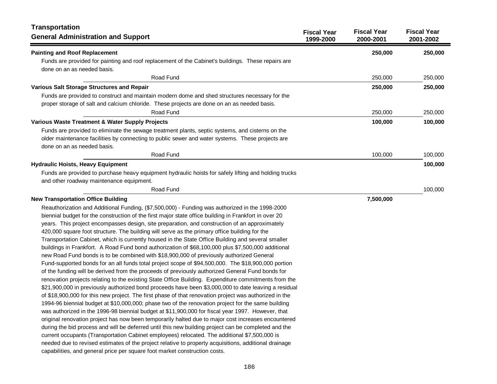| <b>Transportation</b><br><b>General Administration and Support</b>                                                                | <b>Fiscal Year</b><br>1999-2000 | <b>Fiscal Year</b><br>2000-2001 | <b>Fiscal Year</b><br>2001-2002 |
|-----------------------------------------------------------------------------------------------------------------------------------|---------------------------------|---------------------------------|---------------------------------|
| <b>Painting and Roof Replacement</b>                                                                                              |                                 | 250,000                         | 250,000                         |
| Funds are provided for painting and roof replacement of the Cabinet's buildings. These repairs are<br>done on an as needed basis. |                                 |                                 |                                 |
| Road Fund                                                                                                                         |                                 | 250,000                         | 250,000                         |
| Various Salt Storage Structures and Repair                                                                                        |                                 | 250,000                         | 250,000                         |
| Funds are provided to construct and maintain modern dome and shed structures necessary for the                                    |                                 |                                 |                                 |
| proper storage of salt and calcium chloride. These projects are done on an as needed basis.                                       |                                 |                                 |                                 |
| Road Fund                                                                                                                         |                                 | 250,000                         | 250,000                         |
| Various Waste Treatment & Water Supply Projects                                                                                   |                                 | 100,000                         | 100,000                         |
| Funds are provided to eliminate the sewage treatment plants, septic systems, and cisterns on the                                  |                                 |                                 |                                 |
| older maintenance facilities by connecting to public sewer and water systems. These projects are                                  |                                 |                                 |                                 |
| done on an as needed basis.                                                                                                       |                                 |                                 |                                 |
| Road Fund                                                                                                                         |                                 | 100,000                         | 100,000                         |
| <b>Hydraulic Hoists, Heavy Equipment</b>                                                                                          |                                 |                                 | 100,000                         |
| Funds are provided to purchase heavy equipment hydraulic hoists for safely lifting and holding trucks                             |                                 |                                 |                                 |
| and other roadway maintenance equipment.                                                                                          |                                 |                                 |                                 |
| Road Fund                                                                                                                         |                                 |                                 | 100,000                         |
| <b>New Transportation Office Building</b>                                                                                         |                                 | 7,500,000                       |                                 |
| Reauthorization and Additional Funding, (\$7,500,000) - Funding was authorized in the 1998-2000                                   |                                 |                                 |                                 |
| biennial budget for the construction of the first major state office building in Frankfort in over 20                             |                                 |                                 |                                 |
| years. This project encompasses design, site preparation, and construction of an approximately                                    |                                 |                                 |                                 |
| 420,000 square foot structure. The building will serve as the primary office building for the                                     |                                 |                                 |                                 |
| Transportation Cabinet, which is currently housed in the State Office Building and several smaller                                |                                 |                                 |                                 |
| buildings in Frankfort. A Road Fund bond authorization of \$68,100,000 plus \$7,500,000 additional                                |                                 |                                 |                                 |
| new Road Fund bonds is to be combined with \$18,900,000 of previously authorized General                                          |                                 |                                 |                                 |
| Fund-supported bonds for an all funds total project scope of \$94,500,000. The \$18,900,000 portion                               |                                 |                                 |                                 |
| of the funding will be derived from the proceeds of previously authorized General Fund bonds for                                  |                                 |                                 |                                 |
| renovation projects relating to the existing State Office Building. Expenditure commitments from the                              |                                 |                                 |                                 |
| \$21,900,000 in previously authorized bond proceeds have been \$3,000,000 to date leaving a residual                              |                                 |                                 |                                 |
| of \$18,900,000 for this new project. The first phase of that renovation project was authorized in the                            |                                 |                                 |                                 |
| 1994-96 biennial budget at \$10,000,000; phase two of the renovation project for the same building                                |                                 |                                 |                                 |
| was authorized in the 1996-98 biennial budget at \$11,900,000 for fiscal year 1997. However, that                                 |                                 |                                 |                                 |
| original renovation project has now been temporarily halted due to major cost increases encountered                               |                                 |                                 |                                 |
| during the bid process and will be deferred until this new building project can be completed and the                              |                                 |                                 |                                 |
| current occupants (Transportation Cabinet employees) relocated. The additional \$7,500,000 is                                     |                                 |                                 |                                 |
| needed due to revised estimates of the project relative to property acquisitions, additional drainage                             |                                 |                                 |                                 |
| capabilities, and general price per square foot market construction costs.                                                        |                                 |                                 |                                 |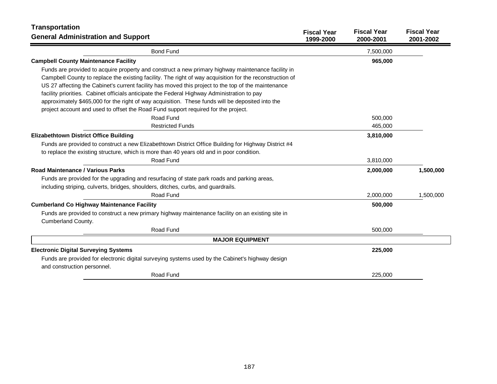| <b>Transportation</b>                                                                                                           |                                 |                                 |                                 |
|---------------------------------------------------------------------------------------------------------------------------------|---------------------------------|---------------------------------|---------------------------------|
| <b>General Administration and Support</b>                                                                                       | <b>Fiscal Year</b><br>1999-2000 | <b>Fiscal Year</b><br>2000-2001 | <b>Fiscal Year</b><br>2001-2002 |
| <b>Bond Fund</b>                                                                                                                |                                 | 7,500,000                       |                                 |
| <b>Campbell County Maintenance Facility</b>                                                                                     |                                 | 965,000                         |                                 |
| Funds are provided to acquire property and construct a new primary highway maintenance facility in                              |                                 |                                 |                                 |
| Campbell County to replace the existing facility. The right of way acquisition for the reconstruction of                        |                                 |                                 |                                 |
| US 27 affecting the Cabinet's current facility has moved this project to the top of the maintenance                             |                                 |                                 |                                 |
| facility priorities. Cabinet officials anticipate the Federal Highway Administration to pay                                     |                                 |                                 |                                 |
| approximately \$465,000 for the right of way acquisition. These funds will be deposited into the                                |                                 |                                 |                                 |
| project account and used to offset the Road Fund support required for the project.                                              |                                 |                                 |                                 |
| Road Fund                                                                                                                       |                                 | 500,000                         |                                 |
| <b>Restricted Funds</b>                                                                                                         |                                 | 465,000                         |                                 |
| <b>Elizabethtown District Office Building</b>                                                                                   |                                 | 3,810,000                       |                                 |
| Funds are provided to construct a new Elizabethtown District Office Building for Highway District #4                            |                                 |                                 |                                 |
| to replace the existing structure, which is more than 40 years old and in poor condition.                                       |                                 |                                 |                                 |
| Road Fund                                                                                                                       |                                 | 3,810,000                       |                                 |
| Road Maintenance / Various Parks                                                                                                |                                 | 2,000,000                       | 1,500,000                       |
| Funds are provided for the upgrading and resurfacing of state park roads and parking areas,                                     |                                 |                                 |                                 |
| including striping, culverts, bridges, shoulders, ditches, curbs, and guardrails.                                               |                                 |                                 |                                 |
| Road Fund                                                                                                                       |                                 | 2,000,000                       | 1,500,000                       |
| <b>Cumberland Co Highway Maintenance Facility</b>                                                                               |                                 | 500,000                         |                                 |
| Funds are provided to construct a new primary highway maintenance facility on an existing site in                               |                                 |                                 |                                 |
| Cumberland County.                                                                                                              |                                 |                                 |                                 |
| Road Fund                                                                                                                       |                                 | 500,000                         |                                 |
| <b>MAJOR EQUIPMENT</b>                                                                                                          |                                 |                                 |                                 |
| <b>Electronic Digital Surveying Systems</b>                                                                                     |                                 | 225,000                         |                                 |
| Funds are provided for electronic digital surveying systems used by the Cabinet's highway design<br>and construction personnel. |                                 |                                 |                                 |
| Road Fund                                                                                                                       |                                 | 225.000                         |                                 |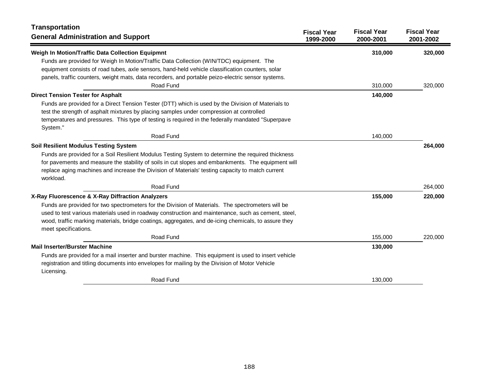| <b>Transportation</b><br><b>General Administration and Support</b>                                   | <b>Fiscal Year</b><br>1999-2000 | <b>Fiscal Year</b><br>2000-2001 | <b>Fiscal Year</b><br>2001-2002 |
|------------------------------------------------------------------------------------------------------|---------------------------------|---------------------------------|---------------------------------|
| Weigh In Motion/Traffic Data Collection Equipmnt                                                     |                                 | 310,000                         | 320,000                         |
| Funds are provided for Weigh In Motion/Traffic Data Collection (WIN/TDC) equipment. The              |                                 |                                 |                                 |
| equipment consists of road tubes, axle sensors, hand-held vehicle classification counters, solar     |                                 |                                 |                                 |
| panels, traffic counters, weight mats, data recorders, and portable peizo-electric sensor systems.   |                                 |                                 |                                 |
| Road Fund                                                                                            |                                 | 310.000                         | 320,000                         |
| <b>Direct Tension Tester for Asphalt</b>                                                             |                                 | 140,000                         |                                 |
| Funds are provided for a Direct Tension Tester (DTT) which is used by the Division of Materials to   |                                 |                                 |                                 |
| test the strength of asphalt mixtures by placing samples under compression at controlled             |                                 |                                 |                                 |
| temperatures and pressures. This type of testing is required in the federally mandated "Superpave    |                                 |                                 |                                 |
| System."                                                                                             |                                 |                                 |                                 |
| Road Fund                                                                                            |                                 | 140,000                         |                                 |
| <b>Soil Resilient Modulus Testing System</b>                                                         |                                 |                                 | 264,000                         |
| Funds are provided for a Soil Resilient Modulus Testing System to determine the required thickness   |                                 |                                 |                                 |
| for pavements and measure the stability of soils in cut slopes and embankments. The equipment will   |                                 |                                 |                                 |
| replace aging machines and increase the Division of Materials' testing capacity to match current     |                                 |                                 |                                 |
| workload.                                                                                            |                                 |                                 |                                 |
| Road Fund                                                                                            |                                 |                                 | 264,000                         |
| X-Ray Fluorescence & X-Ray Diffraction Analyzers                                                     |                                 | 155,000                         | 220,000                         |
| Funds are provided for two spectrometers for the Division of Materials. The spectrometers will be    |                                 |                                 |                                 |
| used to test various materials used in roadway construction and maintenance, such as cement, steel,  |                                 |                                 |                                 |
| wood, traffic marking materials, bridge coatings, aggregates, and de-icing chemicals, to assure they |                                 |                                 |                                 |
| meet specifications.                                                                                 |                                 |                                 |                                 |
| Road Fund                                                                                            |                                 | 155,000                         | 220,000                         |
| <b>Mail Inserter/Burster Machine</b>                                                                 |                                 | 130,000                         |                                 |
| Funds are provided for a mail inserter and burster machine. This equipment is used to insert vehicle |                                 |                                 |                                 |
| registration and titling documents into envelopes for mailing by the Division of Motor Vehicle       |                                 |                                 |                                 |
| Licensing.                                                                                           |                                 |                                 |                                 |
| Road Fund                                                                                            |                                 | 130,000                         |                                 |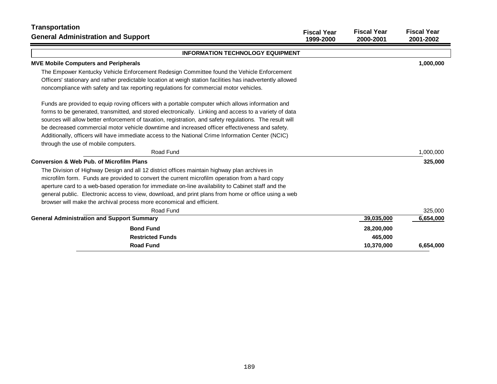| <b>Transportation</b><br><b>General Administration and Support</b>                                                                                                                                          | <b>Fiscal Year</b><br>1999-2000 | <b>Fiscal Year</b><br>2000-2001 | <b>Fiscal Year</b><br>2001-2002 |
|-------------------------------------------------------------------------------------------------------------------------------------------------------------------------------------------------------------|---------------------------------|---------------------------------|---------------------------------|
| <b>INFORMATION TECHNOLOGY EQUIPMENT</b>                                                                                                                                                                     |                                 |                                 |                                 |
| <b>MVE Mobile Computers and Peripherals</b>                                                                                                                                                                 |                                 |                                 | 1,000,000                       |
| The Empower Kentucky Vehicle Enforcement Redesign Committee found the Vehicle Enforcement                                                                                                                   |                                 |                                 |                                 |
| Officers' stationary and rather predictable location at weigh station facilities has inadvertently allowed<br>noncompliance with safety and tax reporting regulations for commercial motor vehicles.        |                                 |                                 |                                 |
| Funds are provided to equip roving officers with a portable computer which allows information and<br>forms to be generated, transmitted, and stored electronically. Linking and access to a variety of data |                                 |                                 |                                 |
| sources will allow better enforcement of taxation, registration, and safety regulations. The result will                                                                                                    |                                 |                                 |                                 |
| be decreased commercial motor vehicle downtime and increased officer effectiveness and safety.                                                                                                              |                                 |                                 |                                 |
| Additionally, officers will have immediate access to the National Crime Information Center (NCIC)                                                                                                           |                                 |                                 |                                 |
| through the use of mobile computers.                                                                                                                                                                        |                                 |                                 |                                 |
| Road Fund                                                                                                                                                                                                   |                                 |                                 | 1,000,000                       |
| <b>Conversion &amp; Web Pub. of Microfilm Plans</b>                                                                                                                                                         |                                 |                                 | 325,000                         |
| The Division of Highway Design and all 12 district offices maintain highway plan archives in                                                                                                                |                                 |                                 |                                 |
| microfilm form. Funds are provided to convert the current microfilm operation from a hard copy                                                                                                              |                                 |                                 |                                 |
| aperture card to a web-based operation for immediate on-line availability to Cabinet staff and the                                                                                                          |                                 |                                 |                                 |
| general public. Electronic access to view, download, and print plans from home or office using a web                                                                                                        |                                 |                                 |                                 |
| browser will make the archival process more economical and efficient.                                                                                                                                       |                                 |                                 |                                 |
| Road Fund                                                                                                                                                                                                   |                                 |                                 | 325,000                         |
| <b>General Administration and Support Summary</b>                                                                                                                                                           |                                 | 39,035,000                      | 6,654,000                       |
| <b>Bond Fund</b>                                                                                                                                                                                            |                                 | 28,200,000                      |                                 |
| <b>Restricted Funds</b>                                                                                                                                                                                     |                                 | 465,000                         |                                 |
| <b>Road Fund</b>                                                                                                                                                                                            |                                 | 10.370.000                      | 6.654.000                       |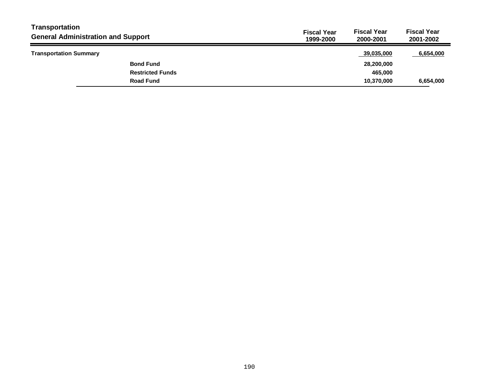| Transportation<br><b>General Administration and Support</b> | <b>Fiscal Year</b><br>1999-2000 | <b>Fiscal Year</b><br>2000-2001 | <b>Fiscal Year</b><br>2001-2002 |
|-------------------------------------------------------------|---------------------------------|---------------------------------|---------------------------------|
| <b>Transportation Summary</b>                               |                                 | 39.035.000                      | 6,654,000                       |
| <b>Bond Fund</b>                                            |                                 | 28,200,000                      |                                 |
| <b>Restricted Funds</b>                                     |                                 | 465.000                         |                                 |
| <b>Road Fund</b>                                            |                                 | 10,370,000                      | 6,654,000                       |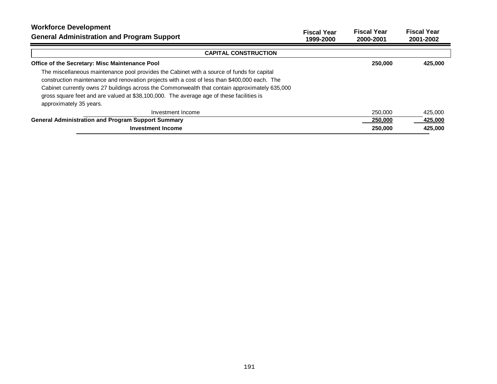| <b>Workforce Development</b><br><b>General Administration and Program Support</b>              | <b>Fiscal Year</b><br>1999-2000 | <b>Fiscal Year</b><br>2000-2001 | <b>Fiscal Year</b><br>2001-2002 |
|------------------------------------------------------------------------------------------------|---------------------------------|---------------------------------|---------------------------------|
| <b>CAPITAL CONSTRUCTION</b>                                                                    |                                 |                                 |                                 |
| Office of the Secretary: Misc Maintenance Pool                                                 |                                 | 250,000                         | 425,000                         |
| The miscellaneous maintenance pool provides the Cabinet with a source of funds for capital     |                                 |                                 |                                 |
| construction maintenance and renovation projects with a cost of less than \$400,000 each. The  |                                 |                                 |                                 |
| Cabinet currently owns 27 buildings across the Commonwealth that contain approximately 635,000 |                                 |                                 |                                 |
| gross square feet and are valued at \$38,100,000. The average age of these facilities is       |                                 |                                 |                                 |
| approximately 35 years.                                                                        |                                 |                                 |                                 |
| Investment Income                                                                              |                                 | 250,000                         | 425,000                         |
| <b>General Administration and Program Support Summary</b>                                      |                                 | 250,000                         | 425,000                         |
| <b>Investment Income</b>                                                                       |                                 | 250,000                         | 425.000                         |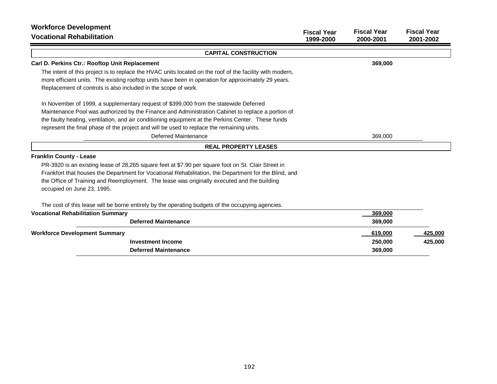| <b>Workforce Development</b><br><b>Vocational Rehabilitation</b>                                                                                                                                                                                                                                                                                                                              | <b>Fiscal Year</b><br>1999-2000 | <b>Fiscal Year</b><br>2000-2001 | <b>Fiscal Year</b><br>2001-2002 |
|-----------------------------------------------------------------------------------------------------------------------------------------------------------------------------------------------------------------------------------------------------------------------------------------------------------------------------------------------------------------------------------------------|---------------------------------|---------------------------------|---------------------------------|
| <b>CAPITAL CONSTRUCTION</b>                                                                                                                                                                                                                                                                                                                                                                   |                                 |                                 |                                 |
| Carl D. Perkins Ctr.: Rooftop Unit Replacement                                                                                                                                                                                                                                                                                                                                                |                                 | 369,000                         |                                 |
| The intent of this project is to replace the HVAC units located on the roof of the facility with modern,<br>more efficient units. The existing rooftop units have been in operation for approximately 29 years.<br>Replacement of controls is also included in the scope of work.                                                                                                             |                                 |                                 |                                 |
| In November of 1999, a supplementary request of \$399,000 from the statewide Deferred<br>Maintenance Pool was authorized by the Finance and Administration Cabinet to replace a portion of<br>the faulty heating, ventilation, and air conditioning equipment at the Perkins Center. These funds<br>represent the final phase of the project and will be used to replace the remaining units. |                                 |                                 |                                 |
| Deferred Maintenance                                                                                                                                                                                                                                                                                                                                                                          |                                 | 369,000                         |                                 |
| <b>REAL PROPERTY LEASES</b>                                                                                                                                                                                                                                                                                                                                                                   |                                 |                                 |                                 |
| <b>Franklin County - Lease</b>                                                                                                                                                                                                                                                                                                                                                                |                                 |                                 |                                 |
| PR-3920 is an existing lease of 28,265 square feet at \$7.90 per square foot on St. Clair Street in<br>Frankfort that houses the Department for Vocational Rehabilitation, the Department for the Blind, and<br>the Office of Training and Reemployment. The lease was originally executed and the building<br>occupied on June 23, 1995.                                                     |                                 |                                 |                                 |
| The cost of this lease will be borne entirely by the operating budgets of the occupying agencies.                                                                                                                                                                                                                                                                                             |                                 |                                 |                                 |
| <b>Vocational Rehabilitation Summary</b>                                                                                                                                                                                                                                                                                                                                                      |                                 | 369,000                         |                                 |
| <b>Deferred Maintenance</b>                                                                                                                                                                                                                                                                                                                                                                   |                                 | 369,000                         |                                 |
| <b>Workforce Development Summary</b>                                                                                                                                                                                                                                                                                                                                                          |                                 | 619,000                         | 425,000                         |
| <b>Investment Income</b>                                                                                                                                                                                                                                                                                                                                                                      |                                 | 250,000                         | 425,000                         |
| <b>Deferred Maintenance</b>                                                                                                                                                                                                                                                                                                                                                                   |                                 | 369,000                         |                                 |